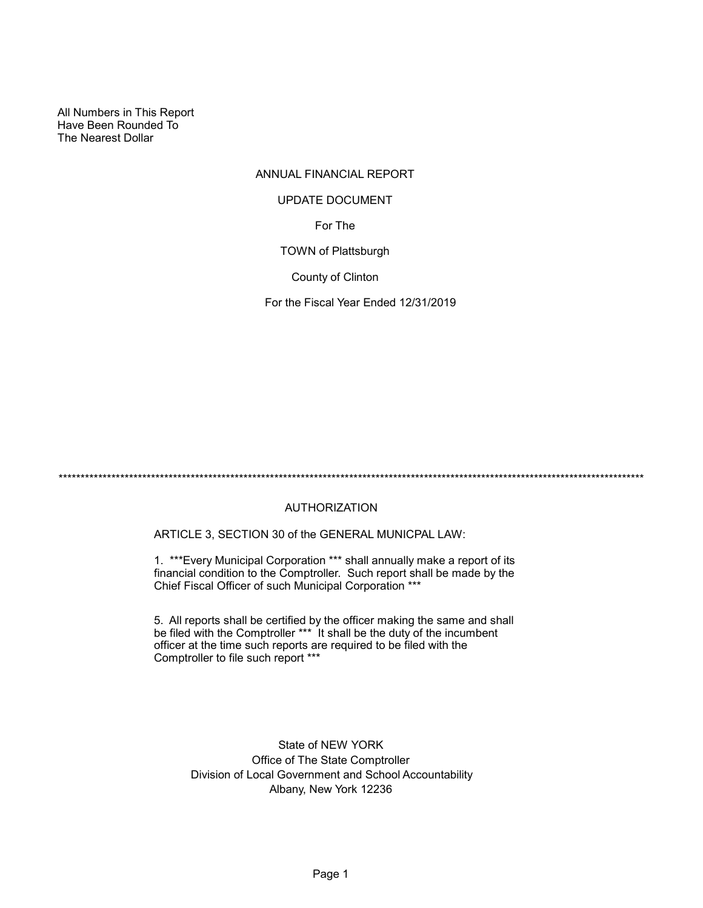All Numbers in This Report Have Been Rounded To The Nearest Dollar

# ANNUAL FINANCIAL REPORT

### UPDATE DOCUMENT

For The

TOWN of Plattsburgh

County of Clinton

For the Fiscal Year Ended 12/31/2019

\*\*\*\*\*\*\*\*\*\*\*\*\*\*\*\*\*\*\*\*\*\*\*\*\*\*\*\*\*\*\*\*\*\*\*\*\*\*\*\*\*\*\*\*\*\*\*\*\*\*\*\*\*\*\*\*\*\*\*\*\*\*\*\*\*\*\*\*\*\*\*\*\*\*\*\*\*\*\*\*\*\*\*\*\*\*\*\*\*\*\*\*\*\*\*\*\*\*\*\*\*\*\*\*\*\*\*\*\*\*\*\*\*\*\*\*\*\*\*\*\*\*\*\*\*\*\*\*\*\*\*\*\*

# AUTHORIZATION

ARTICLE 3, SECTION 30 of the GENERAL MUNICPAL LAW:

1. \*\*\*Every Municipal Corporation \*\*\* shall annually make a report of its financial condition to the Comptroller. Such report shall be made by the Chief Fiscal Officer of such Municipal Corporation \*\*\*

5. All reports shall be certified by the officer making the same and shall be filed with the Comptroller \*\*\* It shall be the duty of the incumbent officer at the time such reports are required to be filed with the Comptroller to file such report \*\*\*

> State of NEW YORK Office of The State Comptroller Division of Local Government and School Accountability Albany, New York 12236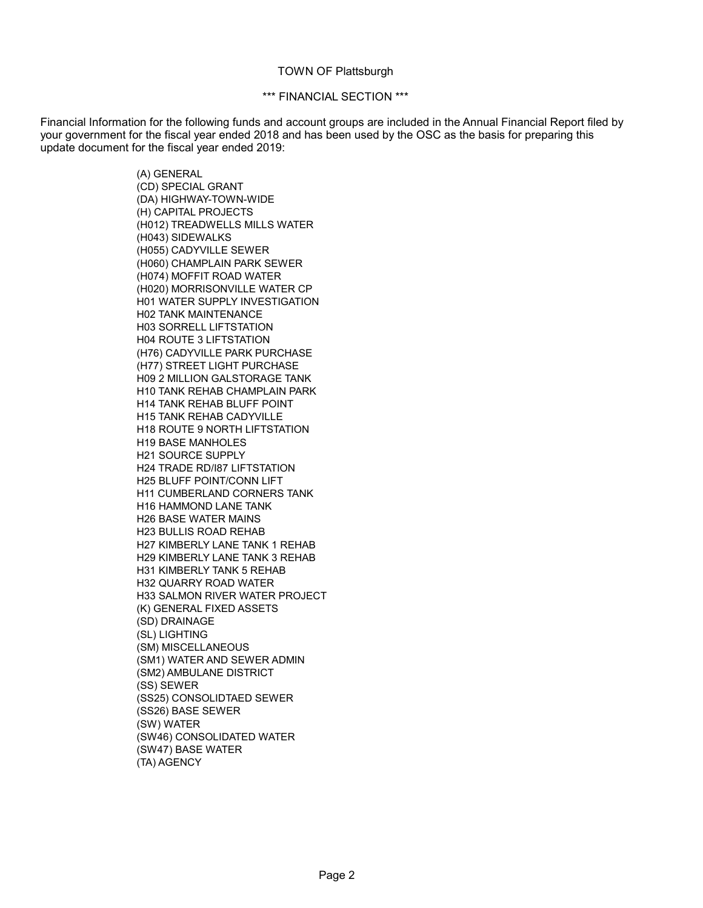#### TOWN OF Plattsburgh

#### \*\*\* FINANCIAL SECTION \*\*\*

Financial Information for the following funds and account groups are included in the Annual Financial Report filed by your government for the fiscal year ended 2018 and has been used by the OSC as the basis for preparing this update document for the fiscal year ended 2019:

> (A) GENERAL (CD) SPECIAL GRANT (DA) HIGHWAY-TOWN-WIDE (H) CAPITAL PROJECTS (H012) TREADWELLS MILLS WATER (H043) SIDEWALKS (H055) CADYVILLE SEWER (H060) CHAMPLAIN PARK SEWER (H074) MOFFIT ROAD WATER (H020) MORRISONVILLE WATER CP H01 WATER SUPPLY INVESTIGATION H02 TANK MAINTENANCE H03 SORRELL LIFTSTATION H04 ROUTE 3 LIFTSTATION (H76) CADYVILLE PARK PURCHASE (H77) STREET LIGHT PURCHASE H09 2 MILLION GALSTORAGE TANK H10 TANK REHAB CHAMPLAIN PARK H14 TANK REHAB BLUFF POINT H15 TANK REHAB CADYVILLE H18 ROUTE 9 NORTH LIFTSTATION H19 BASE MANHOLES H21 SOURCE SUPPLY H24 TRADE RD/I87 LIFTSTATION H25 BLUFF POINT/CONN LIFT H11 CUMBERLAND CORNERS TANK H16 HAMMOND LANE TANK H26 BASE WATER MAINS H23 BULLIS ROAD REHAB H27 KIMBERLY LANE TANK 1 REHAB H29 KIMBERLY LANE TANK 3 REHAB H31 KIMBERLY TANK 5 REHAB H32 QUARRY ROAD WATER H33 SALMON RIVER WATER PROJECT (K) GENERAL FIXED ASSETS (SD) DRAINAGE (SL) LIGHTING (SM) MISCELLANEOUS (SM1) WATER AND SEWER ADMIN (SM2) AMBULANE DISTRICT (SS) SEWER (SS25) CONSOLIDTAED SEWER (SS26) BASE SEWER (SW) WATER (SW46) CONSOLIDATED WATER (SW47) BASE WATER (TA) AGENCY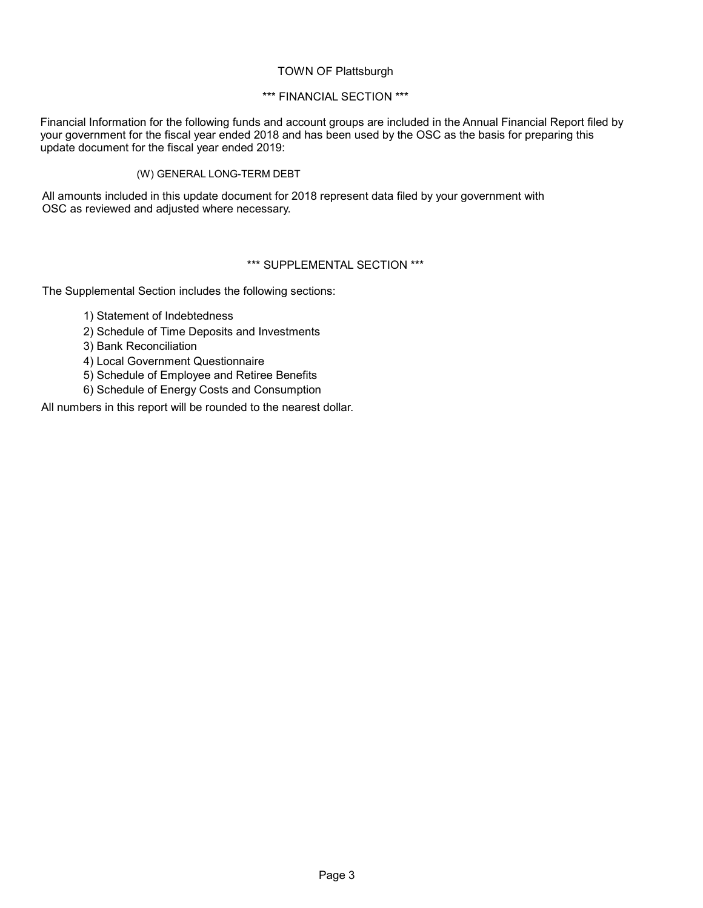### TOWN OF Plattsburgh

# \*\*\* FINANCIAL SECTION \*\*\*

Financial Information for the following funds and account groups are included in the Annual Financial Report filed by your government for the fiscal year ended 2018 and has been used by the OSC as the basis for preparing this update document for the fiscal year ended 2019:

### (W) GENERAL LONG-TERM DEBT

All amounts included in this update document for 2018 represent data filed by your government with OSC as reviewed and adjusted where necessary.

# \*\*\* SUPPLEMENTAL SECTION \*\*\*

The Supplemental Section includes the following sections:

- 1) Statement of Indebtedness
- 2) Schedule of Time Deposits and Investments
- 3) Bank Reconciliation
- 4) Local Government Questionnaire
- 5) Schedule of Employee and Retiree Benefits
- 6) Schedule of Energy Costs and Consumption

All numbers in this report will be rounded to the nearest dollar.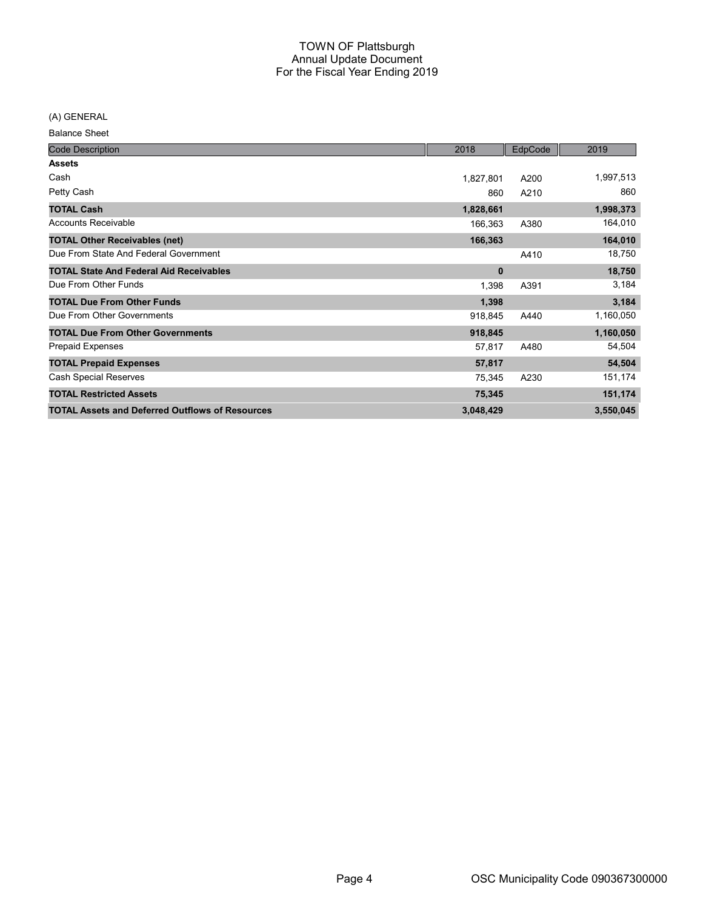(A) GENERAL

Balance Sheet

| <b>Code Description</b>                                | 2018         | EdpCode | 2019      |
|--------------------------------------------------------|--------------|---------|-----------|
| <b>Assets</b>                                          |              |         |           |
| Cash                                                   | 1,827,801    | A200    | 1,997,513 |
| Petty Cash                                             | 860          | A210    | 860       |
| <b>TOTAL Cash</b>                                      | 1,828,661    |         | 1,998,373 |
| <b>Accounts Receivable</b>                             | 166,363      | A380    | 164,010   |
| <b>TOTAL Other Receivables (net)</b>                   | 166,363      |         | 164,010   |
| Due From State And Federal Government                  |              | A410    | 18,750    |
| <b>TOTAL State And Federal Aid Receivables</b>         | $\mathbf{0}$ |         | 18,750    |
| Due From Other Funds                                   | 1,398        | A391    | 3,184     |
| <b>TOTAL Due From Other Funds</b>                      | 1,398        |         | 3,184     |
| Due From Other Governments                             | 918,845      | A440    | 1,160,050 |
| <b>TOTAL Due From Other Governments</b>                | 918,845      |         | 1,160,050 |
| Prepaid Expenses                                       | 57,817       | A480    | 54,504    |
| <b>TOTAL Prepaid Expenses</b>                          | 57,817       |         | 54,504    |
| <b>Cash Special Reserves</b>                           | 75,345       | A230    | 151,174   |
| <b>TOTAL Restricted Assets</b>                         | 75,345       |         | 151,174   |
| <b>TOTAL Assets and Deferred Outflows of Resources</b> | 3,048,429    |         | 3,550,045 |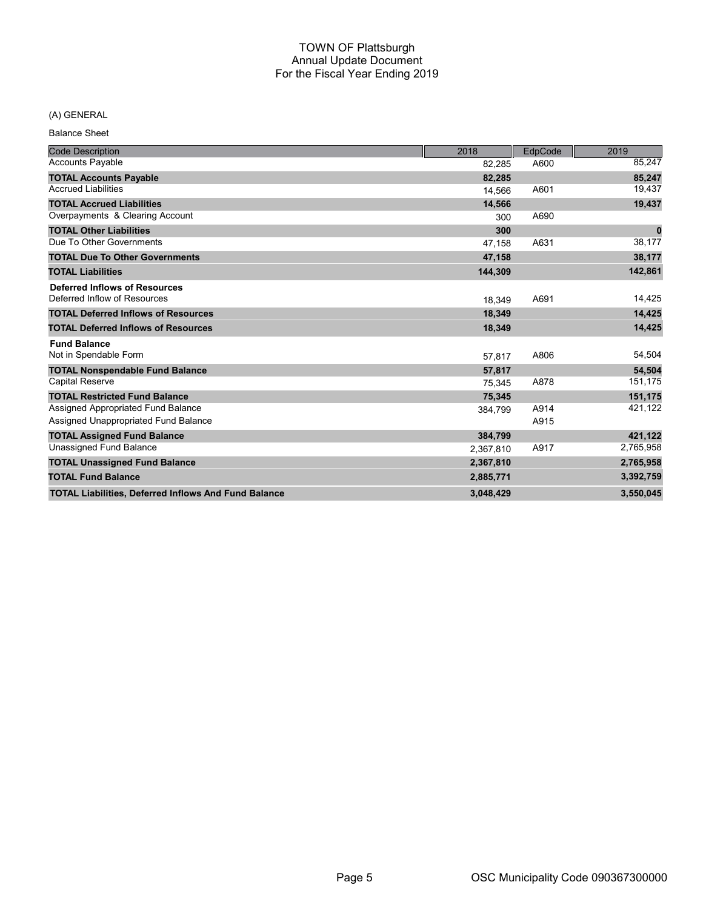# (A) GENERAL

Balance Sheet

| <b>Code Description</b>                                     | 2018      | EdpCode | 2019      |
|-------------------------------------------------------------|-----------|---------|-----------|
| <b>Accounts Payable</b>                                     | 82,285    | A600    | 85,247    |
| <b>TOTAL Accounts Payable</b>                               | 82,285    |         | 85,247    |
| <b>Accrued Liabilities</b>                                  | 14.566    | A601    | 19,437    |
| <b>TOTAL Accrued Liabilities</b>                            | 14.566    |         | 19,437    |
| Overpayments & Clearing Account                             | 300       | A690    |           |
| <b>TOTAL Other Liabilities</b>                              | 300       |         | $\bf{0}$  |
| Due To Other Governments                                    | 47.158    | A631    | 38,177    |
| <b>TOTAL Due To Other Governments</b>                       | 47,158    |         | 38,177    |
| <b>TOTAL Liabilities</b>                                    | 144,309   |         | 142,861   |
| <b>Deferred Inflows of Resources</b>                        |           |         |           |
| Deferred Inflow of Resources                                | 18.349    | A691    | 14,425    |
| <b>TOTAL Deferred Inflows of Resources</b>                  | 18,349    |         | 14,425    |
| <b>TOTAL Deferred Inflows of Resources</b>                  | 18,349    |         | 14,425    |
| <b>Fund Balance</b>                                         |           |         |           |
| Not in Spendable Form                                       | 57,817    | A806    | 54,504    |
| <b>TOTAL Nonspendable Fund Balance</b>                      | 57,817    |         | 54,504    |
| <b>Capital Reserve</b>                                      | 75.345    | A878    | 151,175   |
| <b>TOTAL Restricted Fund Balance</b>                        | 75,345    |         | 151,175   |
| Assigned Appropriated Fund Balance                          | 384.799   | A914    | 421,122   |
| Assigned Unappropriated Fund Balance                        |           | A915    |           |
| <b>TOTAL Assigned Fund Balance</b>                          | 384,799   |         | 421,122   |
| <b>Unassigned Fund Balance</b>                              | 2,367,810 | A917    | 2,765,958 |
| <b>TOTAL Unassigned Fund Balance</b>                        | 2,367,810 |         | 2,765,958 |
| <b>TOTAL Fund Balance</b>                                   | 2,885,771 |         | 3,392,759 |
| <b>TOTAL Liabilities, Deferred Inflows And Fund Balance</b> | 3,048,429 |         | 3,550,045 |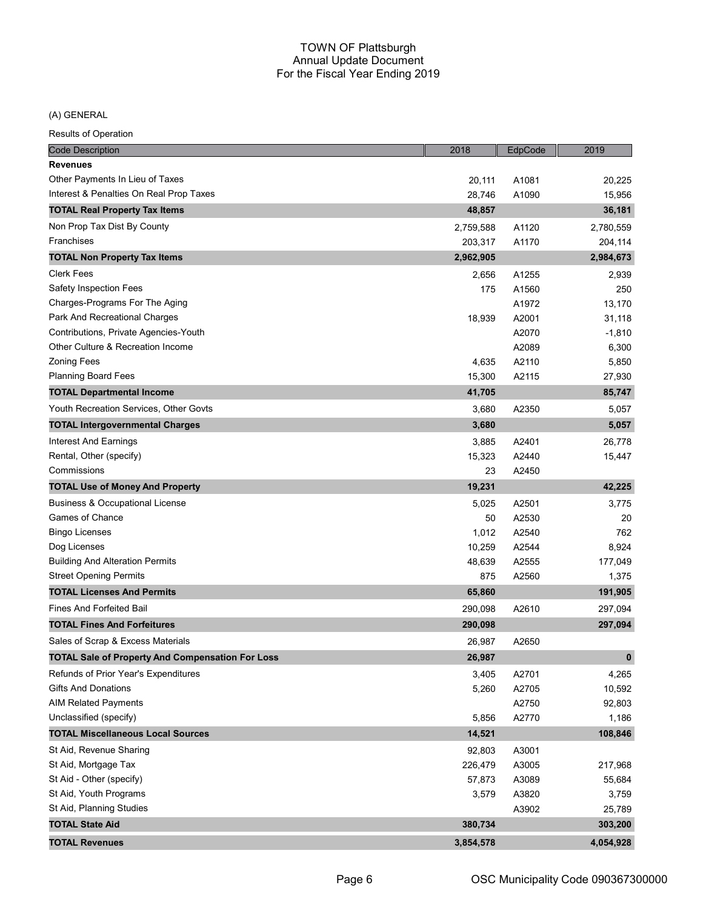(A) GENERAL

| Results of Operation                                    |           |         |           |
|---------------------------------------------------------|-----------|---------|-----------|
| <b>Code Description</b>                                 | 2018      | EdpCode | 2019      |
| <b>Revenues</b>                                         |           |         |           |
| Other Payments In Lieu of Taxes                         | 20,111    | A1081   | 20,225    |
| Interest & Penalties On Real Prop Taxes                 | 28,746    | A1090   | 15,956    |
| <b>TOTAL Real Property Tax Items</b>                    | 48,857    |         | 36,181    |
| Non Prop Tax Dist By County                             | 2,759,588 | A1120   | 2,780,559 |
| Franchises                                              | 203,317   | A1170   | 204,114   |
| <b>TOTAL Non Property Tax Items</b>                     | 2,962,905 |         | 2,984,673 |
| <b>Clerk Fees</b>                                       | 2,656     | A1255   | 2,939     |
| Safety Inspection Fees                                  | 175       | A1560   | 250       |
| Charges-Programs For The Aging                          |           | A1972   | 13,170    |
| Park And Recreational Charges                           | 18,939    | A2001   | 31,118    |
| Contributions, Private Agencies-Youth                   |           | A2070   | $-1,810$  |
| Other Culture & Recreation Income                       |           | A2089   | 6,300     |
| <b>Zoning Fees</b>                                      | 4,635     | A2110   | 5,850     |
| <b>Planning Board Fees</b>                              | 15,300    | A2115   | 27,930    |
| <b>TOTAL Departmental Income</b>                        | 41,705    |         | 85,747    |
| Youth Recreation Services, Other Govts                  | 3,680     | A2350   | 5,057     |
| <b>TOTAL Intergovernmental Charges</b>                  | 3,680     |         | 5,057     |
| Interest And Earnings                                   | 3,885     | A2401   | 26,778    |
| Rental, Other (specify)                                 | 15,323    | A2440   | 15,447    |
| Commissions                                             | 23        | A2450   |           |
| <b>TOTAL Use of Money And Property</b>                  | 19,231    |         | 42,225    |
| <b>Business &amp; Occupational License</b>              | 5,025     | A2501   | 3,775     |
| Games of Chance                                         | 50        | A2530   | 20        |
| <b>Bingo Licenses</b>                                   | 1,012     | A2540   | 762       |
| Dog Licenses                                            | 10,259    | A2544   | 8,924     |
| <b>Building And Alteration Permits</b>                  | 48,639    | A2555   | 177,049   |
| <b>Street Opening Permits</b>                           | 875       | A2560   | 1,375     |
| <b>TOTAL Licenses And Permits</b>                       | 65,860    |         | 191,905   |
| <b>Fines And Forfeited Bail</b>                         | 290,098   | A2610   | 297,094   |
| <b>TOTAL Fines And Forfeitures</b>                      | 290,098   |         | 297,094   |
| Sales of Scrap & Excess Materials                       | 26,987    | A2650   |           |
| <b>TOTAL Sale of Property And Compensation For Loss</b> | 26,987    |         | $\pmb{0}$ |
| Refunds of Prior Year's Expenditures                    | 3,405     | A2701   | 4,265     |
| <b>Gifts And Donations</b>                              | 5,260     | A2705   | 10,592    |
| <b>AIM Related Payments</b>                             |           | A2750   | 92,803    |
| Unclassified (specify)                                  | 5,856     | A2770   | 1,186     |
| <b>TOTAL Miscellaneous Local Sources</b>                | 14,521    |         | 108,846   |
| St Aid, Revenue Sharing                                 | 92,803    | A3001   |           |
| St Aid, Mortgage Tax                                    | 226,479   | A3005   | 217,968   |
| St Aid - Other (specify)                                | 57,873    | A3089   | 55,684    |
| St Aid, Youth Programs                                  | 3,579     | A3820   | 3,759     |
| St Aid, Planning Studies                                |           | A3902   | 25,789    |
| <b>TOTAL State Aid</b>                                  | 380,734   |         | 303,200   |
| <b>TOTAL Revenues</b>                                   | 3,854,578 |         | 4,054,928 |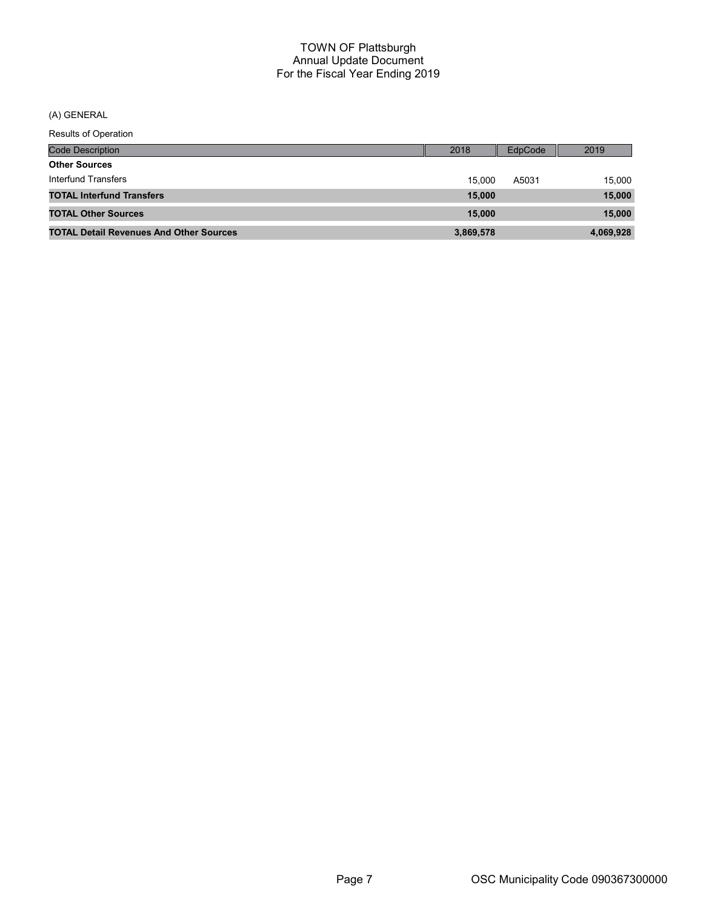(A) GENERAL

| <b>Results of Operation</b>                    |           |         |           |
|------------------------------------------------|-----------|---------|-----------|
| <b>Code Description</b>                        | 2018      | EdpCode | 2019      |
| <b>Other Sources</b>                           |           |         |           |
| Interfund Transfers                            | 15.000    | A5031   | 15,000    |
| <b>TOTAL Interfund Transfers</b>               | 15,000    |         | 15,000    |
| <b>TOTAL Other Sources</b>                     | 15,000    |         | 15,000    |
| <b>TOTAL Detail Revenues And Other Sources</b> | 3,869,578 |         | 4,069,928 |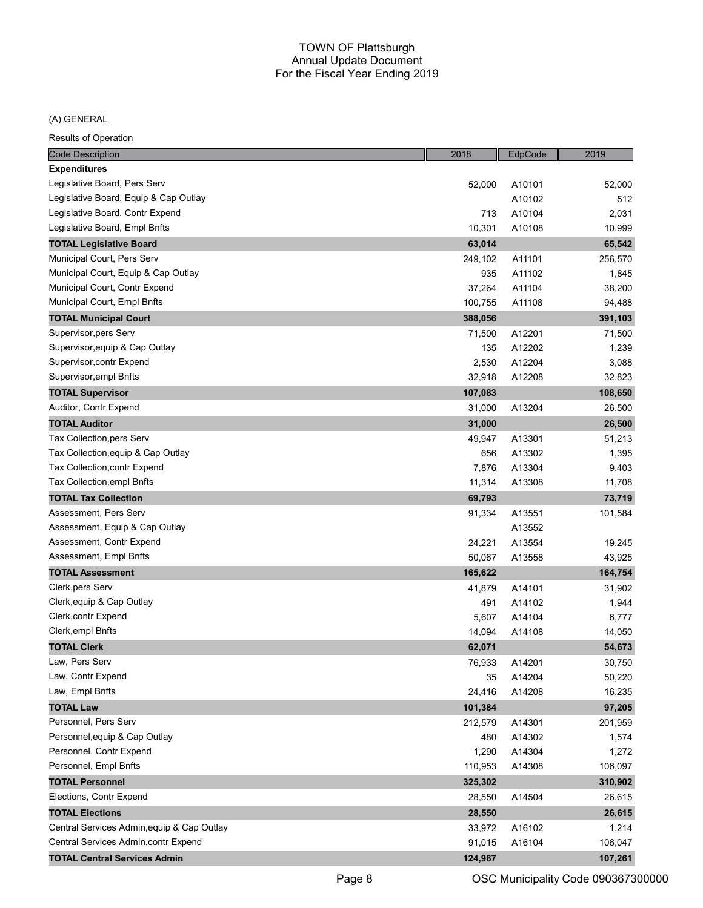#### (A) GENERAL

| <b>Code Description</b>                    | 2018    | EdpCode | 2019    |
|--------------------------------------------|---------|---------|---------|
| <b>Expenditures</b>                        |         |         |         |
| Legislative Board, Pers Serv               | 52,000  | A10101  | 52,000  |
| Legislative Board, Equip & Cap Outlay      |         | A10102  | 512     |
| Legislative Board, Contr Expend            | 713     | A10104  | 2,031   |
| Legislative Board, Empl Bnfts              | 10,301  | A10108  | 10,999  |
| <b>TOTAL Legislative Board</b>             | 63,014  |         | 65,542  |
| Municipal Court, Pers Serv                 | 249,102 | A11101  | 256,570 |
| Municipal Court, Equip & Cap Outlay        | 935     | A11102  | 1,845   |
| Municipal Court, Contr Expend              | 37,264  | A11104  | 38,200  |
| Municipal Court, Empl Bnfts                | 100,755 | A11108  | 94,488  |
| <b>TOTAL Municipal Court</b>               | 388,056 |         | 391,103 |
| Supervisor, pers Serv                      | 71,500  | A12201  | 71,500  |
| Supervisor, equip & Cap Outlay             | 135     | A12202  | 1,239   |
| Supervisor, contr Expend                   | 2,530   | A12204  | 3,088   |
| Supervisor, empl Bnfts                     | 32,918  | A12208  | 32,823  |
| <b>TOTAL Supervisor</b>                    | 107,083 |         | 108,650 |
| Auditor, Contr Expend                      | 31,000  | A13204  | 26,500  |
| <b>TOTAL Auditor</b>                       | 31,000  |         | 26,500  |
| Tax Collection, pers Serv                  | 49,947  | A13301  | 51,213  |
| Tax Collection, equip & Cap Outlay         | 656     | A13302  | 1,395   |
| Tax Collection, contr Expend               | 7,876   | A13304  | 9,403   |
| Tax Collection, empl Bnfts                 | 11,314  | A13308  | 11,708  |
| <b>TOTAL Tax Collection</b>                | 69,793  |         | 73,719  |
| Assessment, Pers Serv                      | 91,334  | A13551  | 101,584 |
| Assessment, Equip & Cap Outlay             |         | A13552  |         |
| Assessment, Contr Expend                   | 24,221  | A13554  | 19,245  |
| Assessment, Empl Bnfts                     | 50,067  | A13558  | 43,925  |
| <b>TOTAL Assessment</b>                    | 165,622 |         | 164,754 |
| Clerk, pers Serv                           | 41,879  | A14101  | 31,902  |
| Clerk, equip & Cap Outlay                  | 491     | A14102  | 1,944   |
| Clerk, contr Expend                        | 5,607   | A14104  | 6,777   |
| Clerk, empl Bnfts                          | 14,094  | A14108  | 14,050  |
| <b>TOTAL Clerk</b>                         | 62,071  |         | 54,673  |
| Law, Pers Serv                             | 76,933  | A14201  | 30,750  |
| Law, Contr Expend                          | 35      | A14204  | 50,220  |
| Law, Empl Bnfts                            | 24,416  | A14208  | 16,235  |
| <b>TOTAL Law</b>                           | 101,384 |         | 97,205  |
| Personnel, Pers Serv                       | 212,579 | A14301  | 201,959 |
| Personnel, equip & Cap Outlay              | 480     | A14302  | 1,574   |
| Personnel, Contr Expend                    | 1,290   | A14304  | 1,272   |
| Personnel, Empl Bnfts                      | 110,953 | A14308  | 106,097 |
| <b>TOTAL Personnel</b>                     | 325,302 |         | 310,902 |
| Elections, Contr Expend                    | 28,550  | A14504  | 26,615  |
| <b>TOTAL Elections</b>                     | 28,550  |         | 26,615  |
| Central Services Admin, equip & Cap Outlay | 33,972  | A16102  | 1,214   |
| Central Services Admin, contr Expend       | 91,015  | A16104  | 106,047 |
| <b>TOTAL Central Services Admin</b>        | 124,987 |         | 107,261 |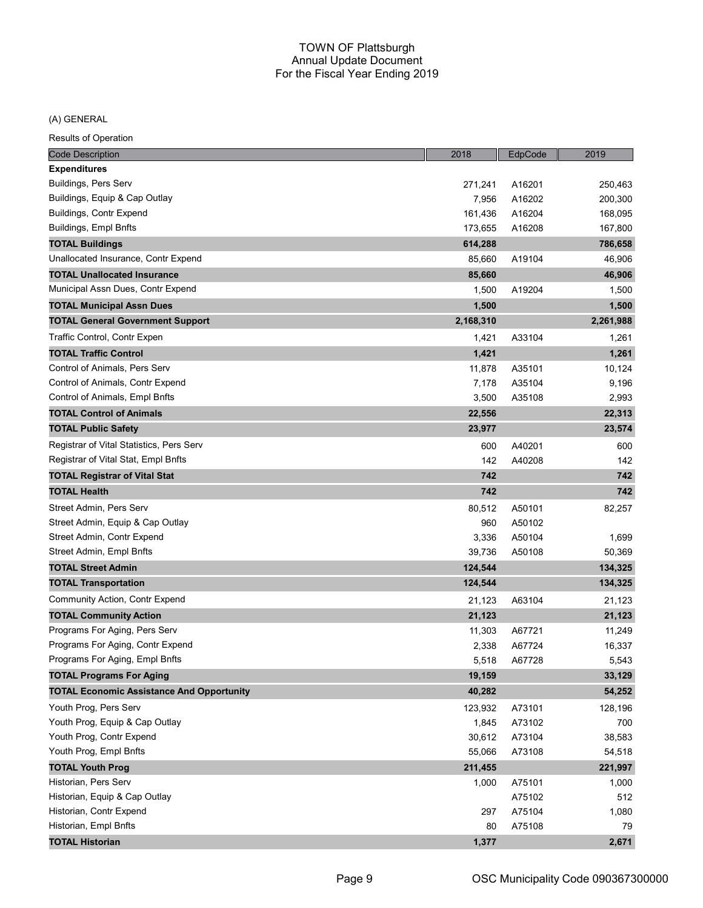(A) GENERAL

| <b>Code Description</b>                          | 2018      | EdpCode | 2019      |
|--------------------------------------------------|-----------|---------|-----------|
| <b>Expenditures</b>                              |           |         |           |
| Buildings, Pers Serv                             | 271,241   | A16201  | 250,463   |
| Buildings, Equip & Cap Outlay                    | 7,956     | A16202  | 200,300   |
| Buildings, Contr Expend                          | 161,436   | A16204  | 168,095   |
| Buildings, Empl Bnfts                            | 173,655   | A16208  | 167,800   |
| <b>TOTAL Buildings</b>                           | 614,288   |         | 786,658   |
| Unallocated Insurance, Contr Expend              | 85,660    | A19104  | 46,906    |
| <b>TOTAL Unallocated Insurance</b>               | 85,660    |         | 46,906    |
| Municipal Assn Dues, Contr Expend                | 1,500     | A19204  | 1,500     |
| <b>TOTAL Municipal Assn Dues</b>                 | 1,500     |         | 1,500     |
| <b>TOTAL General Government Support</b>          | 2,168,310 |         | 2,261,988 |
| Traffic Control, Contr Expen                     | 1,421     | A33104  | 1,261     |
| <b>TOTAL Traffic Control</b>                     | 1,421     |         | 1,261     |
| Control of Animals, Pers Serv                    | 11,878    | A35101  | 10,124    |
| Control of Animals, Contr Expend                 | 7,178     | A35104  | 9,196     |
| Control of Animals, Empl Bnfts                   | 3,500     | A35108  | 2,993     |
| <b>TOTAL Control of Animals</b>                  | 22,556    |         | 22,313    |
| <b>TOTAL Public Safety</b>                       | 23,977    |         | 23,574    |
| Registrar of Vital Statistics, Pers Serv         | 600       | A40201  | 600       |
| Registrar of Vital Stat, Empl Bnfts              | 142       | A40208  | 142       |
| <b>TOTAL Registrar of Vital Stat</b>             | 742       |         | 742       |
| TOTAL Health                                     | 742       |         | 742       |
| Street Admin, Pers Serv                          | 80,512    | A50101  | 82,257    |
| Street Admin, Equip & Cap Outlay                 | 960       | A50102  |           |
| Street Admin, Contr Expend                       | 3,336     | A50104  | 1,699     |
| Street Admin, Empl Bnfts                         | 39,736    | A50108  | 50,369    |
| <b>TOTAL Street Admin</b>                        | 124,544   |         | 134,325   |
| <b>TOTAL Transportation</b>                      | 124,544   |         | 134,325   |
| <b>Community Action, Contr Expend</b>            | 21,123    | A63104  | 21,123    |
| <b>TOTAL Community Action</b>                    | 21,123    |         | 21,123    |
| Programs For Aging, Pers Serv                    | 11,303    | A67721  | 11,249    |
| Programs For Aging, Contr Expend                 | 2,338     | A67724  | 16,337    |
| Programs For Aging, Empl Bnfts                   | 5,518     | A67728  | 5,543     |
| <b>TOTAL Programs For Aging</b>                  | 19,159    |         | 33,129    |
| <b>TOTAL Economic Assistance And Opportunity</b> | 40,282    |         | 54,252    |
| Youth Prog, Pers Serv                            | 123,932   | A73101  | 128,196   |
| Youth Prog, Equip & Cap Outlay                   | 1,845     | A73102  | 700       |
| Youth Prog, Contr Expend                         | 30,612    | A73104  | 38,583    |
| Youth Prog, Empl Bnfts                           | 55,066    | A73108  | 54,518    |
| <b>TOTAL Youth Prog</b>                          | 211,455   |         | 221,997   |
| Historian, Pers Serv                             | 1,000     | A75101  | 1,000     |
| Historian, Equip & Cap Outlay                    |           | A75102  | 512       |
| Historian, Contr Expend                          | 297       | A75104  | 1,080     |
| Historian, Empl Bnfts                            | 80        | A75108  | 79        |
| <b>TOTAL Historian</b>                           | 1,377     |         | 2,671     |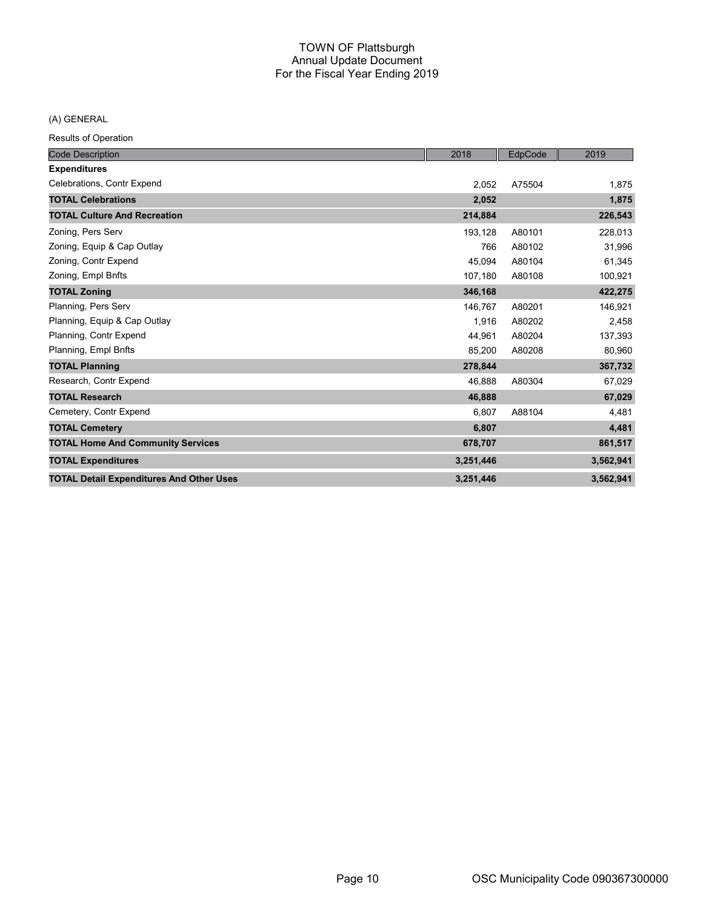(A) GENERAL

| <b>Code Description</b>                         | 2018      | EdpCode | 2019      |
|-------------------------------------------------|-----------|---------|-----------|
| <b>Expenditures</b>                             |           |         |           |
| Celebrations, Contr Expend                      | 2,052     | A75504  | 1,875     |
| <b>TOTAL Celebrations</b>                       | 2,052     |         | 1,875     |
| <b>TOTAL Culture And Recreation</b>             | 214,884   |         | 226,543   |
| Zoning, Pers Serv                               | 193,128   | A80101  | 228,013   |
| Zoning, Equip & Cap Outlay                      | 766       | A80102  | 31,996    |
| Zoning, Contr Expend                            | 45,094    | A80104  | 61,345    |
| Zoning, Empl Bnfts                              | 107,180   | A80108  | 100,921   |
| <b>TOTAL Zoning</b>                             | 346,168   |         | 422,275   |
| Planning, Pers Serv                             | 146,767   | A80201  | 146,921   |
| Planning, Equip & Cap Outlay                    | 1,916     | A80202  | 2,458     |
| Planning, Contr Expend                          | 44.961    | A80204  | 137,393   |
| Planning, Empl Bnfts                            | 85,200    | A80208  | 80,960    |
| <b>TOTAL Planning</b>                           | 278,844   |         | 367,732   |
| Research, Contr Expend                          | 46,888    | A80304  | 67,029    |
| <b>TOTAL Research</b>                           | 46,888    |         | 67,029    |
| Cemetery, Contr Expend                          | 6,807     | A88104  | 4,481     |
| <b>TOTAL Cemetery</b>                           | 6,807     |         | 4,481     |
| <b>TOTAL Home And Community Services</b>        | 678,707   |         | 861,517   |
| <b>TOTAL Expenditures</b>                       | 3,251,446 |         | 3,562,941 |
| <b>TOTAL Detail Expenditures And Other Uses</b> | 3,251,446 |         | 3,562,941 |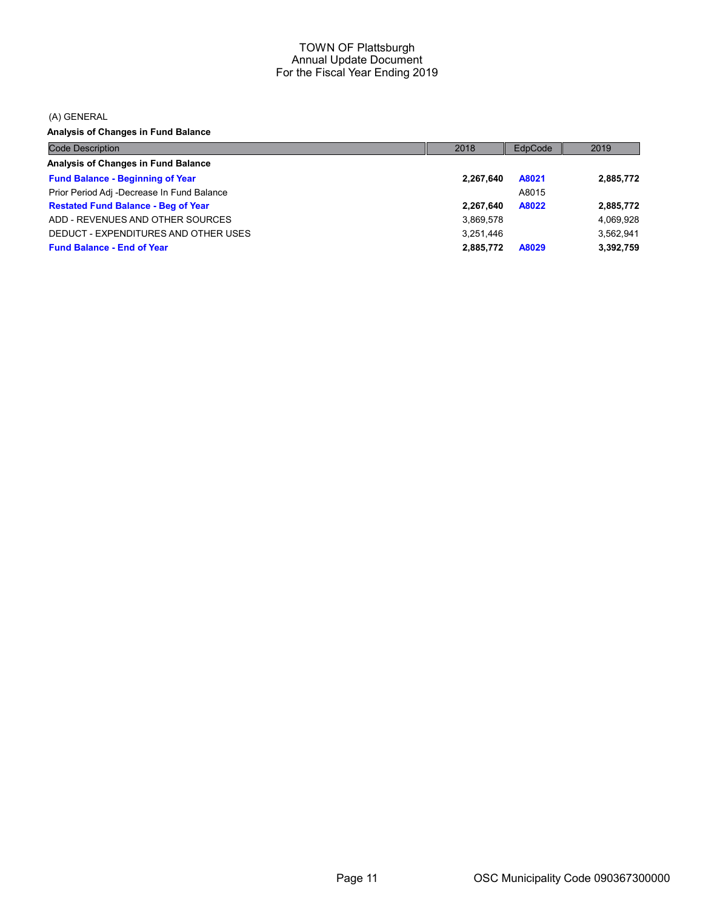(A) GENERAL

Analysis of Changes in Fund Balance

| <b>Code Description</b>                    | 2018      | EdpCode | 2019      |
|--------------------------------------------|-----------|---------|-----------|
| Analysis of Changes in Fund Balance        |           |         |           |
| <b>Fund Balance - Beginning of Year</b>    | 2,267,640 | A8021   | 2,885,772 |
| Prior Period Adj -Decrease In Fund Balance |           | A8015   |           |
| <b>Restated Fund Balance - Beg of Year</b> | 2,267,640 | A8022   | 2,885,772 |
| ADD - REVENUES AND OTHER SOURCES           | 3,869,578 |         | 4,069,928 |
| DEDUCT - EXPENDITURES AND OTHER USES       | 3.251.446 |         | 3.562.941 |
| <b>Fund Balance - End of Year</b>          | 2.885.772 | A8029   | 3,392,759 |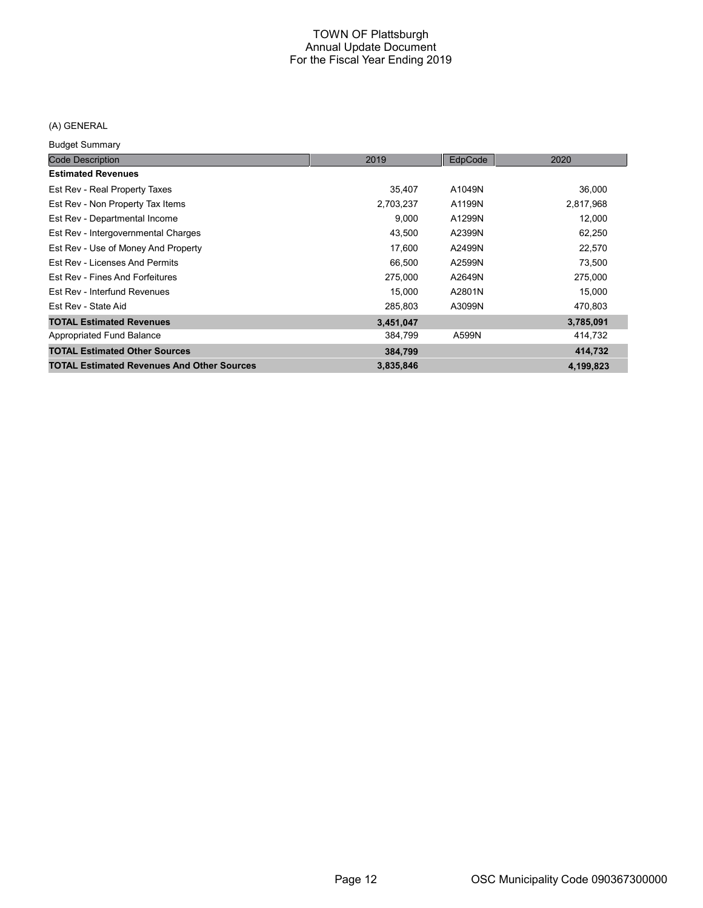# (A) GENERAL

Budget Summary

| <b>Code Description</b>                           | 2019      | EdpCode | 2020      |
|---------------------------------------------------|-----------|---------|-----------|
| <b>Estimated Revenues</b>                         |           |         |           |
| Est Rev - Real Property Taxes                     | 35,407    | A1049N  | 36,000    |
| Est Rev - Non Property Tax Items                  | 2,703,237 | A1199N  | 2,817,968 |
| Est Rev - Departmental Income                     | 9,000     | A1299N  | 12,000    |
| Est Rev - Intergovernmental Charges               | 43,500    | A2399N  | 62,250    |
| Est Rev - Use of Money And Property               | 17,600    | A2499N  | 22,570    |
| Est Rev - Licenses And Permits                    | 66,500    | A2599N  | 73,500    |
| Est Rev - Fines And Forfeitures                   | 275.000   | A2649N  | 275,000   |
| Est Rev - Interfund Revenues                      | 15,000    | A2801N  | 15,000    |
| Est Rev - State Aid                               | 285,803   | A3099N  | 470,803   |
| <b>TOTAL Estimated Revenues</b>                   | 3,451,047 |         | 3,785,091 |
| Appropriated Fund Balance                         | 384,799   | A599N   | 414,732   |
| <b>TOTAL Estimated Other Sources</b>              | 384,799   |         | 414,732   |
| <b>TOTAL Estimated Revenues And Other Sources</b> | 3,835,846 |         | 4,199,823 |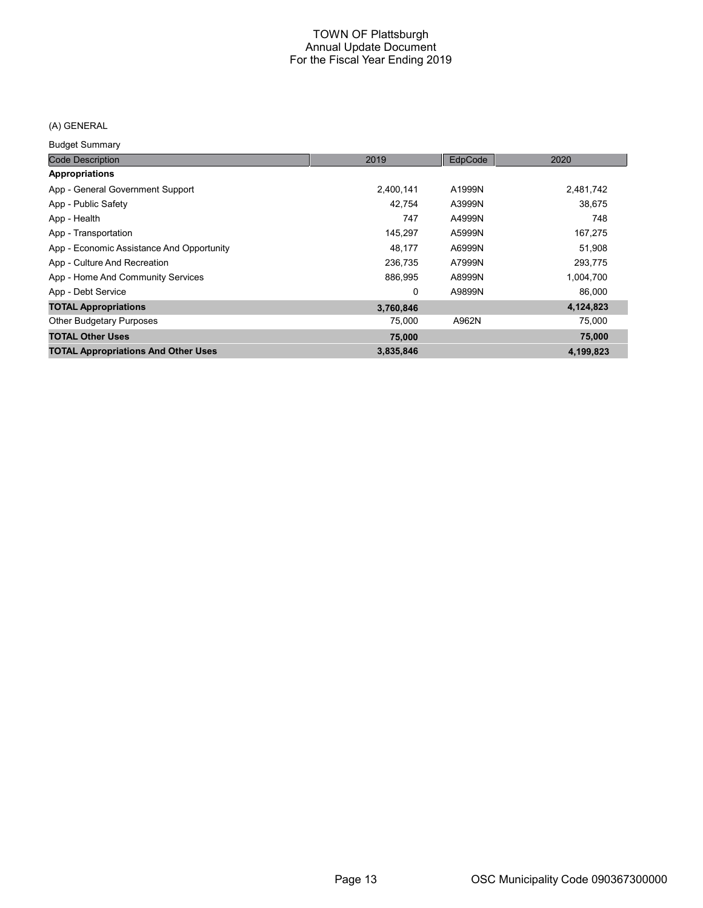# (A) GENERAL

Budget Summary

| <b>Code Description</b>                    | 2019      | EdpCode | 2020      |
|--------------------------------------------|-----------|---------|-----------|
| Appropriations                             |           |         |           |
| App - General Government Support           | 2,400,141 | A1999N  | 2,481,742 |
| App - Public Safety                        | 42.754    | A3999N  | 38.675    |
| App - Health                               | 747       | A4999N  | 748       |
| App - Transportation                       | 145.297   | A5999N  | 167,275   |
| App - Economic Assistance And Opportunity  | 48,177    | A6999N  | 51,908    |
| App - Culture And Recreation               | 236.735   | A7999N  | 293,775   |
| App - Home And Community Services          | 886,995   | A8999N  | 1,004,700 |
| App - Debt Service                         | 0         | A9899N  | 86,000    |
| <b>TOTAL Appropriations</b>                | 3,760,846 |         | 4,124,823 |
| <b>Other Budgetary Purposes</b>            | 75,000    | A962N   | 75,000    |
| <b>TOTAL Other Uses</b>                    | 75,000    |         | 75,000    |
| <b>TOTAL Appropriations And Other Uses</b> | 3,835,846 |         | 4,199,823 |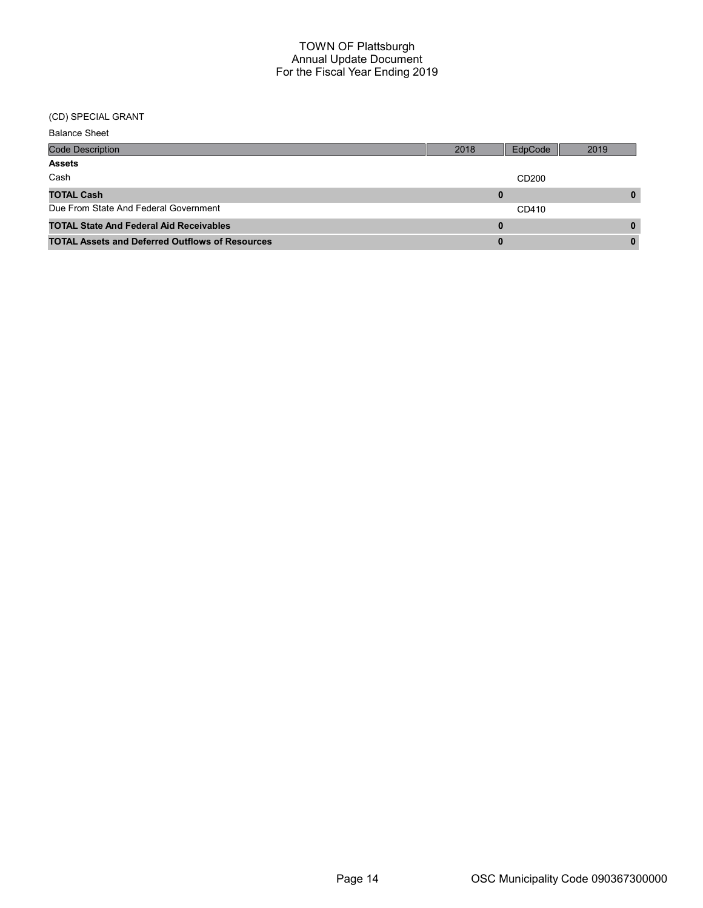# (CD) SPECIAL GRANT

| <b>Balance Sheet</b>                                   |          |                   |              |
|--------------------------------------------------------|----------|-------------------|--------------|
| <b>Code Description</b>                                | 2018     | EdpCode           | 2019         |
| <b>Assets</b>                                          |          |                   |              |
| Cash                                                   |          | CD <sub>200</sub> |              |
| <b>TOTAL Cash</b>                                      | 0        |                   | 0            |
| Due From State And Federal Government                  |          | CD410             |              |
| <b>TOTAL State And Federal Aid Receivables</b>         | $\bf{0}$ |                   | $\mathbf{0}$ |
| <b>TOTAL Assets and Deferred Outflows of Resources</b> | 0        |                   |              |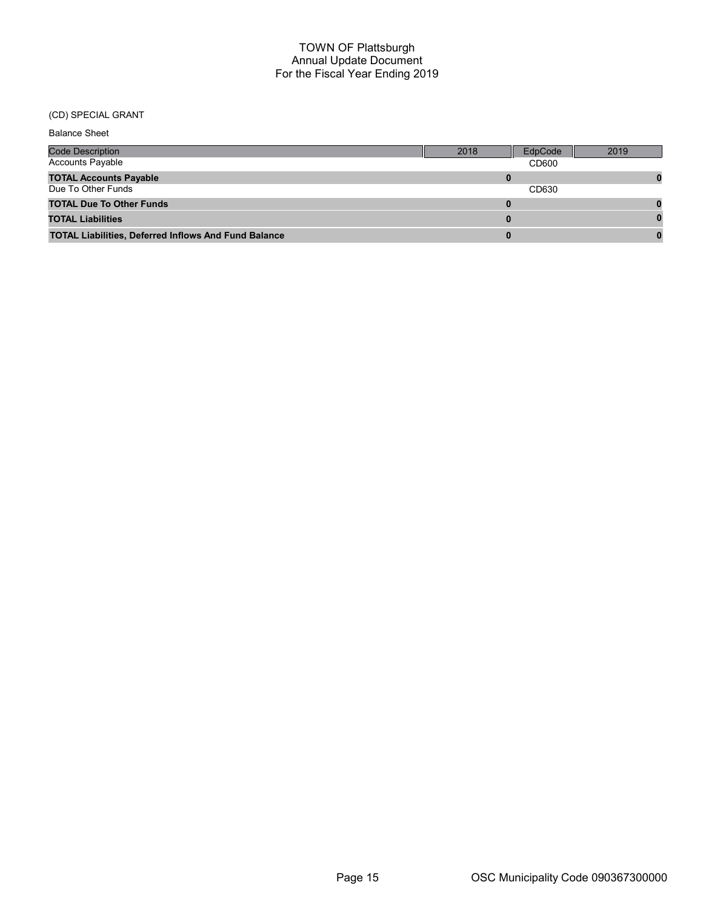# (CD) SPECIAL GRANT

| <b>Balance Sheet</b>                                        |      |         |      |
|-------------------------------------------------------------|------|---------|------|
| <b>Code Description</b>                                     | 2018 | EdpCode | 2019 |
| <b>Accounts Payable</b>                                     |      | CD600   |      |
| <b>TOTAL Accounts Payable</b>                               |      |         |      |
| Due To Other Funds                                          |      | CD630   |      |
| <b>TOTAL Due To Other Funds</b>                             |      |         |      |
| <b>TOTAL Liabilities</b>                                    | 0    |         |      |
| <b>TOTAL Liabilities, Deferred Inflows And Fund Balance</b> |      |         |      |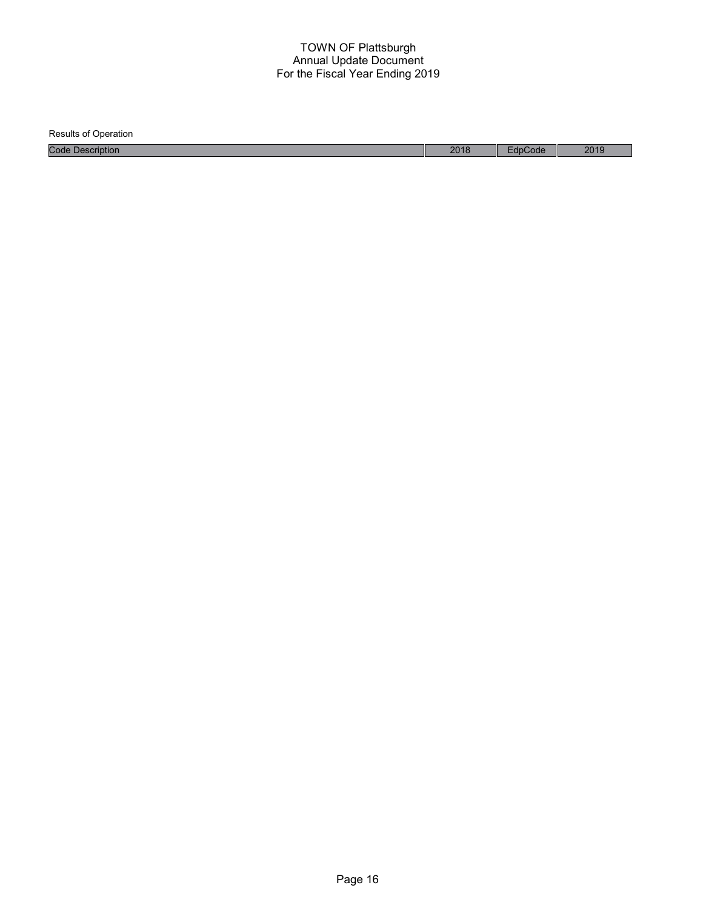Results of Operation Code Description 2018 EdpCode 2019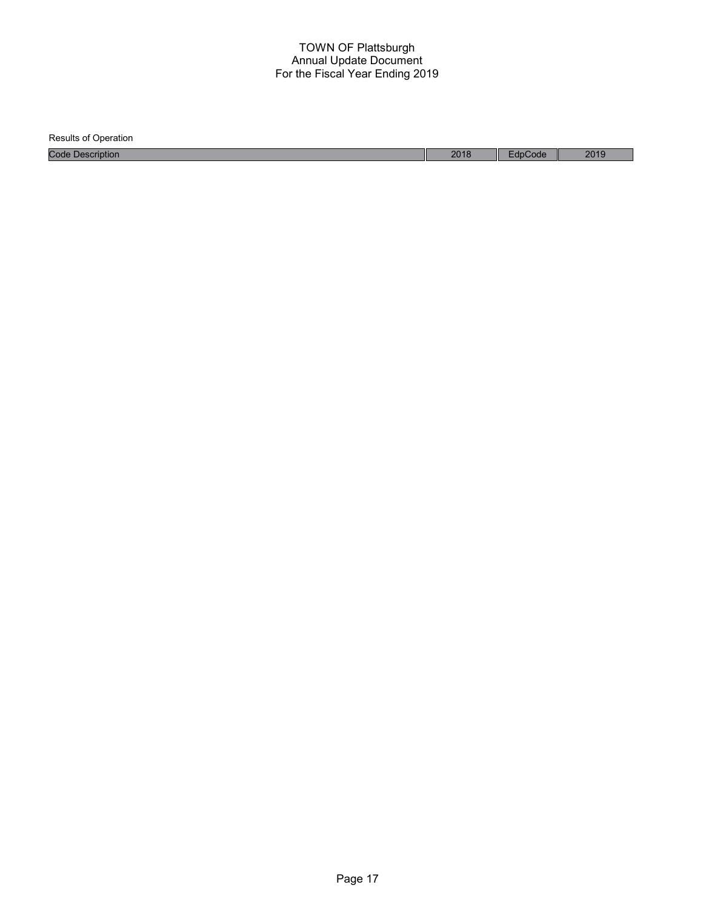| <b>Results of Operation</b> |      |         |      |
|-----------------------------|------|---------|------|
| <b>Code Description</b>     | 2018 | EdpCode | 2019 |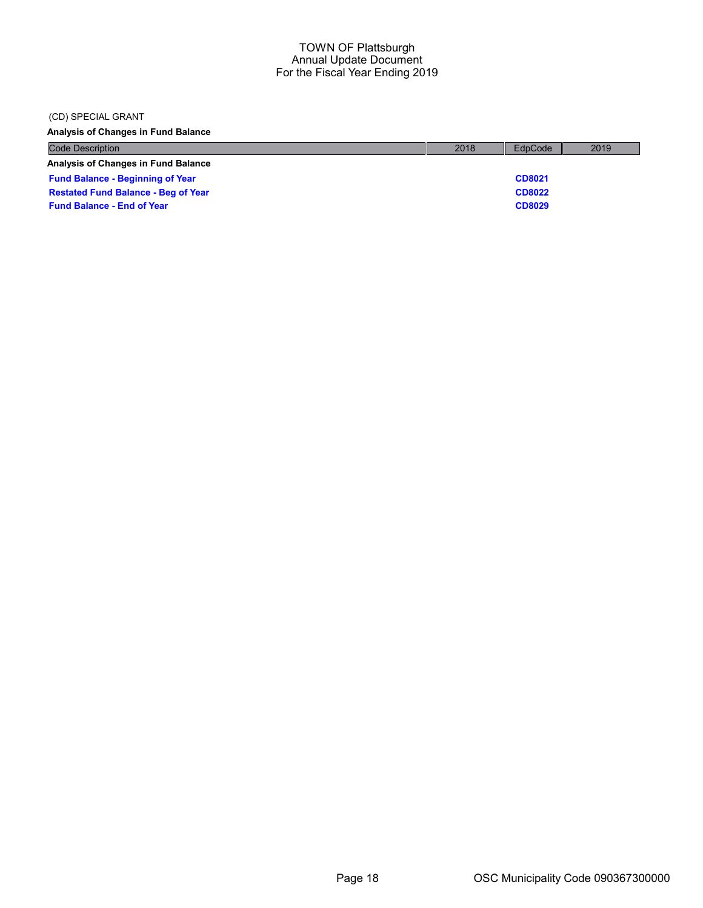#### (CD) SPECIAL GRANT

Analysis of Changes in Fund Balance

| <b>Code Description</b>                    | 2018 | EdpCode       | 2019 |
|--------------------------------------------|------|---------------|------|
| <b>Analysis of Changes in Fund Balance</b> |      |               |      |
| <b>Fund Balance - Beginning of Year</b>    |      | CD8021        |      |
| <b>Restated Fund Balance - Beg of Year</b> |      | <b>CD8022</b> |      |
| <b>Fund Balance - End of Year</b>          |      | <b>CD8029</b> |      |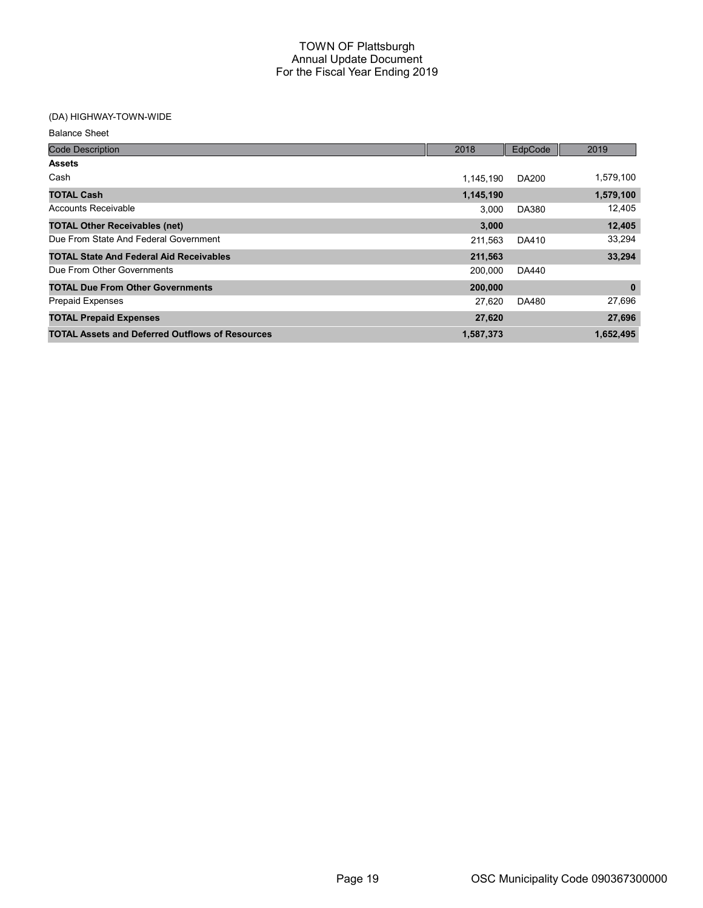# (DA) HIGHWAY-TOWN-WIDE

Balance Sheet

| <b>Code Description</b>                                | 2018      | EdpCode      | 2019        |
|--------------------------------------------------------|-----------|--------------|-------------|
| <b>Assets</b>                                          |           |              |             |
| Cash                                                   | 1.145.190 | <b>DA200</b> | 1,579,100   |
| <b>TOTAL Cash</b>                                      | 1,145,190 |              | 1,579,100   |
| Accounts Receivable                                    | 3.000     | <b>DA380</b> | 12,405      |
| <b>TOTAL Other Receivables (net)</b>                   | 3.000     |              | 12,405      |
| Due From State And Federal Government                  | 211,563   | DA410        | 33,294      |
| <b>TOTAL State And Federal Aid Receivables</b>         | 211,563   |              | 33,294      |
| Due From Other Governments                             | 200,000   | DA440        |             |
| <b>TOTAL Due From Other Governments</b>                | 200,000   |              | $\mathbf 0$ |
| <b>Prepaid Expenses</b>                                | 27,620    | DA480        | 27,696      |
| <b>TOTAL Prepaid Expenses</b>                          | 27,620    |              | 27,696      |
| <b>TOTAL Assets and Deferred Outflows of Resources</b> | 1,587,373 |              | 1,652,495   |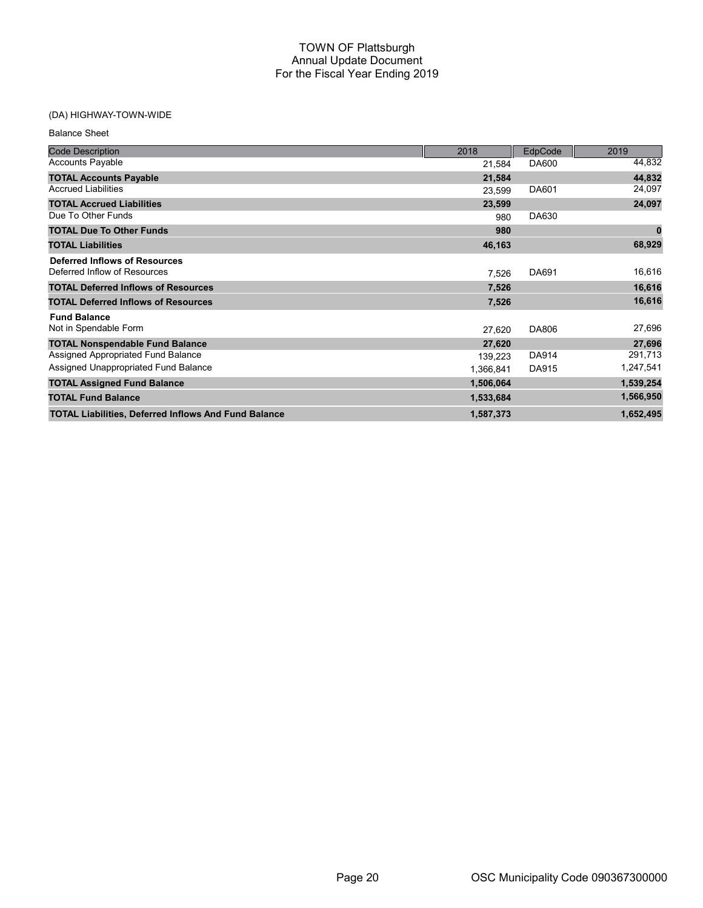# (DA) HIGHWAY-TOWN-WIDE

| <b>Balance Sheet</b>                                          |           |                |           |
|---------------------------------------------------------------|-----------|----------------|-----------|
| <b>Code Description</b>                                       | 2018      | <b>EdpCode</b> | 2019      |
| <b>Accounts Payable</b>                                       | 21,584    | DA600          | 44,832    |
| <b>TOTAL Accounts Payable</b>                                 | 21,584    |                | 44,832    |
| <b>Accrued Liabilities</b>                                    | 23,599    | DA601          | 24,097    |
| <b>TOTAL Accrued Liabilities</b>                              | 23,599    |                | 24,097    |
| Due To Other Funds                                            | 980       | DA630          |           |
| <b>TOTAL Due To Other Funds</b>                               | 980       |                | 0         |
| <b>TOTAL Liabilities</b>                                      | 46,163    |                | 68,929    |
| Deferred Inflows of Resources<br>Deferred Inflow of Resources | 7,526     | DA691          | 16,616    |
| <b>TOTAL Deferred Inflows of Resources</b>                    | 7,526     |                | 16,616    |
| <b>TOTAL Deferred Inflows of Resources</b>                    | 7,526     |                | 16,616    |
| <b>Fund Balance</b>                                           |           |                |           |
| Not in Spendable Form                                         | 27,620    | DA806          | 27,696    |
| <b>TOTAL Nonspendable Fund Balance</b>                        | 27,620    |                | 27,696    |
| Assigned Appropriated Fund Balance                            | 139,223   | DA914          | 291,713   |
| Assigned Unappropriated Fund Balance                          | 1,366,841 | DA915          | 1,247,541 |
| <b>TOTAL Assigned Fund Balance</b>                            | 1,506,064 |                | 1,539,254 |
| <b>TOTAL Fund Balance</b>                                     | 1,533,684 |                | 1,566,950 |
| <b>TOTAL Liabilities, Deferred Inflows And Fund Balance</b>   | 1,587,373 |                | 1,652,495 |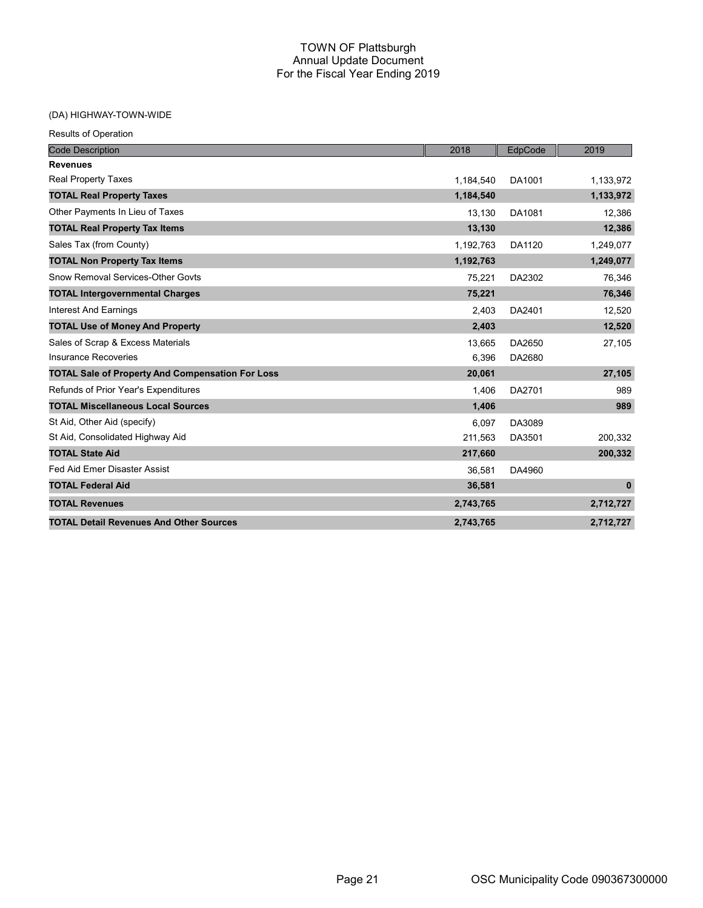# (DA) HIGHWAY-TOWN-WIDE

| <b>Results of Operation</b>                             |           |         |              |
|---------------------------------------------------------|-----------|---------|--------------|
| <b>Code Description</b>                                 | 2018      | EdpCode | 2019         |
| <b>Revenues</b>                                         |           |         |              |
| <b>Real Property Taxes</b>                              | 1,184,540 | DA1001  | 1,133,972    |
| <b>TOTAL Real Property Taxes</b>                        | 1,184,540 |         | 1,133,972    |
| Other Payments In Lieu of Taxes                         | 13,130    | DA1081  | 12,386       |
| <b>TOTAL Real Property Tax Items</b>                    | 13,130    |         | 12,386       |
| Sales Tax (from County)                                 | 1,192,763 | DA1120  | 1,249,077    |
| <b>TOTAL Non Property Tax Items</b>                     | 1,192,763 |         | 1,249,077    |
| Snow Removal Services-Other Govts                       | 75.221    | DA2302  | 76,346       |
| <b>TOTAL Intergovernmental Charges</b>                  | 75,221    |         | 76,346       |
| <b>Interest And Earnings</b>                            | 2.403     | DA2401  | 12.520       |
| <b>TOTAL Use of Money And Property</b>                  | 2,403     |         | 12,520       |
| Sales of Scrap & Excess Materials                       | 13,665    | DA2650  | 27,105       |
| <b>Insurance Recoveries</b>                             | 6,396     | DA2680  |              |
| <b>TOTAL Sale of Property And Compensation For Loss</b> | 20,061    |         | 27,105       |
| Refunds of Prior Year's Expenditures                    | 1,406     | DA2701  | 989          |
| <b>TOTAL Miscellaneous Local Sources</b>                | 1,406     |         | 989          |
| St Aid, Other Aid (specify)                             | 6.097     | DA3089  |              |
| St Aid, Consolidated Highway Aid                        | 211,563   | DA3501  | 200,332      |
| <b>TOTAL State Aid</b>                                  | 217,660   |         | 200,332      |
| Fed Aid Emer Disaster Assist                            | 36,581    | DA4960  |              |
| <b>TOTAL Federal Aid</b>                                | 36,581    |         | $\mathbf{0}$ |
| <b>TOTAL Revenues</b>                                   | 2,743,765 |         | 2,712,727    |
| <b>TOTAL Detail Revenues And Other Sources</b>          | 2,743,765 |         | 2,712,727    |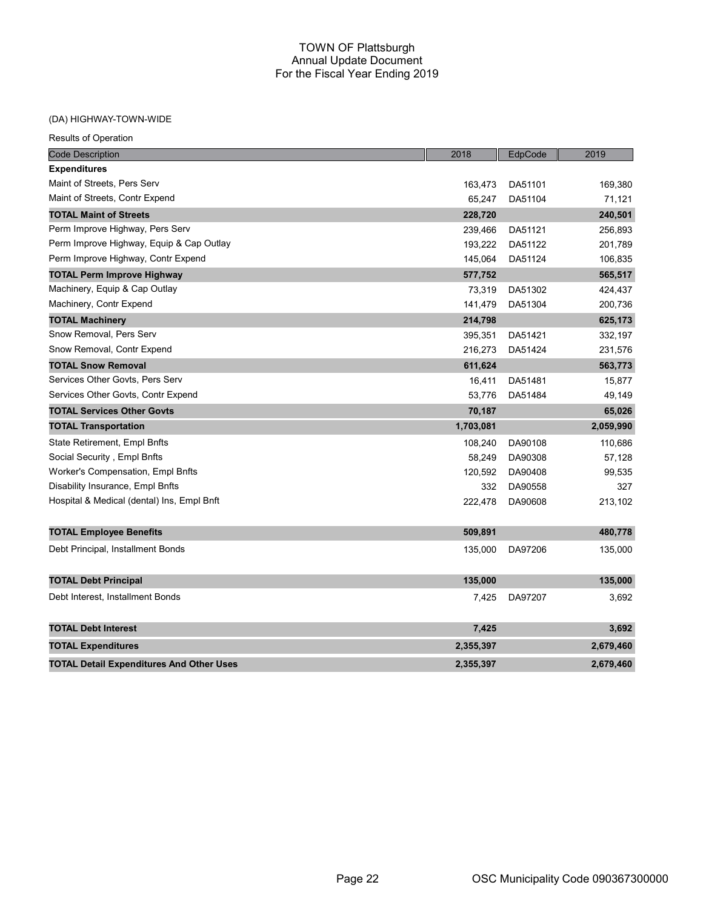### (DA) HIGHWAY-TOWN-WIDE

| <b>Code Description</b>                         | 2018      | EdpCode | 2019      |
|-------------------------------------------------|-----------|---------|-----------|
| <b>Expenditures</b>                             |           |         |           |
| Maint of Streets, Pers Serv                     | 163,473   | DA51101 | 169,380   |
| Maint of Streets, Contr Expend                  | 65,247    | DA51104 | 71,121    |
| <b>TOTAL Maint of Streets</b>                   | 228,720   |         | 240,501   |
| Perm Improve Highway, Pers Serv                 | 239,466   | DA51121 | 256,893   |
| Perm Improve Highway, Equip & Cap Outlay        | 193,222   | DA51122 | 201,789   |
| Perm Improve Highway, Contr Expend              | 145,064   | DA51124 | 106,835   |
| <b>TOTAL Perm Improve Highway</b>               | 577,752   |         | 565,517   |
| Machinery, Equip & Cap Outlay                   | 73,319    | DA51302 | 424,437   |
| Machinery, Contr Expend                         | 141,479   | DA51304 | 200,736   |
| <b>TOTAL Machinery</b>                          | 214,798   |         | 625,173   |
| Snow Removal, Pers Serv                         | 395,351   | DA51421 | 332,197   |
| Snow Removal, Contr Expend                      | 216,273   | DA51424 | 231,576   |
| <b>TOTAL Snow Removal</b>                       | 611,624   |         | 563,773   |
| Services Other Govts, Pers Serv                 | 16,411    | DA51481 | 15,877    |
| Services Other Govts, Contr Expend              | 53,776    | DA51484 | 49,149    |
| <b>TOTAL Services Other Govts</b>               | 70,187    |         | 65,026    |
| <b>TOTAL Transportation</b>                     | 1,703,081 |         | 2,059,990 |
| <b>State Retirement, Empl Bnfts</b>             | 108,240   | DA90108 | 110,686   |
| Social Security, Empl Bnfts                     | 58,249    | DA90308 | 57,128    |
| Worker's Compensation, Empl Bnfts               | 120,592   | DA90408 | 99,535    |
| Disability Insurance, Empl Bnfts                | 332       | DA90558 | 327       |
| Hospital & Medical (dental) Ins, Empl Bnft      | 222,478   | DA90608 | 213,102   |
|                                                 |           |         |           |
| <b>TOTAL Employee Benefits</b>                  | 509,891   |         | 480,778   |
| Debt Principal, Installment Bonds               | 135,000   | DA97206 | 135,000   |
|                                                 |           |         |           |
| <b>TOTAL Debt Principal</b>                     | 135,000   |         | 135,000   |
| Debt Interest, Installment Bonds                | 7,425     | DA97207 | 3,692     |
|                                                 |           |         |           |
| <b>TOTAL Debt Interest</b>                      | 7,425     |         | 3,692     |
| <b>TOTAL Expenditures</b>                       | 2,355,397 |         | 2,679,460 |
| <b>TOTAL Detail Expenditures And Other Uses</b> | 2,355,397 |         | 2,679,460 |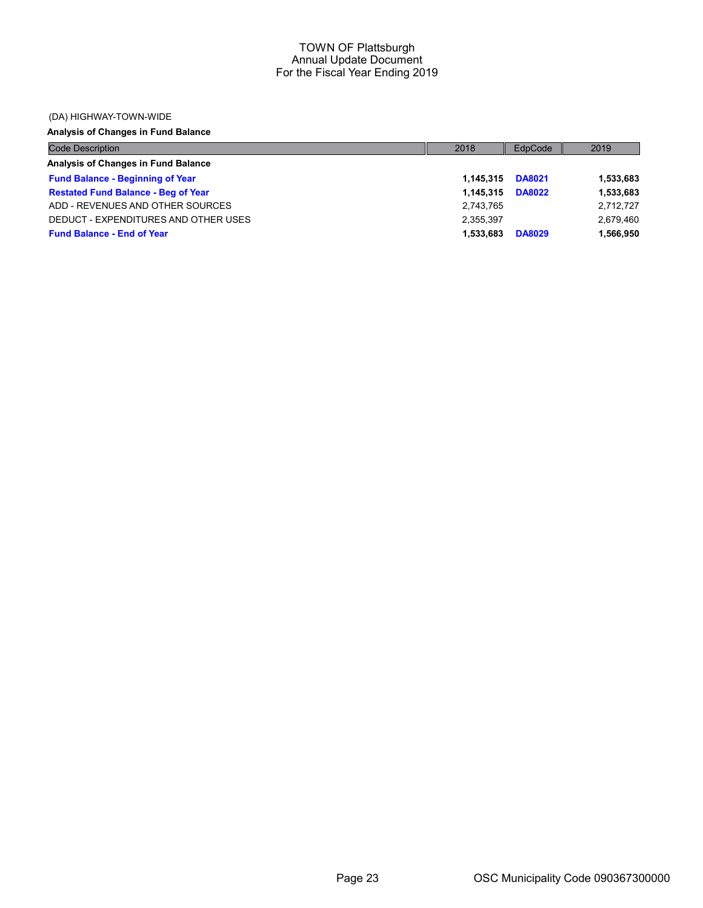#### (DA) HIGHWAY-TOWN-WIDE

# Analysis of Changes in Fund Balance

| <b>Code Description</b>                    | 2018      | EdpCode       | 2019      |
|--------------------------------------------|-----------|---------------|-----------|
| Analysis of Changes in Fund Balance        |           |               |           |
| <b>Fund Balance - Beginning of Year</b>    | 1.145.315 | <b>DA8021</b> | 1,533,683 |
| <b>Restated Fund Balance - Beg of Year</b> | 1.145.315 | <b>DA8022</b> | 1,533,683 |
| ADD - REVENUES AND OTHER SOURCES           | 2,743,765 |               | 2,712,727 |
| DEDUCT - EXPENDITURES AND OTHER USES       | 2,355,397 |               | 2,679,460 |
| <b>Fund Balance - End of Year</b>          | 1.533.683 | <b>DA8029</b> | 1,566,950 |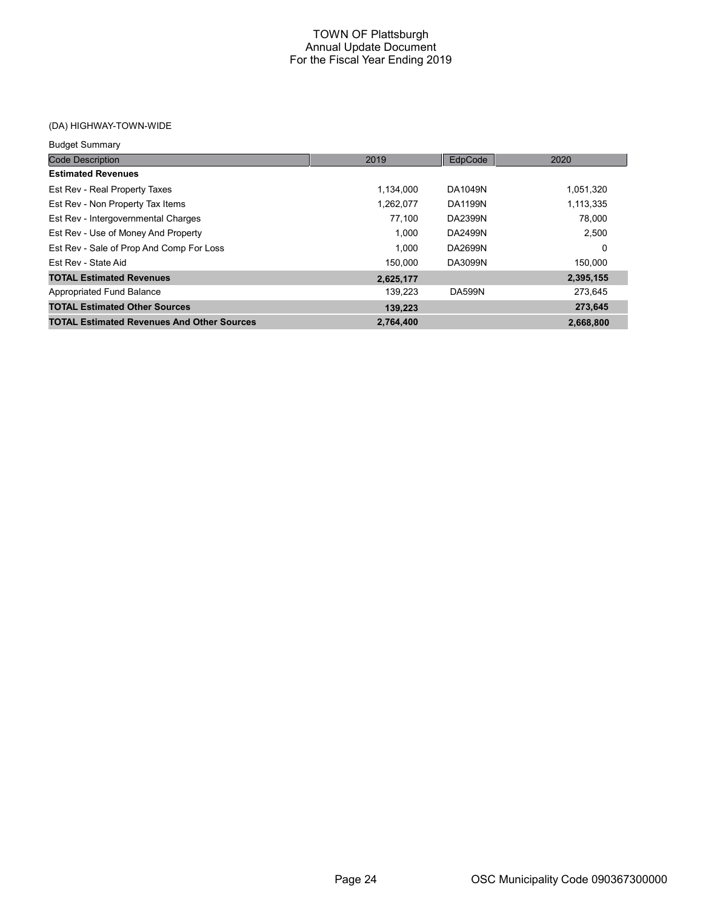# (DA) HIGHWAY-TOWN-WIDE

| <b>Budget Summary</b>                             |           |                |           |
|---------------------------------------------------|-----------|----------------|-----------|
| <b>Code Description</b>                           | 2019      | EdpCode        | 2020      |
| <b>Estimated Revenues</b>                         |           |                |           |
| Est Rev - Real Property Taxes                     | 1.134.000 | DA1049N        | 1,051,320 |
| Est Rev - Non Property Tax Items                  | 1,262,077 | <b>DA1199N</b> | 1,113,335 |
| Est Rev - Intergovernmental Charges               | 77,100    | DA2399N        | 78,000    |
| Est Rev - Use of Money And Property               | 1.000     | DA2499N        | 2,500     |
| Est Rev - Sale of Prop And Comp For Loss          | 1.000     | DA2699N        | 0         |
| Est Rev - State Aid                               | 150.000   | DA3099N        | 150.000   |
| <b>TOTAL Estimated Revenues</b>                   | 2,625,177 |                | 2,395,155 |
| <b>Appropriated Fund Balance</b>                  | 139.223   | <b>DA599N</b>  | 273,645   |
| <b>TOTAL Estimated Other Sources</b>              | 139,223   |                | 273,645   |
| <b>TOTAL Estimated Revenues And Other Sources</b> | 2,764,400 |                | 2,668,800 |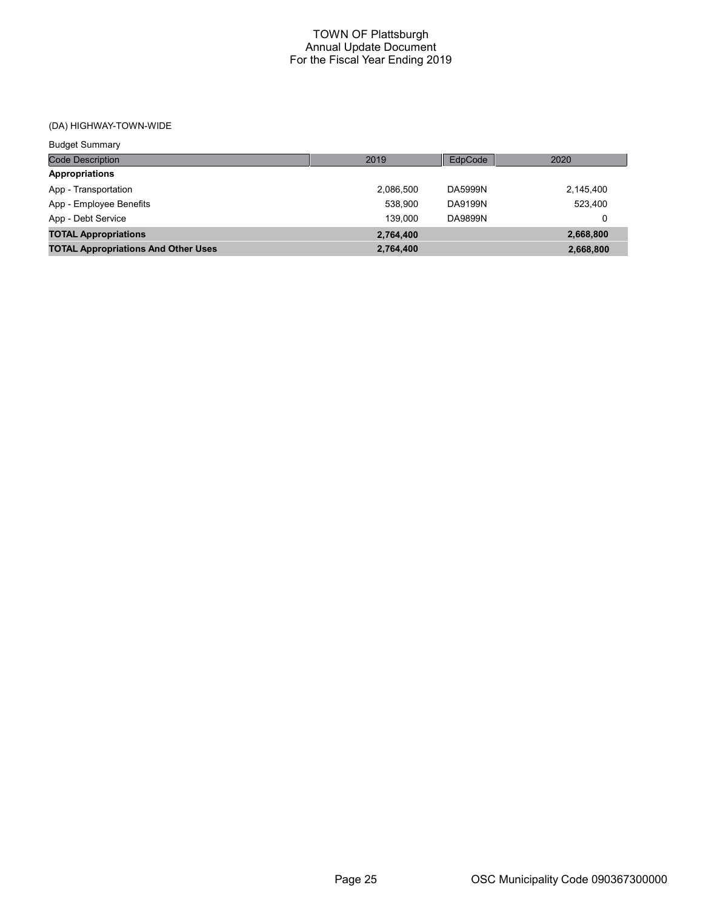# (DA) HIGHWAY-TOWN-WIDE

| <b>Budget Summary</b>                      |           |                |           |
|--------------------------------------------|-----------|----------------|-----------|
| <b>Code Description</b>                    | 2019      | EdpCode        | 2020      |
| <b>Appropriations</b>                      |           |                |           |
| App - Transportation                       | 2.086.500 | DA5999N        | 2,145,400 |
| App - Employee Benefits                    | 538.900   | DA9199N        | 523.400   |
| App - Debt Service                         | 139.000   | <b>DA9899N</b> | 0         |
| <b>TOTAL Appropriations</b>                | 2,764,400 |                | 2,668,800 |
| <b>TOTAL Appropriations And Other Uses</b> | 2,764,400 |                | 2,668,800 |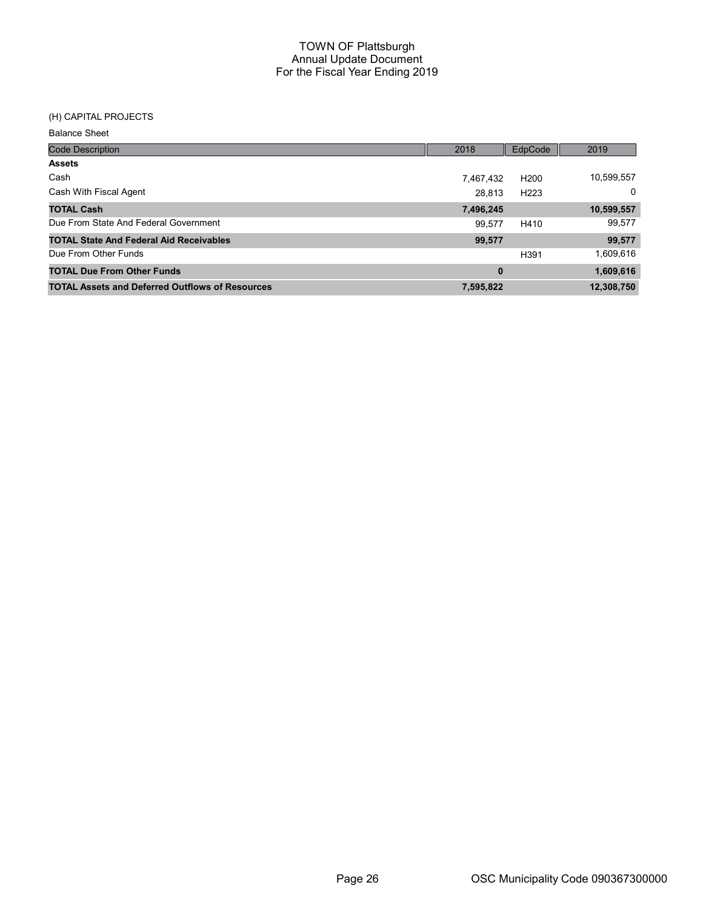# (H) CAPITAL PROJECTS

| <b>Balance Sheet</b>                                   |           |                  |              |
|--------------------------------------------------------|-----------|------------------|--------------|
| <b>Code Description</b>                                | 2018      | EdpCode          | 2019         |
| <b>Assets</b>                                          |           |                  |              |
| Cash                                                   | 7,467,432 | H <sub>200</sub> | 10,599,557   |
| Cash With Fiscal Agent                                 | 28.813    | H <sub>223</sub> | $\mathbf{0}$ |
| <b>TOTAL Cash</b>                                      | 7,496,245 |                  | 10,599,557   |
| Due From State And Federal Government                  | 99.577    | H410             | 99,577       |
| <b>TOTAL State And Federal Aid Receivables</b>         | 99,577    |                  | 99,577       |
| Due From Other Funds                                   |           | H391             | 1,609,616    |
| <b>TOTAL Due From Other Funds</b>                      | 0         |                  | 1,609,616    |
| <b>TOTAL Assets and Deferred Outflows of Resources</b> | 7,595,822 |                  | 12,308,750   |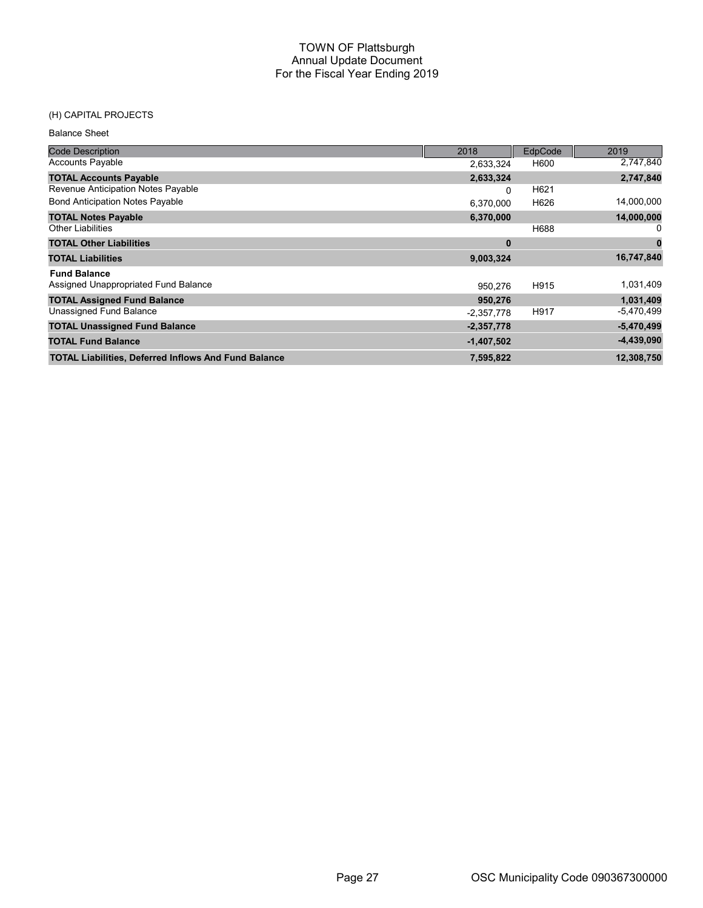# (H) CAPITAL PROJECTS

Balance Sheet

| <b>Code Description</b>                                     | 2018         | EdpCode | 2019         |
|-------------------------------------------------------------|--------------|---------|--------------|
| <b>Accounts Payable</b>                                     | 2,633,324    | H600    | 2,747,840    |
| <b>TOTAL Accounts Payable</b>                               | 2,633,324    |         | 2,747,840    |
| Revenue Anticipation Notes Payable                          | 0            | H621    |              |
| <b>Bond Anticipation Notes Payable</b>                      | 6,370,000    | H626    | 14,000,000   |
| <b>TOTAL Notes Payable</b>                                  | 6,370,000    |         | 14,000,000   |
| <b>Other Liabilities</b>                                    |              | H688    |              |
| <b>TOTAL Other Liabilities</b>                              | $\bf{0}$     |         | 0            |
| <b>TOTAL Liabilities</b>                                    | 9,003,324    |         | 16,747,840   |
| <b>Fund Balance</b>                                         |              |         |              |
| Assigned Unappropriated Fund Balance                        | 950,276      | H915    | 1,031,409    |
| <b>TOTAL Assigned Fund Balance</b>                          | 950,276      |         | 1,031,409    |
| Unassigned Fund Balance                                     | $-2,357,778$ | H917    | -5,470,499   |
| <b>TOTAL Unassigned Fund Balance</b>                        | $-2,357,778$ |         | $-5,470,499$ |
| <b>TOTAL Fund Balance</b>                                   | $-1,407,502$ |         | $-4,439,090$ |
| <b>TOTAL Liabilities, Deferred Inflows And Fund Balance</b> | 7,595,822    |         | 12,308,750   |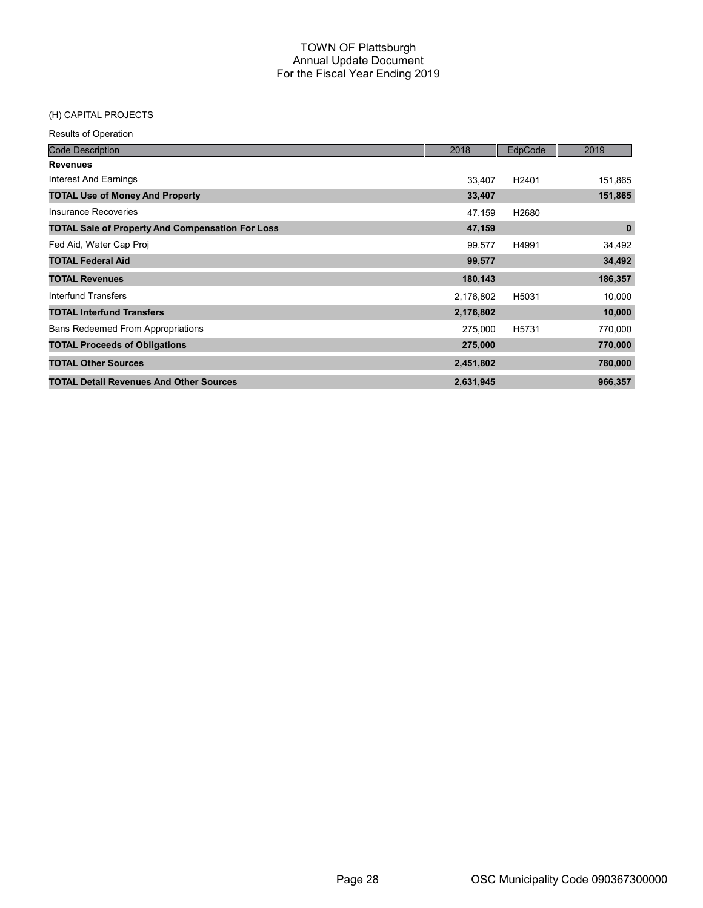# (H) CAPITAL PROJECTS

| <b>Code Description</b>                                 | 2018      | EdpCode           | 2019        |
|---------------------------------------------------------|-----------|-------------------|-------------|
| <b>Revenues</b>                                         |           |                   |             |
| Interest And Earnings                                   | 33.407    | H <sub>2401</sub> | 151,865     |
| <b>TOTAL Use of Money And Property</b>                  | 33,407    |                   | 151,865     |
| Insurance Recoveries                                    | 47,159    | H <sub>2680</sub> |             |
| <b>TOTAL Sale of Property And Compensation For Loss</b> | 47,159    |                   | $\mathbf 0$ |
| Fed Aid, Water Cap Proj                                 | 99,577    | H4991             | 34,492      |
| <b>TOTAL Federal Aid</b>                                | 99,577    |                   | 34,492      |
| <b>TOTAL Revenues</b>                                   | 180,143   |                   | 186,357     |
| Interfund Transfers                                     | 2,176,802 | H5031             | 10,000      |
| <b>TOTAL Interfund Transfers</b>                        | 2,176,802 |                   | 10,000      |
| <b>Bans Redeemed From Appropriations</b>                | 275,000   | H5731             | 770,000     |
| <b>TOTAL Proceeds of Obligations</b>                    | 275,000   |                   | 770,000     |
| <b>TOTAL Other Sources</b>                              | 2,451,802 |                   | 780,000     |
| <b>TOTAL Detail Revenues And Other Sources</b>          | 2,631,945 |                   | 966,357     |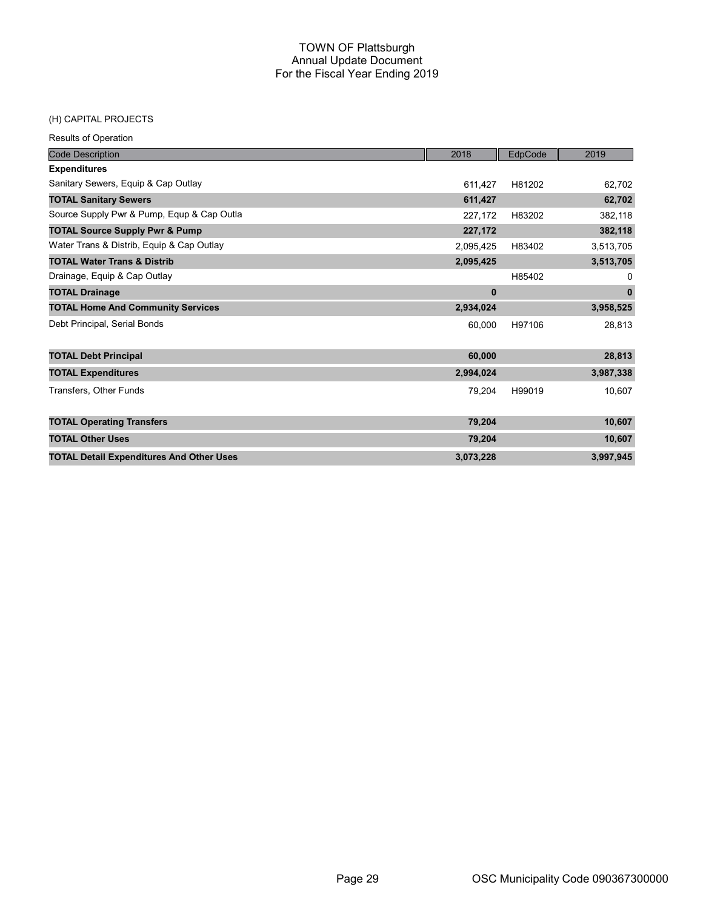#### (H) CAPITAL PROJECTS

| <b>Code Description</b>                         | 2018      | EdpCode | 2019         |
|-------------------------------------------------|-----------|---------|--------------|
| <b>Expenditures</b>                             |           |         |              |
| Sanitary Sewers, Equip & Cap Outlay             | 611,427   | H81202  | 62,702       |
| <b>TOTAL Sanitary Sewers</b>                    | 611,427   |         | 62,702       |
| Source Supply Pwr & Pump, Equp & Cap Outla      | 227,172   | H83202  | 382,118      |
| <b>TOTAL Source Supply Pwr &amp; Pump</b>       | 227,172   |         | 382,118      |
| Water Trans & Distrib, Equip & Cap Outlay       | 2,095,425 | H83402  | 3,513,705    |
| <b>TOTAL Water Trans &amp; Distrib</b>          | 2,095,425 |         | 3,513,705    |
| Drainage, Equip & Cap Outlay                    |           | H85402  | 0            |
| <b>TOTAL Drainage</b>                           | $\bf{0}$  |         | $\mathbf{0}$ |
| <b>TOTAL Home And Community Services</b>        | 2,934,024 |         | 3,958,525    |
| Debt Principal, Serial Bonds                    | 60,000    | H97106  | 28,813       |
| <b>TOTAL Debt Principal</b>                     | 60,000    |         | 28,813       |
| <b>TOTAL Expenditures</b>                       | 2,994,024 |         | 3,987,338    |
| Transfers, Other Funds                          | 79,204    | H99019  | 10,607       |
| <b>TOTAL Operating Transfers</b>                | 79,204    |         | 10,607       |
| <b>TOTAL Other Uses</b>                         | 79,204    |         | 10,607       |
| <b>TOTAL Detail Expenditures And Other Uses</b> | 3,073,228 |         | 3,997,945    |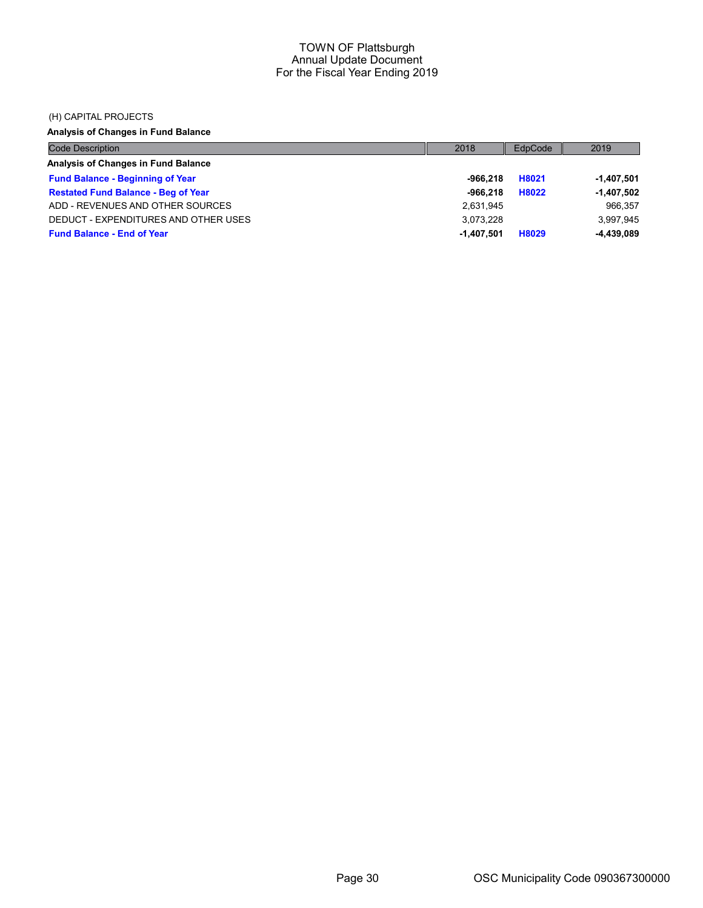#### (H) CAPITAL PROJECTS

# Analysis of Changes in Fund Balance

| <b>Code Description</b>                    | 2018         | EdpCode | 2019         |
|--------------------------------------------|--------------|---------|--------------|
| Analysis of Changes in Fund Balance        |              |         |              |
| <b>Fund Balance - Beginning of Year</b>    | -966.218     | H8021   | -1,407,501   |
| <b>Restated Fund Balance - Beg of Year</b> | $-966.218$   | H8022   | $-1,407,502$ |
| ADD - REVENUES AND OTHER SOURCES           | 2,631,945    |         | 966.357      |
| DEDUCT - EXPENDITURES AND OTHER USES       | 3.073.228    |         | 3,997,945    |
| <b>Fund Balance - End of Year</b>          | $-1.407.501$ | H8029   | $-4,439,089$ |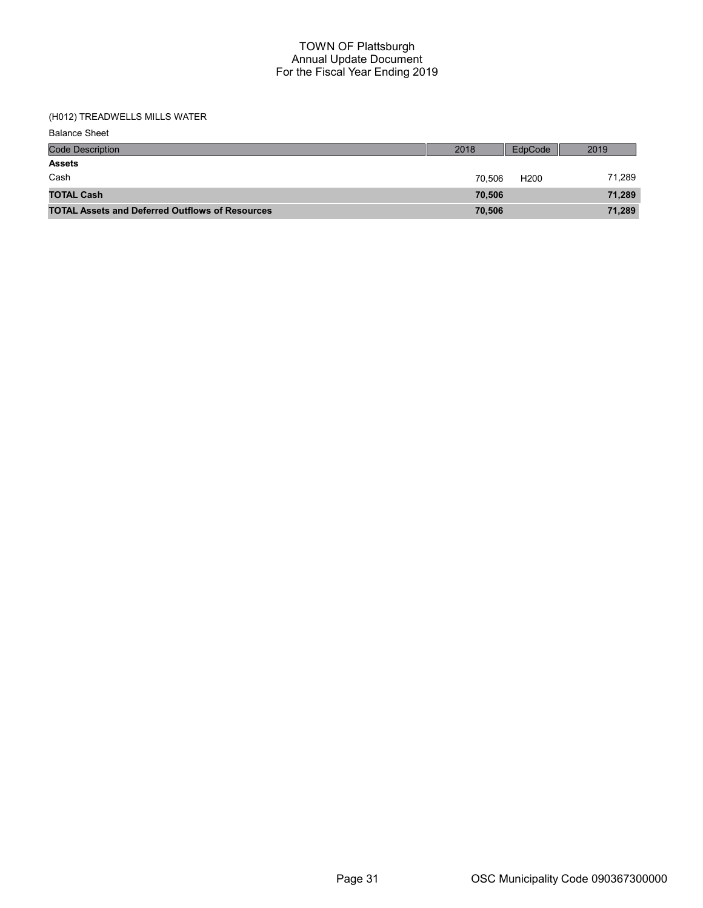# (H012) TREADWELLS MILLS WATER

Balance Sheet

| <b>Code Description</b>                                | 2018   | EdpCode          | 2019   |
|--------------------------------------------------------|--------|------------------|--------|
| <b>Assets</b>                                          |        |                  |        |
| Cash                                                   | 70.506 | H <sub>200</sub> | 71.289 |
| <b>TOTAL Cash</b>                                      | 70.506 |                  | 71,289 |
| <b>TOTAL Assets and Deferred Outflows of Resources</b> | 70,506 |                  | 71,289 |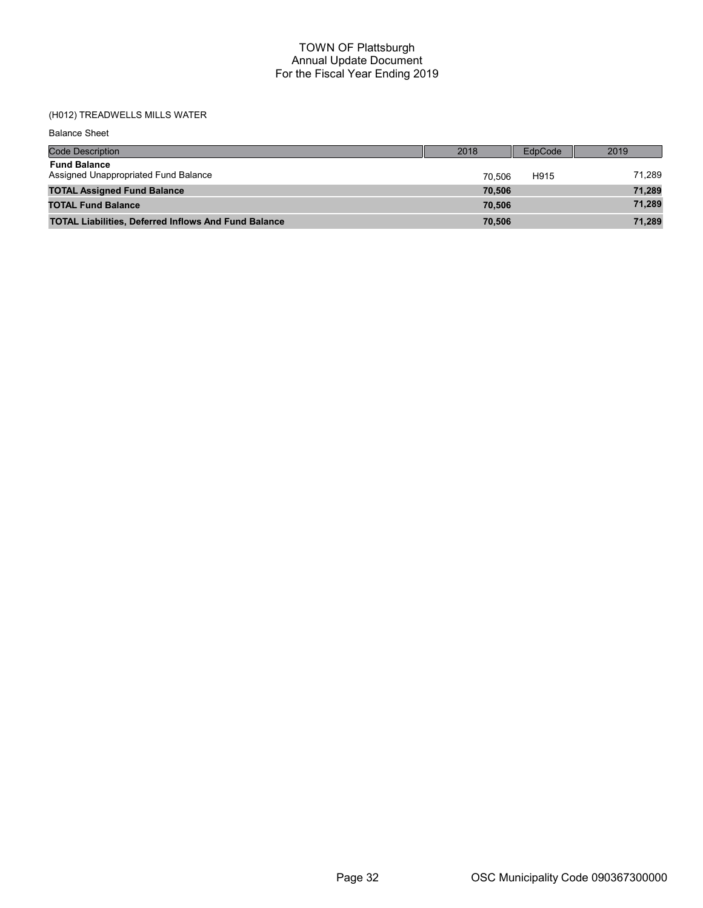# (H012) TREADWELLS MILLS WATER

Balance Sheet

| <b>Code Description</b>                                     | 2018   | EdpCode | 2019   |
|-------------------------------------------------------------|--------|---------|--------|
| <b>Fund Balance</b><br>Assigned Unappropriated Fund Balance | 70.506 | H915    | 71,289 |
| <b>TOTAL Assigned Fund Balance</b>                          | 70.506 |         | 71,289 |
| <b>TOTAL Fund Balance</b>                                   | 70.506 |         | 71,289 |
| <b>TOTAL Liabilities, Deferred Inflows And Fund Balance</b> | 70.506 |         | 71,289 |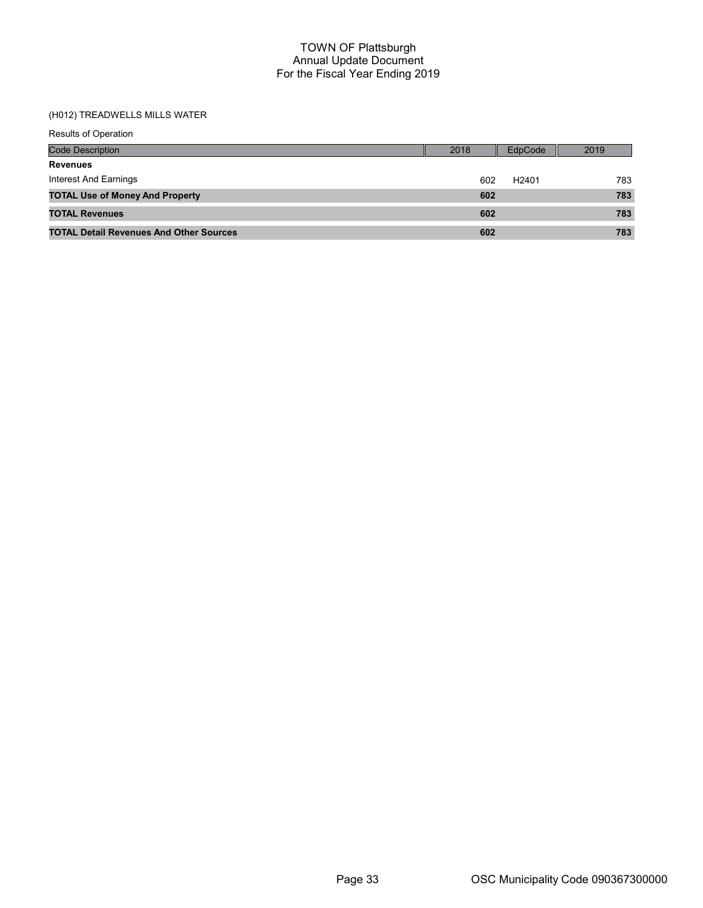#### (H012) TREADWELLS MILLS WATER

| Results of Operation                           |      |                          |
|------------------------------------------------|------|--------------------------|
| <b>Code Description</b>                        | 2018 | EdpCode<br>2019          |
| <b>Revenues</b>                                |      |                          |
| <b>Interest And Earnings</b>                   | 602  | 783<br>H <sub>2401</sub> |
| <b>TOTAL Use of Money And Property</b>         | 602  | 783                      |
| <b>TOTAL Revenues</b>                          | 602  | 783                      |
| <b>TOTAL Detail Revenues And Other Sources</b> | 602  | 783                      |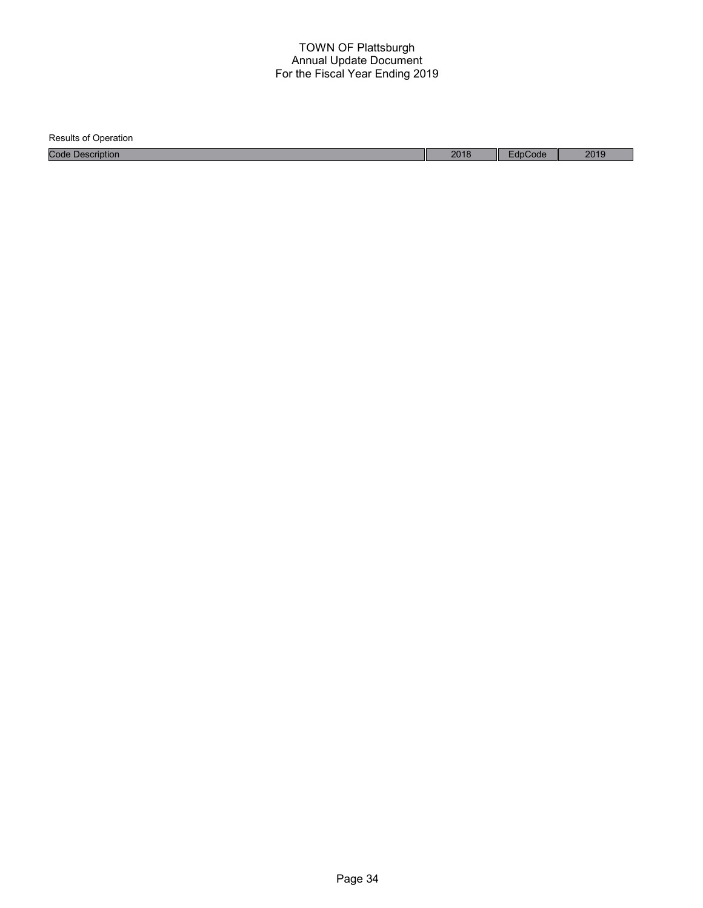| <b>Results of Operation</b> |      |         |      |
|-----------------------------|------|---------|------|
| <b>Code Description</b>     | 2018 | EdpCode | 2019 |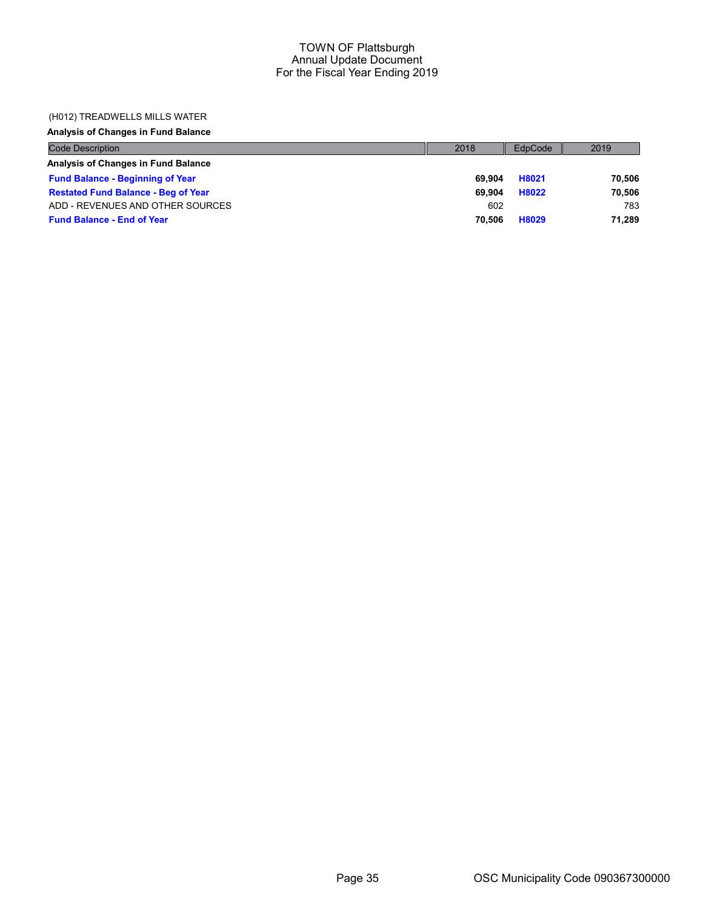### (H012) TREADWELLS MILLS WATER

# Analysis of Changes in Fund Balance

| <b>Code Description</b>                    | 2018   | EdpCode | 2019   |
|--------------------------------------------|--------|---------|--------|
| Analysis of Changes in Fund Balance        |        |         |        |
| <b>Fund Balance - Beginning of Year</b>    | 69.904 | H8021   | 70.506 |
| <b>Restated Fund Balance - Beg of Year</b> | 69.904 | H8022   | 70,506 |
| ADD - REVENUES AND OTHER SOURCES           | 602    |         | 783    |
| <b>Fund Balance - End of Year</b>          | 70.506 | H8029   | 71.289 |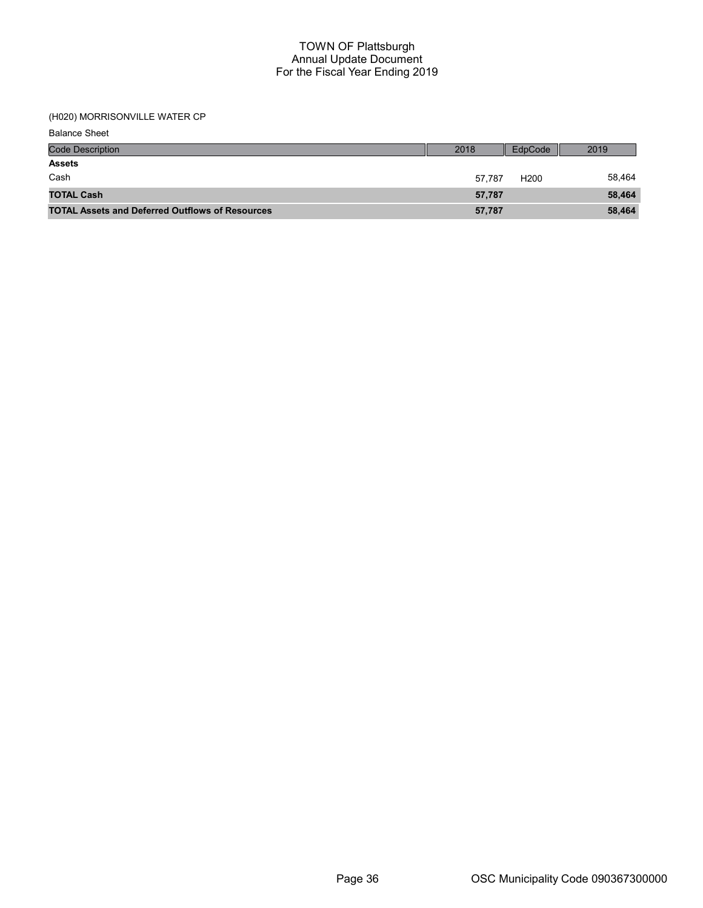# (H020) MORRISONVILLE WATER CP

Balance Sheet

| <b>Code Description</b>                                | 2018   | EdpCode          | 2019   |
|--------------------------------------------------------|--------|------------------|--------|
| <b>Assets</b>                                          |        |                  |        |
| Cash                                                   | 57.787 | H <sub>200</sub> | 58,464 |
| <b>TOTAL Cash</b>                                      | 57.787 |                  | 58,464 |
| <b>TOTAL Assets and Deferred Outflows of Resources</b> | 57,787 |                  | 58,464 |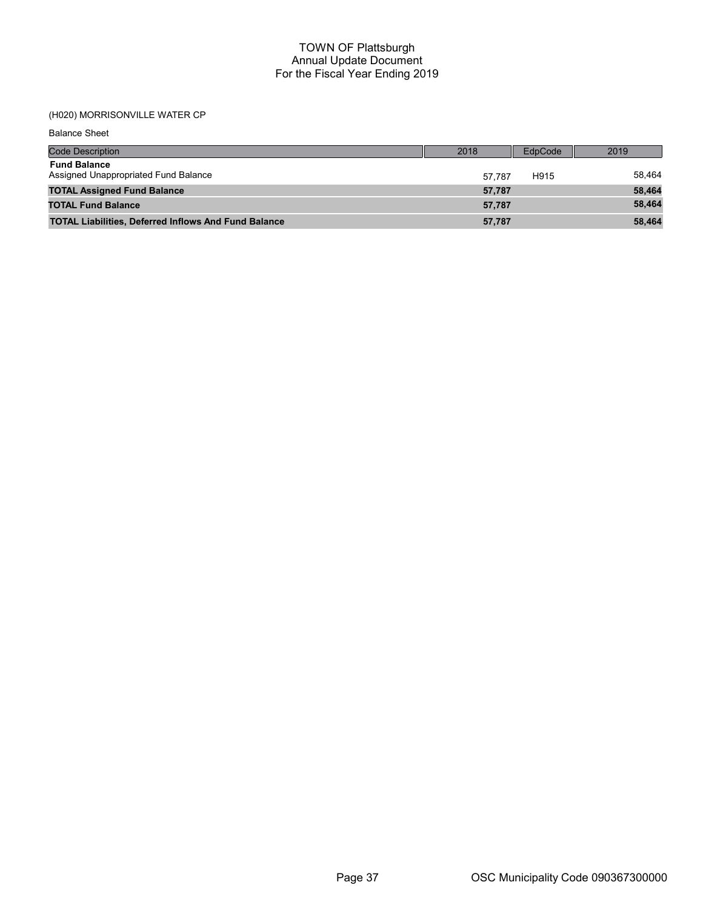# (H020) MORRISONVILLE WATER CP

Balance Sheet

| <b>Code Description</b>                                     | 2018   | EdpCode | 2019   |
|-------------------------------------------------------------|--------|---------|--------|
| <b>Fund Balance</b><br>Assigned Unappropriated Fund Balance | 57.787 | H915    | 58.464 |
| <b>TOTAL Assigned Fund Balance</b>                          | 57,787 |         | 58,464 |
| <b>TOTAL Fund Balance</b>                                   | 57.787 |         | 58,464 |
| <b>TOTAL Liabilities, Deferred Inflows And Fund Balance</b> | 57,787 |         | 58,464 |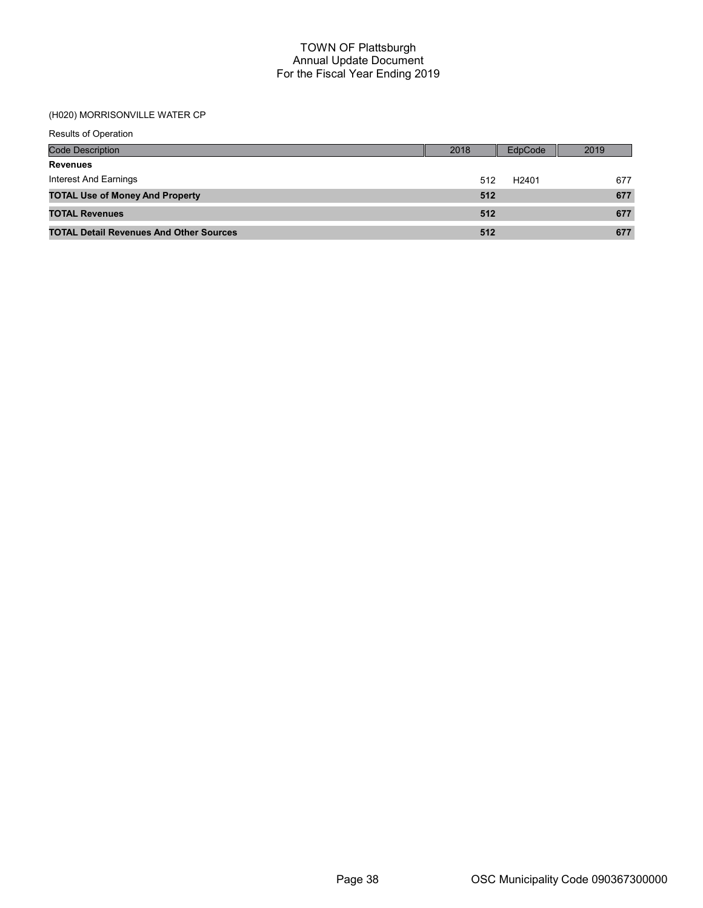## (H020) MORRISONVILLE WATER CP

| Results of Operation                           |      |                   |      |
|------------------------------------------------|------|-------------------|------|
| <b>Code Description</b>                        | 2018 | EdpCode           | 2019 |
| <b>Revenues</b>                                |      |                   |      |
| Interest And Earnings                          | 512  | H <sub>2401</sub> | 677  |
| <b>TOTAL Use of Money And Property</b>         | 512  |                   | 677  |
| <b>TOTAL Revenues</b>                          | 512  |                   | 677  |
| <b>TOTAL Detail Revenues And Other Sources</b> | 512  |                   | 677  |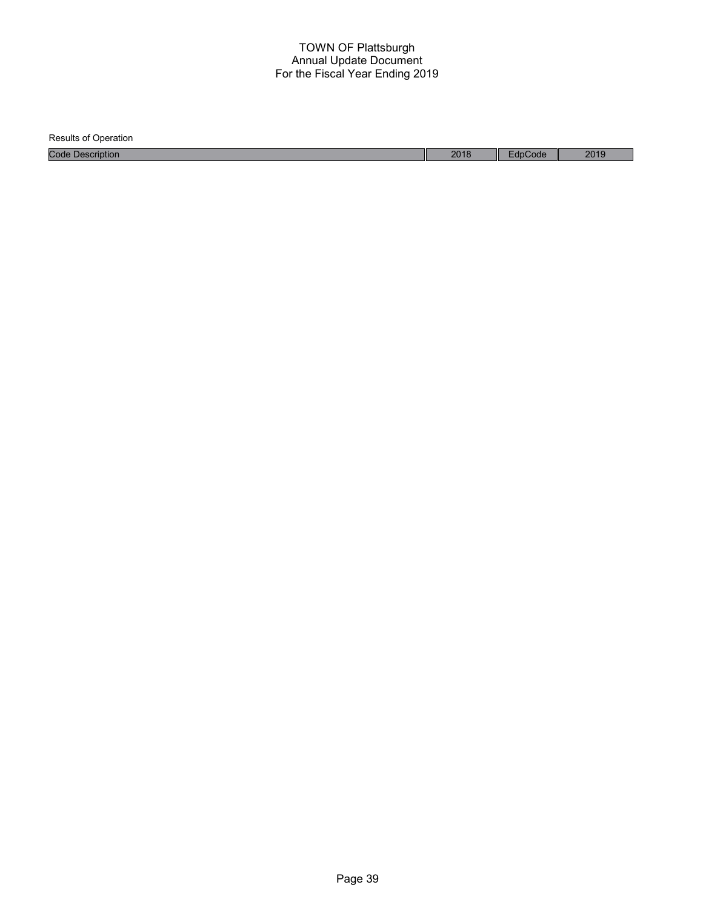| <b>Results of Operation</b> |      |         |      |
|-----------------------------|------|---------|------|
| <b>Code Description</b>     | 2018 | EdpCode | 2019 |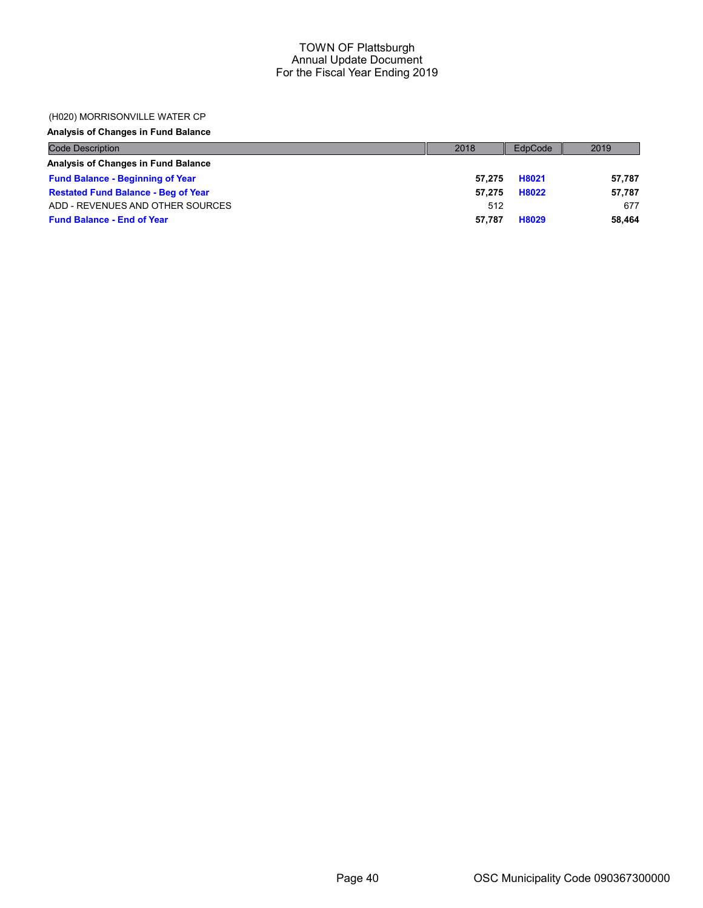## (H020) MORRISONVILLE WATER CP

# Analysis of Changes in Fund Balance

| <b>Code Description</b>                    | 2018   | EdpCode | 2019   |
|--------------------------------------------|--------|---------|--------|
| Analysis of Changes in Fund Balance        |        |         |        |
| <b>Fund Balance - Beginning of Year</b>    | 57.275 | H8021   | 57.787 |
| <b>Restated Fund Balance - Beg of Year</b> | 57.275 | H8022   | 57,787 |
| ADD - REVENUES AND OTHER SOURCES           | 512    |         | 677    |
| <b>Fund Balance - End of Year</b>          | 57.787 | H8029   | 58.464 |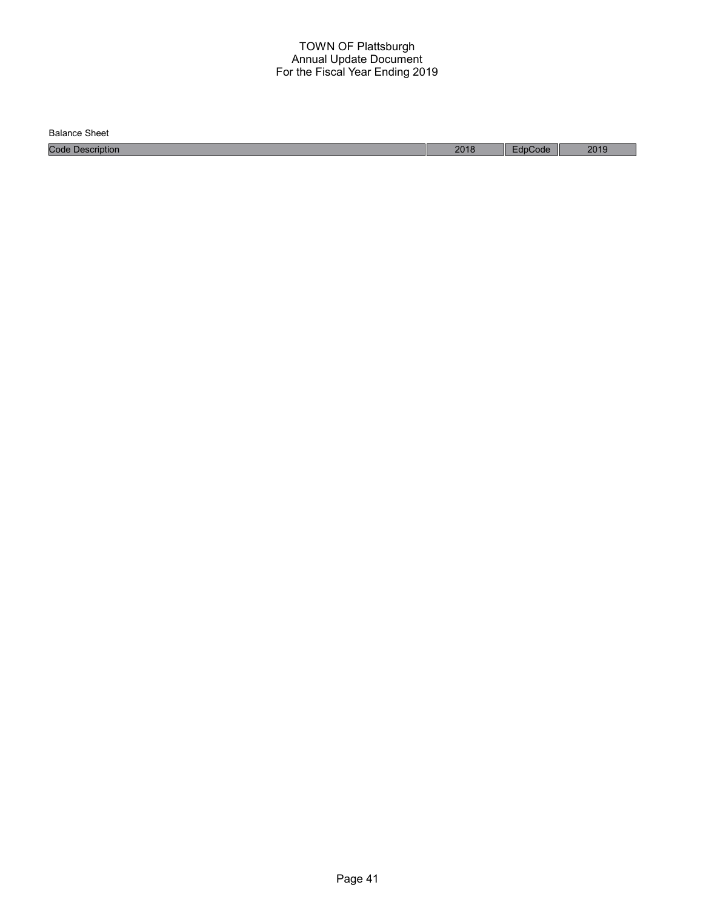Balance Sheet

Code Description 2018 EdpCode 2019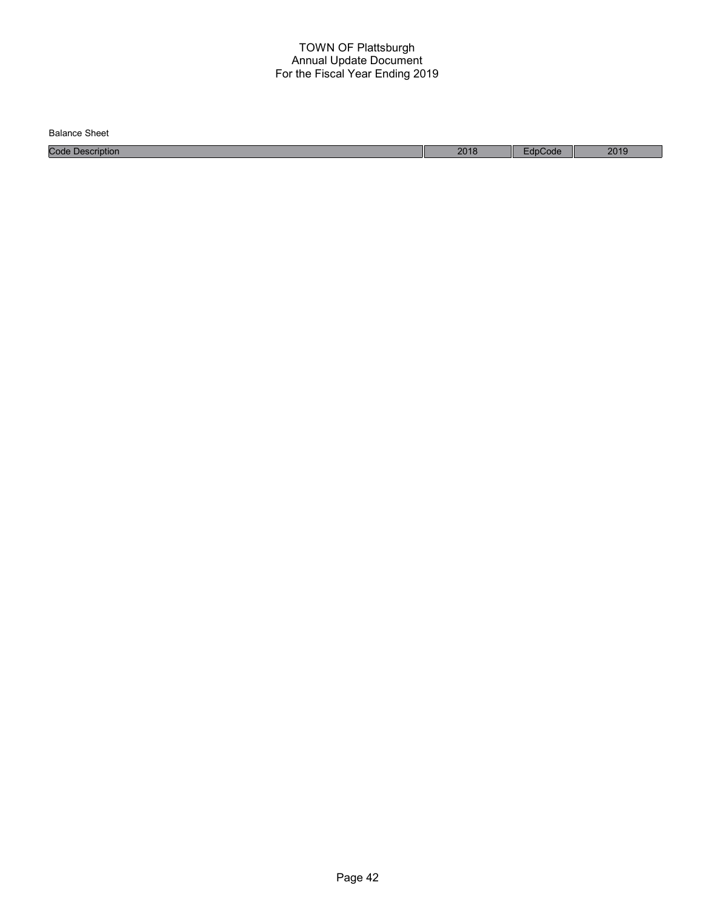| <b>Balance Sheet</b>        |      |       |      |
|-----------------------------|------|-------|------|
| Code<br>$\n  Description\n$ | 2018 | code' | 2019 |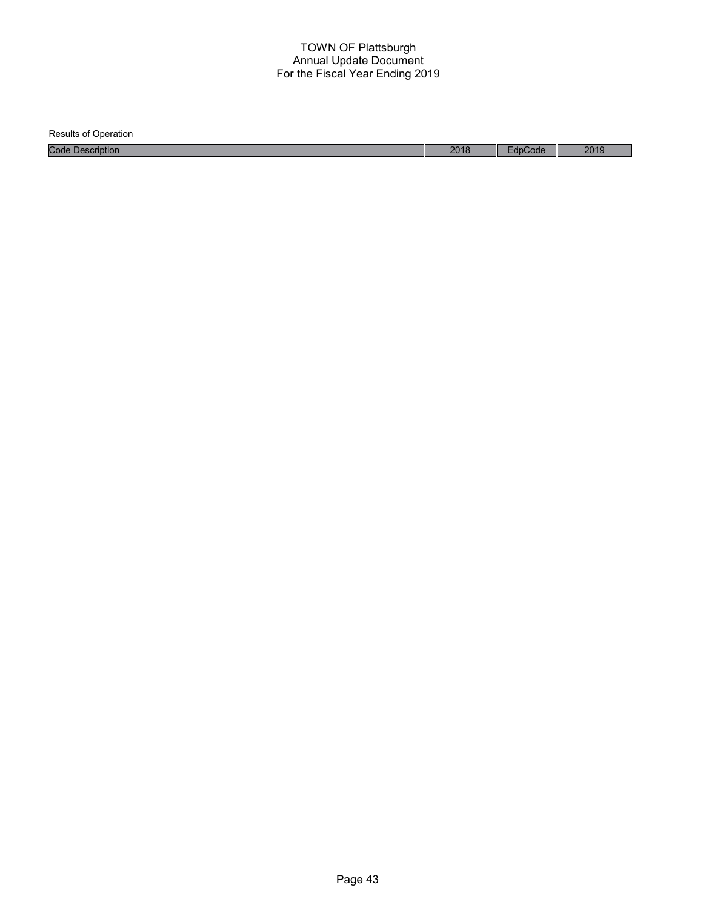Results of Operation Code Description 2018 EdpCode 2019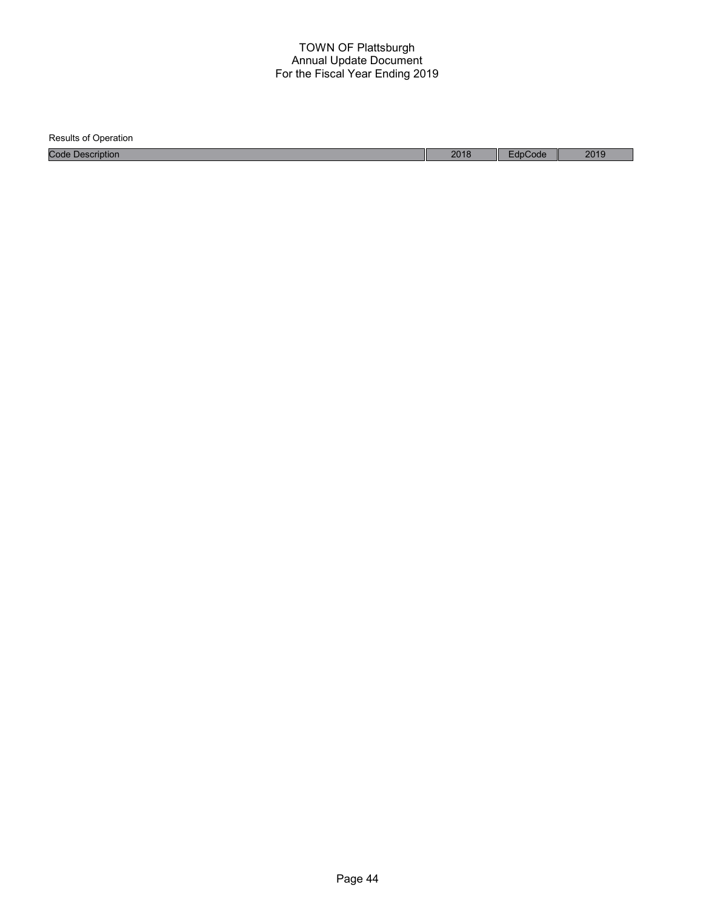| <b>Results of Operation</b> |      |         |      |
|-----------------------------|------|---------|------|
| <b>Code Description</b>     | 2018 | EdpCode | 2019 |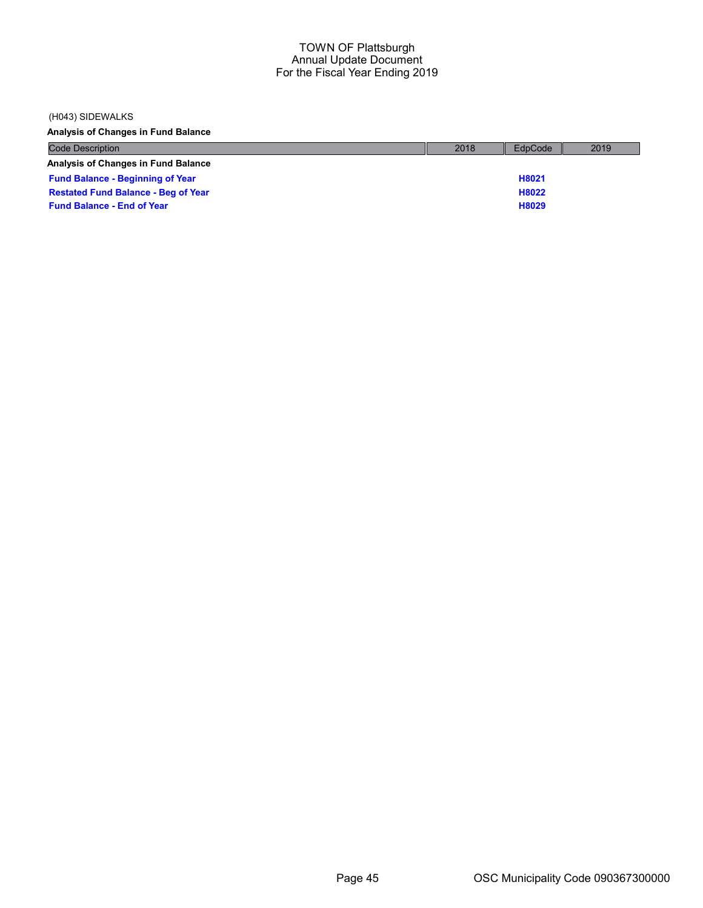### (H043) SIDEWALKS

Analysis of Changes in Fund Balance

| <b>Code Description</b>                    | 2018 | EdpCode | 2019 |
|--------------------------------------------|------|---------|------|
| <b>Analysis of Changes in Fund Balance</b> |      |         |      |
| <b>Fund Balance - Beginning of Year</b>    |      | H8021   |      |
| <b>Restated Fund Balance - Beg of Year</b> |      | H8022   |      |
| <b>Fund Balance - End of Year</b>          |      | H8029   |      |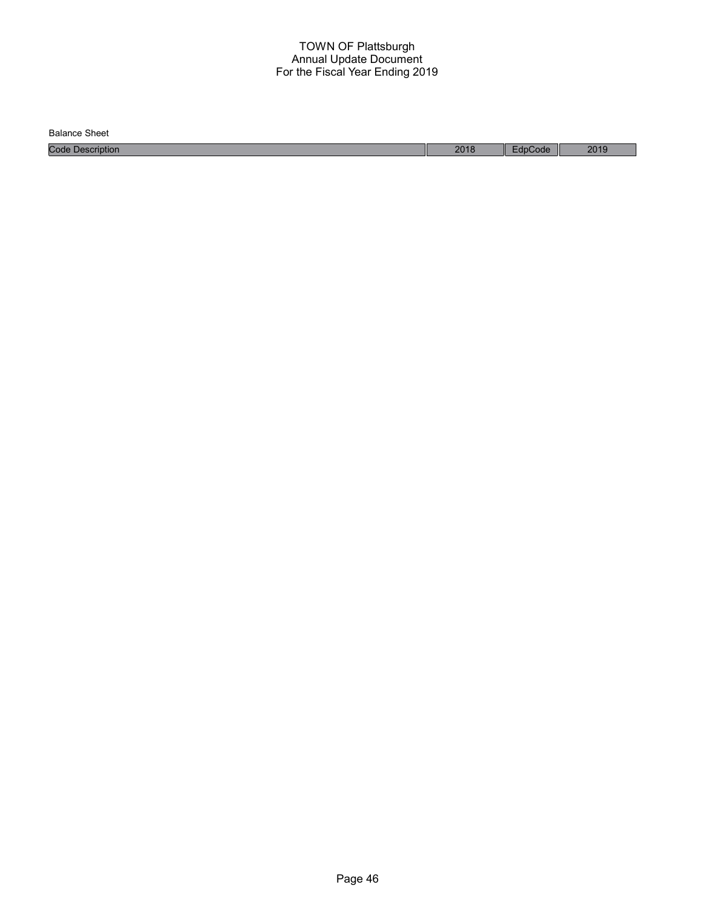Balance Sheet

Code Description 2018 EdpCode 2019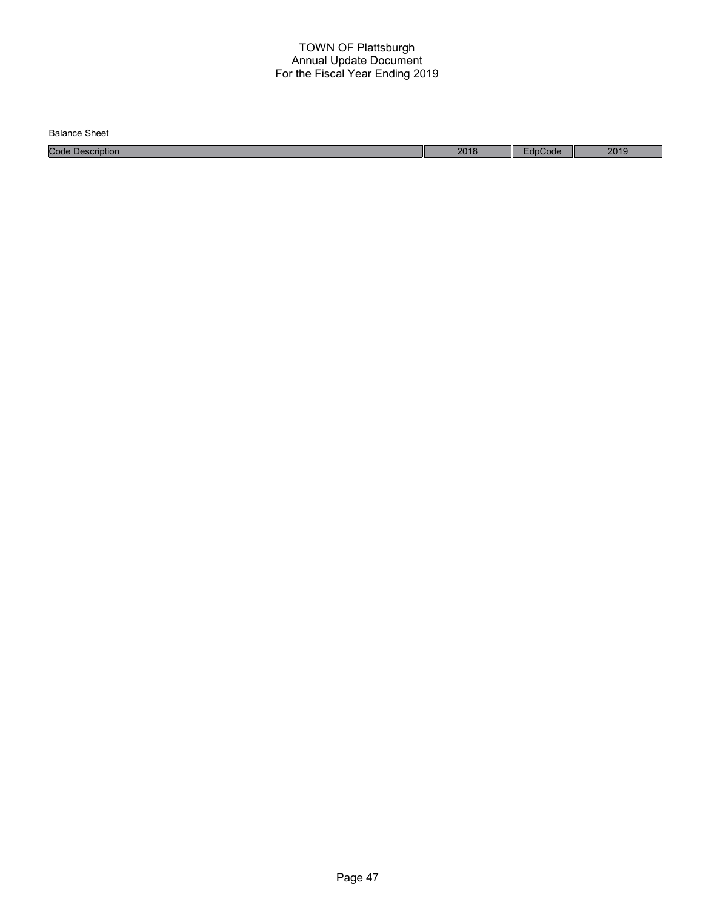| <b>Balance Sheet</b>        |      |       |      |
|-----------------------------|------|-------|------|
| Code<br>$\n  Description\n$ | 2018 | code' | 2019 |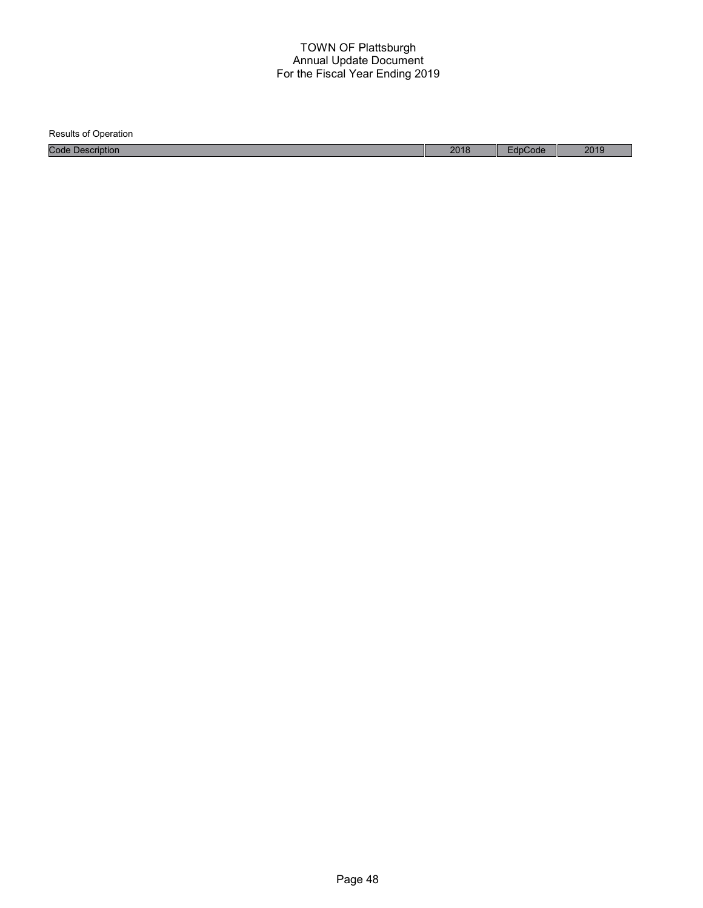Results of Operation Code Description 2018 EdpCode 2019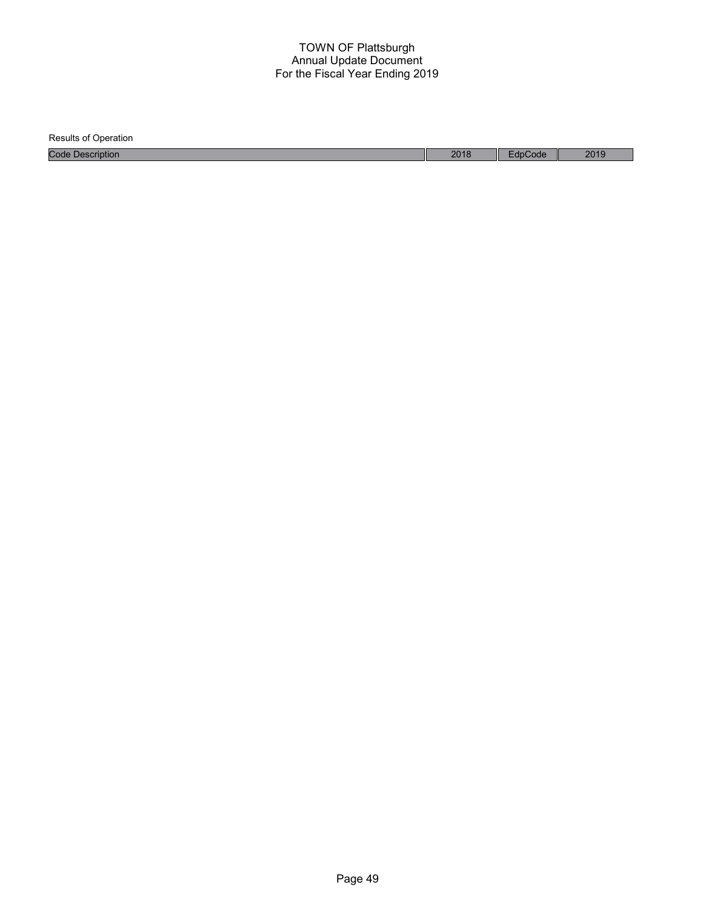| <b>Results of Operation</b> |      |         |      |
|-----------------------------|------|---------|------|
| <b>Code Description</b>     | 2018 | EdpCode | 2019 |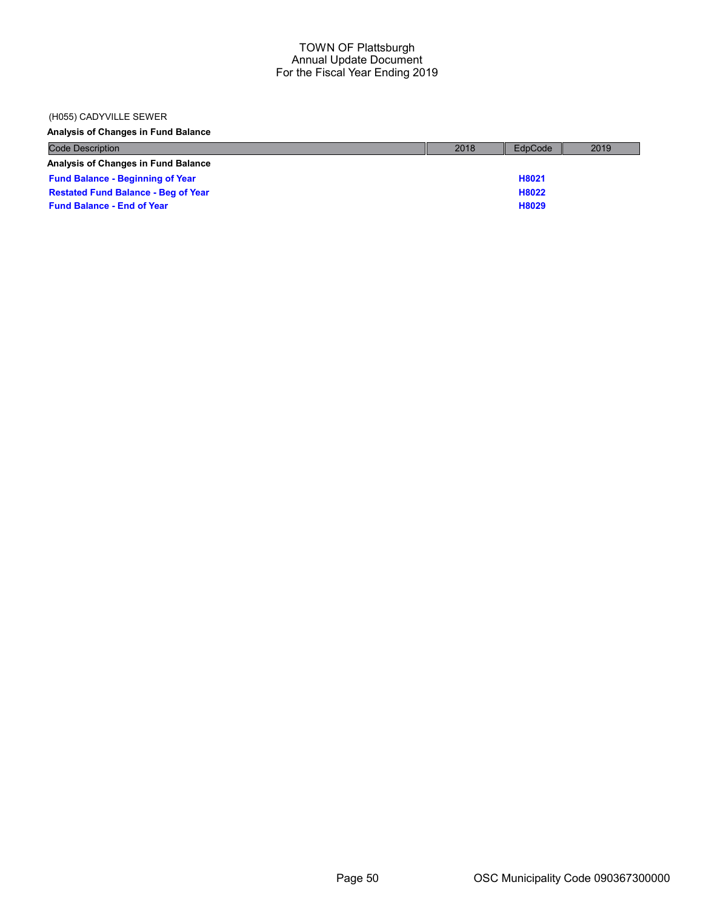### (H055) CADYVILLE SEWER

Analysis of Changes in Fund Balance

| <b>Code Description</b>                    | 2018 | EdpCode | 2019 |
|--------------------------------------------|------|---------|------|
| <b>Analysis of Changes in Fund Balance</b> |      |         |      |
| <b>Fund Balance - Beginning of Year</b>    |      | H8021   |      |
| <b>Restated Fund Balance - Beg of Year</b> |      | H8022   |      |
| <b>Fund Balance - End of Year</b>          |      | H8029   |      |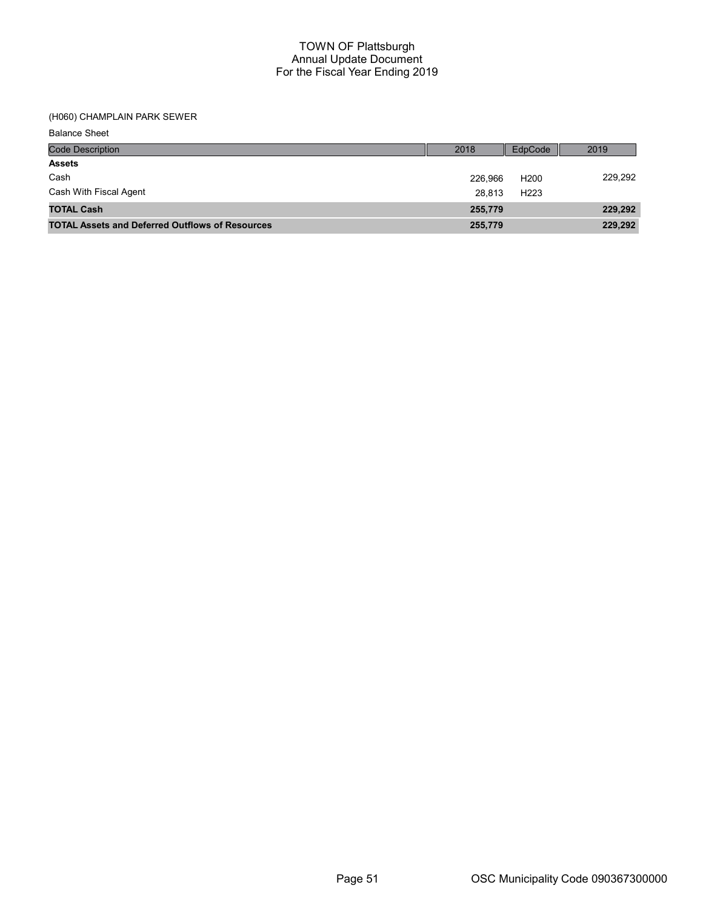## (H060) CHAMPLAIN PARK SEWER

| <b>Balance Sheet</b> |  |
|----------------------|--|
|----------------------|--|

| <b>Code Description</b>                                | 2018    | EdpCode          | 2019    |
|--------------------------------------------------------|---------|------------------|---------|
| <b>Assets</b>                                          |         |                  |         |
| Cash                                                   | 226.966 | H <sub>200</sub> | 229.292 |
| Cash With Fiscal Agent                                 | 28.813  | H <sub>223</sub> |         |
| <b>TOTAL Cash</b>                                      | 255,779 |                  | 229,292 |
| <b>TOTAL Assets and Deferred Outflows of Resources</b> | 255,779 |                  | 229,292 |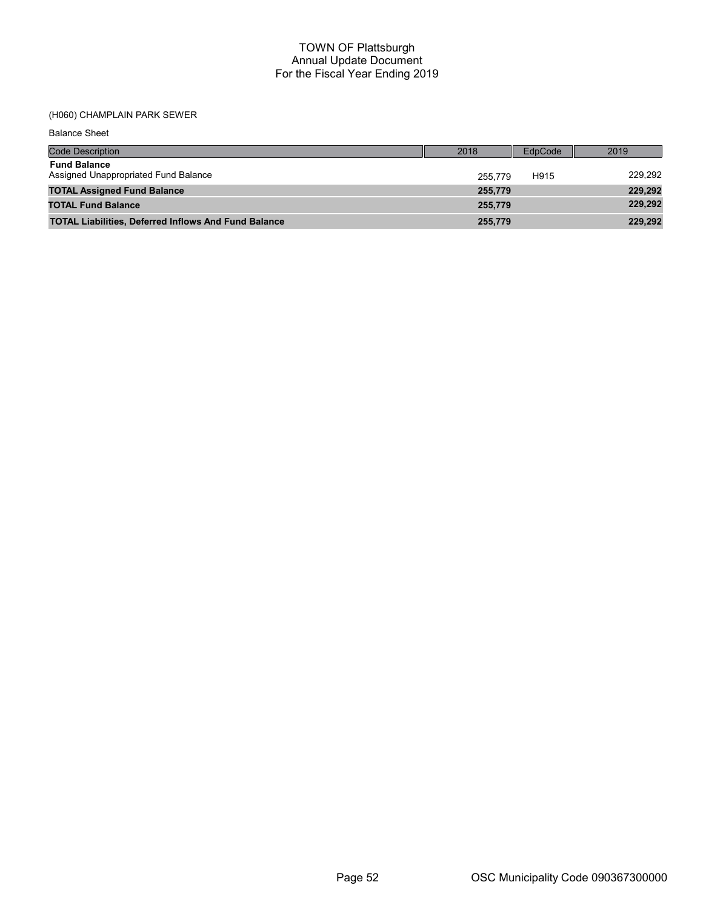## (H060) CHAMPLAIN PARK SEWER

Balance Sheet

| <b>Code Description</b>                                     | 2018    | EdpCode | 2019    |
|-------------------------------------------------------------|---------|---------|---------|
| <b>Fund Balance</b><br>Assigned Unappropriated Fund Balance | 255.779 | H915    | 229,292 |
| <b>TOTAL Assigned Fund Balance</b>                          | 255,779 |         | 229,292 |
| <b>TOTAL Fund Balance</b>                                   | 255,779 |         | 229,292 |
| <b>TOTAL Liabilities, Deferred Inflows And Fund Balance</b> | 255,779 |         | 229,292 |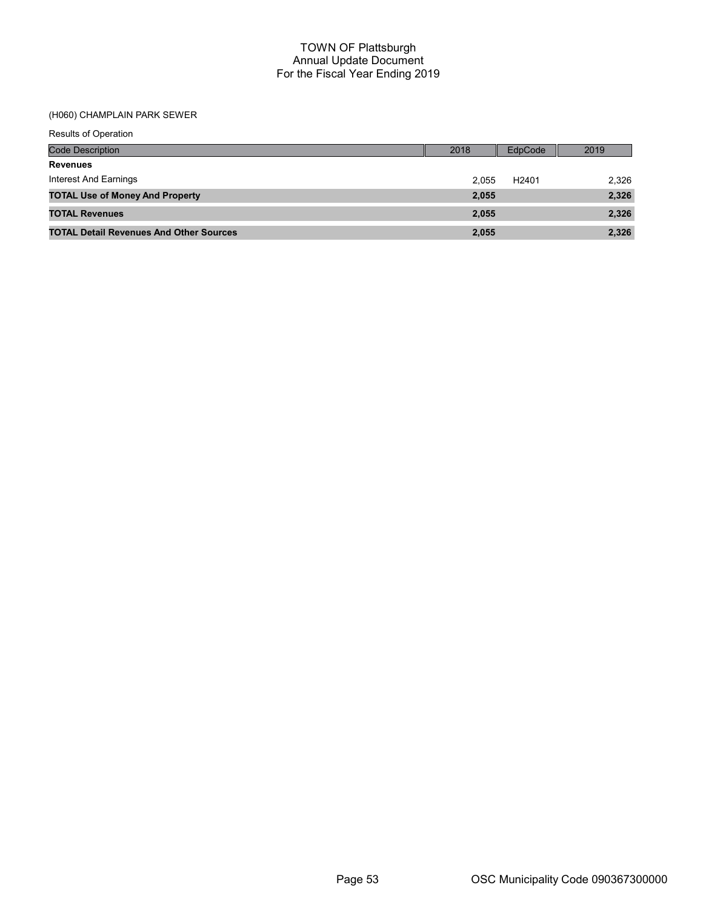## (H060) CHAMPLAIN PARK SEWER

| Results of Operation                           |       |                   |       |
|------------------------------------------------|-------|-------------------|-------|
| <b>Code Description</b>                        | 2018  | EdpCode           | 2019  |
| <b>Revenues</b>                                |       |                   |       |
| Interest And Earnings                          | 2.055 | H <sub>2401</sub> | 2,326 |
| <b>TOTAL Use of Money And Property</b>         | 2,055 |                   | 2,326 |
| <b>TOTAL Revenues</b>                          | 2,055 |                   | 2,326 |
| <b>TOTAL Detail Revenues And Other Sources</b> | 2,055 |                   | 2,326 |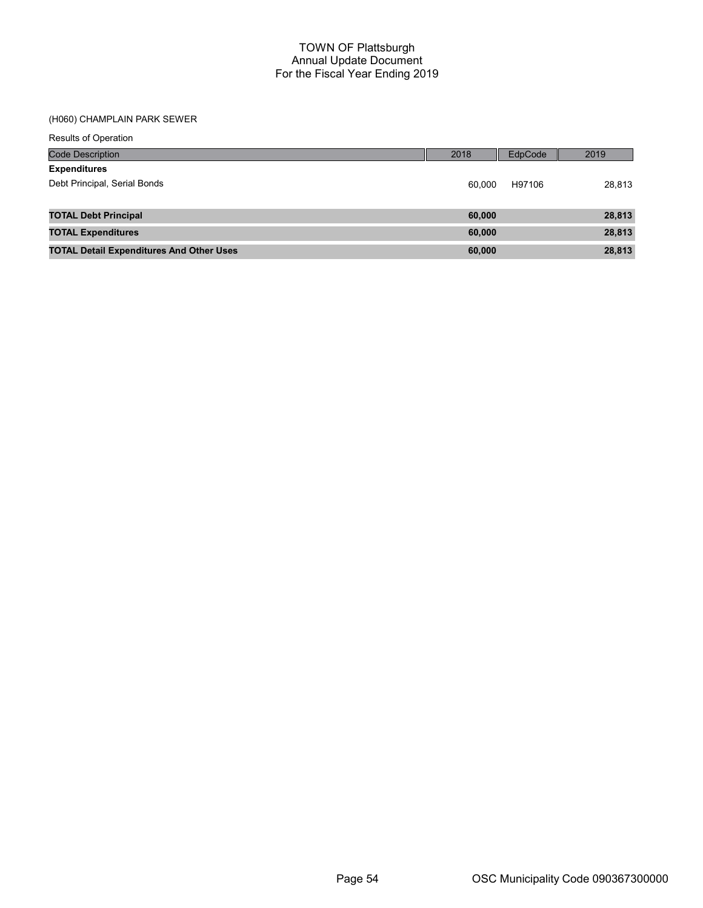### (H060) CHAMPLAIN PARK SEWER

|  | <b>Results of Operation</b> |  |
|--|-----------------------------|--|
|  |                             |  |

| <b>Code Description</b>                         | 2018   | EdpCode | 2019   |
|-------------------------------------------------|--------|---------|--------|
| <b>Expenditures</b>                             |        |         |        |
| Debt Principal, Serial Bonds                    | 60.000 | H97106  | 28,813 |
|                                                 |        |         |        |
| <b>TOTAL Debt Principal</b>                     | 60,000 |         | 28,813 |
| <b>TOTAL Expenditures</b>                       | 60,000 |         | 28,813 |
| <b>TOTAL Detail Expenditures And Other Uses</b> | 60,000 |         | 28,813 |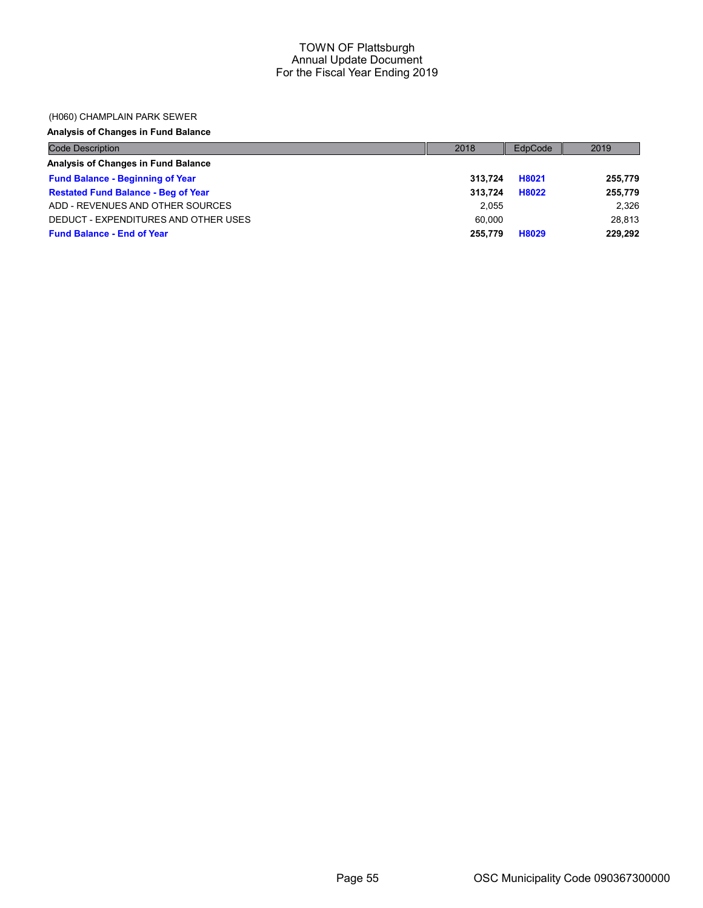### (H060) CHAMPLAIN PARK SEWER

# Analysis of Changes in Fund Balance

| <b>Code Description</b>                    | 2018    | EdpCode | 2019    |
|--------------------------------------------|---------|---------|---------|
| Analysis of Changes in Fund Balance        |         |         |         |
| <b>Fund Balance - Beginning of Year</b>    | 313.724 | H8021   | 255,779 |
| <b>Restated Fund Balance - Beg of Year</b> | 313.724 | H8022   | 255,779 |
| ADD - REVENUES AND OTHER SOURCES           | 2.055   |         | 2.326   |
| DEDUCT - EXPENDITURES AND OTHER USES       | 60.000  |         | 28.813  |
| <b>Fund Balance - End of Year</b>          | 255,779 | H8029   | 229,292 |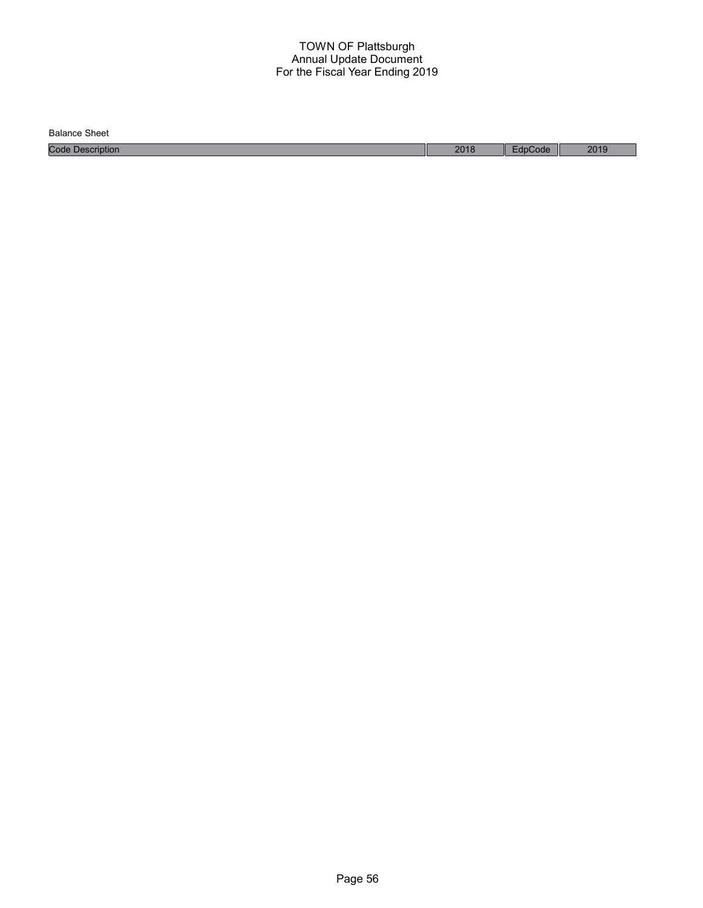Balance Sheet

Code Description 2018 EdpCode 2019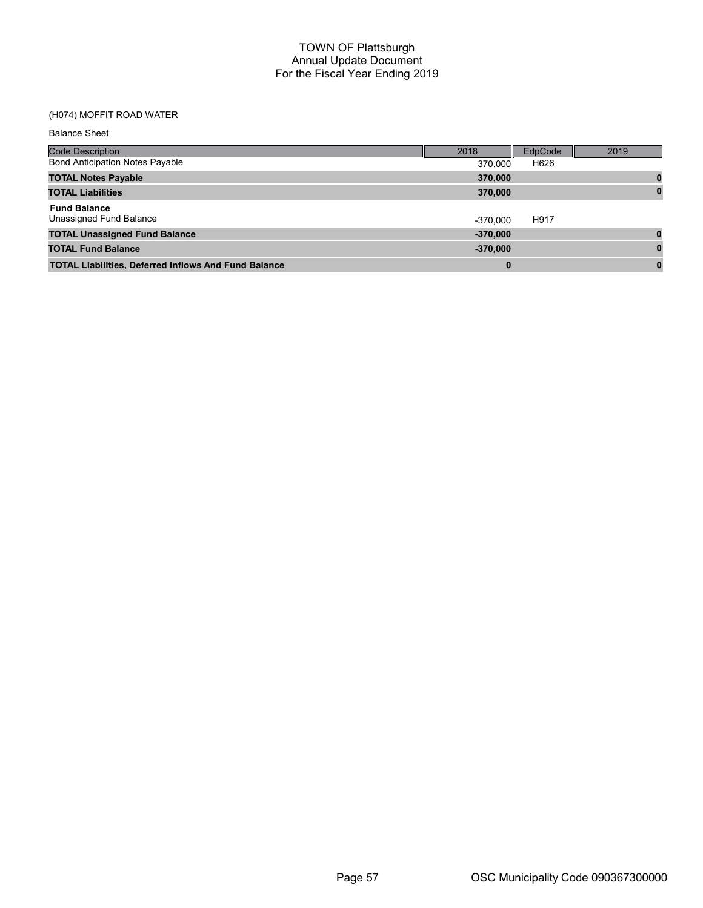# (H074) MOFFIT ROAD WATER

| <b>Balance Sheet</b>                                        |            |         |      |
|-------------------------------------------------------------|------------|---------|------|
| <b>Code Description</b>                                     | 2018       | EdpCode | 2019 |
| <b>Bond Anticipation Notes Payable</b>                      | 370,000    | H626    |      |
| <b>TOTAL Notes Payable</b>                                  | 370,000    |         |      |
| <b>TOTAL Liabilities</b>                                    | 370,000    |         |      |
| <b>Fund Balance</b><br>Unassigned Fund Balance              | $-370.000$ | H917    |      |
| <b>TOTAL Unassigned Fund Balance</b>                        | $-370,000$ |         |      |
| <b>TOTAL Fund Balance</b>                                   | $-370,000$ |         |      |
| <b>TOTAL Liabilities, Deferred Inflows And Fund Balance</b> | 0          |         | 0    |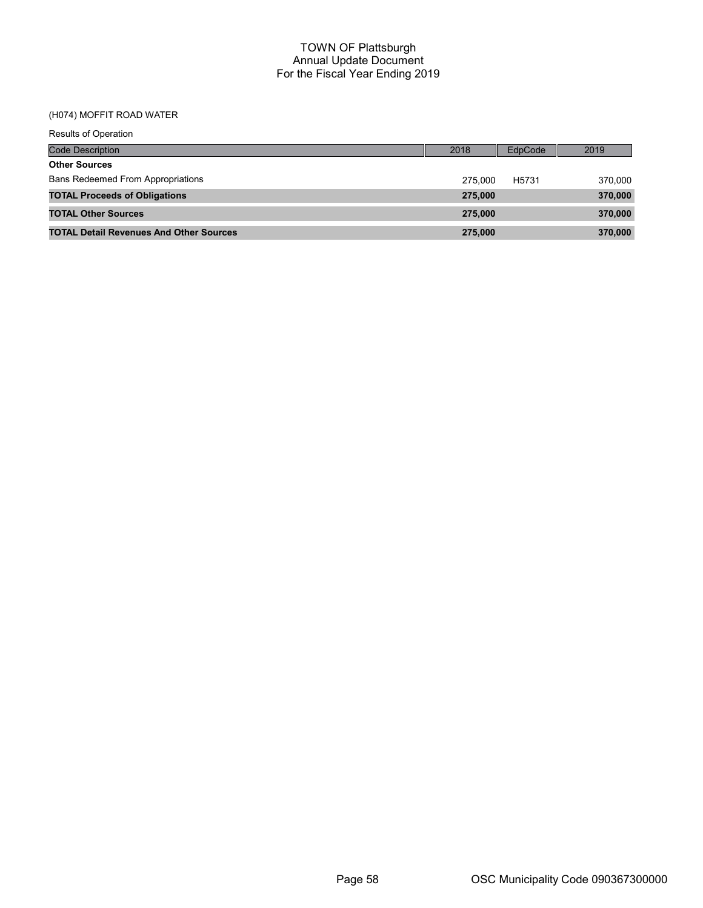### (H074) MOFFIT ROAD WATER

| <b>Results of Operation</b>                    |         |         |         |
|------------------------------------------------|---------|---------|---------|
| Code Description                               | 2018    | EdpCode | 2019    |
| <b>Other Sources</b>                           |         |         |         |
| <b>Bans Redeemed From Appropriations</b>       | 275.000 | H5731   | 370.000 |
| <b>TOTAL Proceeds of Obligations</b>           | 275,000 |         | 370,000 |
| <b>TOTAL Other Sources</b>                     | 275,000 |         | 370,000 |
| <b>TOTAL Detail Revenues And Other Sources</b> | 275.000 |         | 370,000 |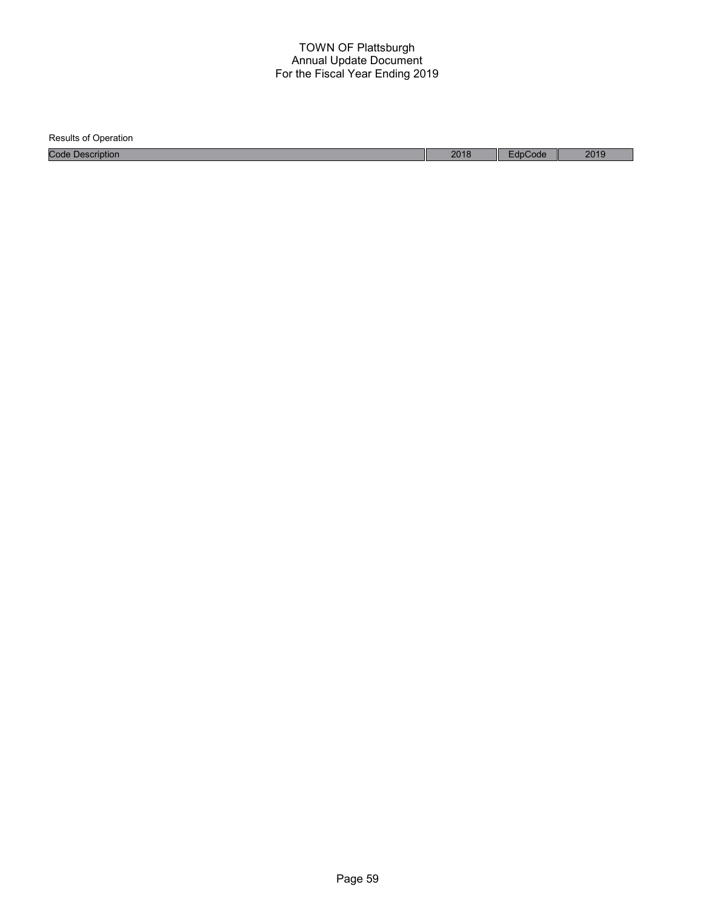| <b>Results of Operation</b> |      |         |      |
|-----------------------------|------|---------|------|
| <b>Code Description</b>     | 2018 | EdpCode | 2019 |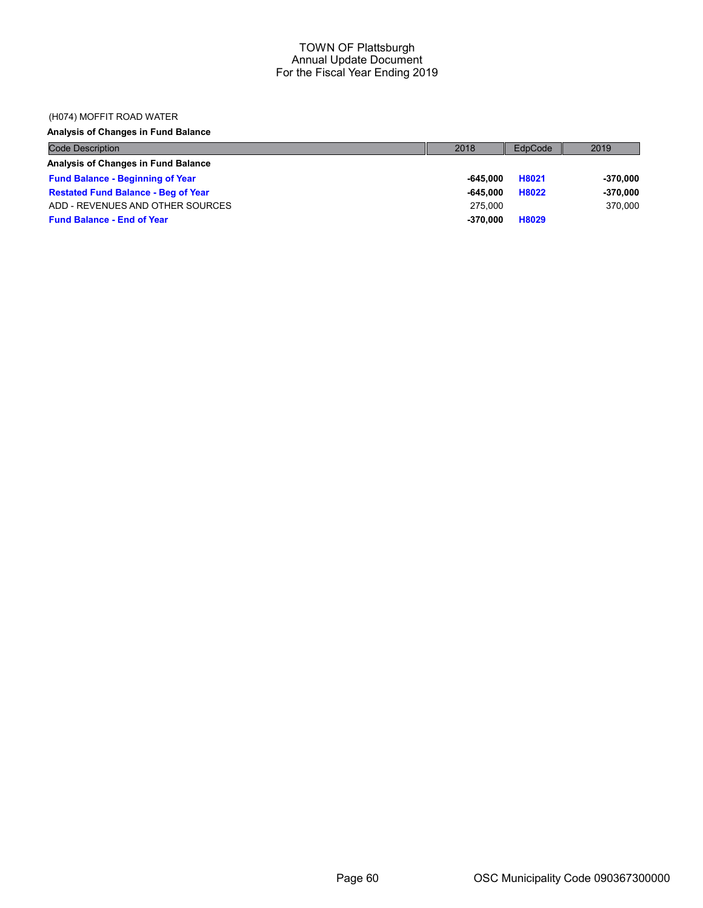## (H074) MOFFIT ROAD WATER

# Analysis of Changes in Fund Balance

| Code Description                           | 2018       | EdpCode | 2019       |
|--------------------------------------------|------------|---------|------------|
| Analysis of Changes in Fund Balance        |            |         |            |
| <b>Fund Balance - Beginning of Year</b>    | -645.000   | H8021   | $-370,000$ |
| <b>Restated Fund Balance - Beg of Year</b> | -645.000   | H8022   | $-370,000$ |
| ADD - REVENUES AND OTHER SOURCES           | 275.000    |         | 370,000    |
| <b>Fund Balance - End of Year</b>          | $-370.000$ | H8029   |            |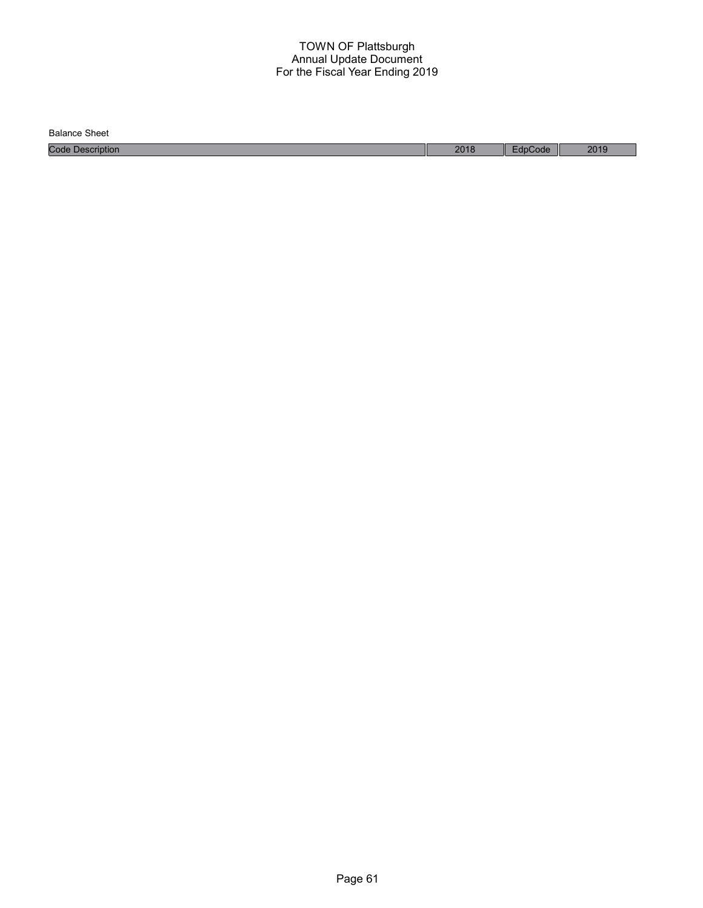Balance Sheet

Code Description 2018 EdpCode 2019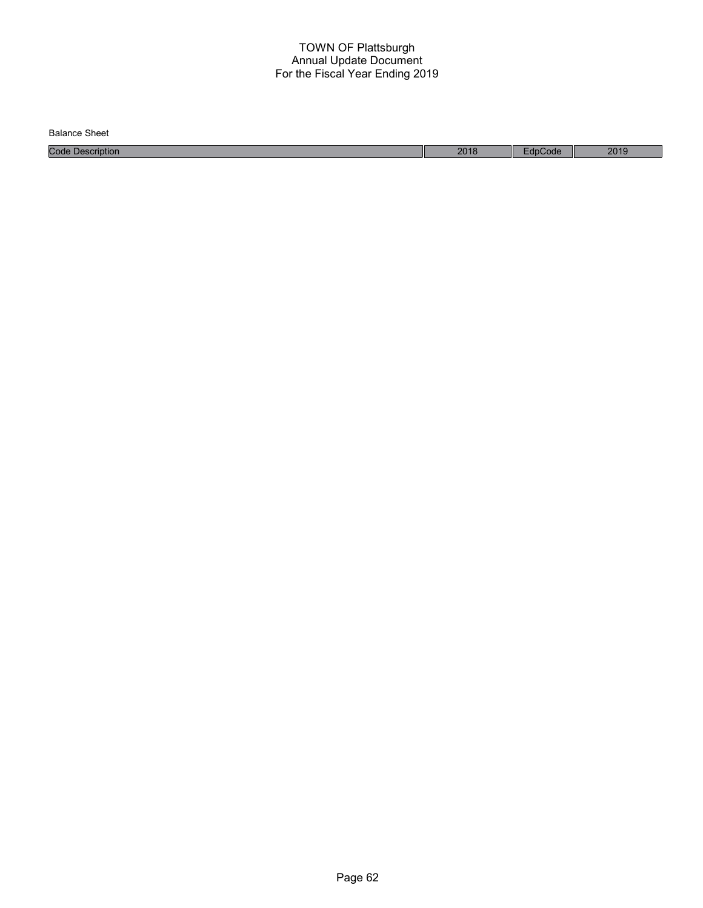| Balance<br>Sheet    |      |       |      |
|---------------------|------|-------|------|
| Code<br>Description | 2018 | Code: | 2019 |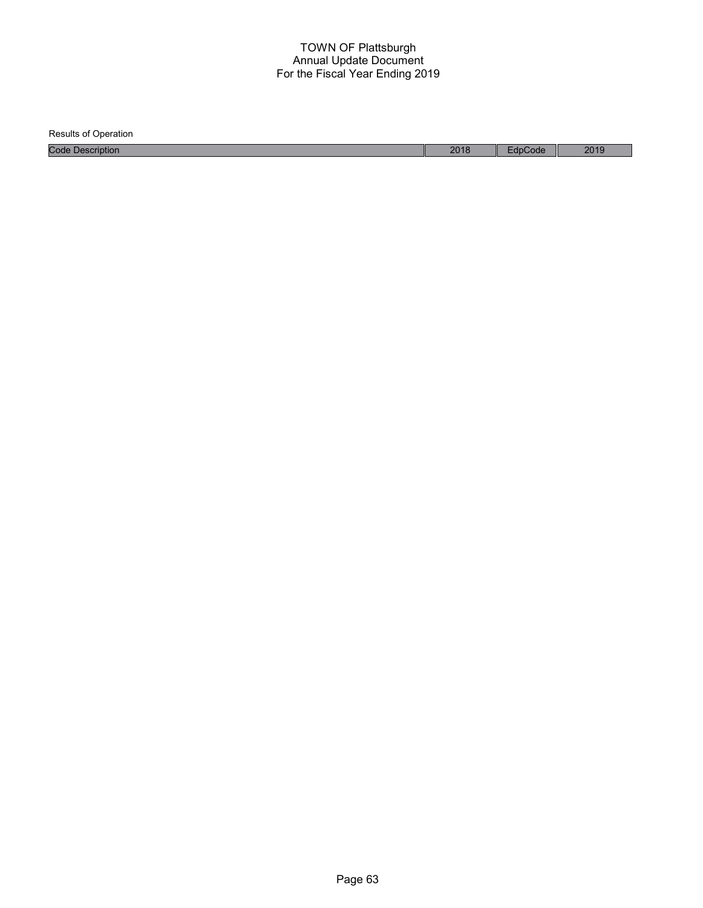Results of Operation Code Description 2018 EdpCode 2019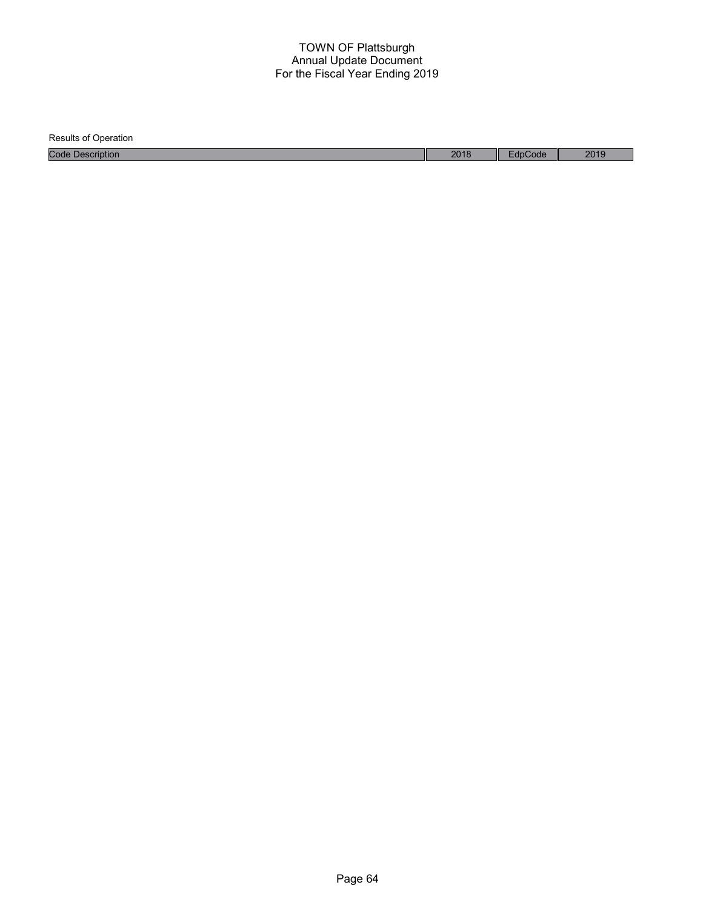| <b>Results of Operation</b> |      |         |      |
|-----------------------------|------|---------|------|
| <b>Code Description</b>     | 2018 | EdpCode | 2019 |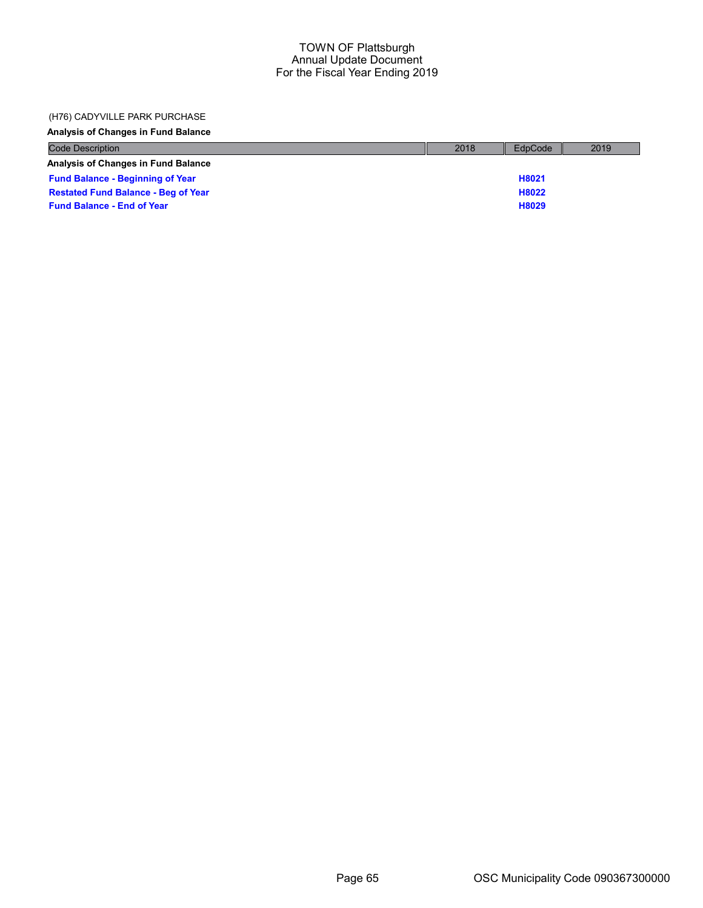## (H76) CADYVILLE PARK PURCHASE

Analysis of Changes in Fund Balance

| <b>Code Description</b>                    | 2018 | EdpCode | 2019 |
|--------------------------------------------|------|---------|------|
| <b>Analysis of Changes in Fund Balance</b> |      |         |      |
| <b>Fund Balance - Beginning of Year</b>    |      | H8021   |      |
| <b>Restated Fund Balance - Beg of Year</b> |      | H8022   |      |
| <b>Fund Balance - End of Year</b>          |      | H8029   |      |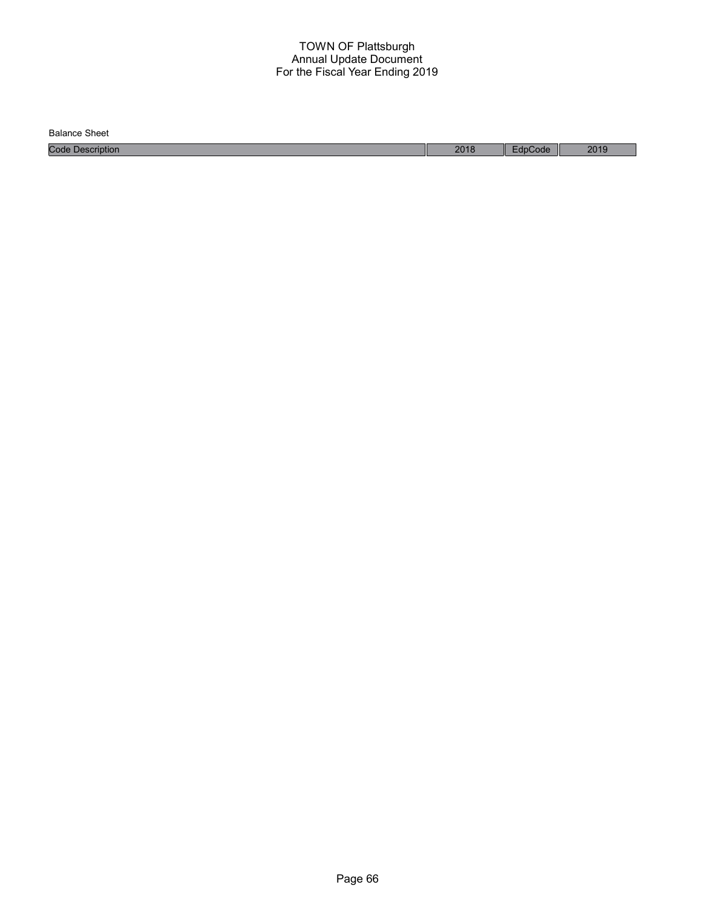Balance Sheet

Code Description 2018 EdpCode 2019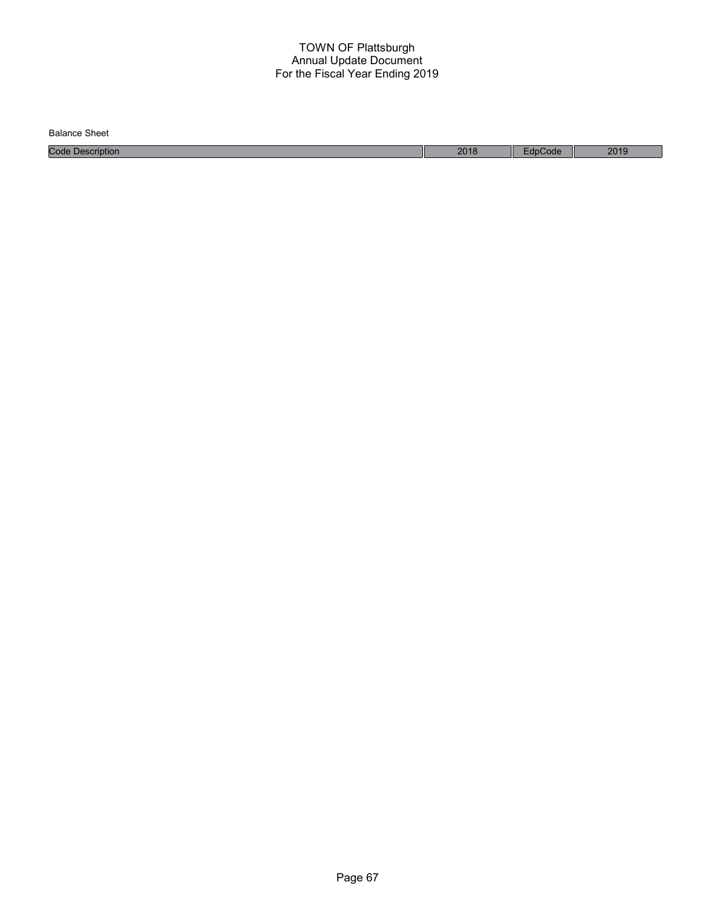| Balance<br>Sheet    |      |       |      |
|---------------------|------|-------|------|
| Code<br>Description | 2018 | Code: | 2019 |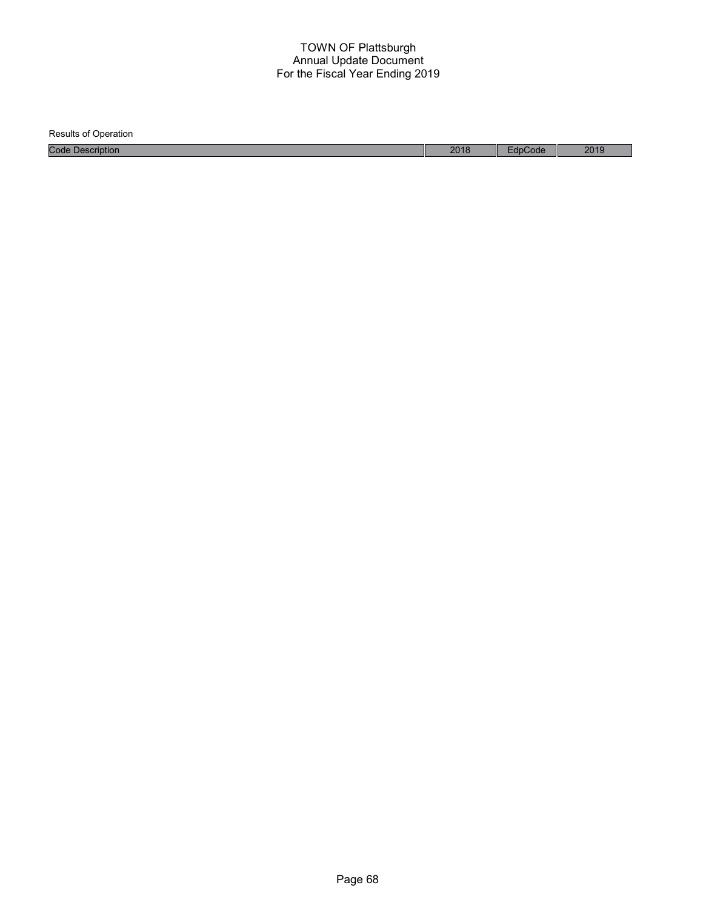Results of Operation Code Description 2018 EdpCode 2019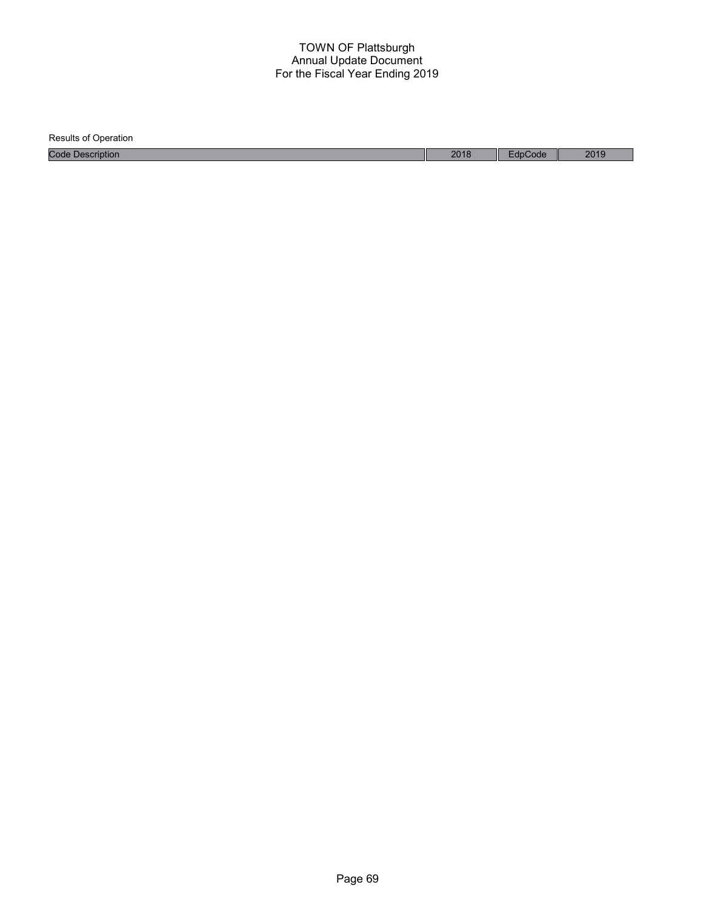| <b>Results of Operation</b> |      |         |      |
|-----------------------------|------|---------|------|
| <b>Code Description</b>     | 2018 | EdpCode | 2019 |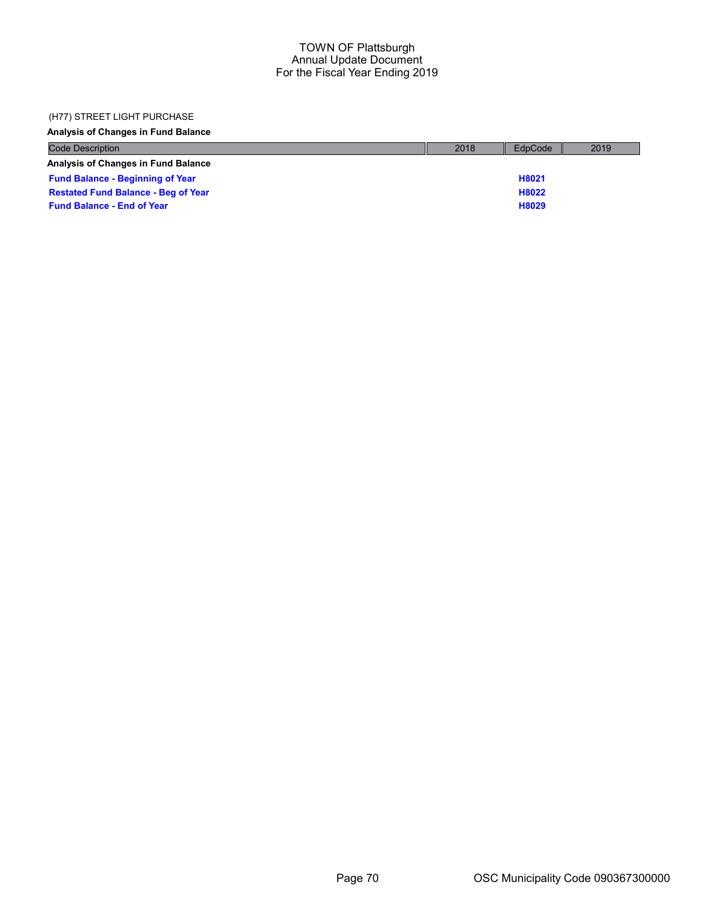### (H77) STREET LIGHT PURCHASE

Analysis of Changes in Fund Balance

| <b>Code Description</b>                    | 2018 | EdpCode | 2019 |
|--------------------------------------------|------|---------|------|
| <b>Analysis of Changes in Fund Balance</b> |      |         |      |
| <b>Fund Balance - Beginning of Year</b>    |      | H8021   |      |
| <b>Restated Fund Balance - Beg of Year</b> |      | H8022   |      |
| <b>Fund Balance - End of Year</b>          |      | H8029   |      |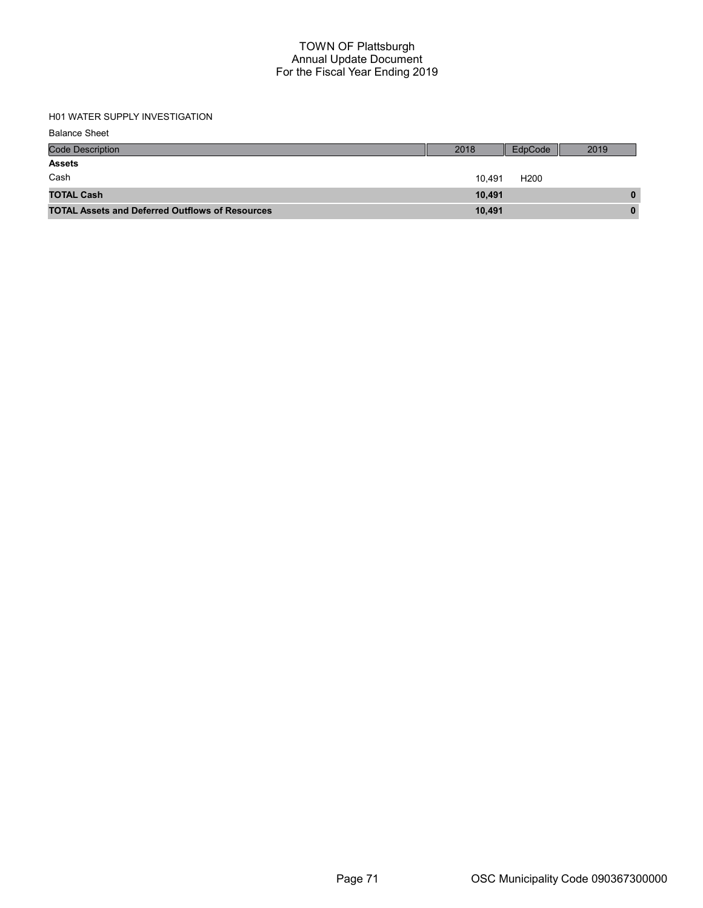# H01 WATER SUPPLY INVESTIGATION

| <b>Balance Sheet</b> |  |
|----------------------|--|
|----------------------|--|

| <b>Code Description</b>                                | 2018   | EdpCode          | 2019 |
|--------------------------------------------------------|--------|------------------|------|
| <b>Assets</b>                                          |        |                  |      |
| Cash                                                   | 10.491 | H <sub>200</sub> |      |
| <b>TOTAL Cash</b>                                      | 10.491 |                  | 0    |
| <b>TOTAL Assets and Deferred Outflows of Resources</b> | 10,491 |                  | 0    |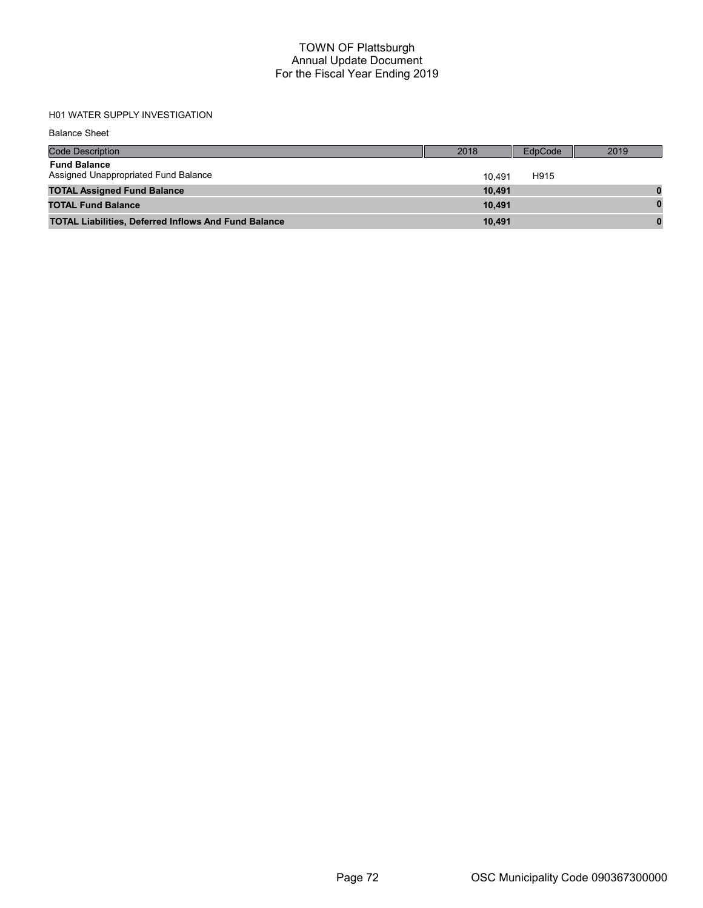# H01 WATER SUPPLY INVESTIGATION

Balance Sheet

| <b>Code Description</b>                                     | 2018   | EdpCode | 2019 |
|-------------------------------------------------------------|--------|---------|------|
| <b>Fund Balance</b><br>Assigned Unappropriated Fund Balance | 10.491 | H915    |      |
| <b>TOTAL Assigned Fund Balance</b>                          | 10.491 |         |      |
| <b>TOTAL Fund Balance</b>                                   | 10.491 |         |      |
| <b>TOTAL Liabilities, Deferred Inflows And Fund Balance</b> | 10.491 |         |      |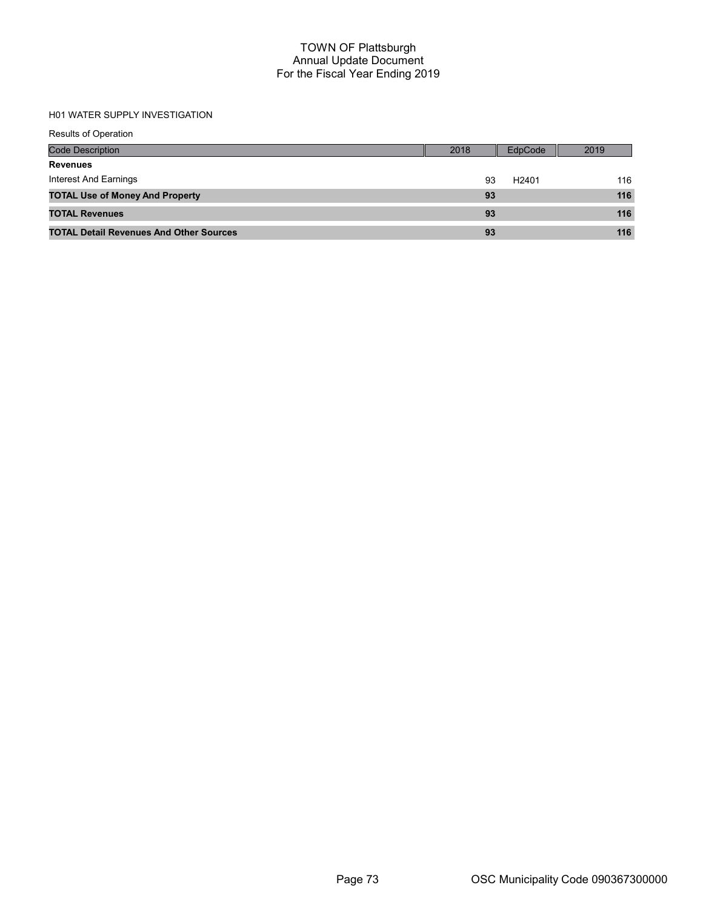# H01 WATER SUPPLY INVESTIGATION

| <b>Results of Operation</b>                    |      |                   |      |
|------------------------------------------------|------|-------------------|------|
| <b>Code Description</b>                        | 2018 | EdpCode           | 2019 |
| <b>Revenues</b>                                |      |                   |      |
| Interest And Earnings                          | 93   | H <sub>2401</sub> | 116  |
| <b>TOTAL Use of Money And Property</b>         | 93   |                   | 116  |
| <b>TOTAL Revenues</b>                          | 93   |                   | 116  |
| <b>TOTAL Detail Revenues And Other Sources</b> | 93   |                   | 116  |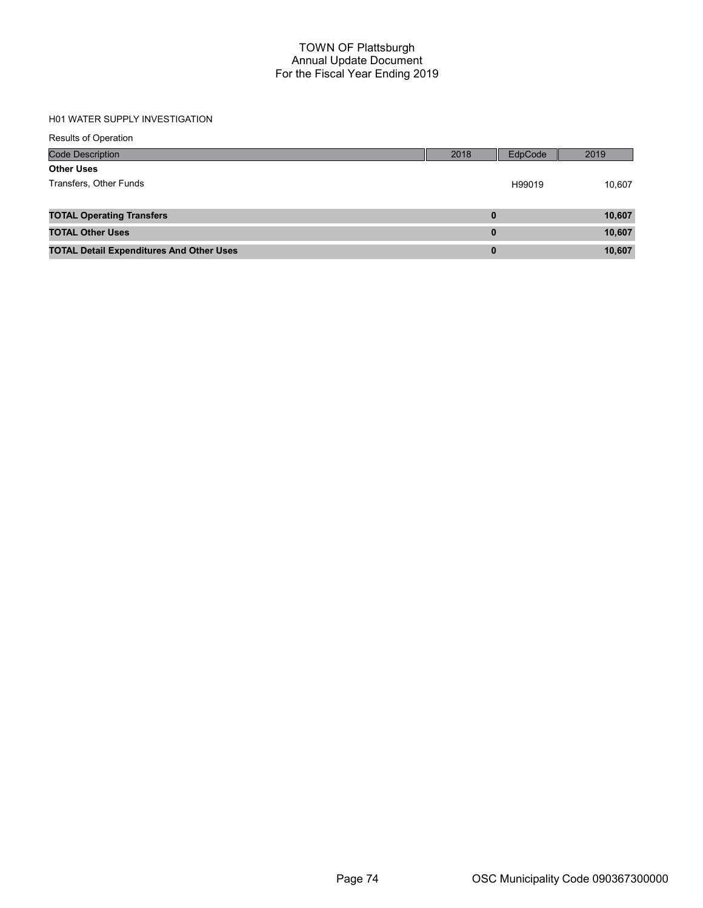# H01 WATER SUPPLY INVESTIGATION

| <b>Results of Operation</b>                     |          |         |        |
|-------------------------------------------------|----------|---------|--------|
| <b>Code Description</b>                         | 2018     | EdpCode | 2019   |
| <b>Other Uses</b>                               |          |         |        |
| Transfers, Other Funds                          |          | H99019  | 10,607 |
|                                                 |          |         |        |
| <b>TOTAL Operating Transfers</b>                | 0        |         | 10,607 |
| <b>TOTAL Other Uses</b>                         | $\bf{0}$ |         | 10,607 |
| <b>TOTAL Detail Expenditures And Other Uses</b> | $\bf{0}$ |         | 10,607 |
|                                                 |          |         |        |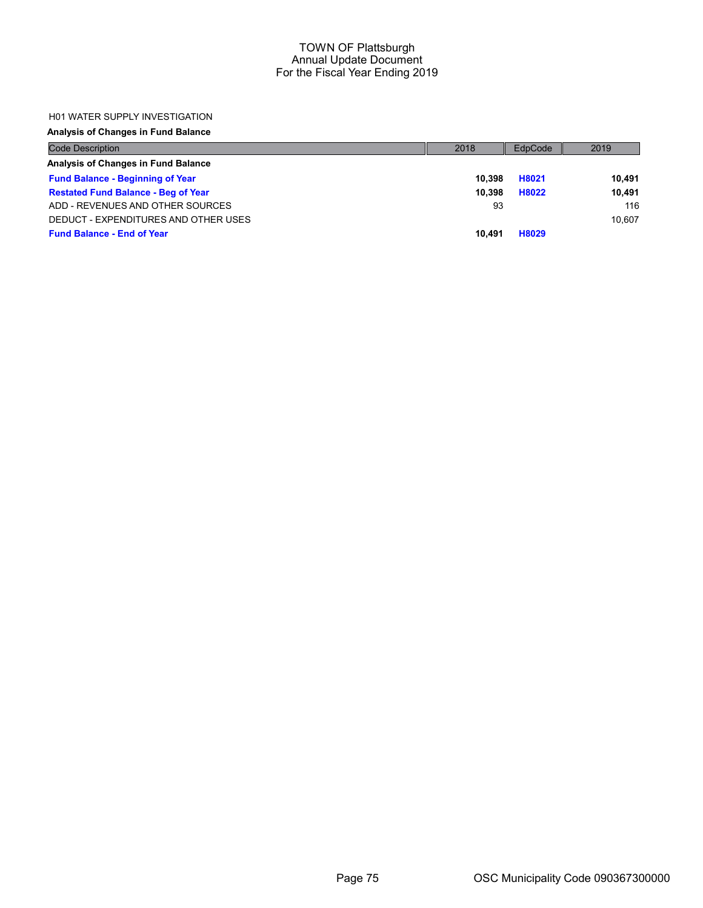#### H01 WATER SUPPLY INVESTIGATION

# Analysis of Changes in Fund Balance

| <b>Code Description</b>                    | 2018   | EdpCode | 2019   |
|--------------------------------------------|--------|---------|--------|
| Analysis of Changes in Fund Balance        |        |         |        |
| <b>Fund Balance - Beginning of Year</b>    | 10.398 | H8021   | 10.491 |
| <b>Restated Fund Balance - Beg of Year</b> | 10.398 | H8022   | 10.491 |
| ADD - REVENUES AND OTHER SOURCES           | 93     |         | 116    |
| DEDUCT - EXPENDITURES AND OTHER USES       |        |         | 10.607 |
| <b>Fund Balance - End of Year</b>          | 10.491 | H8029   |        |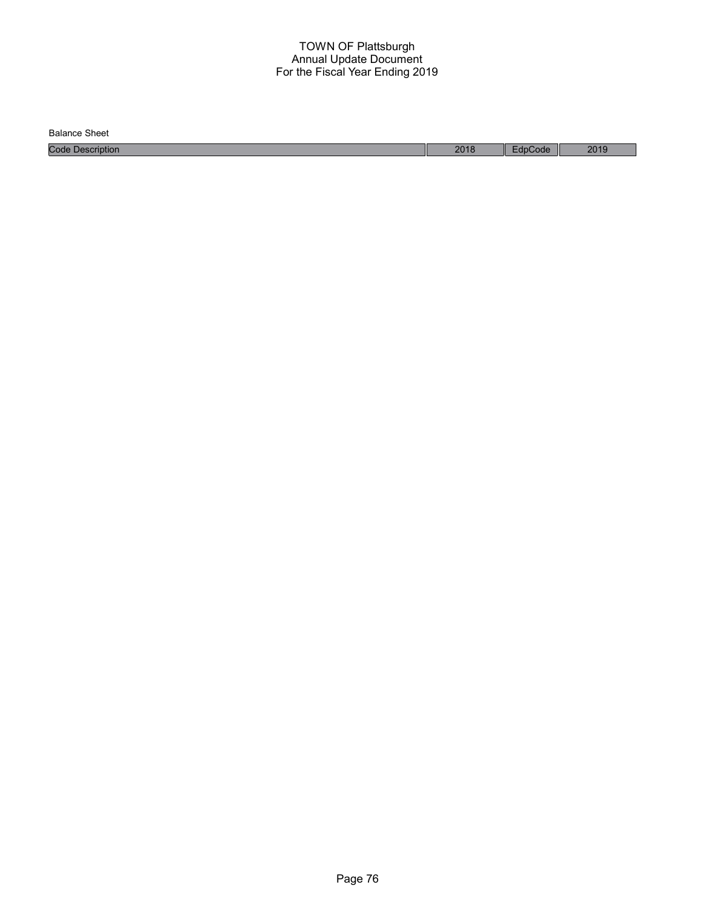Balance Sheet

Code Description 2018 EdpCode 2019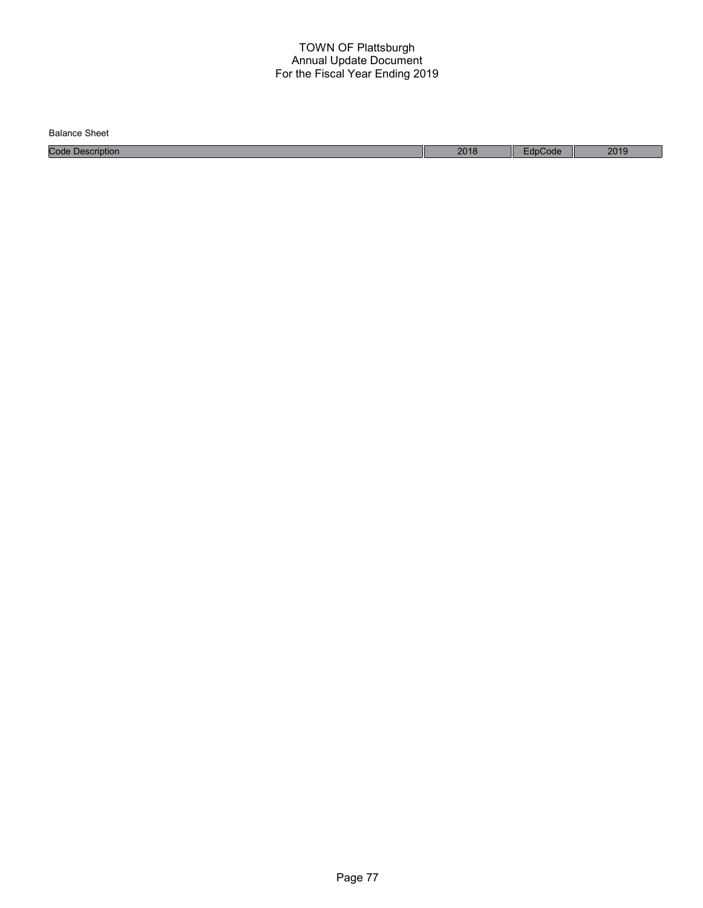| <b>Balance Sheet</b>        |      |       |      |
|-----------------------------|------|-------|------|
| Code<br>$\n  Description\n$ | 2018 | code' | 2019 |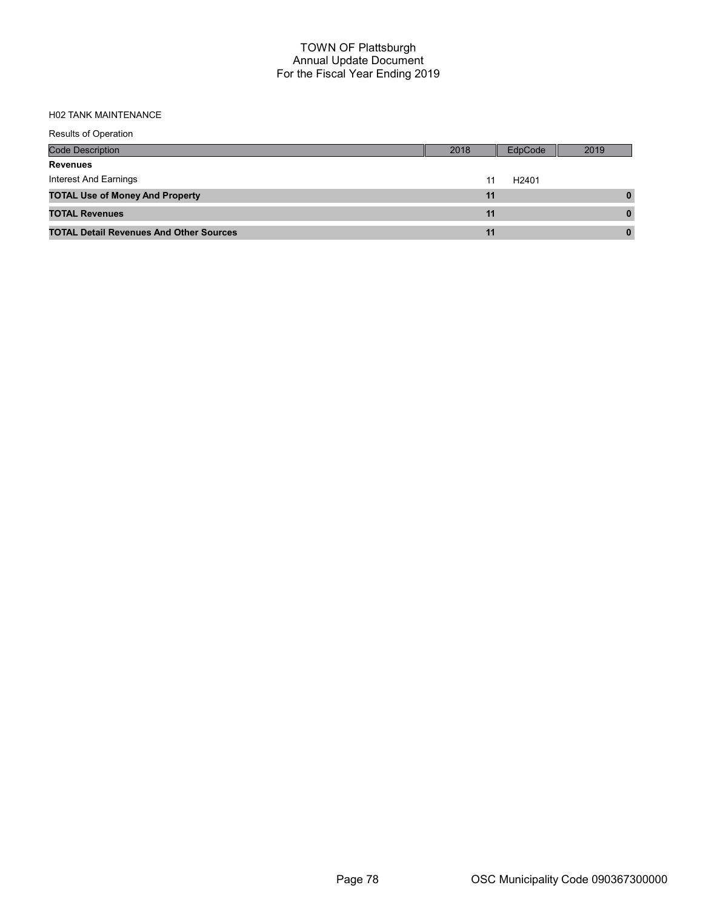# H02 TANK MAINTENANCE

| <b>Results of Operation</b>                    |      |                   |      |
|------------------------------------------------|------|-------------------|------|
| Code Description                               | 2018 | EdpCode           | 2019 |
| <b>Revenues</b>                                |      |                   |      |
| Interest And Earnings                          | 11   | H <sub>2401</sub> |      |
| <b>TOTAL Use of Money And Property</b>         | 11   |                   |      |
| <b>TOTAL Revenues</b>                          | 11   |                   |      |
| <b>TOTAL Detail Revenues And Other Sources</b> | 11   |                   |      |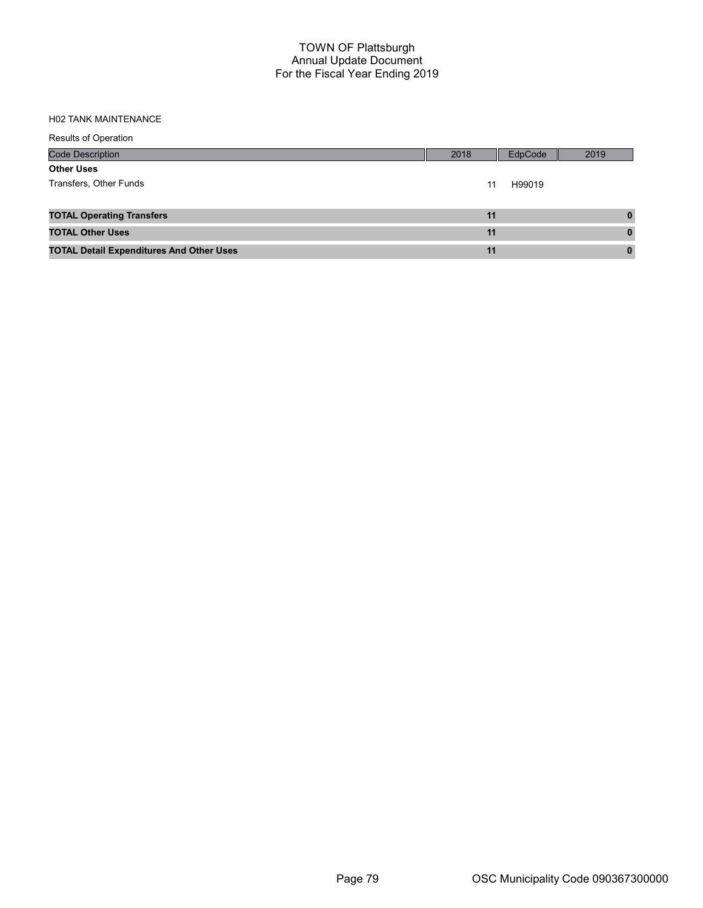#### H02 TANK MAINTENANCE

| <b>Results of Operation</b>                     |      |         |          |
|-------------------------------------------------|------|---------|----------|
| <b>Code Description</b>                         | 2018 | EdpCode | 2019     |
| <b>Other Uses</b>                               |      |         |          |
| Transfers, Other Funds                          | 11   | H99019  |          |
|                                                 |      |         |          |
| <b>TOTAL Operating Transfers</b>                | 11   |         | 0        |
| <b>TOTAL Other Uses</b>                         | 11   |         | $\bf{0}$ |
| <b>TOTAL Detail Expenditures And Other Uses</b> | 11   |         | $\bf{0}$ |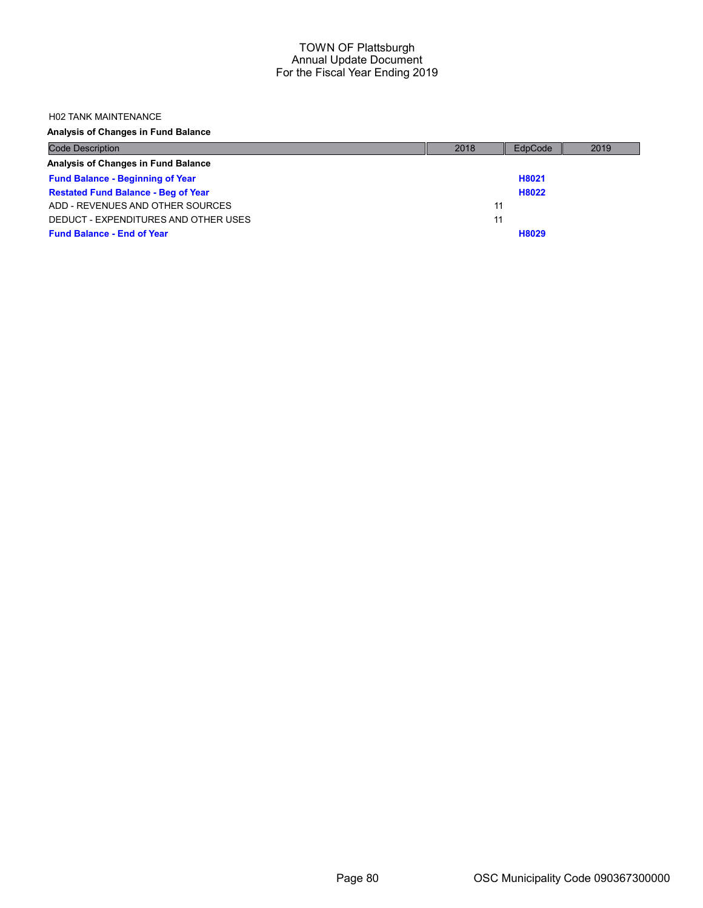#### H02 TANK MAINTENANCE

Analysis of Changes in Fund Balance

| <b>Code Description</b>                    | 2018 | EdpCode | 2019 |
|--------------------------------------------|------|---------|------|
| Analysis of Changes in Fund Balance        |      |         |      |
| <b>Fund Balance - Beginning of Year</b>    |      | H8021   |      |
| <b>Restated Fund Balance - Beg of Year</b> |      | H8022   |      |
| ADD - REVENUES AND OTHER SOURCES           | 11   |         |      |
| DEDUCT - EXPENDITURES AND OTHER USES       | 11   |         |      |
| <b>Fund Balance - End of Year</b>          |      | H8029   |      |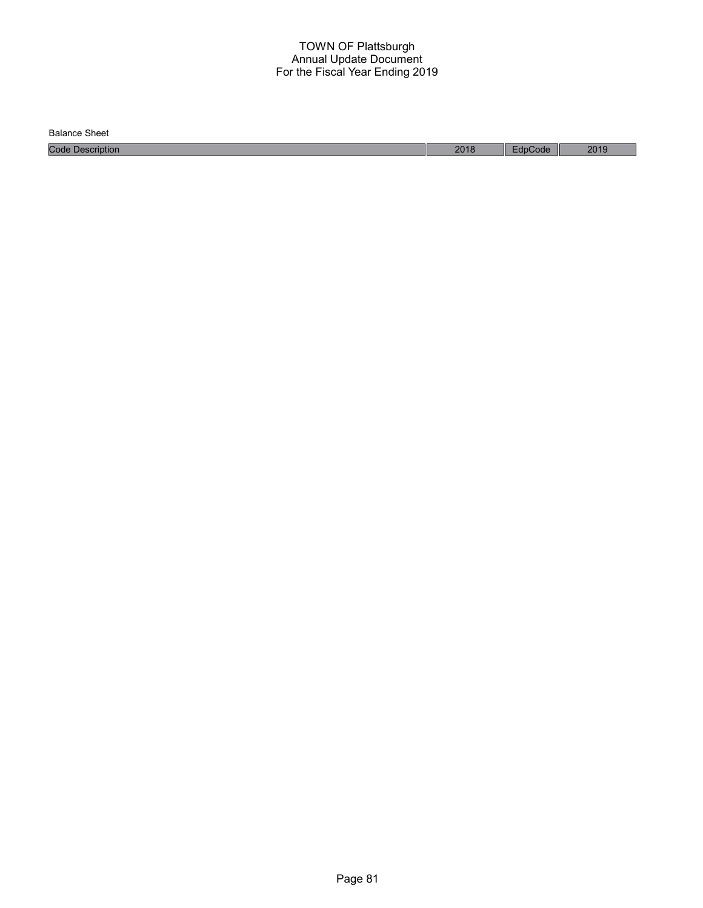Balance Sheet

Code Description 2018 EdpCode 2019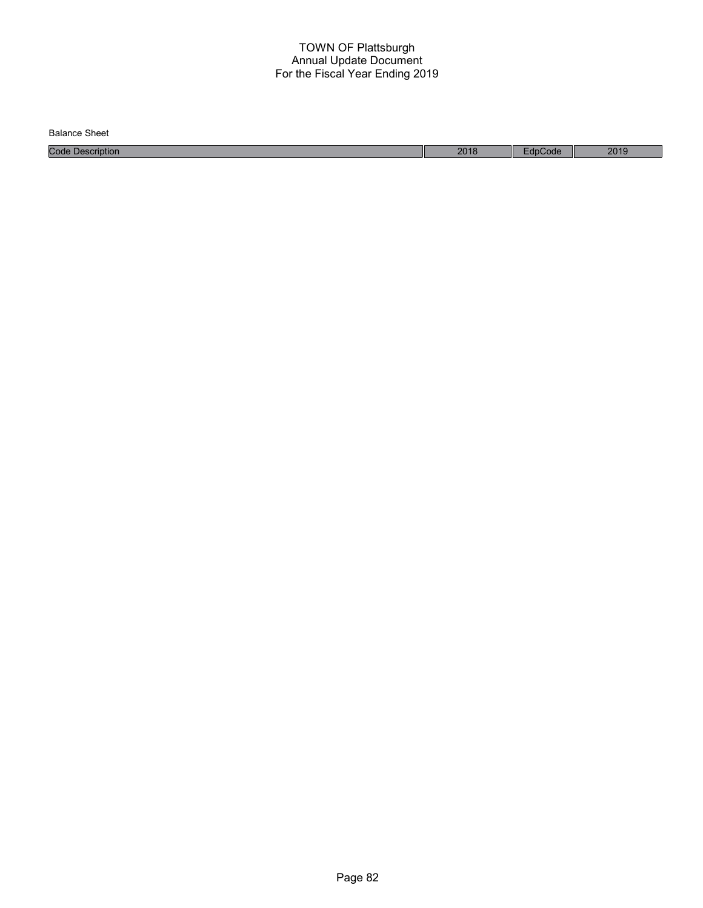| Balance<br>Sheet    |      |       |      |
|---------------------|------|-------|------|
| Code<br>Description | 2018 | Code: | 2019 |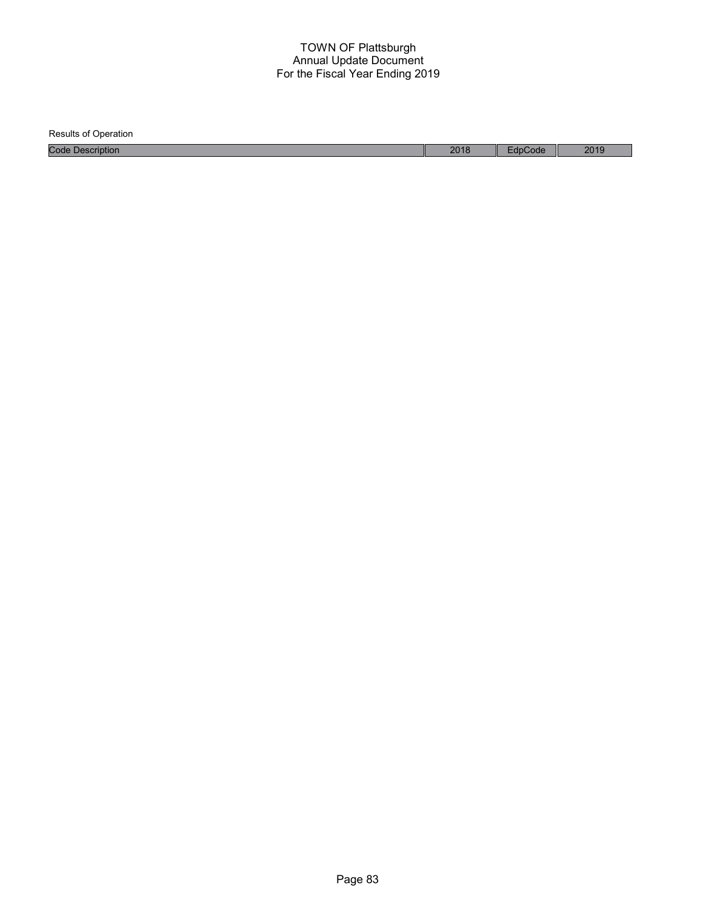Results of Operation Code Description 2018 EdpCode 2019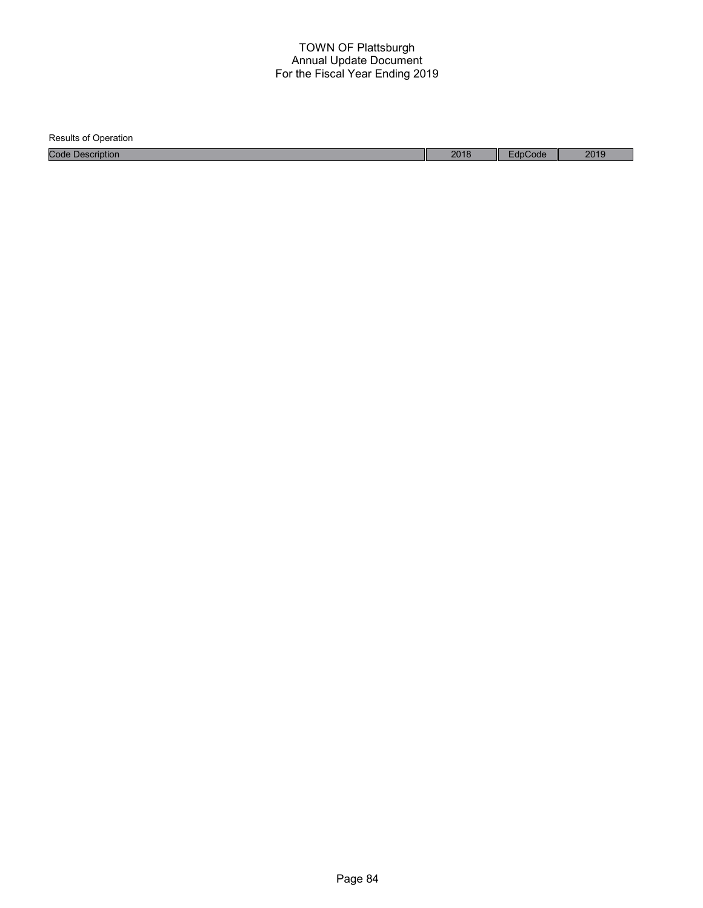| <b>Results of Operation</b> |      |         |      |
|-----------------------------|------|---------|------|
| <b>Code Description</b>     | 2018 | EdpCode | 2019 |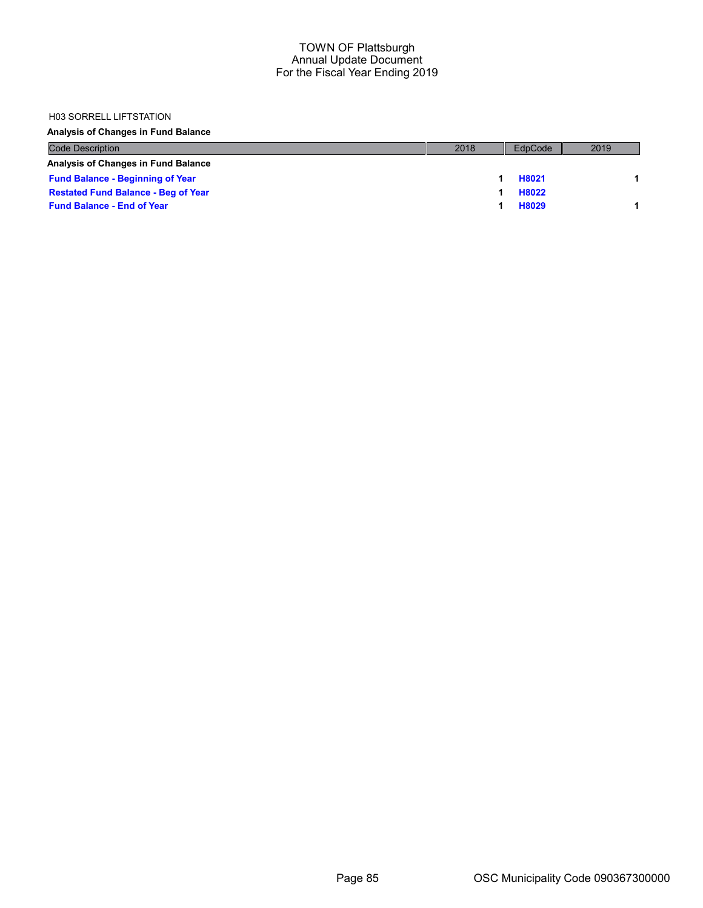#### H03 SORRELL LIFTSTATION

Analysis of Changes in Fund Balance

| <b>Code Description</b>                    | 2018 | EdpCode | 2019 |
|--------------------------------------------|------|---------|------|
| Analysis of Changes in Fund Balance        |      |         |      |
| <b>Fund Balance - Beginning of Year</b>    |      | H8021   |      |
| <b>Restated Fund Balance - Beg of Year</b> |      | H8022   |      |
| <b>Fund Balance - End of Year</b>          |      | H8029   |      |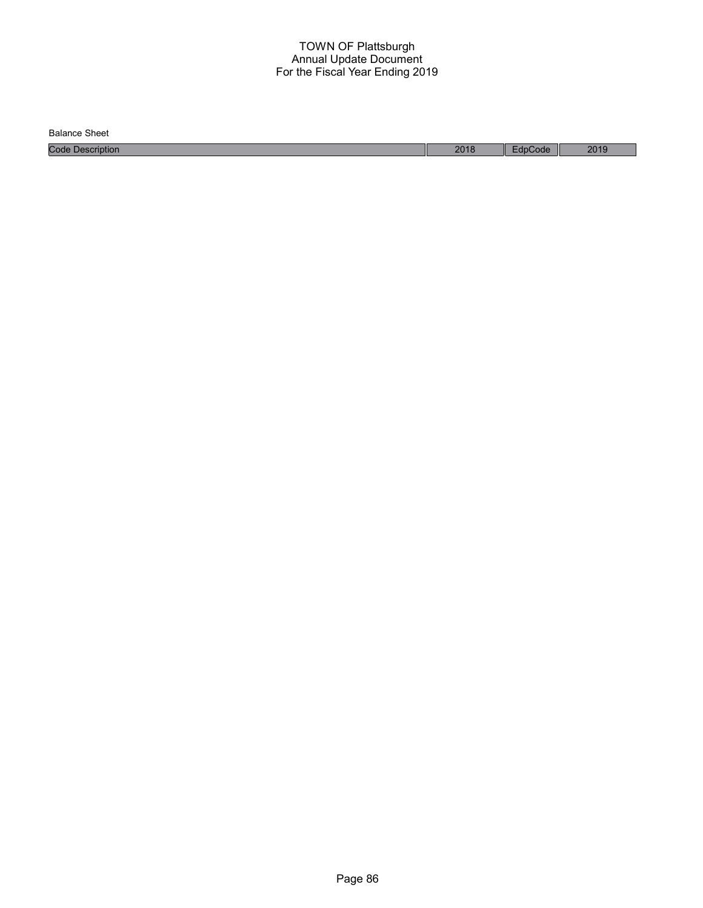Balance Sheet

Code Description 2018 EdpCode 2019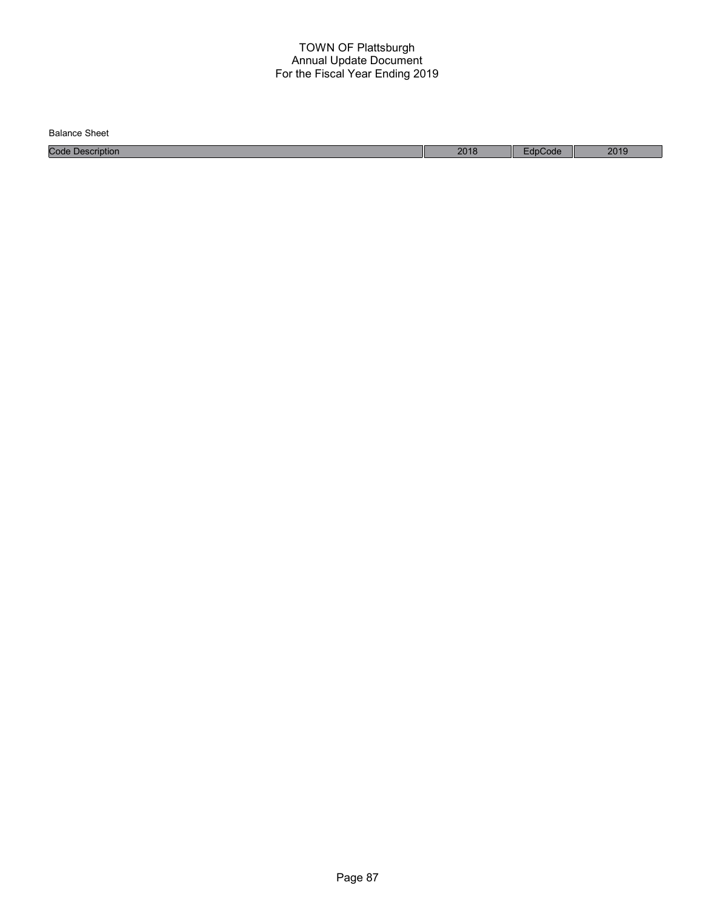| Balance<br>Sheet    |      |       |      |
|---------------------|------|-------|------|
| Code<br>Description | 2018 | Code: | 2019 |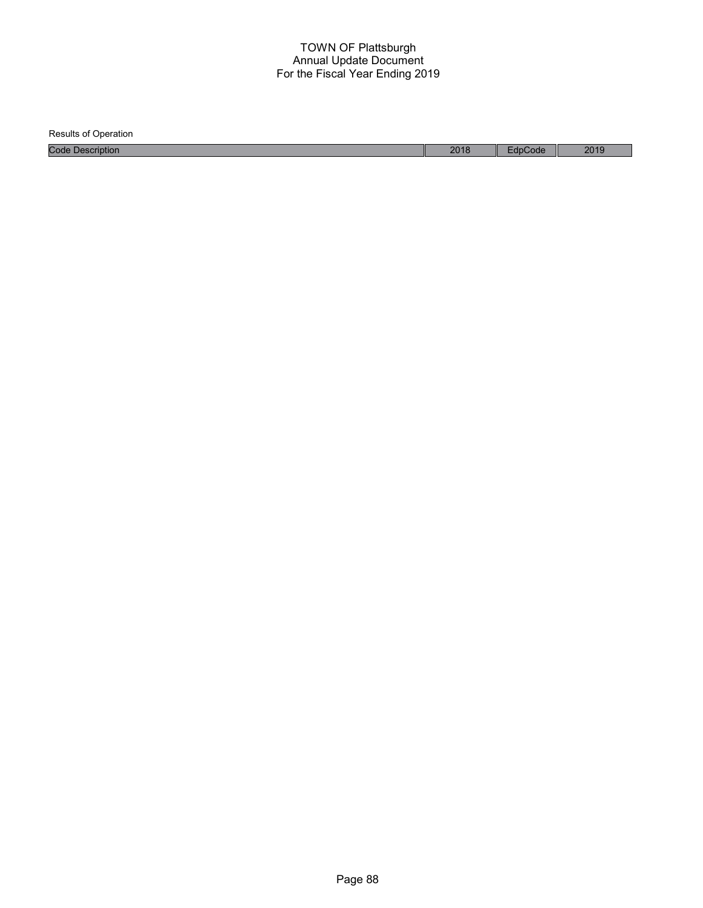Results of Operation Code Description 2018 EdpCode 2019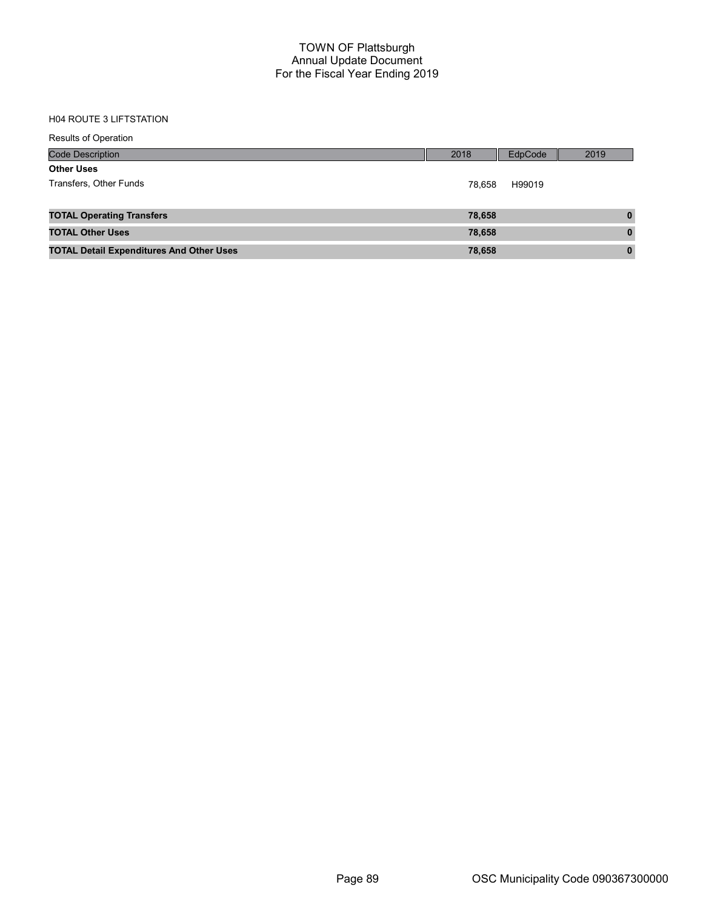# H04 ROUTE 3 LIFTSTATION

| <b>Results of Operation</b>                     |        |         |              |
|-------------------------------------------------|--------|---------|--------------|
| <b>Code Description</b>                         | 2018   | EdpCode | 2019         |
| <b>Other Uses</b>                               |        |         |              |
| Transfers, Other Funds                          | 78.658 | H99019  |              |
|                                                 |        |         |              |
| <b>TOTAL Operating Transfers</b>                | 78,658 |         | $\bf{0}$     |
| <b>TOTAL Other Uses</b>                         | 78,658 |         | $\mathbf{0}$ |
| <b>TOTAL Detail Expenditures And Other Uses</b> | 78,658 |         | $\mathbf{0}$ |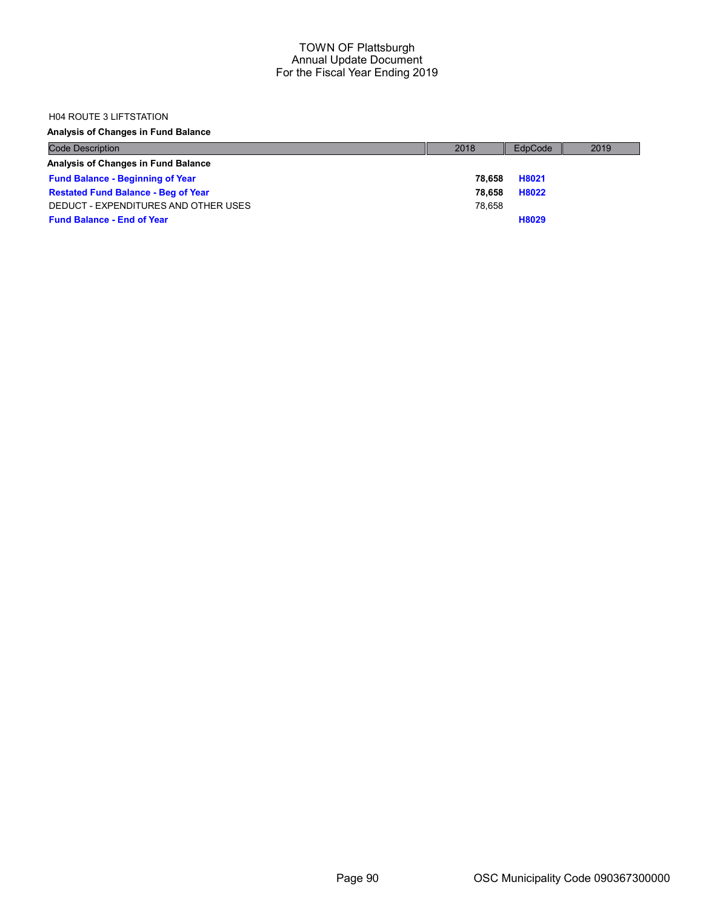### H04 ROUTE 3 LIFTSTATION

# Analysis of Changes in Fund Balance

| <b>Code Description</b>                    | 2018   | EdpCode | 2019 |
|--------------------------------------------|--------|---------|------|
| Analysis of Changes in Fund Balance        |        |         |      |
| <b>Fund Balance - Beginning of Year</b>    | 78.658 | H8021   |      |
| <b>Restated Fund Balance - Beg of Year</b> | 78.658 | H8022   |      |
| DEDUCT - EXPENDITURES AND OTHER USES       | 78.658 |         |      |
| <b>Fund Balance - End of Year</b>          |        | H8029   |      |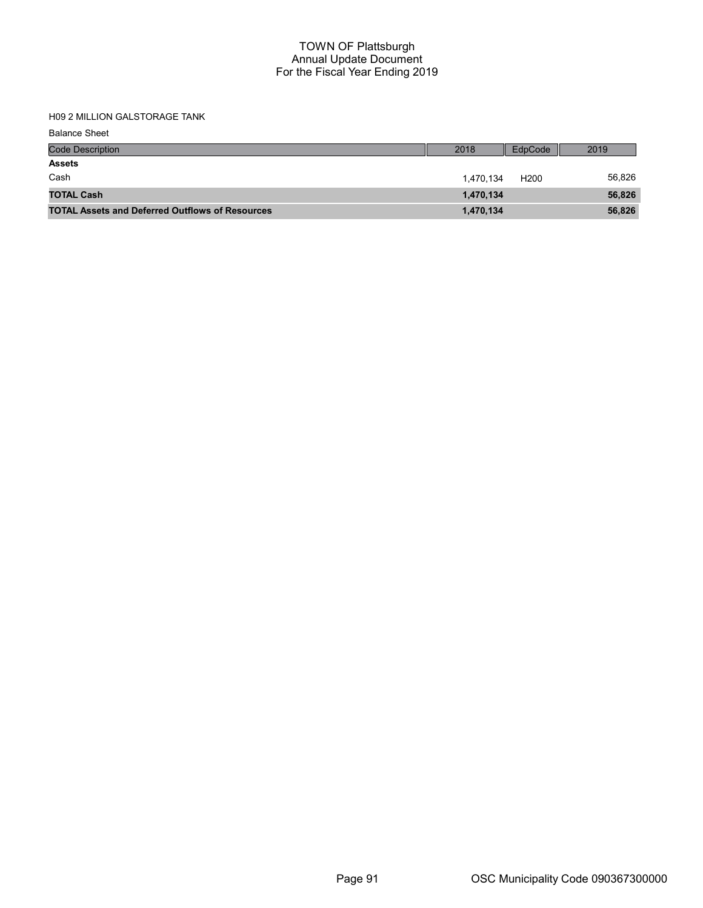H09 2 MILLION GALSTORAGE TANK

Balance Sheet

| <b>Code Description</b>                                | 2018      | EdpCode          | 2019   |
|--------------------------------------------------------|-----------|------------------|--------|
| <b>Assets</b>                                          |           |                  |        |
| Cash                                                   | 1.470.134 | H <sub>200</sub> | 56,826 |
| <b>TOTAL Cash</b>                                      | 1,470,134 |                  | 56,826 |
| <b>TOTAL Assets and Deferred Outflows of Resources</b> | 1,470,134 |                  | 56,826 |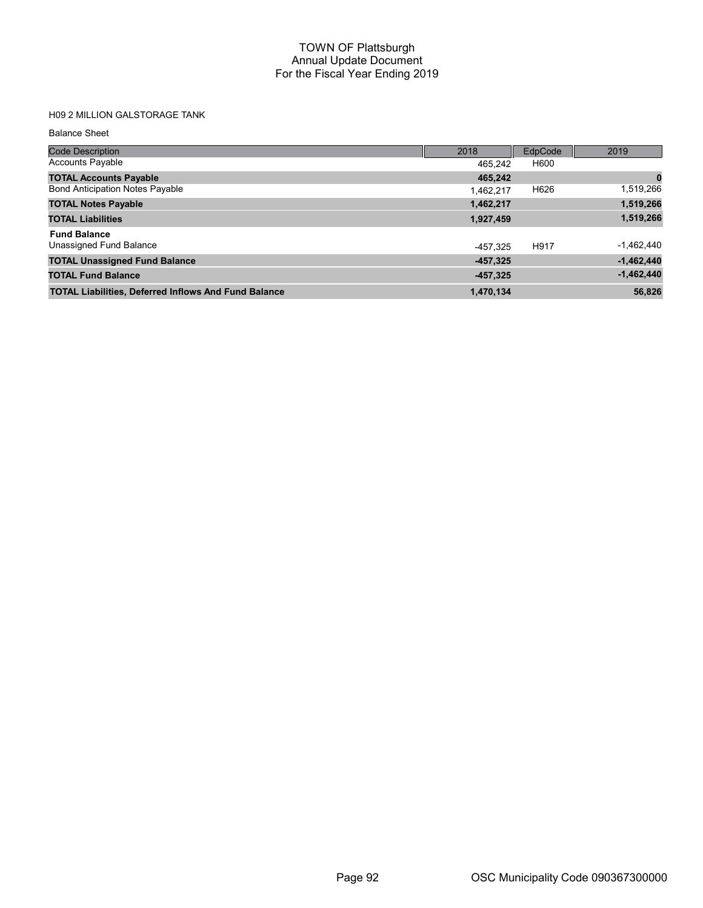# H09 2 MILLION GALSTORAGE TANK

#### Balance Sheet

| <b>Code Description</b>                                     | 2018       | EdpCode | 2019         |
|-------------------------------------------------------------|------------|---------|--------------|
| <b>Accounts Payable</b>                                     | 465,242    | H600    |              |
| <b>TOTAL Accounts Payable</b>                               | 465,242    |         | 0            |
| <b>Bond Anticipation Notes Payable</b>                      | 1,462,217  | H626    | 1,519,266    |
| <b>TOTAL Notes Payable</b>                                  | 1,462,217  |         | 1,519,266    |
| <b>TOTAL Liabilities</b>                                    | 1,927,459  |         | 1,519,266    |
| <b>Fund Balance</b>                                         |            |         |              |
| Unassigned Fund Balance                                     | -457.325   | H917    | $-1,462,440$ |
| <b>TOTAL Unassigned Fund Balance</b>                        | $-457,325$ |         | $-1,462,440$ |
| <b>TOTAL Fund Balance</b>                                   | $-457,325$ |         | $-1,462,440$ |
| <b>TOTAL Liabilities, Deferred Inflows And Fund Balance</b> | 1,470,134  |         | 56,826       |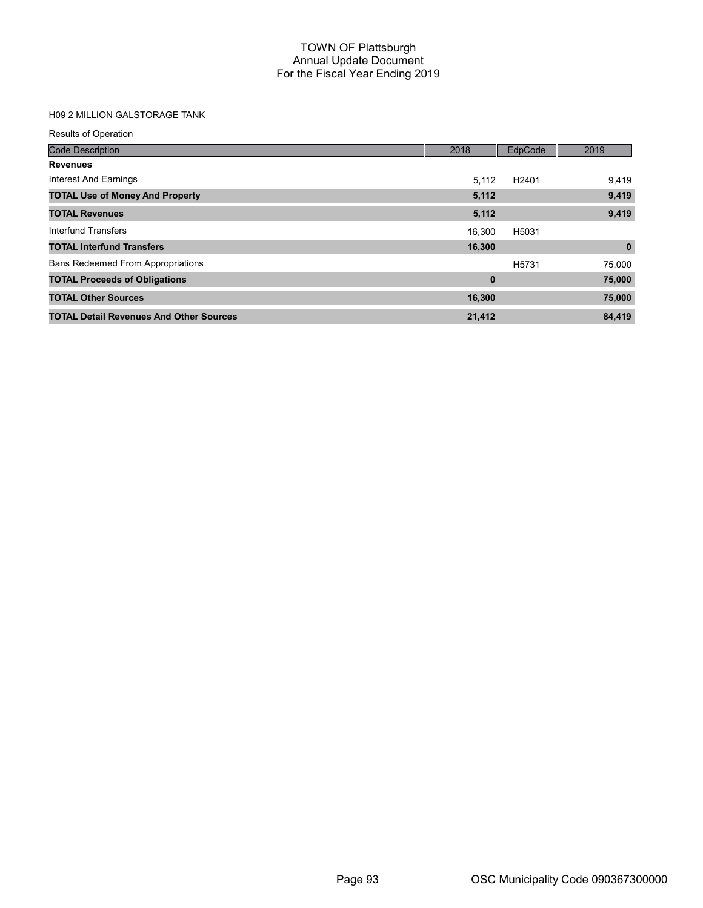# H09 2 MILLION GALSTORAGE TANK

| <b>Results of Operation</b>                    |             |                   |             |
|------------------------------------------------|-------------|-------------------|-------------|
| <b>Code Description</b>                        | 2018        | EdpCode           | 2019        |
| <b>Revenues</b>                                |             |                   |             |
| Interest And Earnings                          | 5,112       | H <sub>2401</sub> | 9,419       |
| <b>TOTAL Use of Money And Property</b>         | 5,112       |                   | 9,419       |
| <b>TOTAL Revenues</b>                          | 5,112       |                   | 9,419       |
| Interfund Transfers                            | 16.300      | H5031             |             |
| <b>TOTAL Interfund Transfers</b>               | 16,300      |                   | $\mathbf 0$ |
| <b>Bans Redeemed From Appropriations</b>       |             | H <sub>5731</sub> | 75,000      |
| <b>TOTAL Proceeds of Obligations</b>           | $\mathbf 0$ |                   | 75,000      |
| <b>TOTAL Other Sources</b>                     | 16,300      |                   | 75,000      |
| <b>TOTAL Detail Revenues And Other Sources</b> | 21,412      |                   | 84,419      |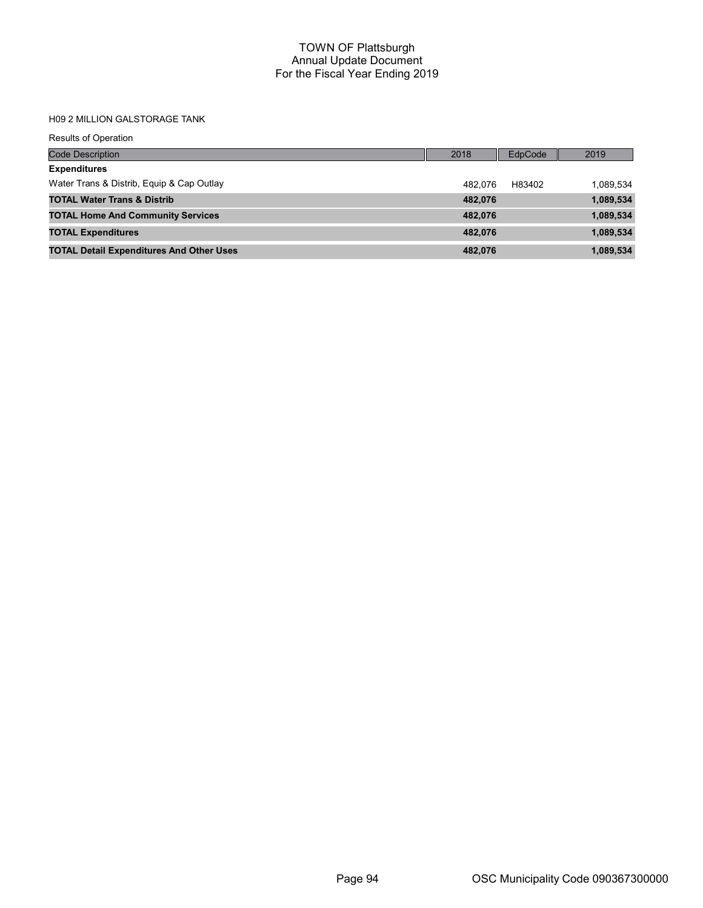# H09 2 MILLION GALSTORAGE TANK

| <b>Results of Operation</b>                     |         |         |           |
|-------------------------------------------------|---------|---------|-----------|
| <b>Code Description</b>                         | 2018    | EdpCode | 2019      |
| <b>Expenditures</b>                             |         |         |           |
| Water Trans & Distrib, Equip & Cap Outlay       | 482.076 | H83402  | 1,089,534 |
| <b>TOTAL Water Trans &amp; Distrib</b>          | 482,076 |         | 1,089,534 |
| <b>TOTAL Home And Community Services</b>        | 482.076 |         | 1,089,534 |
| <b>TOTAL Expenditures</b>                       | 482.076 |         | 1,089,534 |
| <b>TOTAL Detail Expenditures And Other Uses</b> | 482,076 |         | 1,089,534 |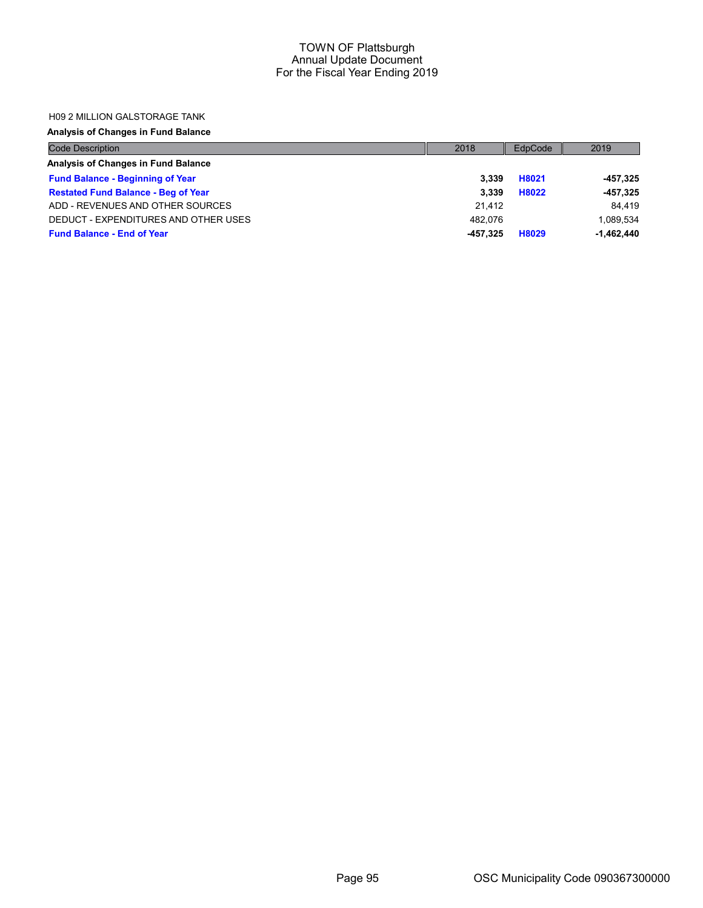#### H09 2 MILLION GALSTORAGE TANK

# Analysis of Changes in Fund Balance

| <b>Code Description</b>                    | 2018     | EdpCode | 2019         |
|--------------------------------------------|----------|---------|--------------|
| Analysis of Changes in Fund Balance        |          |         |              |
| <b>Fund Balance - Beginning of Year</b>    | 3.339    | H8021   | -457,325     |
| <b>Restated Fund Balance - Beg of Year</b> | 3.339    | H8022   | $-457,325$   |
| ADD - REVENUES AND OTHER SOURCES           | 21.412   |         | 84.419       |
| DEDUCT - EXPENDITURES AND OTHER USES       | 482.076  |         | 1.089.534    |
| <b>Fund Balance - End of Year</b>          | -457.325 | H8029   | $-1.462.440$ |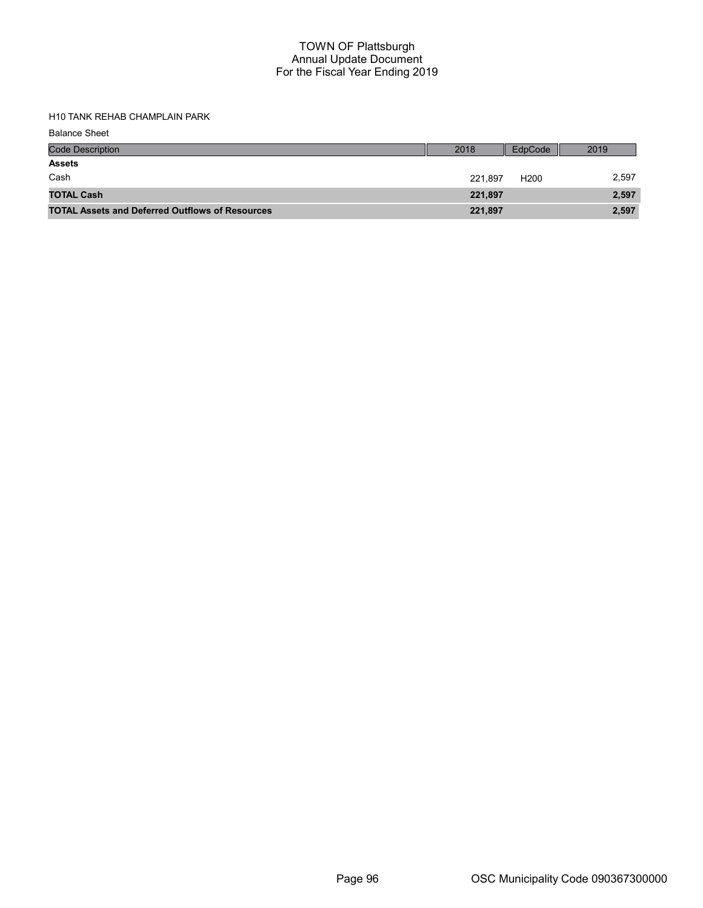H10 TANK REHAB CHAMPLAIN PARK

Balance Sheet

| <b>Code Description</b>                                | 2018    | EdpCode          | 2019  |
|--------------------------------------------------------|---------|------------------|-------|
| <b>Assets</b>                                          |         |                  |       |
| Cash                                                   | 221.897 | H <sub>200</sub> | 2,597 |
| <b>TOTAL Cash</b>                                      | 221,897 |                  | 2,597 |
| <b>TOTAL Assets and Deferred Outflows of Resources</b> | 221,897 |                  | 2,597 |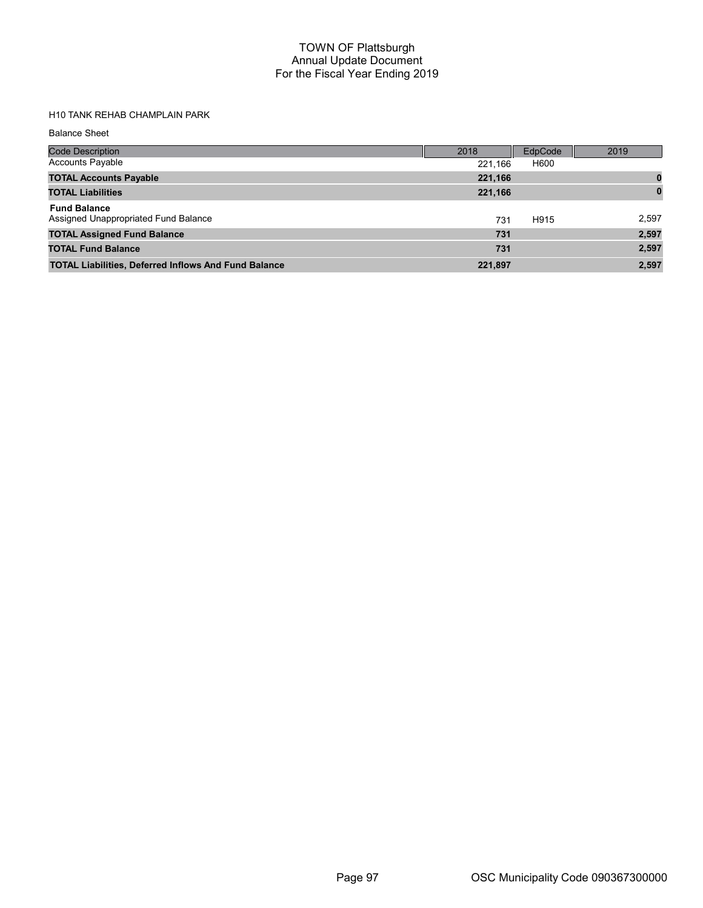# H10 TANK REHAB CHAMPLAIN PARK

Balance Sheet

| <b>Code Description</b>                                     | 2018    | EdpCode | 2019     |
|-------------------------------------------------------------|---------|---------|----------|
| <b>Accounts Payable</b>                                     | 221,166 | H600    |          |
| <b>TOTAL Accounts Payable</b>                               | 221,166 |         | 0        |
| <b>TOTAL Liabilities</b>                                    | 221,166 |         | $\bf{0}$ |
| <b>Fund Balance</b><br>Assigned Unappropriated Fund Balance | 731     | H915    | 2,597    |
| <b>TOTAL Assigned Fund Balance</b>                          | 731     |         | 2,597    |
| <b>TOTAL Fund Balance</b>                                   | 731     |         | 2,597    |
| <b>TOTAL Liabilities, Deferred Inflows And Fund Balance</b> | 221,897 |         | 2,597    |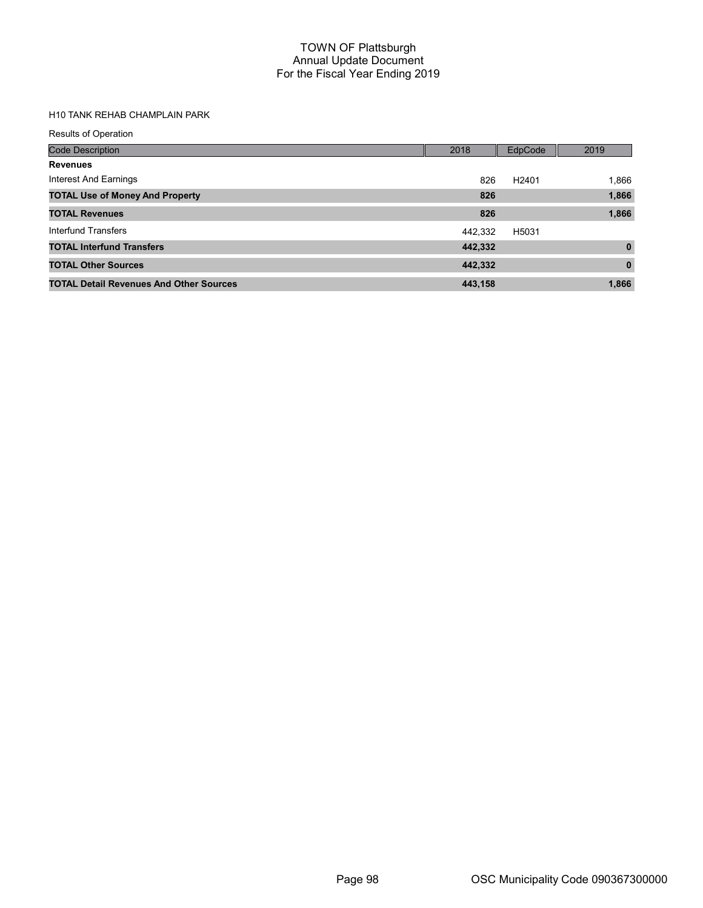# H10 TANK REHAB CHAMPLAIN PARK

| <b>Results of Operation</b>                    |         |                   |              |
|------------------------------------------------|---------|-------------------|--------------|
| <b>Code Description</b>                        | 2018    | EdpCode           | 2019         |
| <b>Revenues</b>                                |         |                   |              |
| Interest And Earnings                          | 826     | H <sub>2401</sub> | 1,866        |
| <b>TOTAL Use of Money And Property</b>         | 826     |                   | 1,866        |
| <b>TOTAL Revenues</b>                          | 826     |                   | 1,866        |
| Interfund Transfers                            | 442.332 | H5031             |              |
| <b>TOTAL Interfund Transfers</b>               | 442,332 |                   | $\mathbf{0}$ |
| <b>TOTAL Other Sources</b>                     | 442,332 |                   | $\mathbf{0}$ |
| <b>TOTAL Detail Revenues And Other Sources</b> | 443.158 |                   | 1,866        |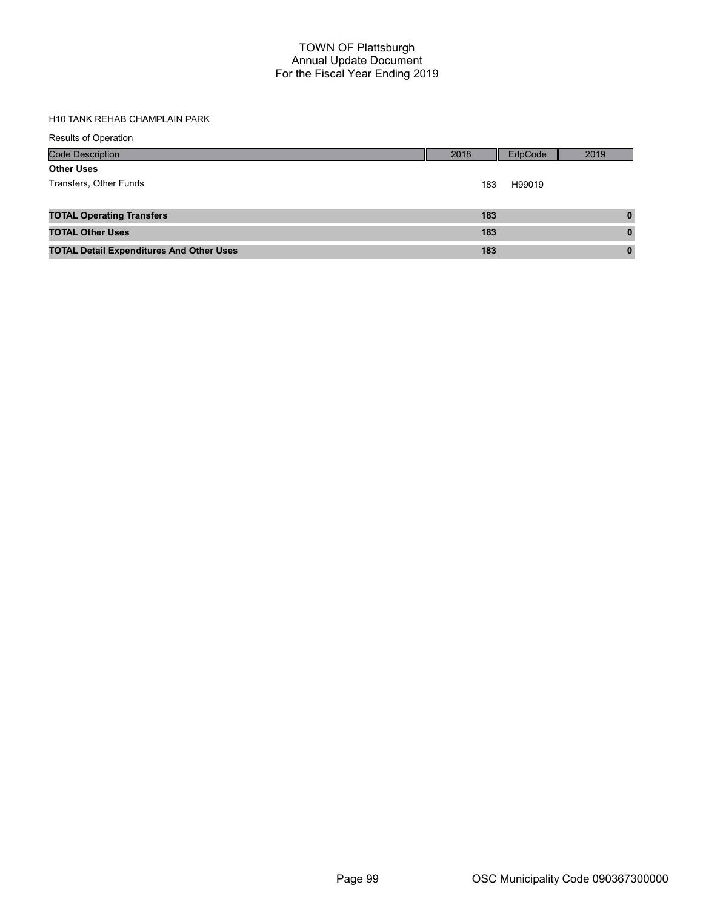# H10 TANK REHAB CHAMPLAIN PARK

| <b>Results of Operation</b>                     |      |         |              |
|-------------------------------------------------|------|---------|--------------|
| <b>Code Description</b>                         | 2018 | EdpCode | 2019         |
| <b>Other Uses</b>                               |      |         |              |
| Transfers, Other Funds                          | 183  | H99019  |              |
|                                                 |      |         |              |
| <b>TOTAL Operating Transfers</b>                | 183  |         | $\mathbf{0}$ |
| <b>TOTAL Other Uses</b>                         | 183  |         | $\bf{0}$     |
| <b>TOTAL Detail Expenditures And Other Uses</b> | 183  |         | $\mathbf{0}$ |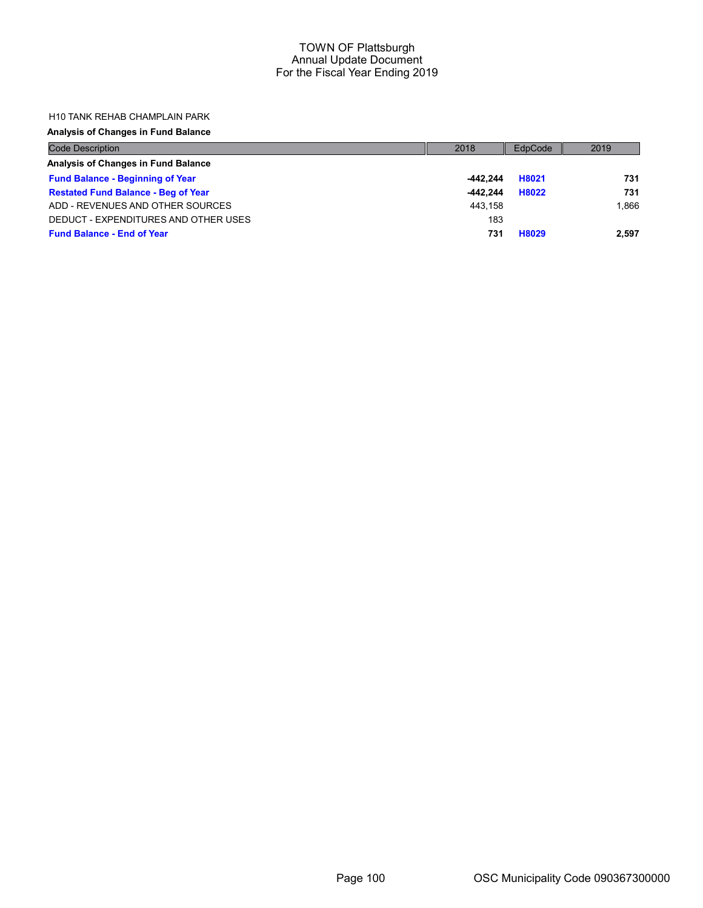#### H10 TANK REHAB CHAMPLAIN PARK

## Analysis of Changes in Fund Balance

| <b>Code Description</b>                    | 2018       | EdpCode | 2019  |
|--------------------------------------------|------------|---------|-------|
| Analysis of Changes in Fund Balance        |            |         |       |
| <b>Fund Balance - Beginning of Year</b>    | $-442.244$ | H8021   | 731   |
| <b>Restated Fund Balance - Beg of Year</b> | $-442.244$ | H8022   | 731   |
| ADD - REVENUES AND OTHER SOURCES           | 443.158    |         | 1.866 |
| DEDUCT - EXPENDITURES AND OTHER USES       | 183        |         |       |
| <b>Fund Balance - End of Year</b>          | 731        | H8029   | 2.597 |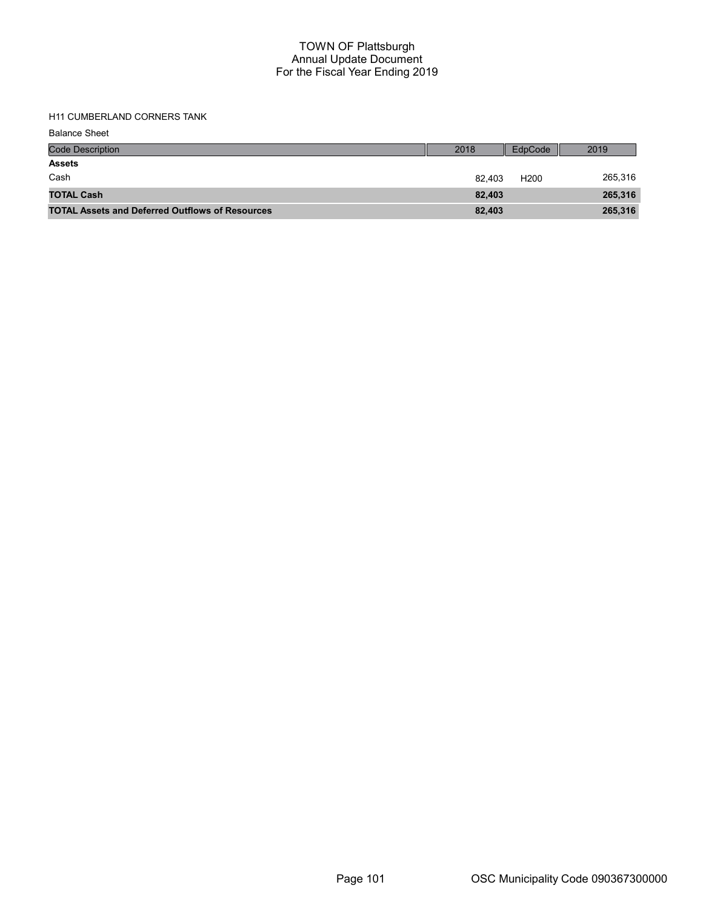# H11 CUMBERLAND CORNERS TANK

Balance Sheet

| <b>Code Description</b>                                | 2018   | EdpCode          | 2019    |
|--------------------------------------------------------|--------|------------------|---------|
| <b>Assets</b>                                          |        |                  |         |
| Cash                                                   | 82.403 | H <sub>200</sub> | 265,316 |
| <b>TOTAL Cash</b>                                      | 82.403 |                  | 265,316 |
| <b>TOTAL Assets and Deferred Outflows of Resources</b> | 82,403 |                  | 265,316 |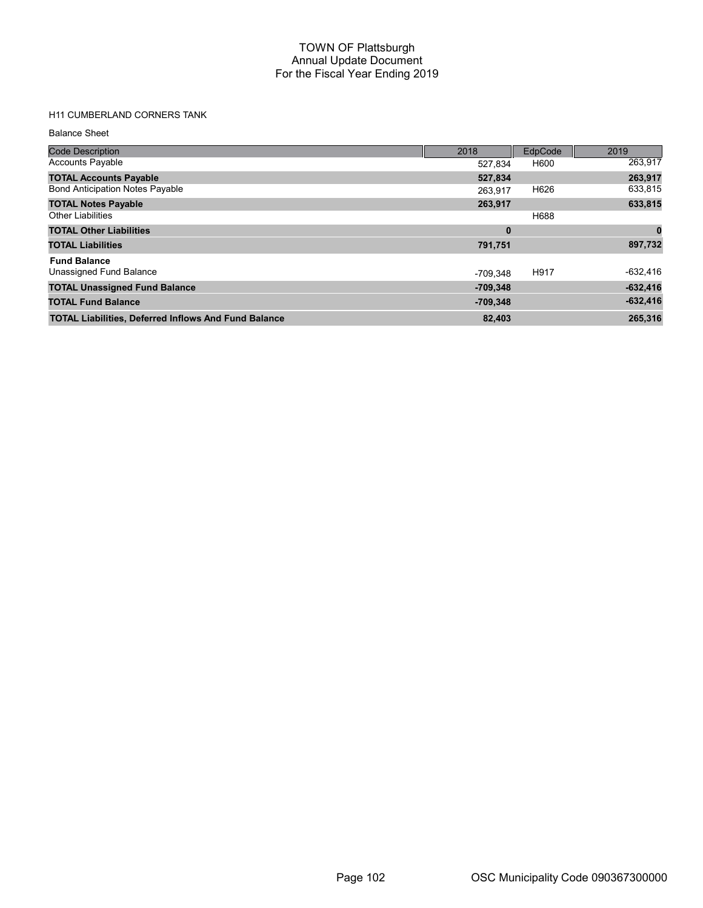# H11 CUMBERLAND CORNERS TANK

#### Balance Sheet

| <b>Code Description</b>                                     | 2018       | EdpCode | 2019       |
|-------------------------------------------------------------|------------|---------|------------|
| <b>Accounts Payable</b>                                     | 527,834    | H600    | 263,917    |
| <b>TOTAL Accounts Payable</b>                               | 527,834    |         | 263,917    |
| <b>Bond Anticipation Notes Payable</b>                      | 263.917    | H626    | 633,815    |
| <b>TOTAL Notes Payable</b>                                  | 263,917    |         | 633,815    |
| <b>Other Liabilities</b>                                    |            | H688    |            |
| <b>TOTAL Other Liabilities</b>                              | $\bf{0}$   |         |            |
| <b>TOTAL Liabilities</b>                                    | 791,751    |         | 897,732    |
| <b>Fund Balance</b>                                         |            |         |            |
| Unassigned Fund Balance                                     | -709.348   | H917    | $-632,416$ |
| <b>TOTAL Unassigned Fund Balance</b>                        | $-709.348$ |         | $-632,416$ |
| <b>TOTAL Fund Balance</b>                                   | $-709,348$ |         | $-632,416$ |
| <b>TOTAL Liabilities, Deferred Inflows And Fund Balance</b> | 82,403     |         | 265,316    |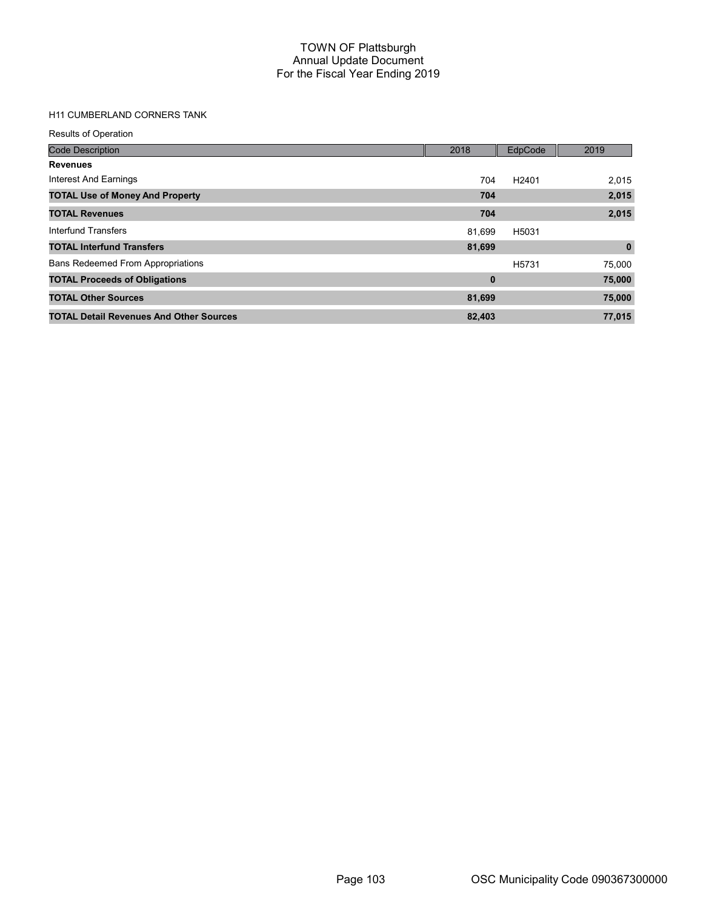# H11 CUMBERLAND CORNERS TANK

| <b>Results of Operation</b>                    |             |                   |             |
|------------------------------------------------|-------------|-------------------|-------------|
| <b>Code Description</b>                        | 2018        | EdpCode           | 2019        |
| <b>Revenues</b>                                |             |                   |             |
| <b>Interest And Earnings</b>                   | 704         | H <sub>2401</sub> | 2,015       |
| <b>TOTAL Use of Money And Property</b>         | 704         |                   | 2,015       |
| <b>TOTAL Revenues</b>                          | 704         |                   | 2,015       |
| Interfund Transfers                            | 81,699      | H5031             |             |
| <b>TOTAL Interfund Transfers</b>               | 81,699      |                   | $\mathbf 0$ |
| <b>Bans Redeemed From Appropriations</b>       |             | H <sub>5731</sub> | 75,000      |
| <b>TOTAL Proceeds of Obligations</b>           | $\mathbf 0$ |                   | 75,000      |
| <b>TOTAL Other Sources</b>                     | 81,699      |                   | 75,000      |
| <b>TOTAL Detail Revenues And Other Sources</b> | 82,403      |                   | 77,015      |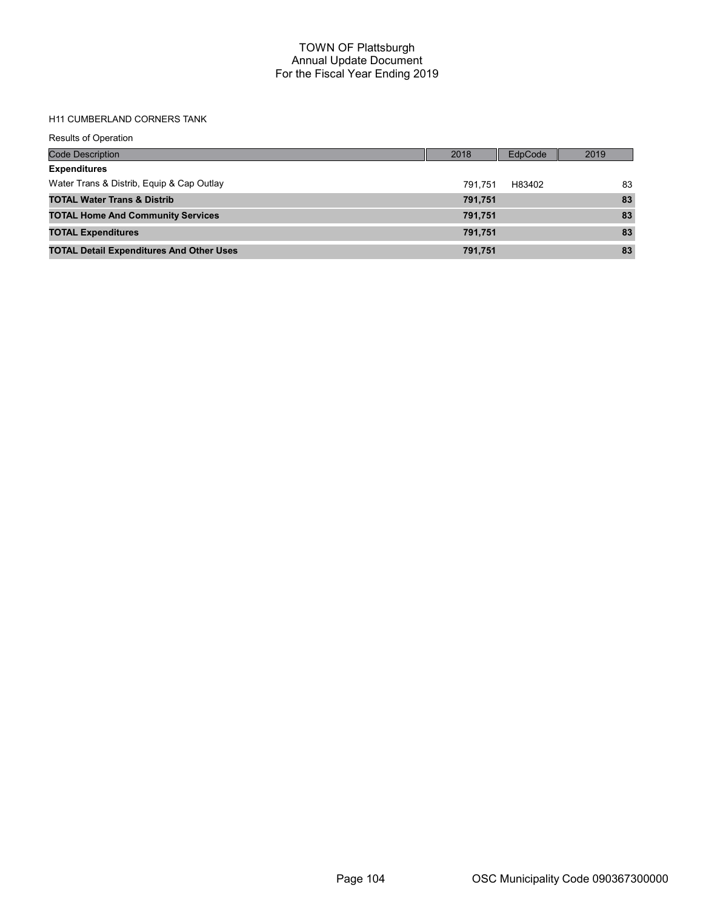# H11 CUMBERLAND CORNERS TANK

| <b>Results of Operation</b>                     |         |         |      |
|-------------------------------------------------|---------|---------|------|
| <b>Code Description</b>                         | 2018    | EdpCode | 2019 |
| <b>Expenditures</b>                             |         |         |      |
| Water Trans & Distrib, Equip & Cap Outlay       | 791.751 | H83402  | 83   |
| <b>TOTAL Water Trans &amp; Distrib</b>          | 791,751 |         | 83   |
| <b>TOTAL Home And Community Services</b>        | 791,751 |         | 83   |
| <b>TOTAL Expenditures</b>                       | 791,751 |         | 83   |
| <b>TOTAL Detail Expenditures And Other Uses</b> | 791,751 |         | 83   |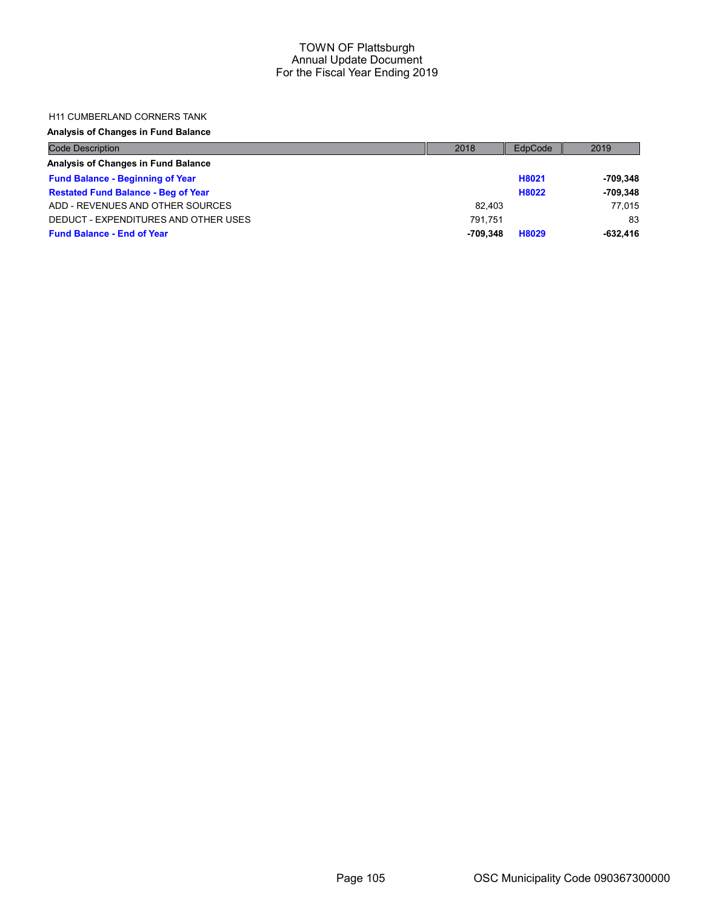# H11 CUMBERLAND CORNERS TANK

# Analysis of Changes in Fund Balance

| <b>Code Description</b>                    | 2018     | EdpCode | 2019       |
|--------------------------------------------|----------|---------|------------|
| Analysis of Changes in Fund Balance        |          |         |            |
| <b>Fund Balance - Beginning of Year</b>    |          | H8021   | -709.348   |
| <b>Restated Fund Balance - Beg of Year</b> |          | H8022   | $-709.348$ |
| ADD - REVENUES AND OTHER SOURCES           | 82.403   |         | 77.015     |
| DEDUCT - EXPENDITURES AND OTHER USES       | 791.751  |         | 83         |
| <b>Fund Balance - End of Year</b>          | -709.348 | H8029   | $-632.416$ |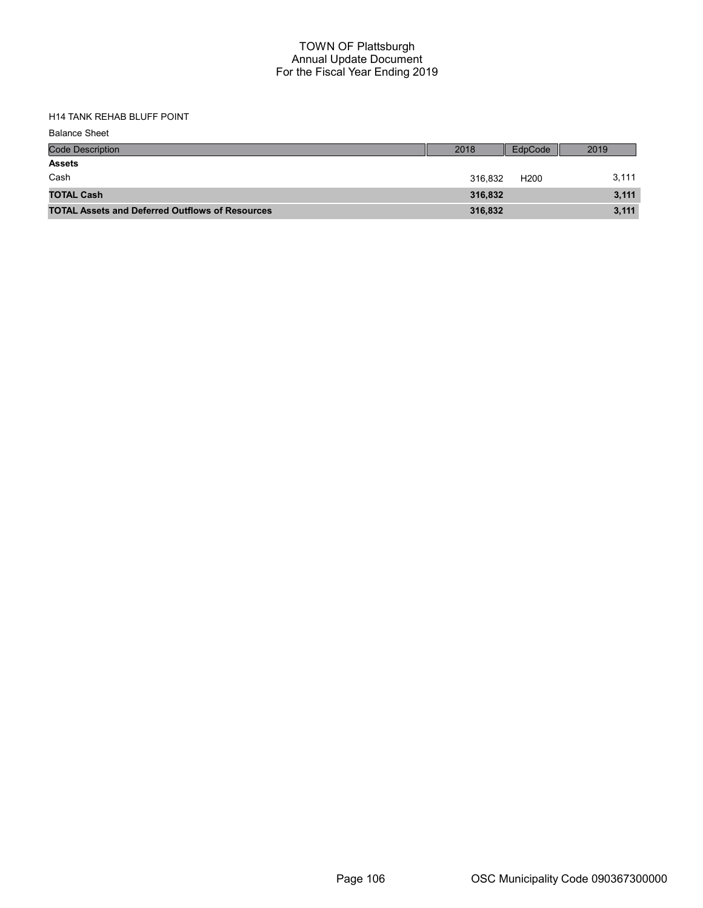TOTAL Cash 316,832 3,111 TOTAL Assets and Deferred Outflows of Resources 316,832 316,832

# H14 TANK REHAB BLUFF POINT

| <b>Balance Sheet</b>    |         |         |       |
|-------------------------|---------|---------|-------|
| <b>Code Description</b> | 2018    | EdpCode | 2019  |
| <b>Assets</b>           |         |         |       |
| Cash                    | 316,832 | H200    | 3,111 |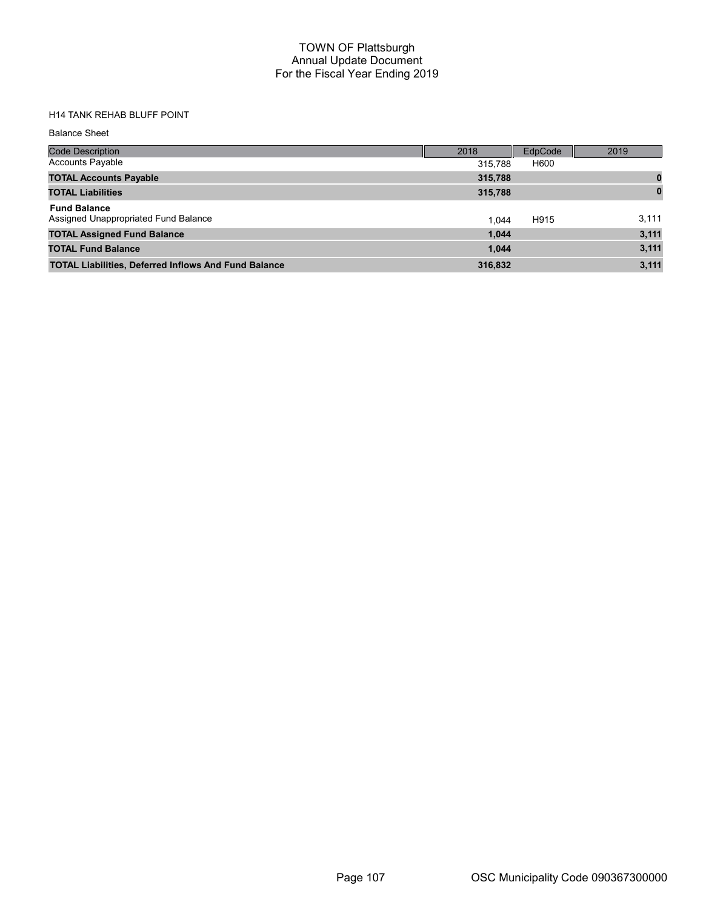# H14 TANK REHAB BLUFF POINT

Balance Sheet

| Code Description                                            | 2018    | EdpCode | 2019     |
|-------------------------------------------------------------|---------|---------|----------|
| <b>Accounts Payable</b>                                     | 315.788 | H600    |          |
| <b>TOTAL Accounts Payable</b>                               | 315,788 |         |          |
| <b>TOTAL Liabilities</b>                                    | 315,788 |         | $\bf{0}$ |
| <b>Fund Balance</b><br>Assigned Unappropriated Fund Balance | 1.044   | H915    | 3,111    |
| <b>TOTAL Assigned Fund Balance</b>                          | 1.044   |         | 3,111    |
| <b>TOTAL Fund Balance</b>                                   | 1.044   |         | 3,111    |
| <b>TOTAL Liabilities, Deferred Inflows And Fund Balance</b> | 316,832 |         | 3,111    |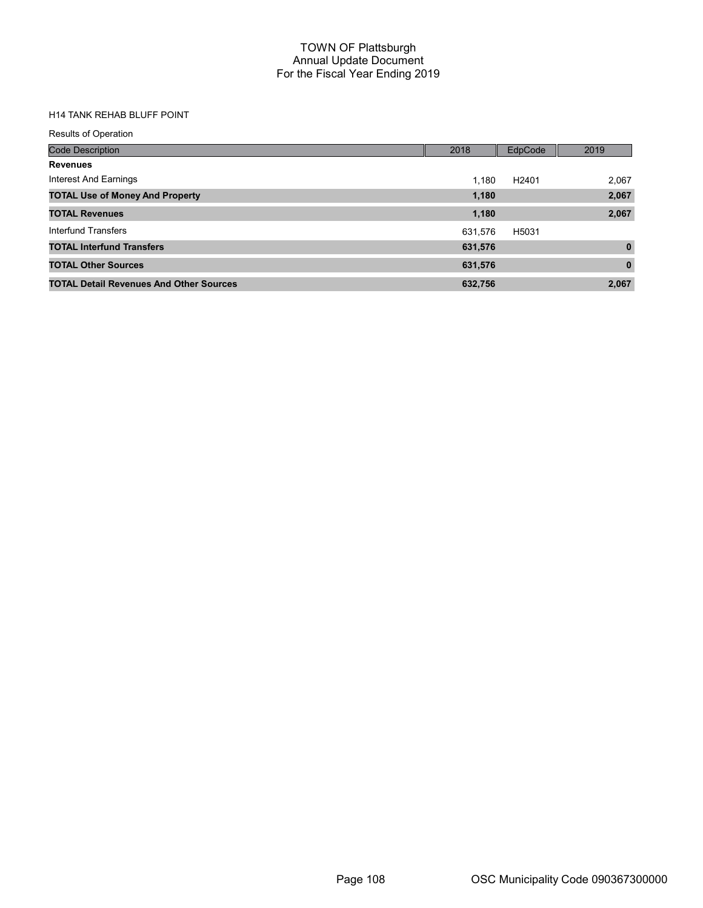# H14 TANK REHAB BLUFF POINT

| <b>Results of Operation</b>                    |         |                   |              |
|------------------------------------------------|---------|-------------------|--------------|
| <b>Code Description</b>                        | 2018    | EdpCode           | 2019         |
| <b>Revenues</b>                                |         |                   |              |
| Interest And Earnings                          | 1.180   | H <sub>2401</sub> | 2,067        |
| <b>TOTAL Use of Money And Property</b>         | 1,180   |                   | 2,067        |
| <b>TOTAL Revenues</b>                          | 1,180   |                   | 2,067        |
| Interfund Transfers                            | 631.576 | H5031             |              |
| <b>TOTAL Interfund Transfers</b>               | 631,576 |                   | $\mathbf{0}$ |
| <b>TOTAL Other Sources</b>                     | 631,576 |                   | $\mathbf{0}$ |
| <b>TOTAL Detail Revenues And Other Sources</b> | 632.756 |                   | 2,067        |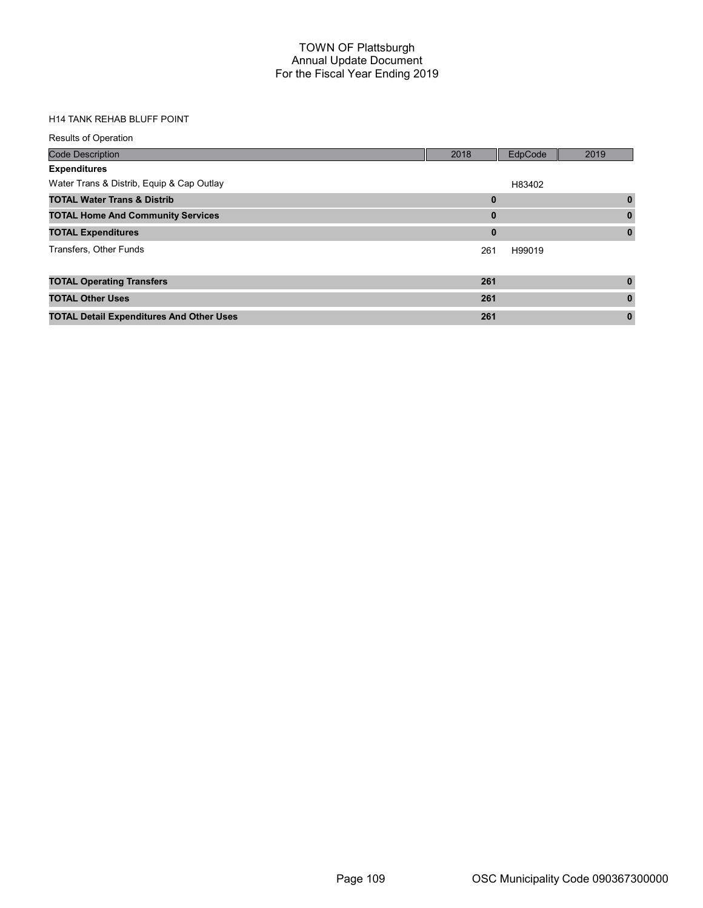#### H14 TANK REHAB BLUFF POINT

| <b>Results of Operation</b>                     |              |         |              |
|-------------------------------------------------|--------------|---------|--------------|
| <b>Code Description</b>                         | 2018         | EdpCode | 2019         |
| <b>Expenditures</b>                             |              |         |              |
| Water Trans & Distrib, Equip & Cap Outlay       |              | H83402  |              |
| <b>TOTAL Water Trans &amp; Distrib</b>          | $\bf{0}$     |         | $\mathbf{0}$ |
| <b>TOTAL Home And Community Services</b>        | $\bf{0}$     |         | $\mathbf{0}$ |
| <b>TOTAL Expenditures</b>                       | $\mathbf{0}$ |         | $\mathbf{0}$ |
| Transfers, Other Funds                          | 261          | H99019  |              |
|                                                 |              |         |              |
| <b>TOTAL Operating Transfers</b>                | 261          |         | $\mathbf{0}$ |
| <b>TOTAL Other Uses</b>                         | 261          |         | $\mathbf{0}$ |
| <b>TOTAL Detail Expenditures And Other Uses</b> | 261          |         | $\mathbf{0}$ |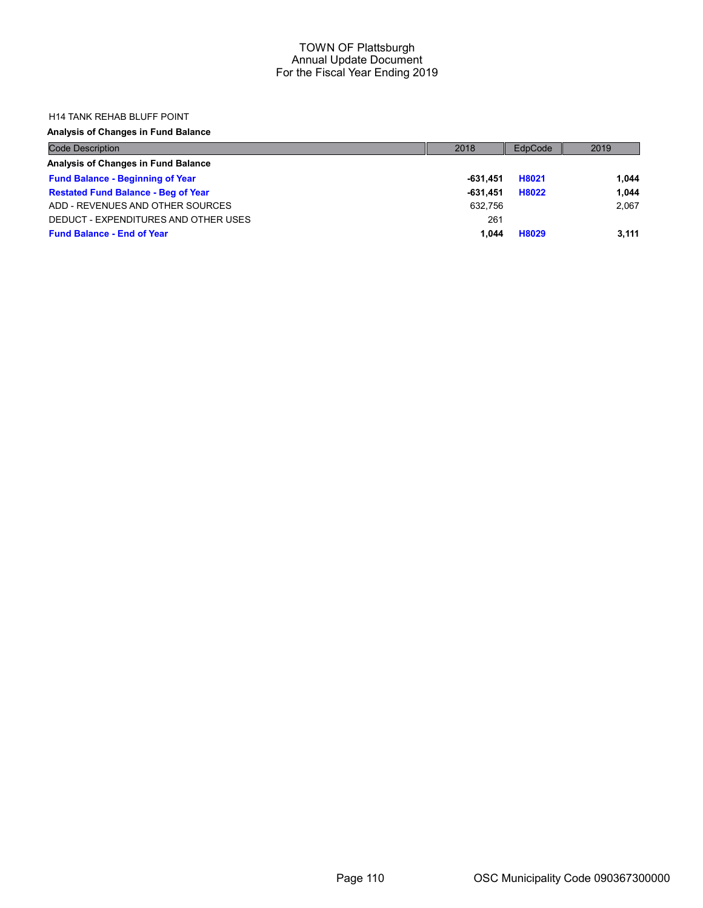#### H14 TANK REHAB BLUFF POINT

### Analysis of Changes in Fund Balance

| <b>Code Description</b>                    | 2018     | EdpCode | 2019  |
|--------------------------------------------|----------|---------|-------|
| Analysis of Changes in Fund Balance        |          |         |       |
| <b>Fund Balance - Beginning of Year</b>    | -631.451 | H8021   | 1.044 |
| <b>Restated Fund Balance - Beg of Year</b> | -631.451 | H8022   | 1.044 |
| ADD - REVENUES AND OTHER SOURCES           | 632.756  |         | 2.067 |
| DEDUCT - EXPENDITURES AND OTHER USES       | 261      |         |       |
| <b>Fund Balance - End of Year</b>          | 1.044    | H8029   | 3.111 |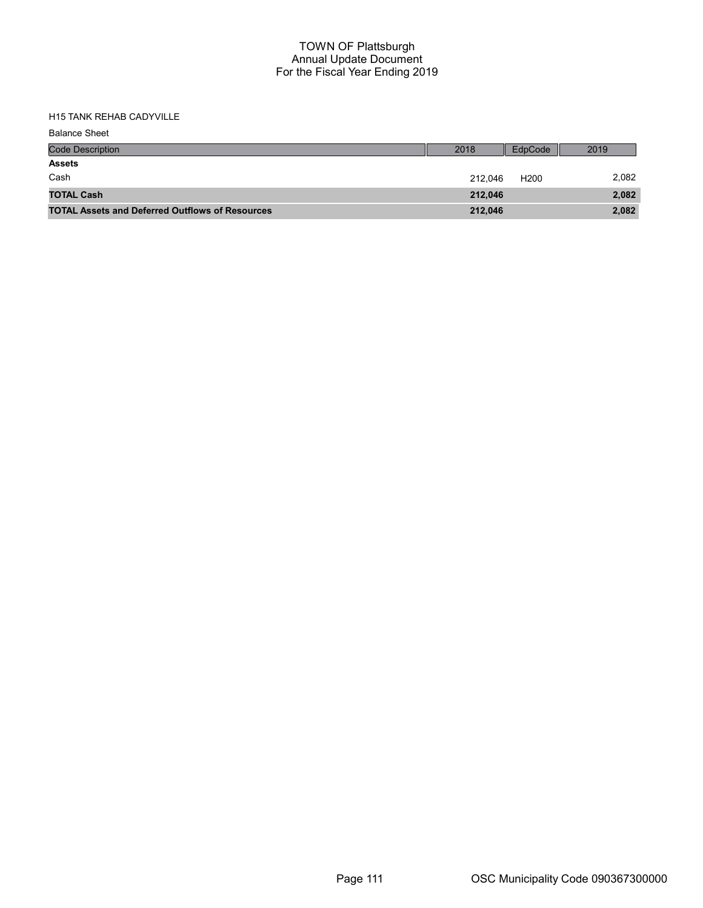## H15 TANK REHAB CADYVILLE

| <b>Balance Sheet</b>                                   |         |                  |       |
|--------------------------------------------------------|---------|------------------|-------|
| <b>Code Description</b>                                | 2018    | EdpCode          | 2019  |
| <b>Assets</b>                                          |         |                  |       |
| Cash                                                   | 212.046 | H <sub>200</sub> | 2,082 |
| <b>TOTAL Cash</b>                                      | 212.046 |                  | 2,082 |
| <b>TOTAL Assets and Deferred Outflows of Resources</b> | 212,046 |                  | 2,082 |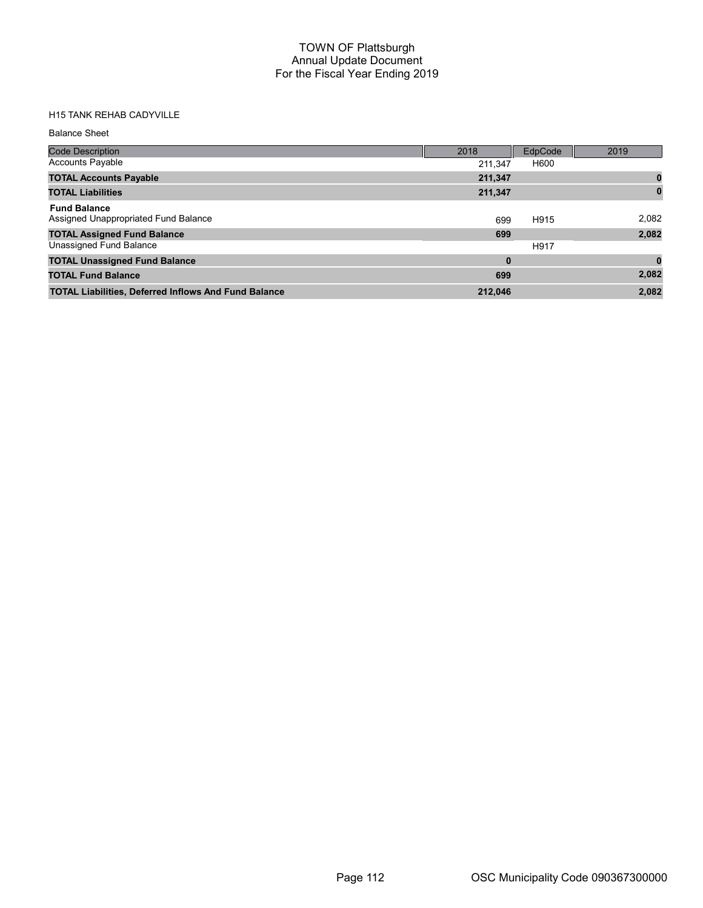## H15 TANK REHAB CADYVILLE

#### Balance Sheet

| <b>Code Description</b>                                     | 2018     | EdpCode | 2019  |
|-------------------------------------------------------------|----------|---------|-------|
| <b>Accounts Payable</b>                                     | 211.347  | H600    |       |
| <b>TOTAL Accounts Payable</b>                               | 211,347  |         |       |
| <b>TOTAL Liabilities</b>                                    | 211,347  |         |       |
| <b>Fund Balance</b><br>Assigned Unappropriated Fund Balance | 699      | H915    | 2,082 |
| <b>TOTAL Assigned Fund Balance</b>                          | 699      |         | 2,082 |
| Unassigned Fund Balance                                     |          | H917    |       |
| <b>TOTAL Unassigned Fund Balance</b>                        | $\bf{0}$ |         |       |
| <b>TOTAL Fund Balance</b>                                   | 699      |         | 2,082 |
| <b>TOTAL Liabilities, Deferred Inflows And Fund Balance</b> | 212.046  |         | 2.082 |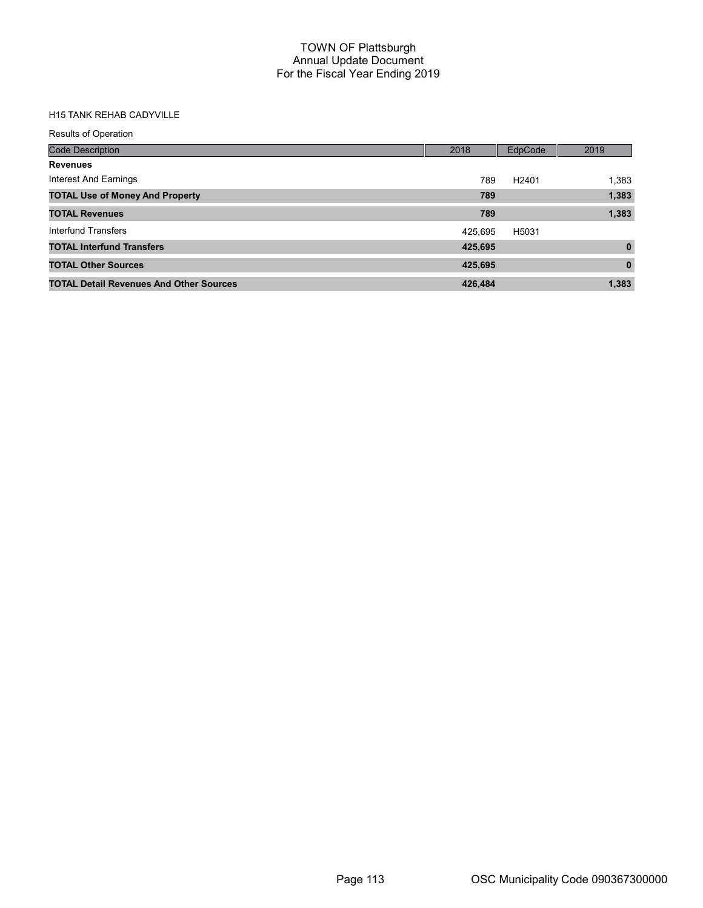## H15 TANK REHAB CADYVILLE

| <b>Results of Operation</b>                    |         |                   |              |
|------------------------------------------------|---------|-------------------|--------------|
| <b>Code Description</b>                        | 2018    | EdpCode           | 2019         |
| <b>Revenues</b>                                |         |                   |              |
| Interest And Earnings                          | 789     | H <sub>2401</sub> | 1,383        |
| <b>TOTAL Use of Money And Property</b>         | 789     |                   | 1,383        |
| <b>TOTAL Revenues</b>                          | 789     |                   | 1,383        |
| Interfund Transfers                            | 425.695 | H5031             |              |
| <b>TOTAL Interfund Transfers</b>               | 425,695 |                   | $\mathbf{0}$ |
| <b>TOTAL Other Sources</b>                     | 425,695 |                   | $\mathbf{0}$ |
| <b>TOTAL Detail Revenues And Other Sources</b> | 426.484 |                   | 1,383        |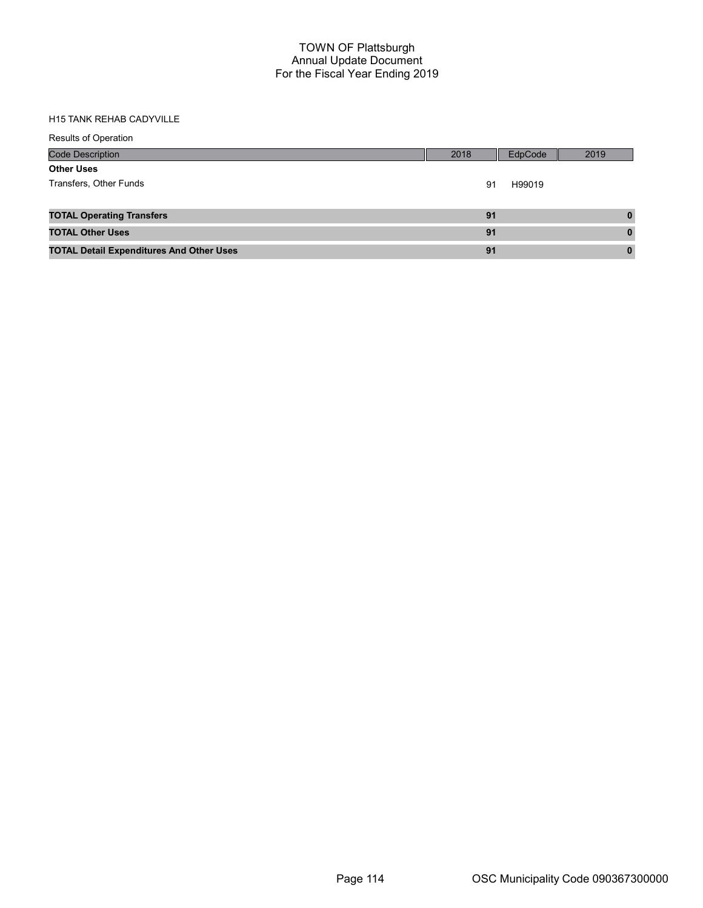### H15 TANK REHAB CADYVILLE

| <b>Results of Operation</b>                     |      |         |          |
|-------------------------------------------------|------|---------|----------|
| <b>Code Description</b>                         | 2018 | EdpCode | 2019     |
| <b>Other Uses</b>                               |      |         |          |
| Transfers, Other Funds                          | 91   | H99019  |          |
|                                                 |      |         |          |
| <b>TOTAL Operating Transfers</b>                | 91   |         | $\bf{0}$ |
| <b>TOTAL Other Uses</b>                         | 91   |         | $\bf{0}$ |
| <b>TOTAL Detail Expenditures And Other Uses</b> | 91   |         | $\bf{0}$ |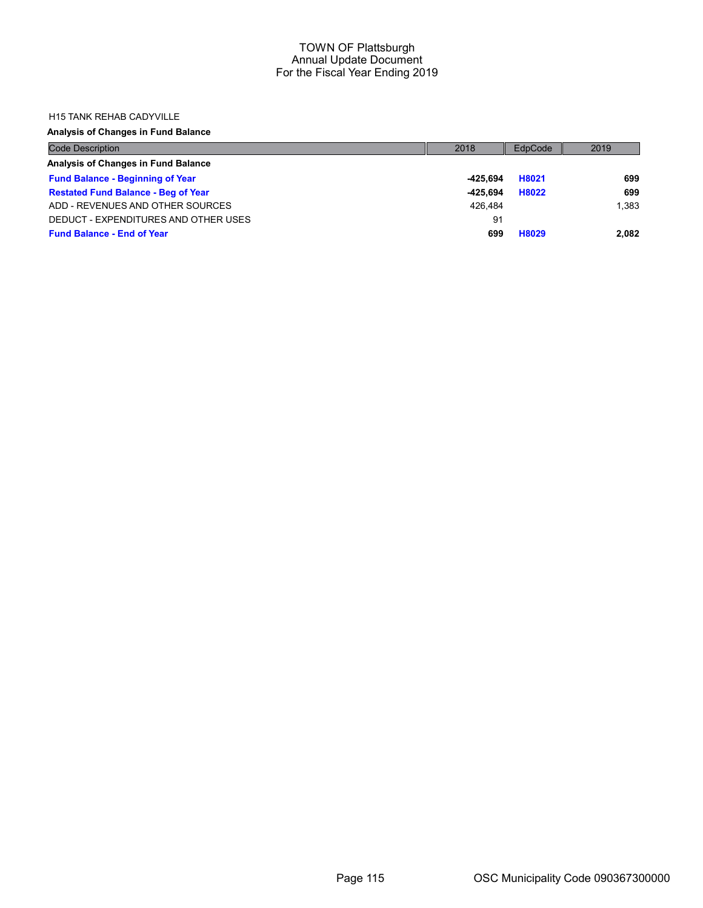#### H15 TANK REHAB CADYVILLE

## Analysis of Changes in Fund Balance

| <b>Code Description</b>                    | 2018     | EdpCode | 2019  |
|--------------------------------------------|----------|---------|-------|
| Analysis of Changes in Fund Balance        |          |         |       |
| <b>Fund Balance - Beginning of Year</b>    | -425.694 | H8021   | 699   |
| <b>Restated Fund Balance - Beg of Year</b> | -425.694 | H8022   | 699   |
| ADD - REVENUES AND OTHER SOURCES           | 426.484  |         | 1.383 |
| DEDUCT - EXPENDITURES AND OTHER USES       | 91       |         |       |
| <b>Fund Balance - End of Year</b>          | 699      | H8029   | 2,082 |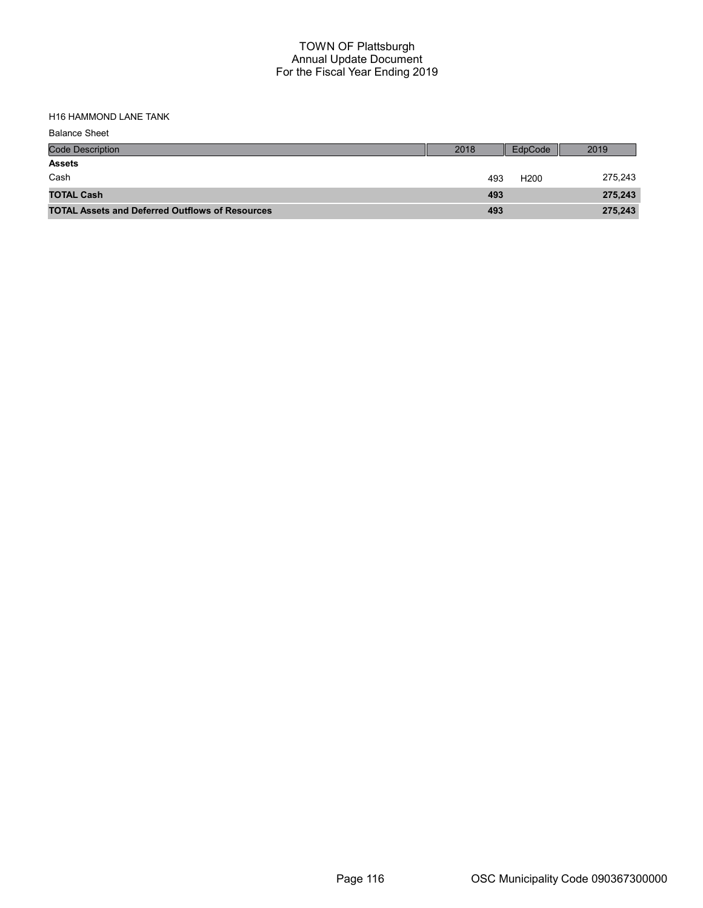H16 HAMMOND LANE TANK

| <b>Balance Sheet</b>                                   |      |                  |         |
|--------------------------------------------------------|------|------------------|---------|
| <b>Code Description</b>                                | 2018 | EdpCode          | 2019    |
| <b>Assets</b>                                          |      |                  |         |
| Cash                                                   | 493  | H <sub>200</sub> | 275,243 |
| <b>TOTAL Cash</b>                                      | 493  |                  | 275,243 |
| <b>TOTAL Assets and Deferred Outflows of Resources</b> | 493  |                  | 275,243 |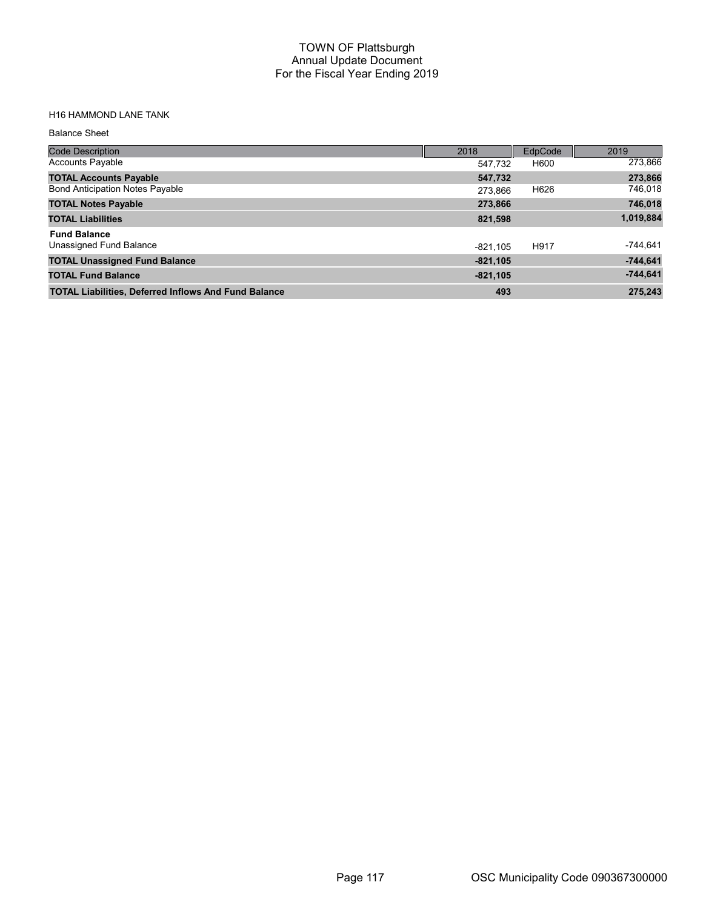## H16 HAMMOND LANE TANK

#### Balance Sheet

| <b>Code Description</b>                                     | 2018       | EdpCode | 2019       |
|-------------------------------------------------------------|------------|---------|------------|
| <b>Accounts Payable</b>                                     | 547.732    | H600    | 273,866    |
| <b>TOTAL Accounts Payable</b>                               | 547,732    |         | 273,866    |
| <b>Bond Anticipation Notes Payable</b>                      | 273.866    | H626    | 746,018    |
| <b>TOTAL Notes Payable</b>                                  | 273,866    |         | 746,018    |
| <b>TOTAL Liabilities</b>                                    | 821,598    |         | 1,019,884  |
| <b>Fund Balance</b>                                         |            |         |            |
| Unassigned Fund Balance                                     | $-821.105$ | H917    | $-744,641$ |
| <b>TOTAL Unassigned Fund Balance</b>                        | $-821,105$ |         | $-744,641$ |
| <b>TOTAL Fund Balance</b>                                   | $-821,105$ |         | $-744,641$ |
| <b>TOTAL Liabilities, Deferred Inflows And Fund Balance</b> | 493        |         | 275,243    |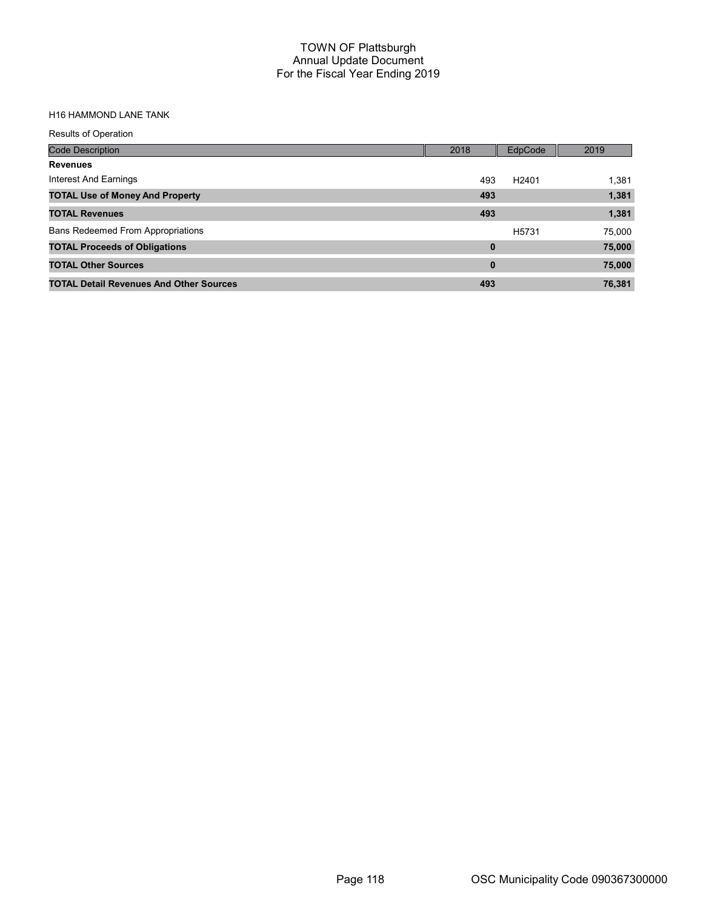## H16 HAMMOND LANE TANK

| <b>Results of Operation</b>                    |          |                   |        |
|------------------------------------------------|----------|-------------------|--------|
| <b>Code Description</b>                        | 2018     | EdpCode           | 2019   |
| <b>Revenues</b>                                |          |                   |        |
| Interest And Earnings                          | 493      | H <sub>2401</sub> | 1,381  |
| <b>TOTAL Use of Money And Property</b>         | 493      |                   | 1,381  |
| <b>TOTAL Revenues</b>                          | 493      |                   | 1,381  |
| <b>Bans Redeemed From Appropriations</b>       |          | H <sub>5731</sub> | 75,000 |
| <b>TOTAL Proceeds of Obligations</b>           | $\bf{0}$ |                   | 75,000 |
| <b>TOTAL Other Sources</b>                     | 0        |                   | 75,000 |
| <b>TOTAL Detail Revenues And Other Sources</b> | 493      |                   | 76,381 |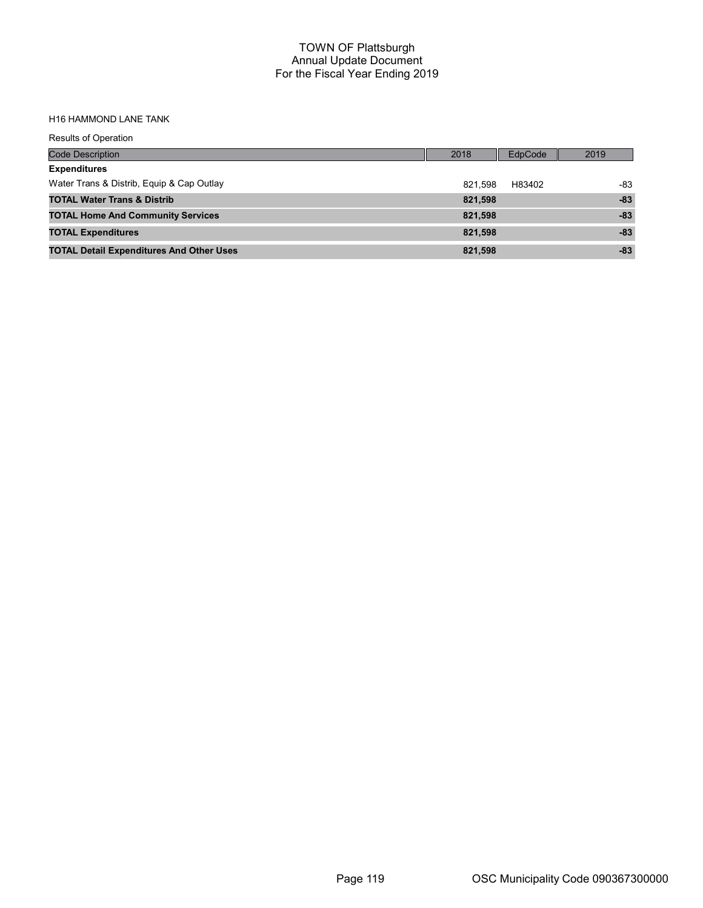#### H16 HAMMOND LANE TANK

| <b>Results of Operation</b>                     |         |         |       |
|-------------------------------------------------|---------|---------|-------|
| <b>Code Description</b>                         | 2018    | EdpCode | 2019  |
| <b>Expenditures</b>                             |         |         |       |
| Water Trans & Distrib, Equip & Cap Outlay       | 821.598 | H83402  | -83   |
| <b>TOTAL Water Trans &amp; Distrib</b>          | 821,598 |         | $-83$ |
| <b>TOTAL Home And Community Services</b>        | 821,598 |         | $-83$ |
| <b>TOTAL Expenditures</b>                       | 821,598 |         | $-83$ |
| <b>TOTAL Detail Expenditures And Other Uses</b> | 821,598 |         | $-83$ |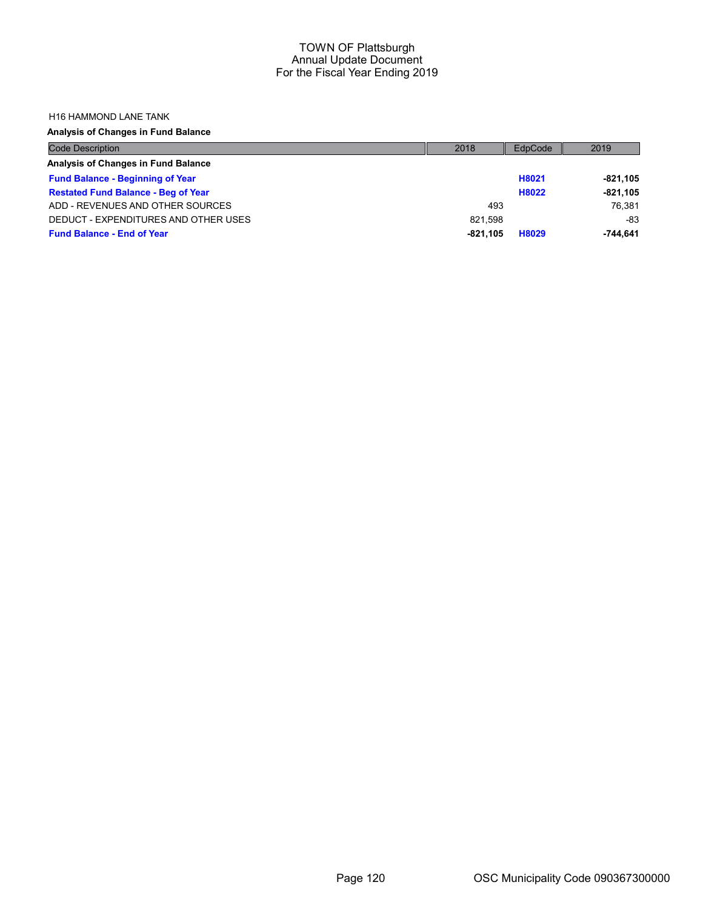#### H16 HAMMOND LANE TANK

Analysis of Changes in Fund Balance

| <b>Code Description</b>                    | 2018       | EdpCode | 2019       |
|--------------------------------------------|------------|---------|------------|
| Analysis of Changes in Fund Balance        |            |         |            |
| <b>Fund Balance - Beginning of Year</b>    |            | H8021   | $-821.105$ |
| <b>Restated Fund Balance - Beg of Year</b> |            | H8022   | $-821,105$ |
| ADD - REVENUES AND OTHER SOURCES           | 493        |         | 76.381     |
| DEDUCT - EXPENDITURES AND OTHER USES       | 821.598    |         | $-83$      |
| <b>Fund Balance - End of Year</b>          | $-821.105$ | H8029   | $-744.641$ |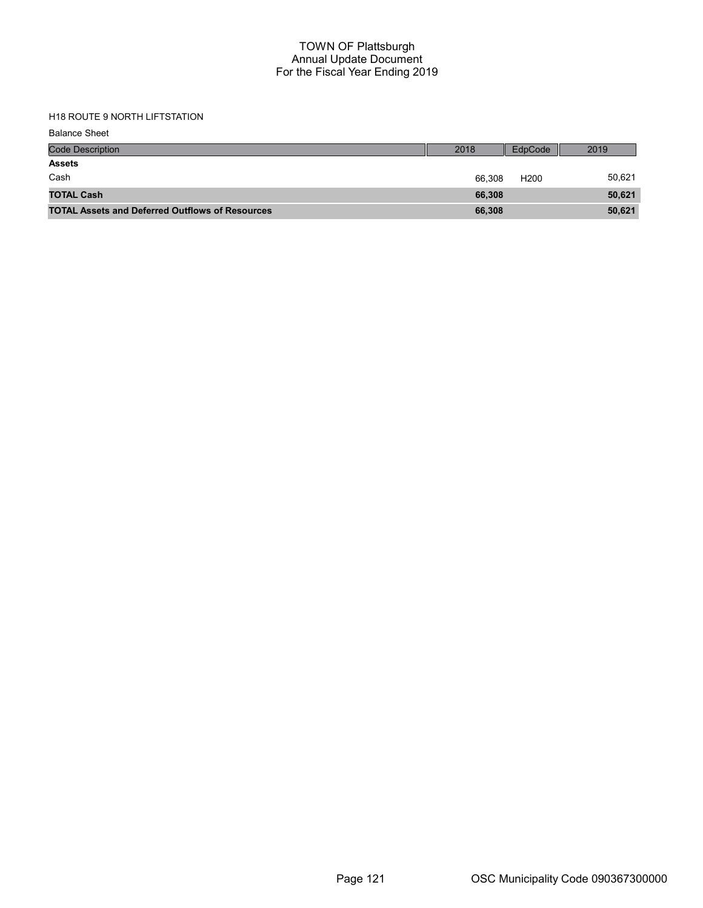# H18 ROUTE 9 NORTH LIFTSTATION

| <b>Code Description</b>                                | 2018   | EdpCode          | 2019   |
|--------------------------------------------------------|--------|------------------|--------|
| <b>Assets</b>                                          |        |                  |        |
| Cash                                                   | 66.308 | H <sub>200</sub> | 50.621 |
| <b>TOTAL Cash</b>                                      | 66.308 |                  | 50,621 |
| <b>TOTAL Assets and Deferred Outflows of Resources</b> | 66,308 |                  | 50,621 |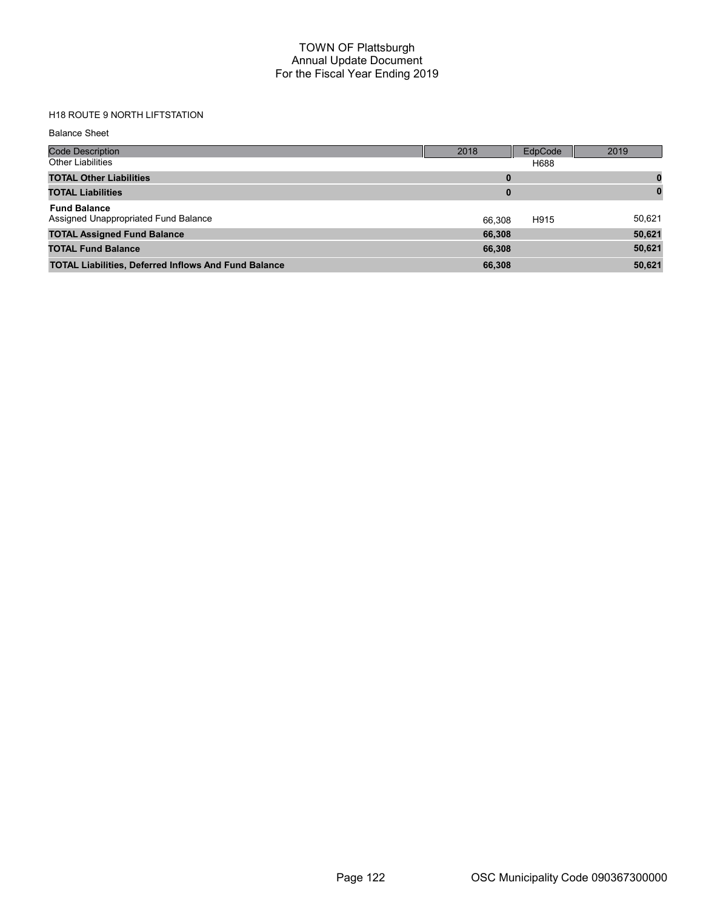# H18 ROUTE 9 NORTH LIFTSTATION

Balance Sheet

| <b>Code Description</b>                                     | 2018   | EdpCode | 2019     |
|-------------------------------------------------------------|--------|---------|----------|
| <b>Other Liabilities</b>                                    |        | H688    |          |
| <b>TOTAL Other Liabilities</b>                              | 0      |         |          |
| <b>TOTAL Liabilities</b>                                    | 0      |         | $\bf{0}$ |
| <b>Fund Balance</b><br>Assigned Unappropriated Fund Balance | 66.308 | H915    | 50,621   |
| <b>TOTAL Assigned Fund Balance</b>                          | 66,308 |         | 50,621   |
| <b>TOTAL Fund Balance</b>                                   | 66,308 |         | 50,621   |
| <b>TOTAL Liabilities, Deferred Inflows And Fund Balance</b> | 66,308 |         | 50,621   |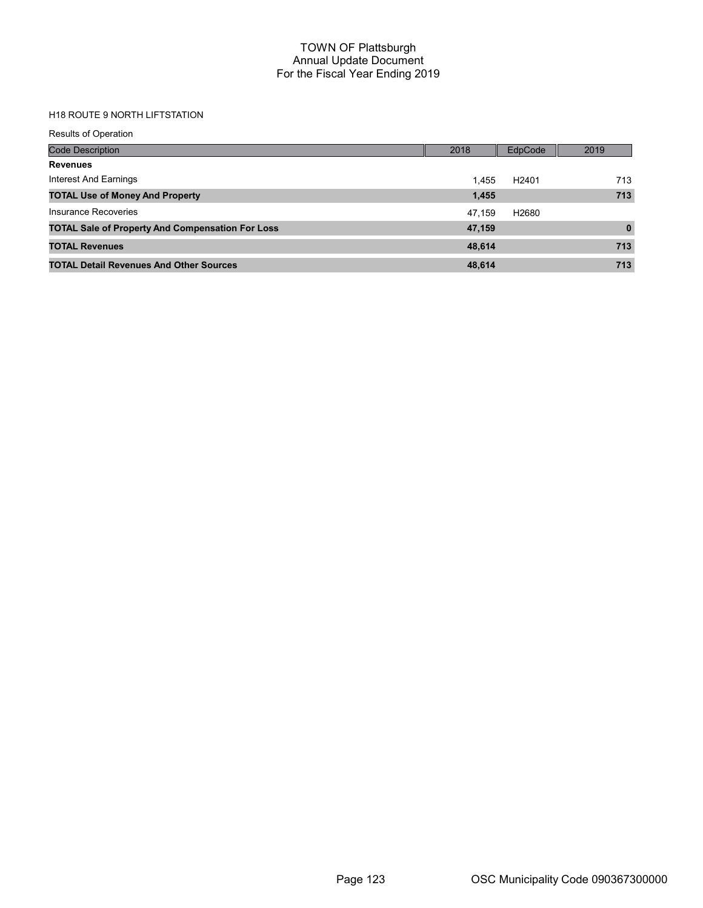## H18 ROUTE 9 NORTH LIFTSTATION

Results of Operation

| <b>Code Description</b>                                 | 2018   | EdpCode           | 2019         |
|---------------------------------------------------------|--------|-------------------|--------------|
| <b>Revenues</b>                                         |        |                   |              |
| Interest And Earnings                                   | 1.455  | H <sub>2401</sub> | 713          |
| <b>TOTAL Use of Money And Property</b>                  | 1,455  |                   | 713          |
| Insurance Recoveries                                    | 47.159 | H2680             |              |
| <b>TOTAL Sale of Property And Compensation For Loss</b> | 47,159 |                   | $\mathbf{0}$ |
| <b>TOTAL Revenues</b>                                   | 48.614 |                   | 713          |
| <b>TOTAL Detail Revenues And Other Sources</b>          | 48,614 |                   | 713          |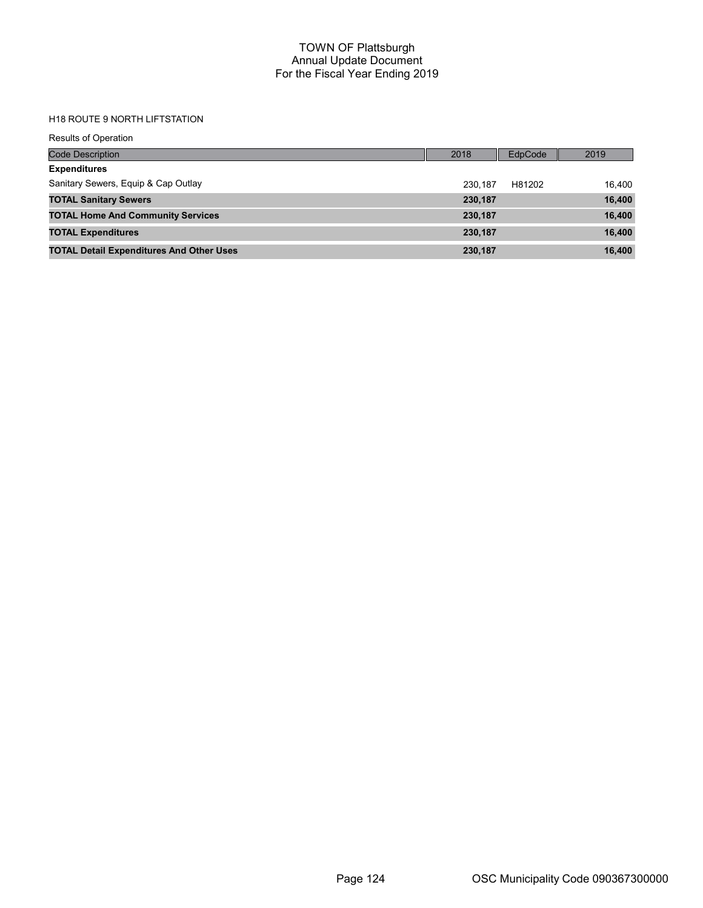# H18 ROUTE 9 NORTH LIFTSTATION

| <b>Results of Operation</b>                     |         |         |        |
|-------------------------------------------------|---------|---------|--------|
| <b>Code Description</b>                         | 2018    | EdpCode | 2019   |
| <b>Expenditures</b>                             |         |         |        |
| Sanitary Sewers, Equip & Cap Outlay             | 230.187 | H81202  | 16.400 |
| <b>TOTAL Sanitary Sewers</b>                    | 230,187 |         | 16,400 |
| <b>TOTAL Home And Community Services</b>        | 230,187 |         | 16,400 |
| <b>TOTAL Expenditures</b>                       | 230,187 |         | 16,400 |
| <b>TOTAL Detail Expenditures And Other Uses</b> | 230,187 |         | 16,400 |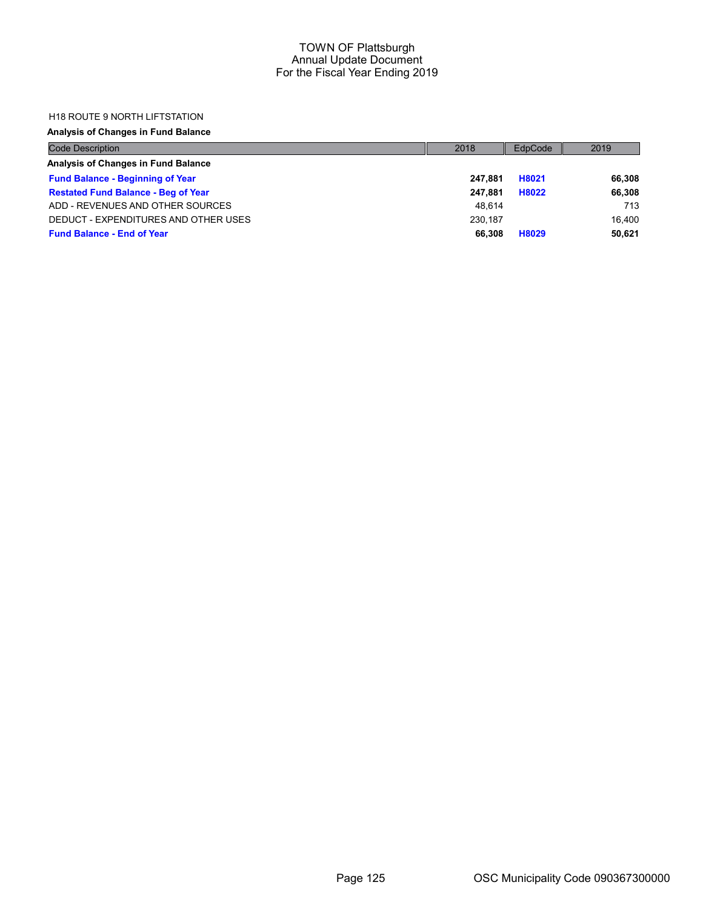### H18 ROUTE 9 NORTH LIFTSTATION

## Analysis of Changes in Fund Balance

| <b>Code Description</b>                    | 2018    | EdpCode | 2019   |
|--------------------------------------------|---------|---------|--------|
| Analysis of Changes in Fund Balance        |         |         |        |
| <b>Fund Balance - Beginning of Year</b>    | 247.881 | H8021   | 66,308 |
| <b>Restated Fund Balance - Beg of Year</b> | 247.881 | H8022   | 66,308 |
| ADD - REVENUES AND OTHER SOURCES           | 48.614  |         | 713    |
| DEDUCT - EXPENDITURES AND OTHER USES       | 230.187 |         | 16.400 |
| <b>Fund Balance - End of Year</b>          | 66.308  | H8029   | 50.621 |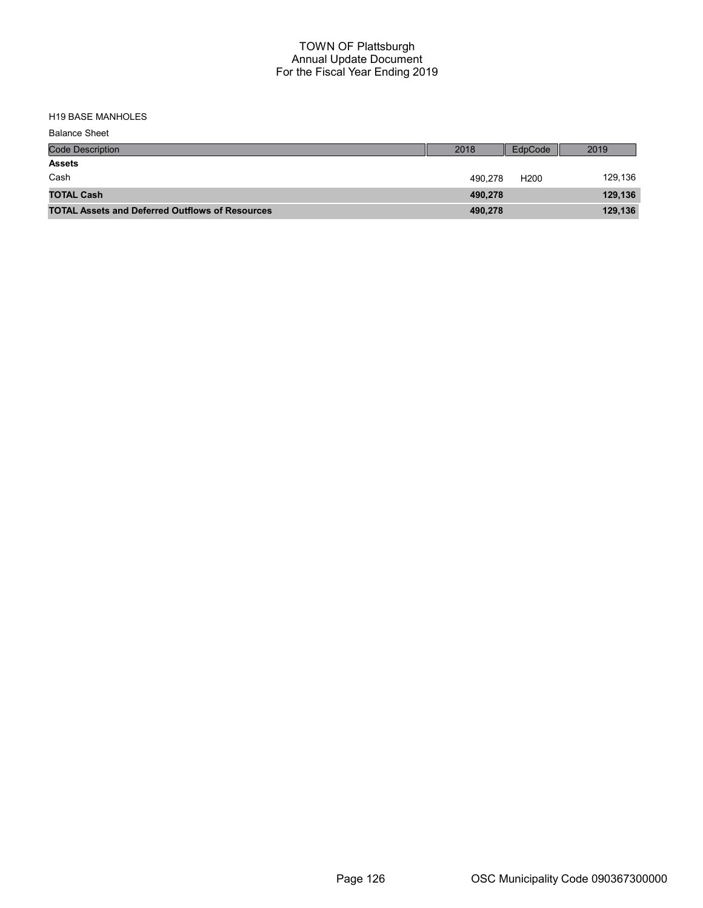H19 BASE MANHOLES

| <b>Balance Sheet</b>                                   |         |                  |         |
|--------------------------------------------------------|---------|------------------|---------|
| <b>Code Description</b>                                | 2018    | EdpCode          | 2019    |
| <b>Assets</b>                                          |         |                  |         |
| Cash                                                   | 490.278 | H <sub>200</sub> | 129,136 |
| <b>TOTAL Cash</b>                                      | 490,278 |                  | 129,136 |
| <b>TOTAL Assets and Deferred Outflows of Resources</b> | 490,278 |                  | 129,136 |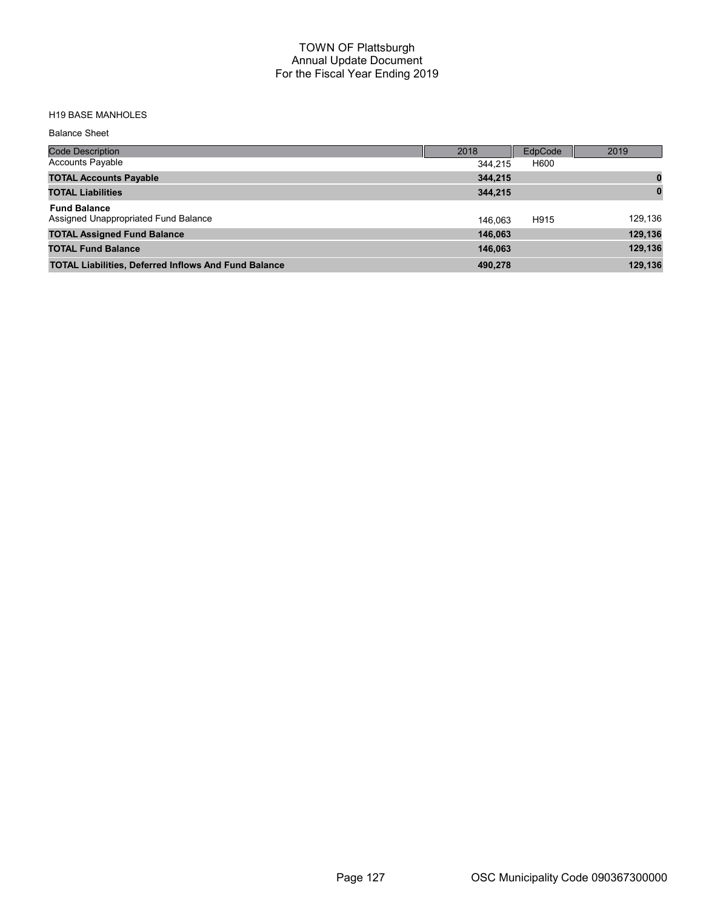## H19 BASE MANHOLES

Balance Sheet

| Code Description                                            | 2018    | EdpCode | 2019     |
|-------------------------------------------------------------|---------|---------|----------|
| <b>Accounts Payable</b>                                     | 344.215 | H600    |          |
| <b>TOTAL Accounts Payable</b>                               | 344.215 |         |          |
| <b>TOTAL Liabilities</b>                                    | 344,215 |         | $\bf{0}$ |
| <b>Fund Balance</b><br>Assigned Unappropriated Fund Balance | 146.063 | H915    | 129,136  |
| <b>TOTAL Assigned Fund Balance</b>                          | 146,063 |         | 129,136  |
| <b>TOTAL Fund Balance</b>                                   | 146.063 |         | 129,136  |
| <b>TOTAL Liabilities, Deferred Inflows And Fund Balance</b> | 490.278 |         | 129,136  |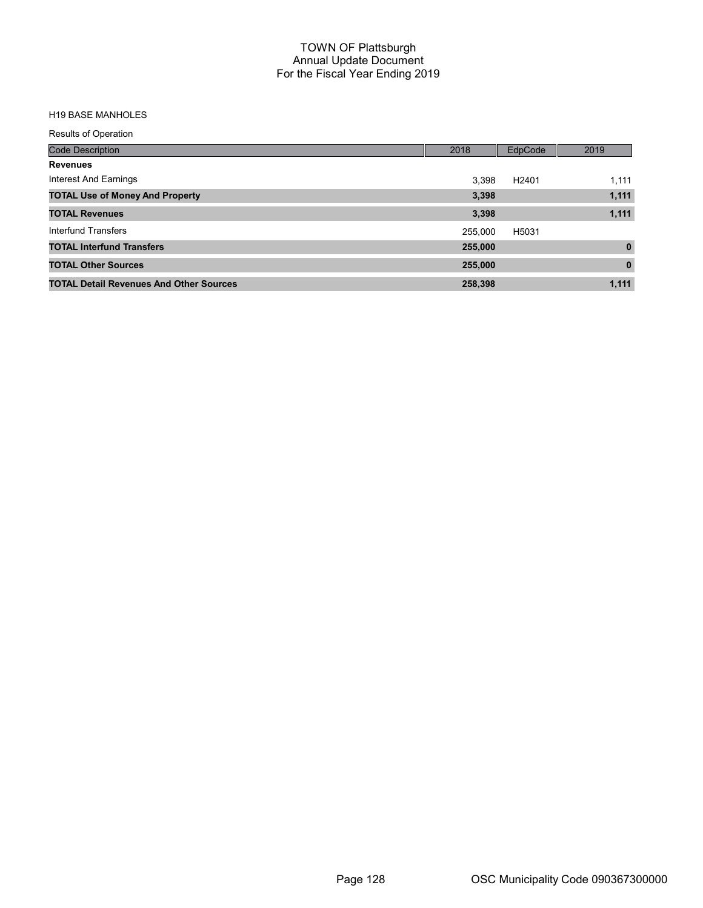### H19 BASE MANHOLES

Results of Operation

| <b>Code Description</b>                        | 2018    | EdpCode           | 2019         |
|------------------------------------------------|---------|-------------------|--------------|
| <b>Revenues</b>                                |         |                   |              |
| Interest And Earnings                          | 3,398   | H <sub>2401</sub> | 1,111        |
| <b>TOTAL Use of Money And Property</b>         | 3,398   |                   | 1,111        |
| <b>TOTAL Revenues</b>                          | 3,398   |                   | 1,111        |
| Interfund Transfers                            | 255,000 | H5031             |              |
| <b>TOTAL Interfund Transfers</b>               | 255,000 |                   | $\mathbf{0}$ |
| <b>TOTAL Other Sources</b>                     | 255,000 |                   | $\mathbf{0}$ |
| <b>TOTAL Detail Revenues And Other Sources</b> | 258,398 |                   | 1,111        |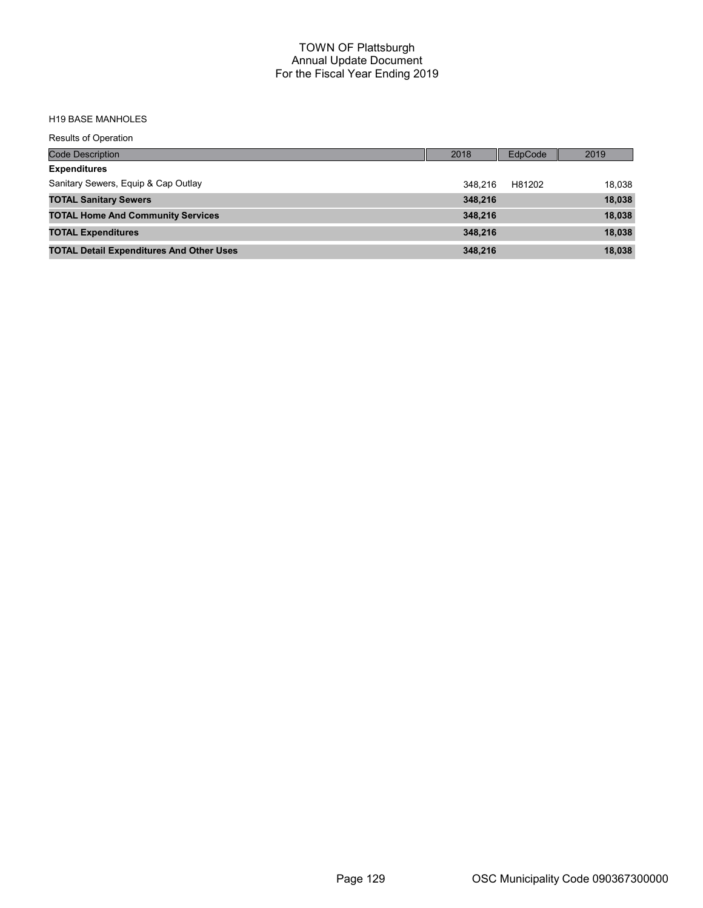#### H19 BASE MANHOLES

Results of Operation

| <b>Code Description</b>                         | 2018    | <b>EdpCode</b> | 2019   |
|-------------------------------------------------|---------|----------------|--------|
| <b>Expenditures</b>                             |         |                |        |
| Sanitary Sewers, Equip & Cap Outlay             | 348.216 | H81202         | 18,038 |
| <b>TOTAL Sanitary Sewers</b>                    | 348.216 |                | 18,038 |
| <b>TOTAL Home And Community Services</b>        | 348.216 |                | 18,038 |
| <b>TOTAL Expenditures</b>                       | 348.216 |                | 18,038 |
| <b>TOTAL Detail Expenditures And Other Uses</b> | 348,216 |                | 18,038 |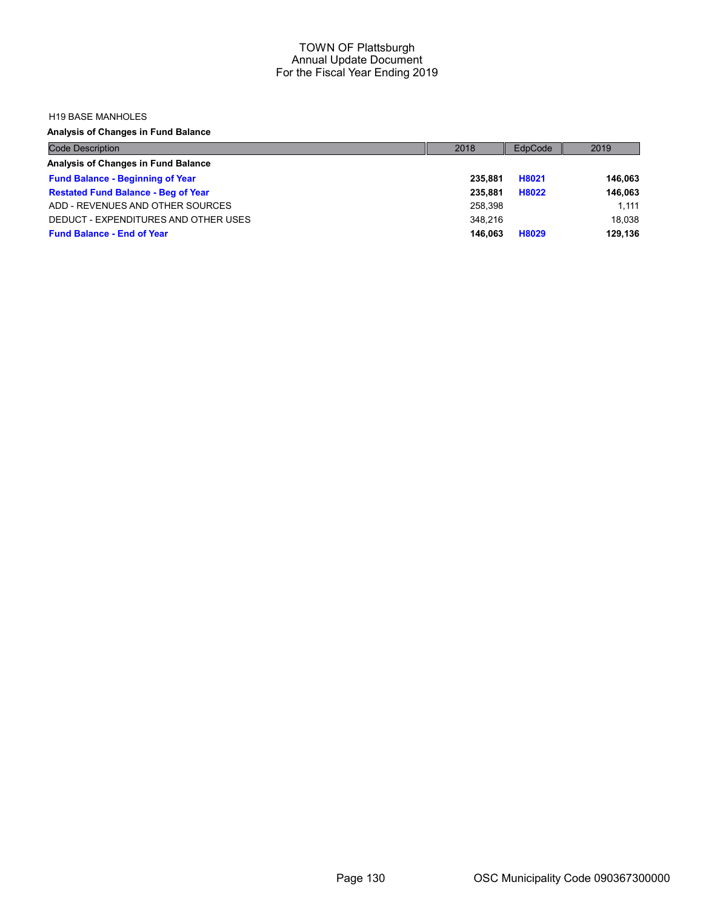#### H19 BASE MANHOLES

Analysis of Changes in Fund Balance

| <b>Code Description</b>                    | 2018    | EdpCode | 2019    |
|--------------------------------------------|---------|---------|---------|
| Analysis of Changes in Fund Balance        |         |         |         |
| <b>Fund Balance - Beginning of Year</b>    | 235.881 | H8021   | 146,063 |
| <b>Restated Fund Balance - Beg of Year</b> | 235.881 | H8022   | 146,063 |
| ADD - REVENUES AND OTHER SOURCES           | 258.398 |         | 1.111   |
| DEDUCT - EXPENDITURES AND OTHER USES       | 348.216 |         | 18.038  |
| <b>Fund Balance - End of Year</b>          | 146.063 | H8029   | 129.136 |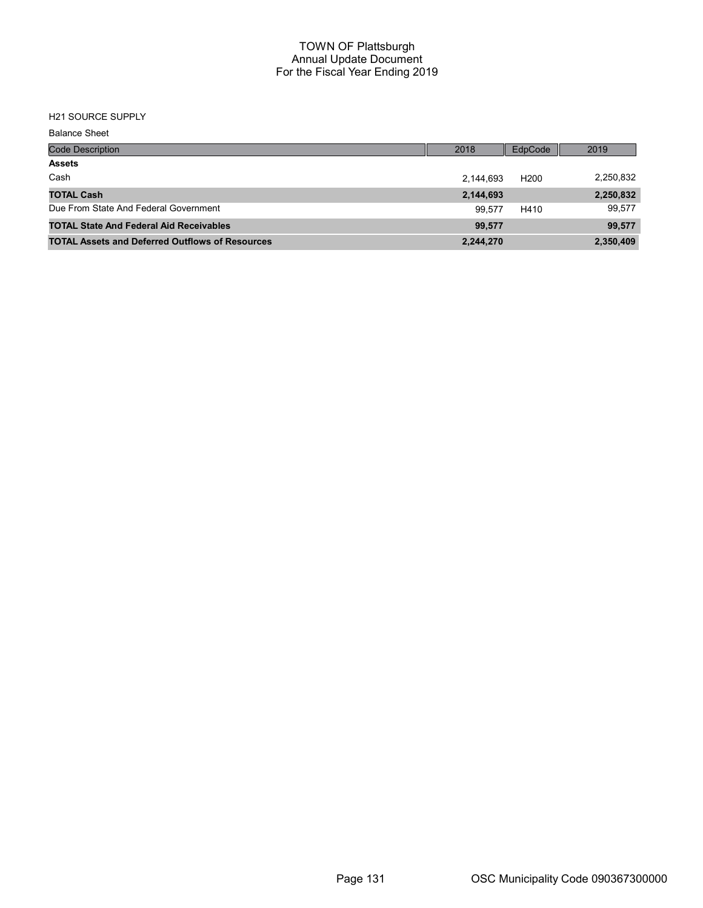# H21 SOURCE SUPPLY

| <b>Balance Sheet</b>                                   |           |                  |           |
|--------------------------------------------------------|-----------|------------------|-----------|
| <b>Code Description</b>                                | 2018      | EdpCode          | 2019      |
| <b>Assets</b>                                          |           |                  |           |
| Cash                                                   | 2.144.693 | H <sub>200</sub> | 2,250,832 |
| <b>TOTAL Cash</b>                                      | 2,144,693 |                  | 2,250,832 |
| Due From State And Federal Government                  | 99.577    | H410             | 99,577    |
| <b>TOTAL State And Federal Aid Receivables</b>         | 99,577    |                  | 99,577    |
| <b>TOTAL Assets and Deferred Outflows of Resources</b> | 2,244,270 |                  | 2,350,409 |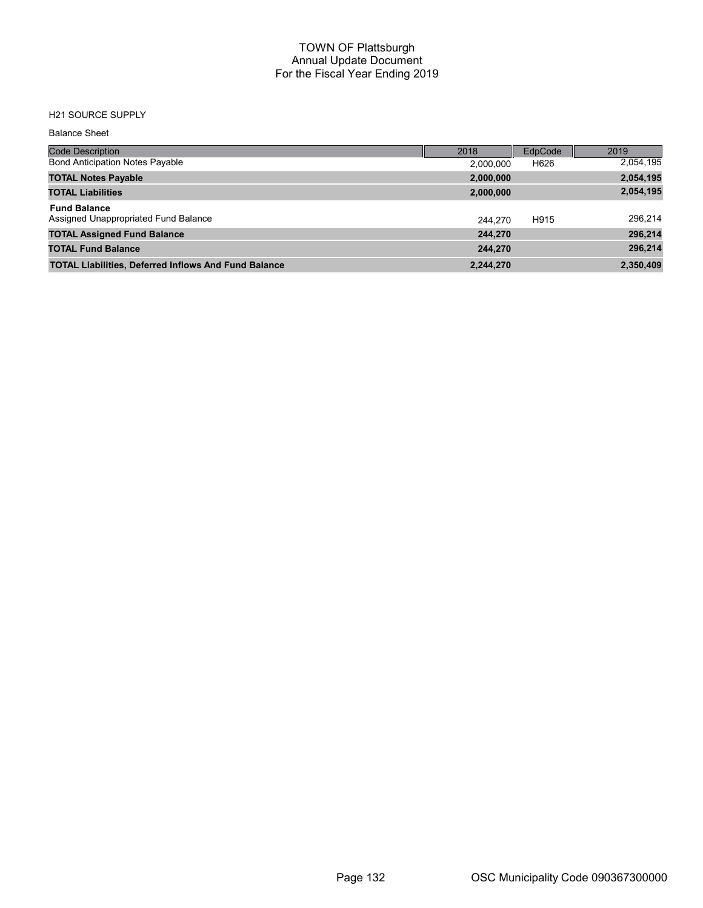### H21 SOURCE SUPPLY

| <b>Balance Sheet</b>                                        |           |         |           |
|-------------------------------------------------------------|-----------|---------|-----------|
| <b>Code Description</b>                                     | 2018      | EdpCode | 2019      |
| <b>Bond Anticipation Notes Payable</b>                      | 2,000,000 | H626    | 2,054,195 |
| <b>TOTAL Notes Payable</b>                                  | 2,000,000 |         | 2,054,195 |
| <b>TOTAL Liabilities</b>                                    | 2,000,000 |         | 2,054,195 |
| <b>Fund Balance</b><br>Assigned Unappropriated Fund Balance | 244.270   | H915    | 296,214   |
| <b>TOTAL Assigned Fund Balance</b>                          | 244.270   |         | 296,214   |
| <b>TOTAL Fund Balance</b>                                   | 244,270   |         | 296,214   |
| <b>TOTAL Liabilities, Deferred Inflows And Fund Balance</b> | 2,244,270 |         | 2,350,409 |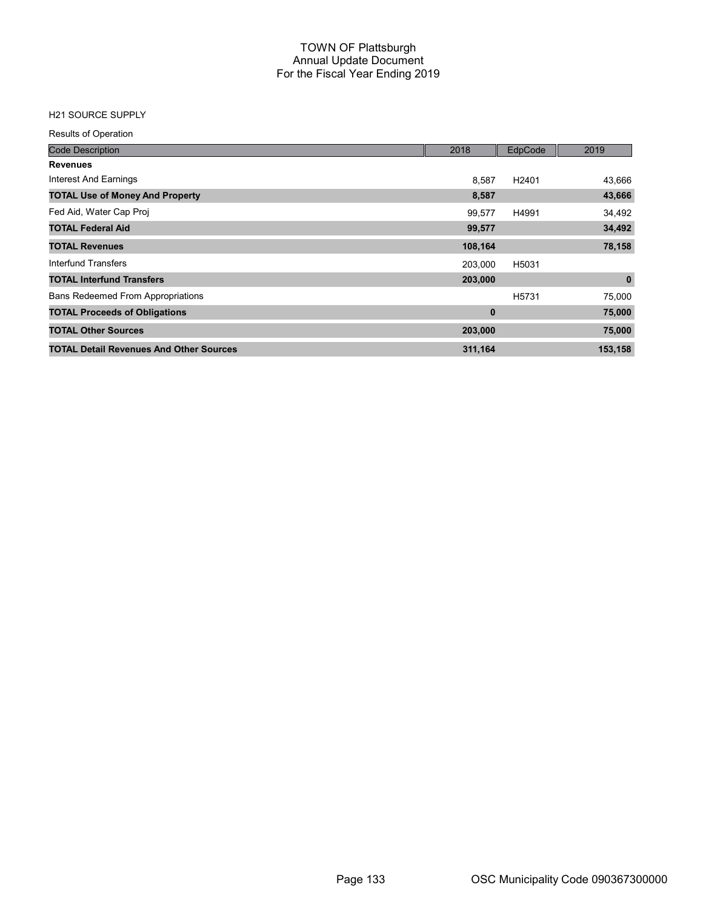### H21 SOURCE SUPPLY

Results of Operation

| <b>Code Description</b>                        | 2018     | EdpCode           | 2019        |
|------------------------------------------------|----------|-------------------|-------------|
| <b>Revenues</b>                                |          |                   |             |
| Interest And Earnings                          | 8,587    | H <sub>2401</sub> | 43,666      |
| <b>TOTAL Use of Money And Property</b>         | 8,587    |                   | 43,666      |
| Fed Aid, Water Cap Proj                        | 99.577   | H4991             | 34,492      |
| <b>TOTAL Federal Aid</b>                       | 99,577   |                   | 34,492      |
| <b>TOTAL Revenues</b>                          | 108,164  |                   | 78,158      |
| Interfund Transfers                            | 203,000  | H5031             |             |
| <b>TOTAL Interfund Transfers</b>               | 203,000  |                   | $\mathbf 0$ |
| <b>Bans Redeemed From Appropriations</b>       |          | H <sub>5731</sub> | 75,000      |
| <b>TOTAL Proceeds of Obligations</b>           | $\bf{0}$ |                   | 75,000      |
| <b>TOTAL Other Sources</b>                     | 203,000  |                   | 75,000      |
| <b>TOTAL Detail Revenues And Other Sources</b> | 311,164  |                   | 153,158     |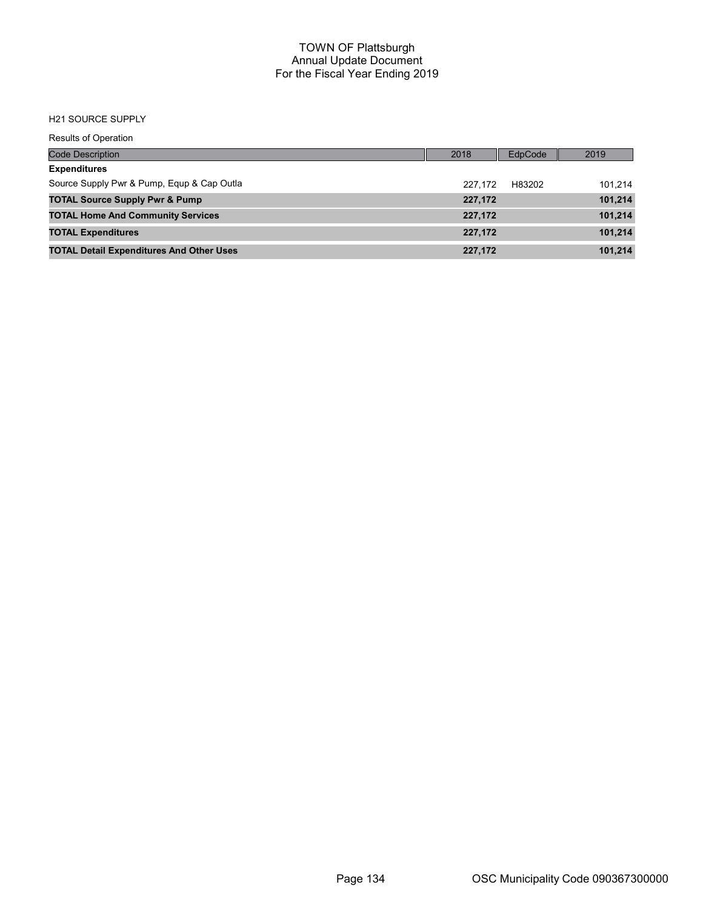#### H21 SOURCE SUPPLY

Results of Operation

| Code Description                                | 2018    | EdpCode | 2019    |
|-------------------------------------------------|---------|---------|---------|
| <b>Expenditures</b>                             |         |         |         |
| Source Supply Pwr & Pump, Equp & Cap Outla      | 227.172 | H83202  | 101.214 |
| <b>TOTAL Source Supply Pwr &amp; Pump</b>       | 227.172 |         | 101,214 |
| <b>TOTAL Home And Community Services</b>        | 227,172 |         | 101,214 |
| <b>TOTAL Expenditures</b>                       | 227.172 |         | 101.214 |
| <b>TOTAL Detail Expenditures And Other Uses</b> | 227,172 |         | 101.214 |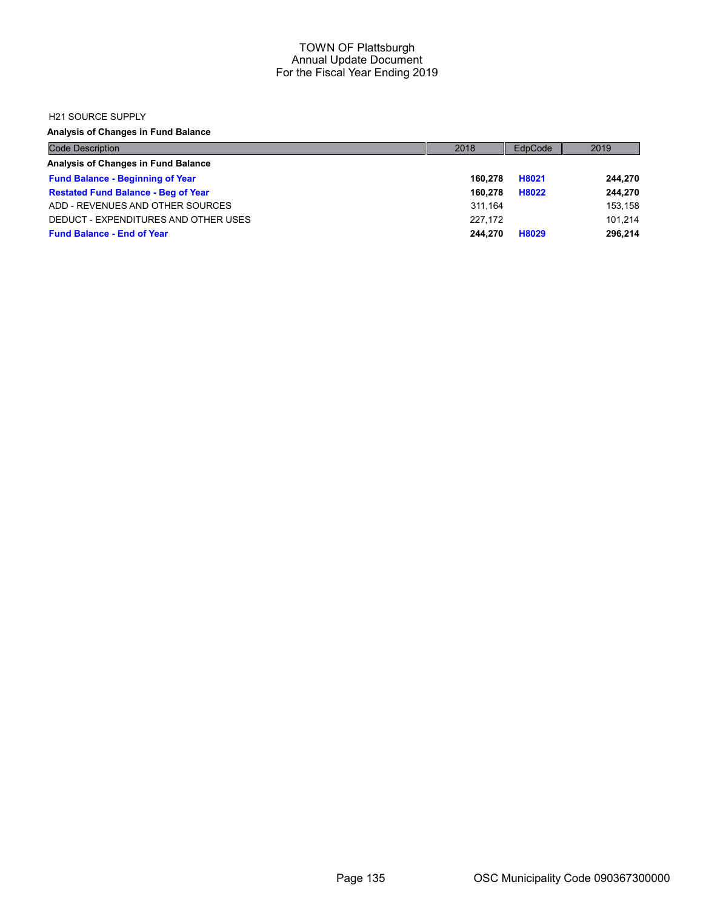#### H21 SOURCE SUPPLY

Analysis of Changes in Fund Balance

| <b>Code Description</b>                    | 2018    | EdpCode | 2019    |
|--------------------------------------------|---------|---------|---------|
| Analysis of Changes in Fund Balance        |         |         |         |
| <b>Fund Balance - Beginning of Year</b>    | 160.278 | H8021   | 244,270 |
| <b>Restated Fund Balance - Beg of Year</b> | 160.278 | H8022   | 244,270 |
| ADD - REVENUES AND OTHER SOURCES           | 311.164 |         | 153.158 |
| DEDUCT - EXPENDITURES AND OTHER USES       | 227.172 |         | 101.214 |
| <b>Fund Balance - End of Year</b>          | 244.270 | H8029   | 296.214 |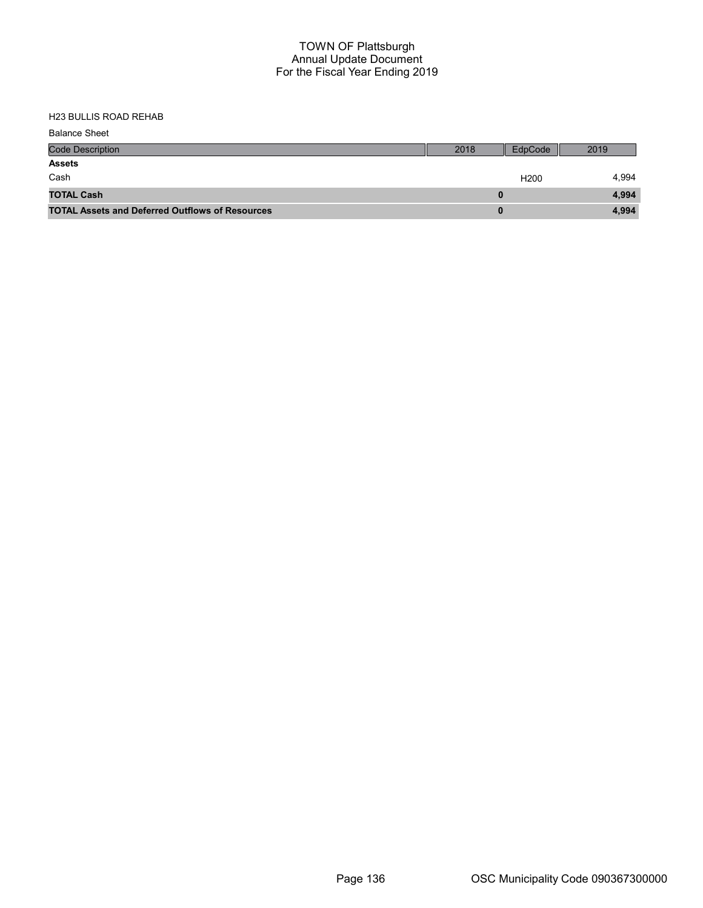| <b>Balance Sheet</b>                                   |      |                  |       |
|--------------------------------------------------------|------|------------------|-------|
| <b>Code Description</b>                                | 2018 | EdpCode          | 2019  |
| <b>Assets</b>                                          |      |                  |       |
| Cash                                                   |      | H <sub>200</sub> | 4.994 |
| <b>TOTAL Cash</b>                                      |      |                  | 4,994 |
| <b>TOTAL Assets and Deferred Outflows of Resources</b> |      |                  | 4,994 |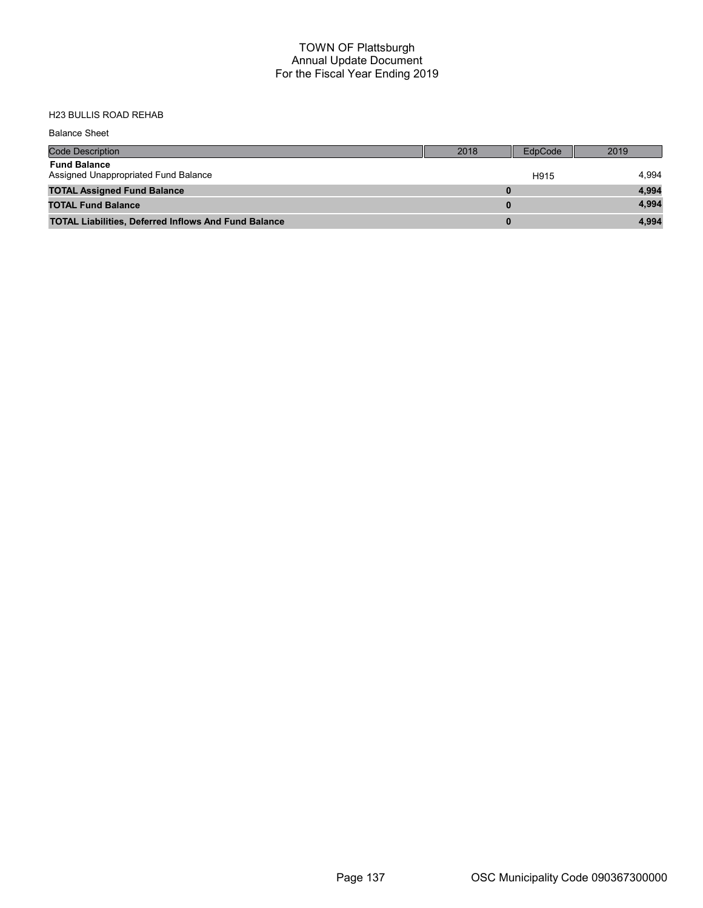| <b>Balance Sheet</b>                                        |          |         |       |
|-------------------------------------------------------------|----------|---------|-------|
| <b>Code Description</b>                                     | 2018     | EdpCode | 2019  |
| <b>Fund Balance</b><br>Assigned Unappropriated Fund Balance |          | H915    | 4,994 |
| <b>TOTAL Assigned Fund Balance</b>                          | $\bf{0}$ |         | 4,994 |
| <b>TOTAL Fund Balance</b>                                   | $\bf{0}$ |         | 4.994 |
| <b>TOTAL Liabilities, Deferred Inflows And Fund Balance</b> | $\bf{0}$ |         | 4,994 |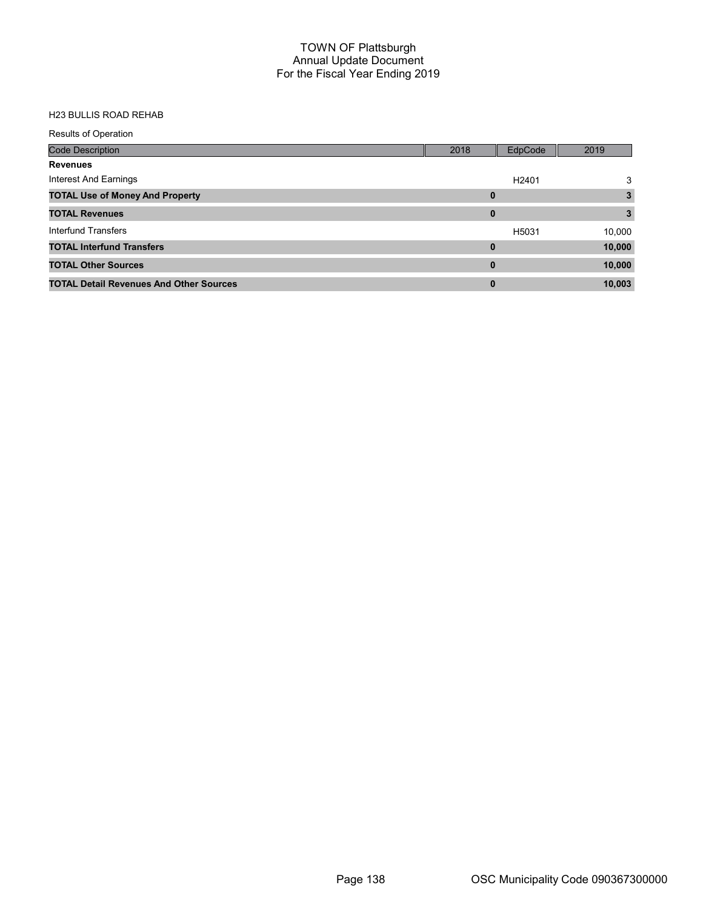| <b>Results of Operation</b>                    |          |                   |        |
|------------------------------------------------|----------|-------------------|--------|
| <b>Code Description</b>                        | 2018     | EdpCode           | 2019   |
| <b>Revenues</b>                                |          |                   |        |
| Interest And Earnings                          |          | H <sub>2401</sub> | 3      |
| <b>TOTAL Use of Money And Property</b>         | $\bf{0}$ |                   | 3      |
| <b>TOTAL Revenues</b>                          | $\bf{0}$ |                   | 3.     |
| Interfund Transfers                            |          | H5031             | 10,000 |
| <b>TOTAL Interfund Transfers</b>               | 0        |                   | 10,000 |
| <b>TOTAL Other Sources</b>                     | $\bf{0}$ |                   | 10,000 |
| <b>TOTAL Detail Revenues And Other Sources</b> | $\bf{0}$ |                   | 10,003 |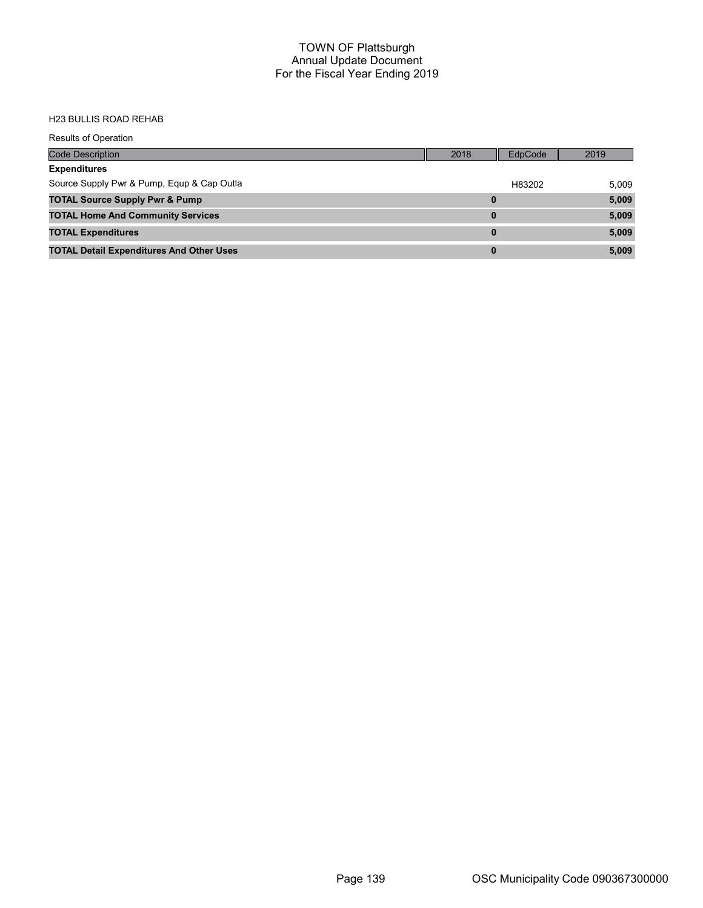| <b>Results of Operation</b>                     |          |         |       |
|-------------------------------------------------|----------|---------|-------|
| <b>Code Description</b>                         | 2018     | EdpCode | 2019  |
| <b>Expenditures</b>                             |          |         |       |
| Source Supply Pwr & Pump, Equp & Cap Outla      |          | H83202  | 5,009 |
| <b>TOTAL Source Supply Pwr &amp; Pump</b>       | 0        |         | 5,009 |
| <b>TOTAL Home And Community Services</b>        | $\bf{0}$ |         | 5,009 |
| <b>TOTAL Expenditures</b>                       | $\bf{0}$ |         | 5,009 |
| <b>TOTAL Detail Expenditures And Other Uses</b> | $\bf{0}$ |         | 5,009 |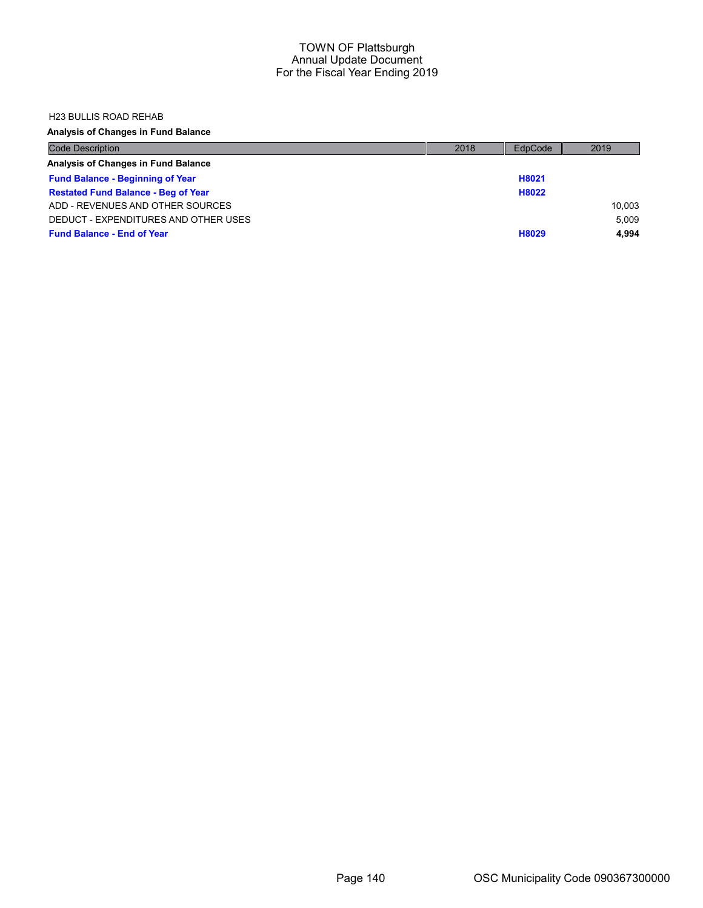#### H23 BULLIS ROAD REHAB

## Analysis of Changes in Fund Balance

| <b>Code Description</b>                    | 2018 | EdpCode | 2019   |
|--------------------------------------------|------|---------|--------|
| Analysis of Changes in Fund Balance        |      |         |        |
| <b>Fund Balance - Beginning of Year</b>    |      | H8021   |        |
| <b>Restated Fund Balance - Beg of Year</b> |      | H8022   |        |
| ADD - REVENUES AND OTHER SOURCES           |      |         | 10.003 |
| DEDUCT - EXPENDITURES AND OTHER USES       |      |         | 5.009  |
| <b>Fund Balance - End of Year</b>          |      | H8029   | 4.994  |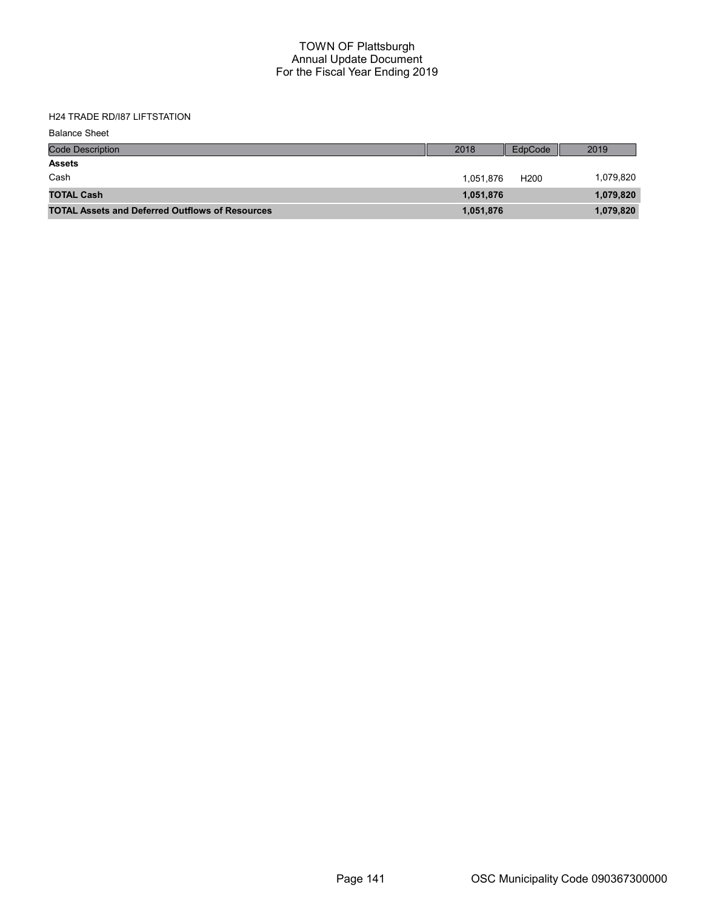H24 TRADE RD/I87 LIFTSTATION

| <b>Balance Sheet</b>                                   |           |                  |           |
|--------------------------------------------------------|-----------|------------------|-----------|
| <b>Code Description</b>                                | 2018      | EdpCode          | 2019      |
| <b>Assets</b>                                          |           |                  |           |
| Cash                                                   | 1.051.876 | H <sub>200</sub> | 1,079,820 |
| <b>TOTAL Cash</b>                                      | 1,051,876 |                  | 1,079,820 |
| <b>TOTAL Assets and Deferred Outflows of Resources</b> | 1,051,876 |                  | 1,079,820 |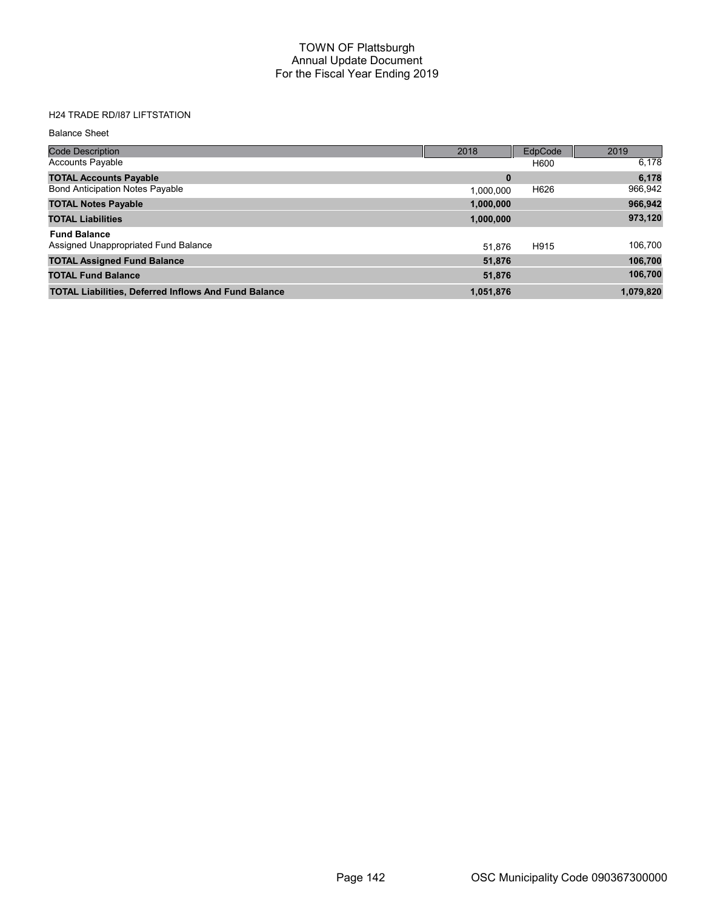## H24 TRADE RD/I87 LIFTSTATION

#### Balance Sheet

| <b>Code Description</b>                                     | 2018      | EdpCode | 2019      |
|-------------------------------------------------------------|-----------|---------|-----------|
| <b>Accounts Payable</b>                                     |           | H600    | 6,178     |
| <b>TOTAL Accounts Payable</b>                               | 0         |         | 6,178     |
| <b>Bond Anticipation Notes Payable</b>                      | 1.000.000 | H626    | 966,942   |
| <b>TOTAL Notes Payable</b>                                  | 1,000,000 |         | 966,942   |
| <b>TOTAL Liabilities</b>                                    | 1,000,000 |         | 973,120   |
| <b>Fund Balance</b>                                         |           |         |           |
| Assigned Unappropriated Fund Balance                        | 51.876    | H915    | 106,700   |
| <b>TOTAL Assigned Fund Balance</b>                          | 51,876    |         | 106,700   |
| <b>TOTAL Fund Balance</b>                                   | 51,876    |         | 106,700   |
| <b>TOTAL Liabilities, Deferred Inflows And Fund Balance</b> | 1,051,876 |         | 1,079,820 |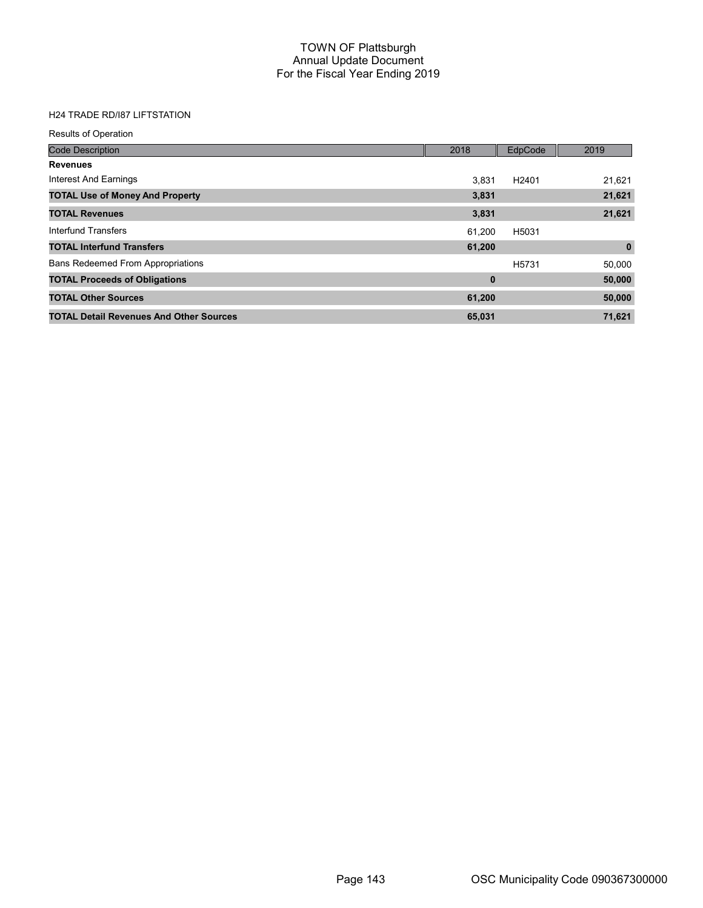## H24 TRADE RD/I87 LIFTSTATION

| <b>Results of Operation</b>                    |          |                   |             |
|------------------------------------------------|----------|-------------------|-------------|
| <b>Code Description</b>                        | 2018     | EdpCode           | 2019        |
| <b>Revenues</b>                                |          |                   |             |
| Interest And Earnings                          | 3.831    | H <sub>2401</sub> | 21,621      |
| <b>TOTAL Use of Money And Property</b>         | 3,831    |                   | 21,621      |
| <b>TOTAL Revenues</b>                          | 3,831    |                   | 21,621      |
| Interfund Transfers                            | 61.200   | H5031             |             |
| <b>TOTAL Interfund Transfers</b>               | 61,200   |                   | $\mathbf 0$ |
| <b>Bans Redeemed From Appropriations</b>       |          | H <sub>5731</sub> | 50,000      |
| <b>TOTAL Proceeds of Obligations</b>           | $\bf{0}$ |                   | 50,000      |
| <b>TOTAL Other Sources</b>                     | 61,200   |                   | 50,000      |
| <b>TOTAL Detail Revenues And Other Sources</b> | 65,031   |                   | 71,621      |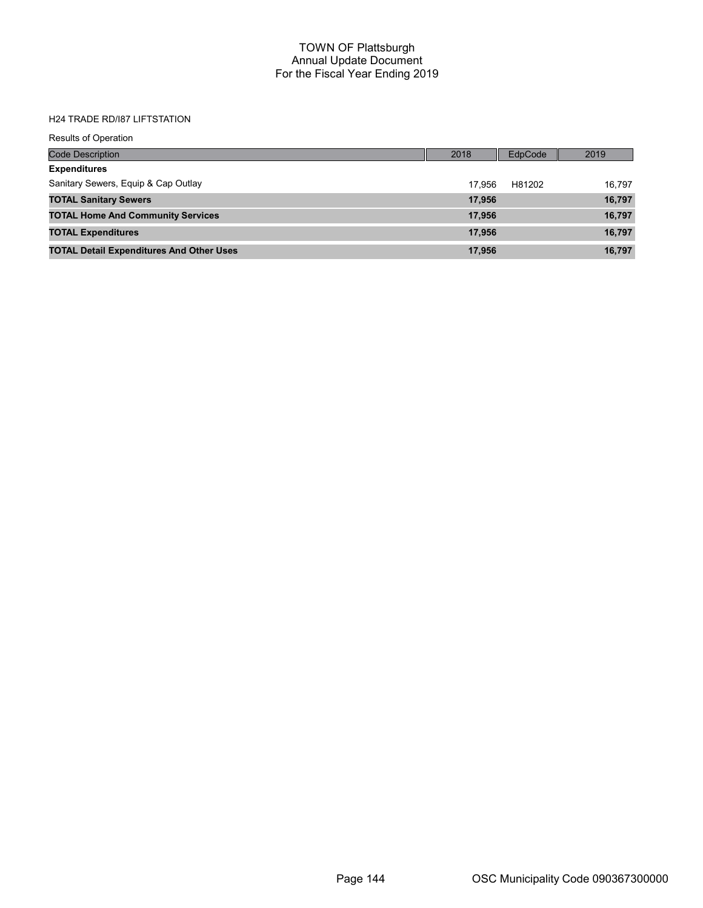# H24 TRADE RD/I87 LIFTSTATION

| <b>Results of Operation</b>                     |        |         |        |
|-------------------------------------------------|--------|---------|--------|
| <b>Code Description</b>                         | 2018   | EdpCode | 2019   |
| <b>Expenditures</b>                             |        |         |        |
| Sanitary Sewers, Equip & Cap Outlay             | 17.956 | H81202  | 16.797 |
| <b>TOTAL Sanitary Sewers</b>                    | 17,956 |         | 16,797 |
| <b>TOTAL Home And Community Services</b>        | 17,956 |         | 16,797 |
| <b>TOTAL Expenditures</b>                       | 17,956 |         | 16,797 |
| <b>TOTAL Detail Expenditures And Other Uses</b> | 17,956 |         | 16,797 |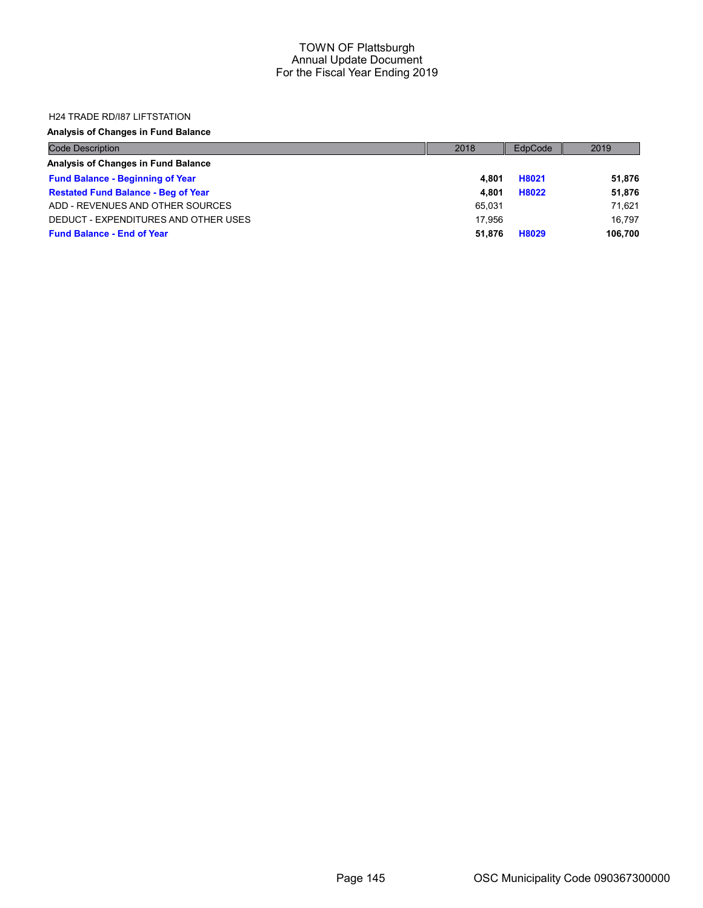### H24 TRADE RD/I87 LIFTSTATION

| <b>Code Description</b>                    | 2018   | EdpCode | 2019    |
|--------------------------------------------|--------|---------|---------|
| Analysis of Changes in Fund Balance        |        |         |         |
| <b>Fund Balance - Beginning of Year</b>    | 4.801  | H8021   | 51,876  |
| <b>Restated Fund Balance - Beg of Year</b> | 4.801  | H8022   | 51,876  |
| ADD - REVENUES AND OTHER SOURCES           | 65.031 |         | 71.621  |
| DEDUCT - EXPENDITURES AND OTHER USES       | 17.956 |         | 16.797  |
| <b>Fund Balance - End of Year</b>          | 51.876 | H8029   | 106,700 |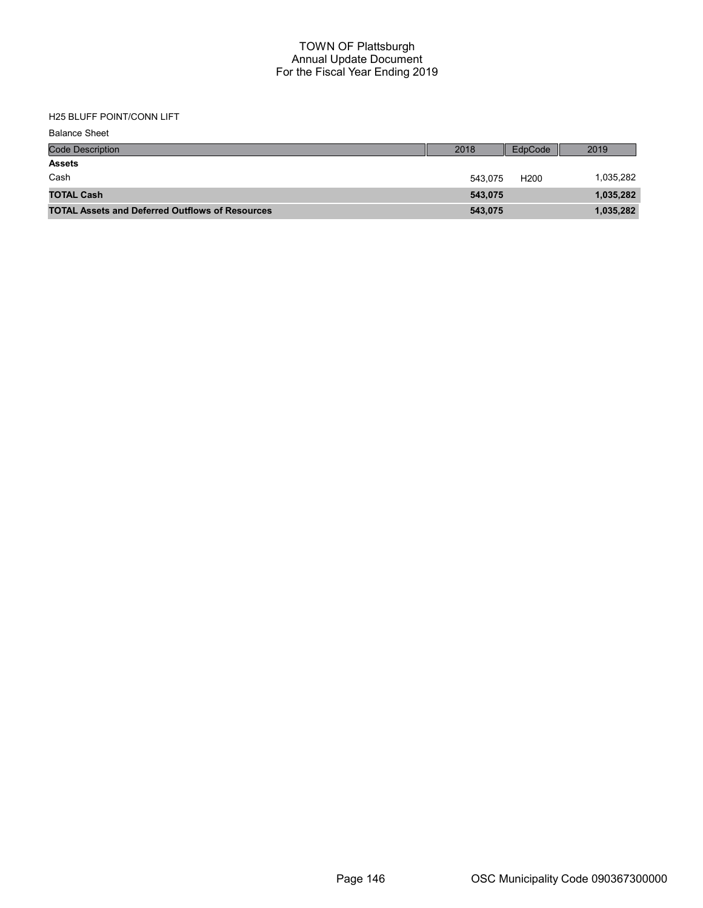# H25 BLUFF POINT/CONN LIFT

| <b>Balance Sheet</b>                                   |         |                  |           |
|--------------------------------------------------------|---------|------------------|-----------|
| <b>Code Description</b>                                | 2018    | EdpCode          | 2019      |
| <b>Assets</b>                                          |         |                  |           |
| Cash                                                   | 543.075 | H <sub>200</sub> | 1,035,282 |
| <b>TOTAL Cash</b>                                      | 543,075 |                  | 1,035,282 |
| <b>TOTAL Assets and Deferred Outflows of Resources</b> | 543,075 |                  | 1,035,282 |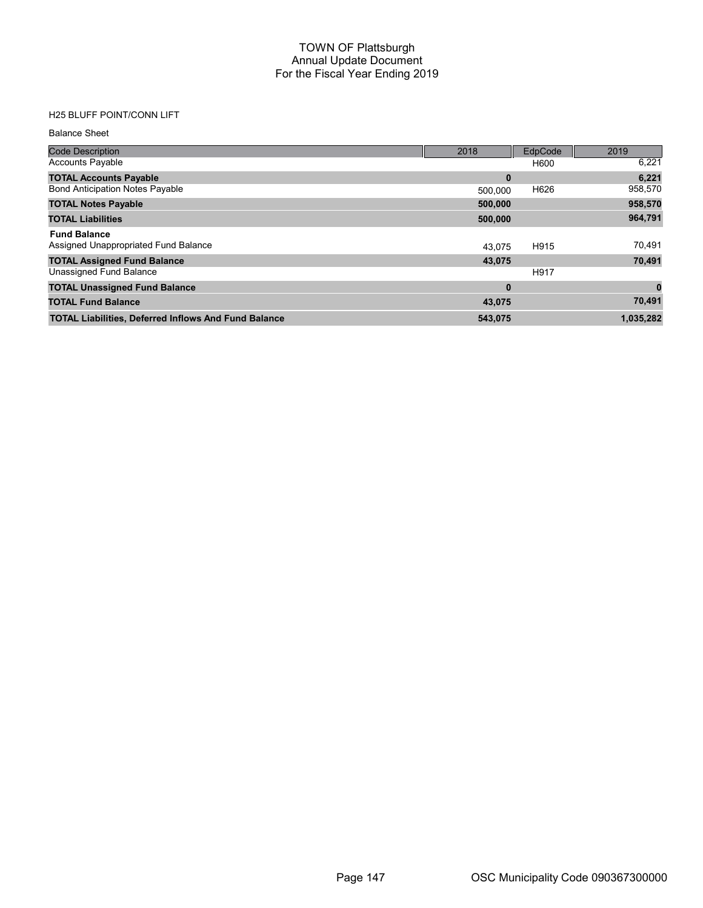# H25 BLUFF POINT/CONN LIFT

#### Balance Sheet

| <b>Code Description</b>                                     | 2018     | EdpCode | 2019      |
|-------------------------------------------------------------|----------|---------|-----------|
| <b>Accounts Payable</b>                                     |          | H600    | 6,221     |
| <b>TOTAL Accounts Payable</b>                               | 0        |         | 6,221     |
| <b>Bond Anticipation Notes Payable</b>                      | 500.000  | H626    | 958,570   |
| <b>TOTAL Notes Payable</b>                                  | 500,000  |         | 958,570   |
| <b>TOTAL Liabilities</b>                                    | 500,000  |         | 964,791   |
| <b>Fund Balance</b>                                         |          |         |           |
| Assigned Unappropriated Fund Balance                        | 43.075   | H915    | 70,491    |
| <b>TOTAL Assigned Fund Balance</b>                          | 43,075   |         | 70,491    |
| Unassigned Fund Balance                                     |          | H917    |           |
| <b>TOTAL Unassigned Fund Balance</b>                        | $\bf{0}$ |         |           |
| <b>TOTAL Fund Balance</b>                                   | 43,075   |         | 70,491    |
| <b>TOTAL Liabilities, Deferred Inflows And Fund Balance</b> | 543,075  |         | 1,035,282 |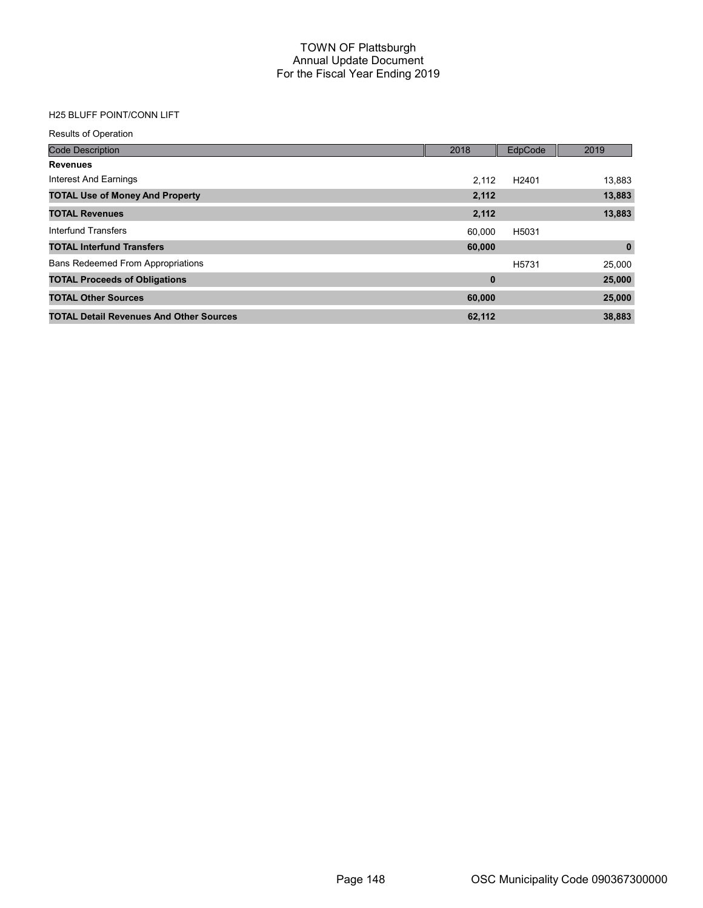# H25 BLUFF POINT/CONN LIFT

| <b>Results of Operation</b>                    |             |                   |             |
|------------------------------------------------|-------------|-------------------|-------------|
| <b>Code Description</b>                        | 2018        | EdpCode           | 2019        |
| <b>Revenues</b>                                |             |                   |             |
| Interest And Earnings                          | 2.112       | H <sub>2401</sub> | 13,883      |
| <b>TOTAL Use of Money And Property</b>         | 2,112       |                   | 13,883      |
| <b>TOTAL Revenues</b>                          | 2,112       |                   | 13,883      |
| Interfund Transfers                            | 60.000      | H5031             |             |
| <b>TOTAL Interfund Transfers</b>               | 60,000      |                   | $\mathbf 0$ |
| <b>Bans Redeemed From Appropriations</b>       |             | H <sub>5731</sub> | 25,000      |
| <b>TOTAL Proceeds of Obligations</b>           | $\mathbf 0$ |                   | 25,000      |
| <b>TOTAL Other Sources</b>                     | 60,000      |                   | 25,000      |
| <b>TOTAL Detail Revenues And Other Sources</b> | 62,112      |                   | 38,883      |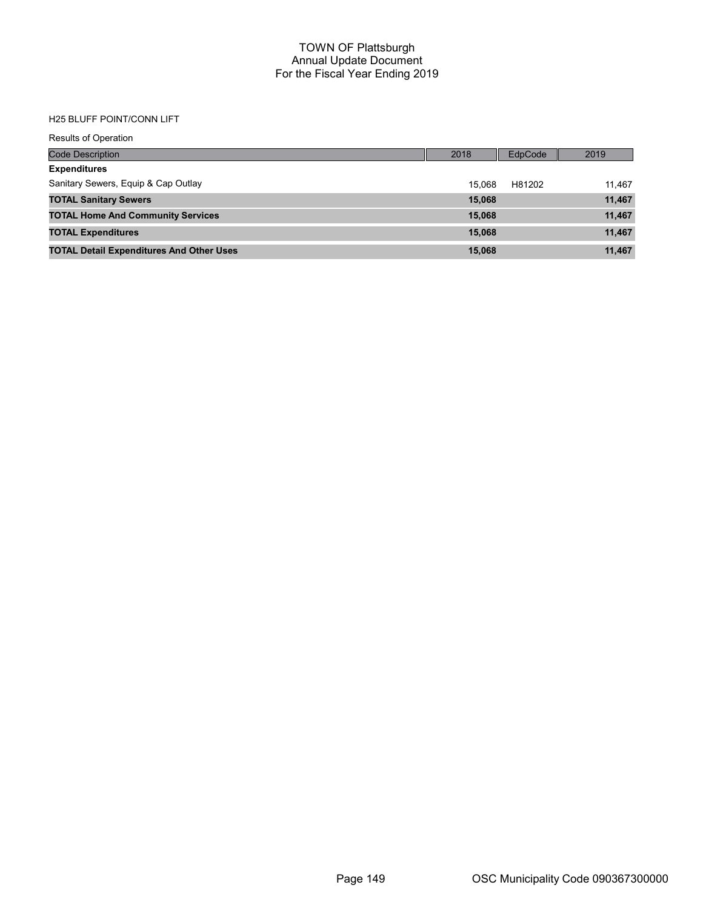### H25 BLUFF POINT/CONN LIFT

| <b>Results of Operation</b>                     |        |         |        |
|-------------------------------------------------|--------|---------|--------|
| <b>Code Description</b>                         | 2018   | EdpCode | 2019   |
| <b>Expenditures</b>                             |        |         |        |
| Sanitary Sewers, Equip & Cap Outlay             | 15.068 | H81202  | 11,467 |
| <b>TOTAL Sanitary Sewers</b>                    | 15,068 |         | 11,467 |
| <b>TOTAL Home And Community Services</b>        | 15,068 |         | 11,467 |
| <b>TOTAL Expenditures</b>                       | 15,068 |         | 11,467 |
| <b>TOTAL Detail Expenditures And Other Uses</b> | 15,068 |         | 11,467 |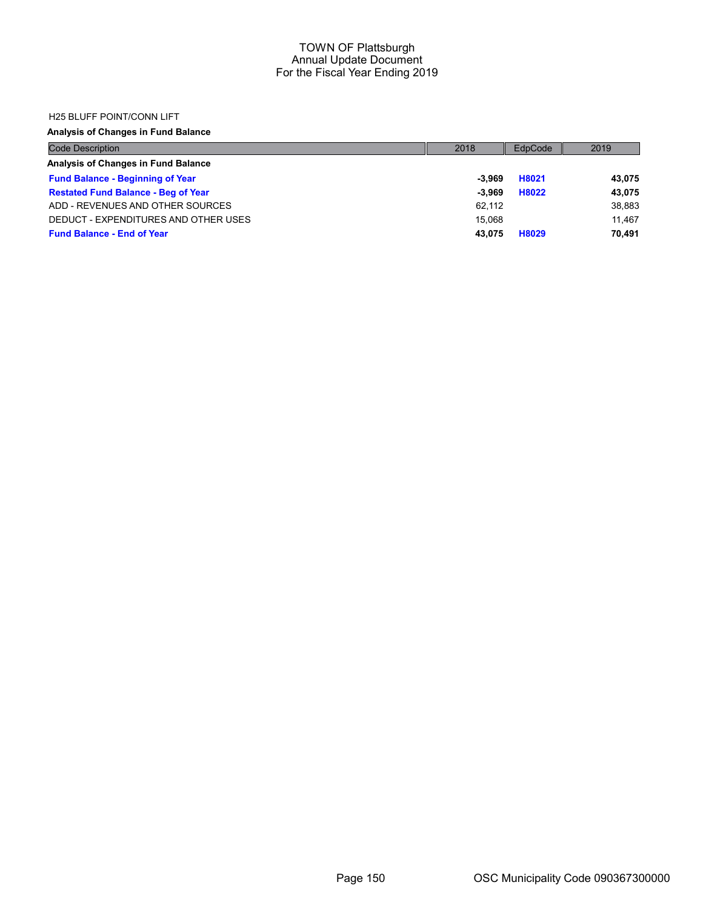### H25 BLUFF POINT/CONN LIFT

| <b>Code Description</b>                    | 2018   | EdpCode | 2019   |
|--------------------------------------------|--------|---------|--------|
| Analysis of Changes in Fund Balance        |        |         |        |
| <b>Fund Balance - Beginning of Year</b>    | -3.969 | H8021   | 43,075 |
| <b>Restated Fund Balance - Beg of Year</b> | -3.969 | H8022   | 43,075 |
| ADD - REVENUES AND OTHER SOURCES           | 62.112 |         | 38,883 |
| DEDUCT - EXPENDITURES AND OTHER USES       | 15.068 |         | 11.467 |
| <b>Fund Balance - End of Year</b>          | 43.075 | H8029   | 70.491 |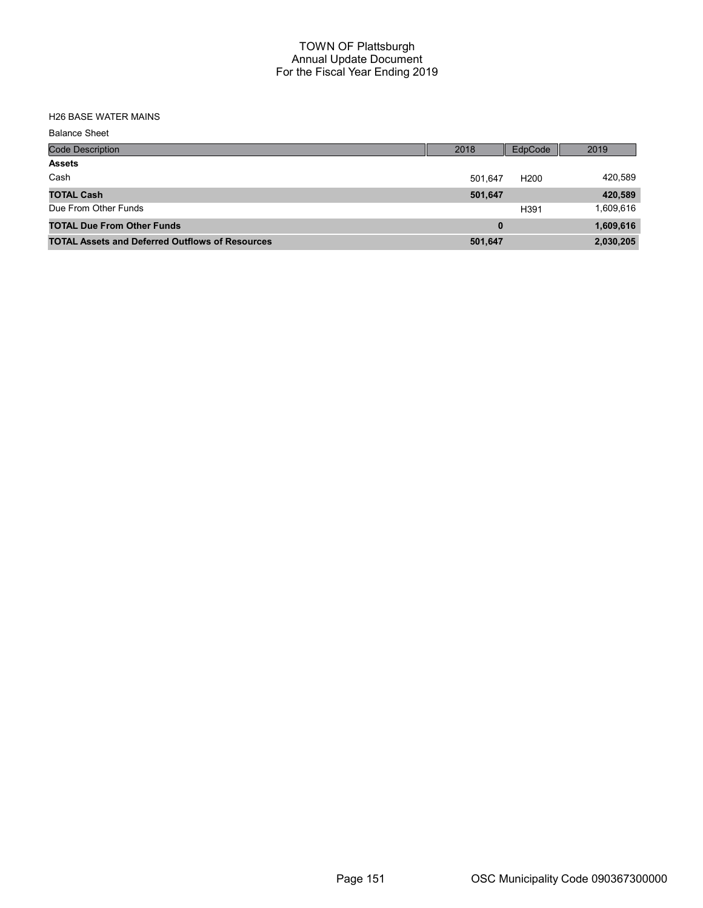# H26 BASE WATER MAINS

| <b>Balance Sheet</b>                                   |          |                  |           |
|--------------------------------------------------------|----------|------------------|-----------|
| <b>Code Description</b>                                | 2018     | EdpCode          | 2019      |
| <b>Assets</b>                                          |          |                  |           |
| Cash                                                   | 501.647  | H <sub>200</sub> | 420,589   |
| <b>TOTAL Cash</b>                                      | 501,647  |                  | 420,589   |
| Due From Other Funds                                   |          | H391             | 1,609,616 |
| <b>TOTAL Due From Other Funds</b>                      | $\bf{0}$ |                  | 1,609,616 |
| <b>TOTAL Assets and Deferred Outflows of Resources</b> | 501,647  |                  | 2,030,205 |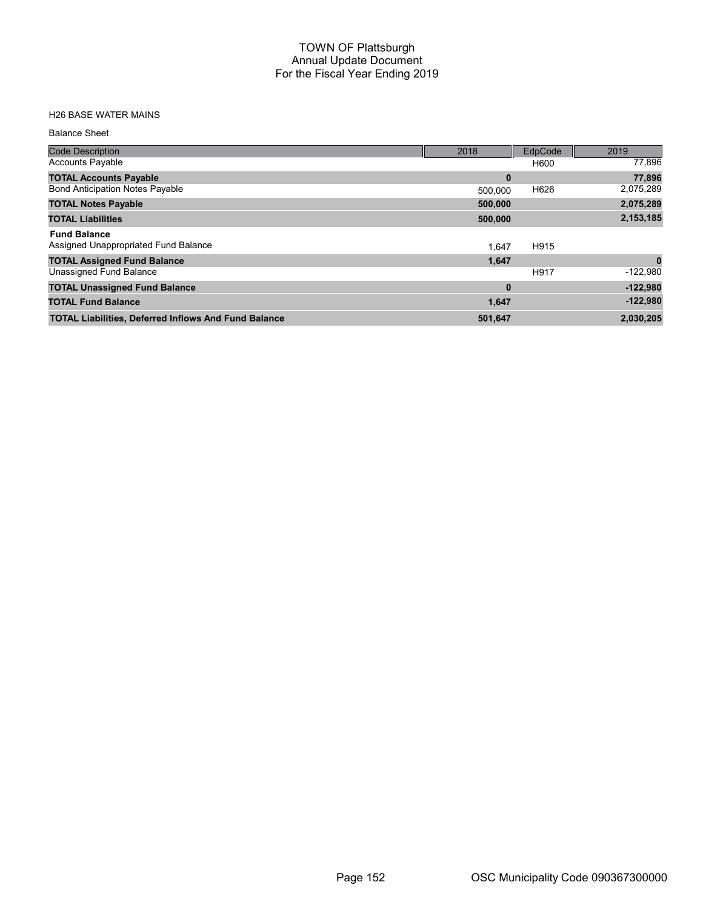# H26 BASE WATER MAINS

#### Balance Sheet

| <b>Code Description</b>                                     | 2018     | EdpCode | 2019       |
|-------------------------------------------------------------|----------|---------|------------|
| <b>Accounts Payable</b>                                     |          | H600    | 77,896     |
| <b>TOTAL Accounts Payable</b>                               | $\bf{0}$ |         | 77,896     |
| <b>Bond Anticipation Notes Payable</b>                      | 500.000  | H626    | 2,075,289  |
| <b>TOTAL Notes Payable</b>                                  | 500,000  |         | 2,075,289  |
| <b>TOTAL Liabilities</b>                                    | 500,000  |         | 2,153,185  |
| <b>Fund Balance</b><br>Assigned Unappropriated Fund Balance | 1.647    | H915    |            |
| <b>TOTAL Assigned Fund Balance</b>                          | 1,647    |         |            |
| Unassigned Fund Balance                                     |          | H917    | $-122,980$ |
| <b>TOTAL Unassigned Fund Balance</b>                        | $\bf{0}$ |         | $-122,980$ |
| <b>TOTAL Fund Balance</b>                                   | 1,647    |         | $-122,980$ |
| <b>TOTAL Liabilities, Deferred Inflows And Fund Balance</b> | 501,647  |         | 2,030,205  |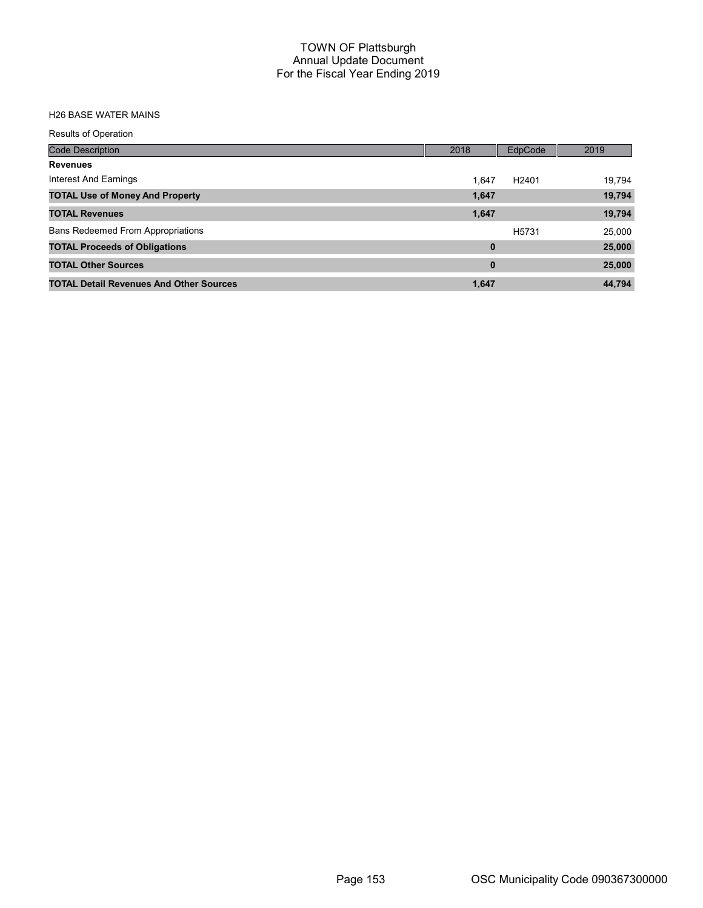# H26 BASE WATER MAINS

| <b>Results of Operation</b>                    |          |                   |        |
|------------------------------------------------|----------|-------------------|--------|
| <b>Code Description</b>                        | 2018     | EdpCode           | 2019   |
| <b>Revenues</b>                                |          |                   |        |
| Interest And Earnings                          | 1.647    | H <sub>2401</sub> | 19.794 |
| <b>TOTAL Use of Money And Property</b>         | 1,647    |                   | 19,794 |
| <b>TOTAL Revenues</b>                          | 1,647    |                   | 19,794 |
| <b>Bans Redeemed From Appropriations</b>       |          | H <sub>5731</sub> | 25,000 |
| <b>TOTAL Proceeds of Obligations</b>           | $\bf{0}$ |                   | 25,000 |
| <b>TOTAL Other Sources</b>                     | $\bf{0}$ |                   | 25,000 |
| <b>TOTAL Detail Revenues And Other Sources</b> | 1,647    |                   | 44.794 |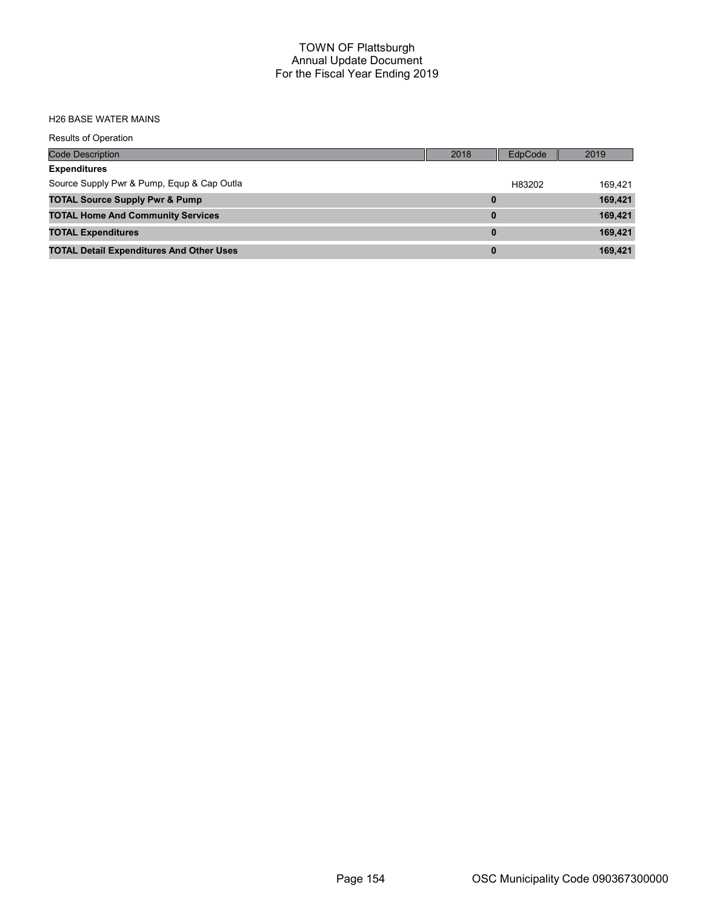#### H26 BASE WATER MAINS

| <b>Results of Operation</b>                     |          |         |         |
|-------------------------------------------------|----------|---------|---------|
| <b>Code Description</b>                         | 2018     | EdpCode | 2019    |
| <b>Expenditures</b>                             |          |         |         |
| Source Supply Pwr & Pump, Equp & Cap Outla      |          | H83202  | 169.421 |
| <b>TOTAL Source Supply Pwr &amp; Pump</b>       | 0        |         | 169,421 |
| <b>TOTAL Home And Community Services</b>        | $\bf{0}$ |         | 169,421 |
| <b>TOTAL Expenditures</b>                       | $\bf{0}$ |         | 169,421 |
| <b>TOTAL Detail Expenditures And Other Uses</b> | $\bf{0}$ |         | 169,421 |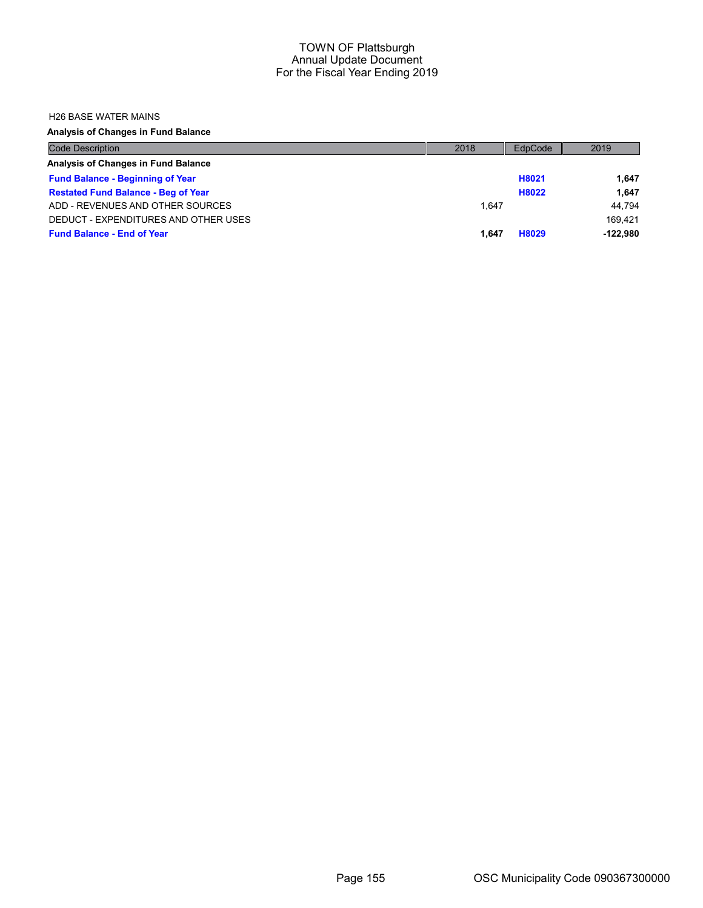#### H26 BASE WATER MAINS

| <b>Code Description</b>                    | 2018  | EdpCode | 2019       |
|--------------------------------------------|-------|---------|------------|
| Analysis of Changes in Fund Balance        |       |         |            |
| <b>Fund Balance - Beginning of Year</b>    |       | H8021   | 1.647      |
| <b>Restated Fund Balance - Beg of Year</b> |       | H8022   | 1.647      |
| ADD - REVENUES AND OTHER SOURCES           | 1.647 |         | 44.794     |
| DEDUCT - EXPENDITURES AND OTHER USES       |       |         | 169.421    |
| <b>Fund Balance - End of Year</b>          | 1.647 | H8029   | $-122.980$ |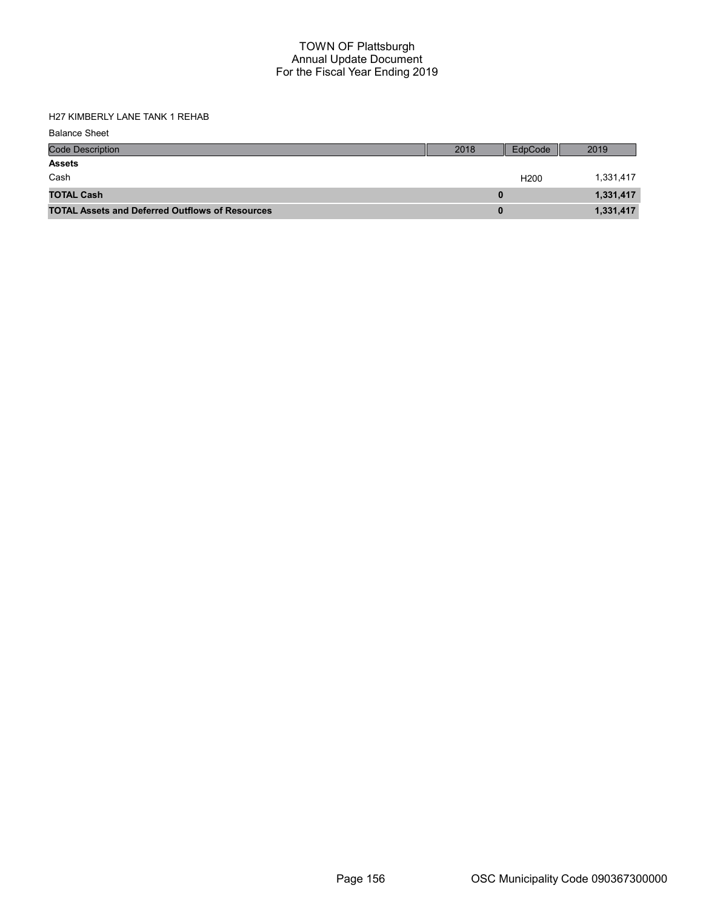H27 KIMBERLY LANE TANK 1 REHAB

| <b>Balance Sheet</b>                                   |      |                  |           |
|--------------------------------------------------------|------|------------------|-----------|
| <b>Code Description</b>                                | 2018 | EdpCode          | 2019      |
| <b>Assets</b>                                          |      |                  |           |
| Cash                                                   |      | H <sub>200</sub> | 1,331,417 |
| <b>TOTAL Cash</b>                                      | 0    |                  | 1,331,417 |
| <b>TOTAL Assets and Deferred Outflows of Resources</b> | 0    |                  | 1,331,417 |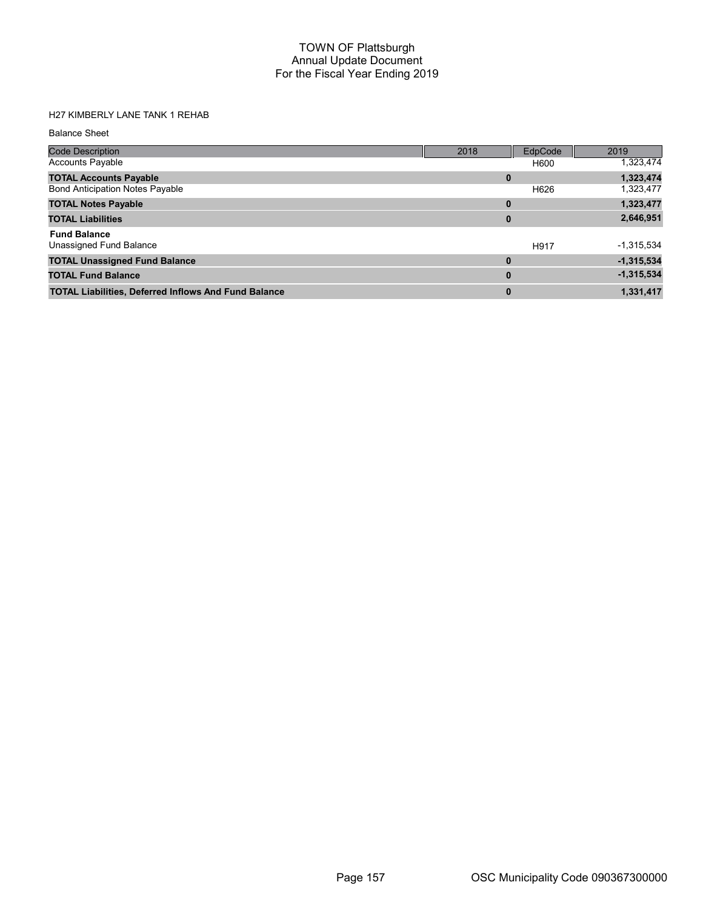# H27 KIMBERLY LANE TANK 1 REHAB

Balance Sheet

| <b>Code Description</b>                                     | 2018     | EdpCode | 2019         |
|-------------------------------------------------------------|----------|---------|--------------|
| <b>Accounts Payable</b>                                     |          | H600    | 1,323,474    |
| <b>TOTAL Accounts Payable</b>                               | 0        |         | 1,323,474    |
| <b>Bond Anticipation Notes Payable</b>                      |          | H626    | 1,323,477    |
| <b>TOTAL Notes Payable</b>                                  | $\bf{0}$ |         | 1,323,477    |
| <b>TOTAL Liabilities</b>                                    | $\bf{0}$ |         | 2,646,951    |
| <b>Fund Balance</b>                                         |          |         |              |
| Unassigned Fund Balance                                     |          | H917    | $-1,315,534$ |
| <b>TOTAL Unassigned Fund Balance</b>                        | $\bf{0}$ |         | $-1,315,534$ |
| <b>TOTAL Fund Balance</b>                                   | $\bf{0}$ |         | $-1,315,534$ |
| <b>TOTAL Liabilities, Deferred Inflows And Fund Balance</b> | $\bf{0}$ |         | 1,331,417    |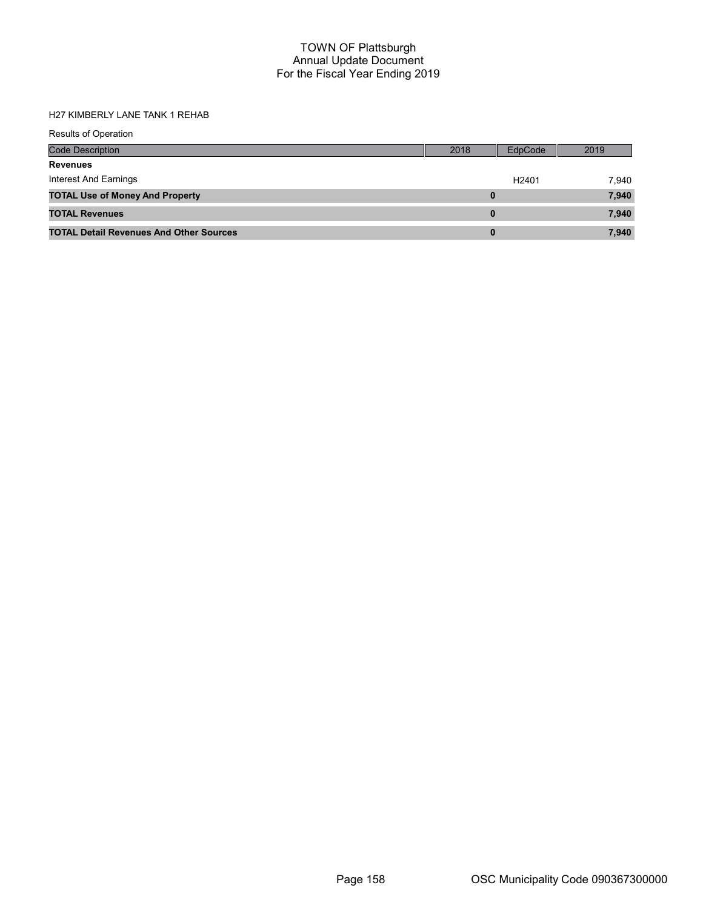# H27 KIMBERLY LANE TANK 1 REHAB

| <b>Results of Operation</b>                    |      |                   |       |
|------------------------------------------------|------|-------------------|-------|
| Code Description                               | 2018 | EdpCode           | 2019  |
| <b>Revenues</b>                                |      |                   |       |
| Interest And Earnings                          |      | H <sub>2401</sub> | 7,940 |
| <b>TOTAL Use of Money And Property</b>         | 0    |                   | 7,940 |
| <b>TOTAL Revenues</b>                          | 0    |                   | 7,940 |
| <b>TOTAL Detail Revenues And Other Sources</b> | 0    |                   | 7.940 |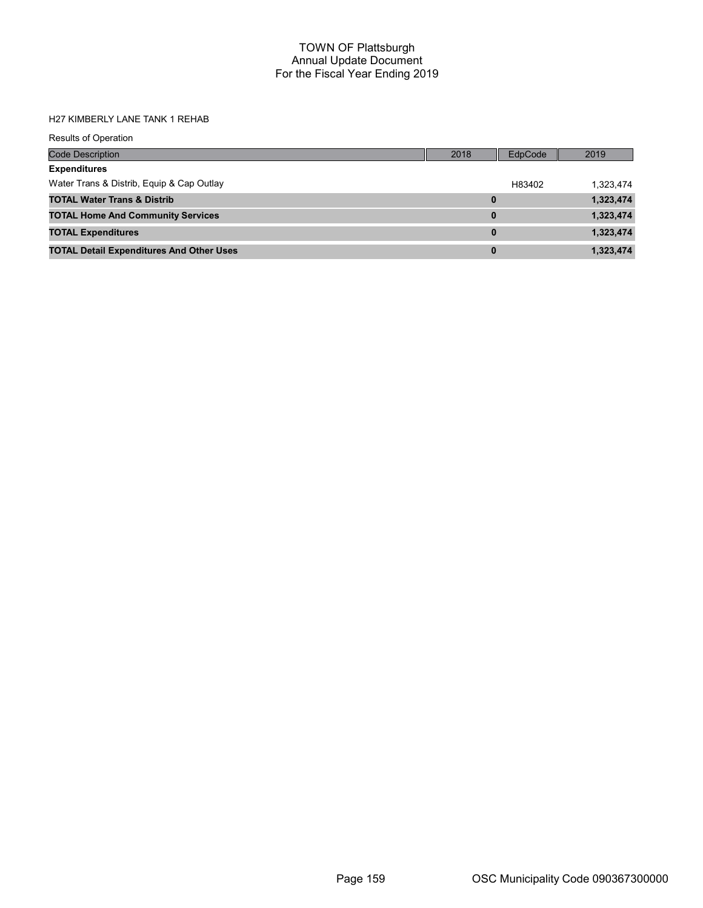# H27 KIMBERLY LANE TANK 1 REHAB

| Results of Operation                            |          |         |           |
|-------------------------------------------------|----------|---------|-----------|
| <b>Code Description</b>                         | 2018     | EdpCode | 2019      |
| <b>Expenditures</b>                             |          |         |           |
| Water Trans & Distrib, Equip & Cap Outlay       |          | H83402  | 1,323,474 |
| <b>TOTAL Water Trans &amp; Distrib</b>          | 0        |         | 1,323,474 |
| <b>TOTAL Home And Community Services</b>        | 0        |         | 1,323,474 |
| <b>TOTAL Expenditures</b>                       | $\bf{0}$ |         | 1,323,474 |
| <b>TOTAL Detail Expenditures And Other Uses</b> | 0        |         | 1,323,474 |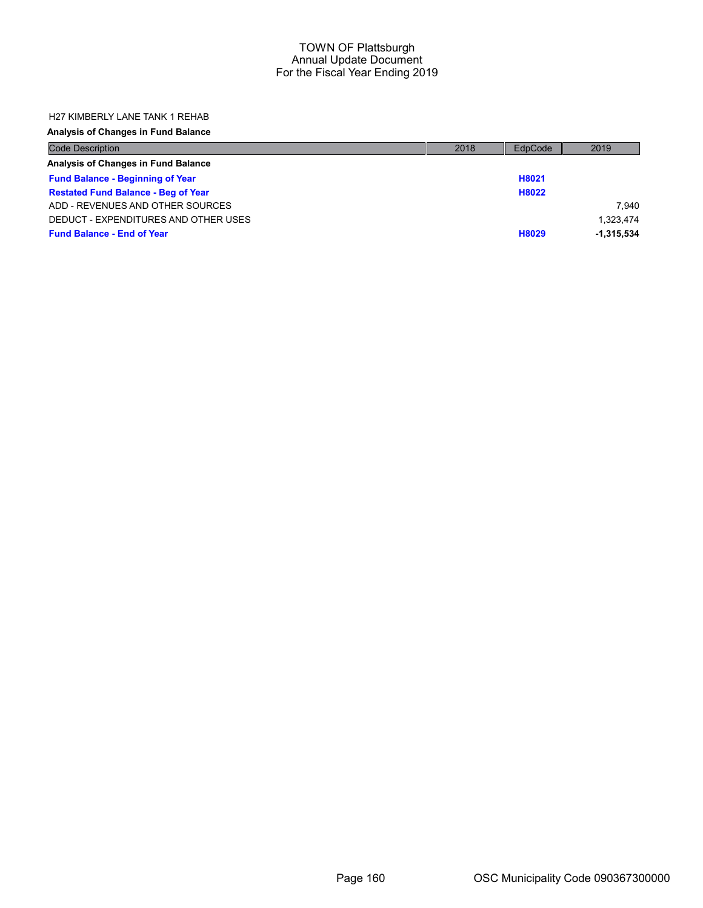### H27 KIMBERLY LANE TANK 1 REHAB

| <b>Code Description</b>                    | 2018 | EdpCode | 2019         |
|--------------------------------------------|------|---------|--------------|
| Analysis of Changes in Fund Balance        |      |         |              |
| <b>Fund Balance - Beginning of Year</b>    |      | H8021   |              |
| <b>Restated Fund Balance - Beg of Year</b> |      | H8022   |              |
| ADD - REVENUES AND OTHER SOURCES           |      |         | 7.940        |
| DEDUCT - EXPENDITURES AND OTHER USES       |      |         | 1.323.474    |
| <b>Fund Balance - End of Year</b>          |      | H8029   | $-1.315.534$ |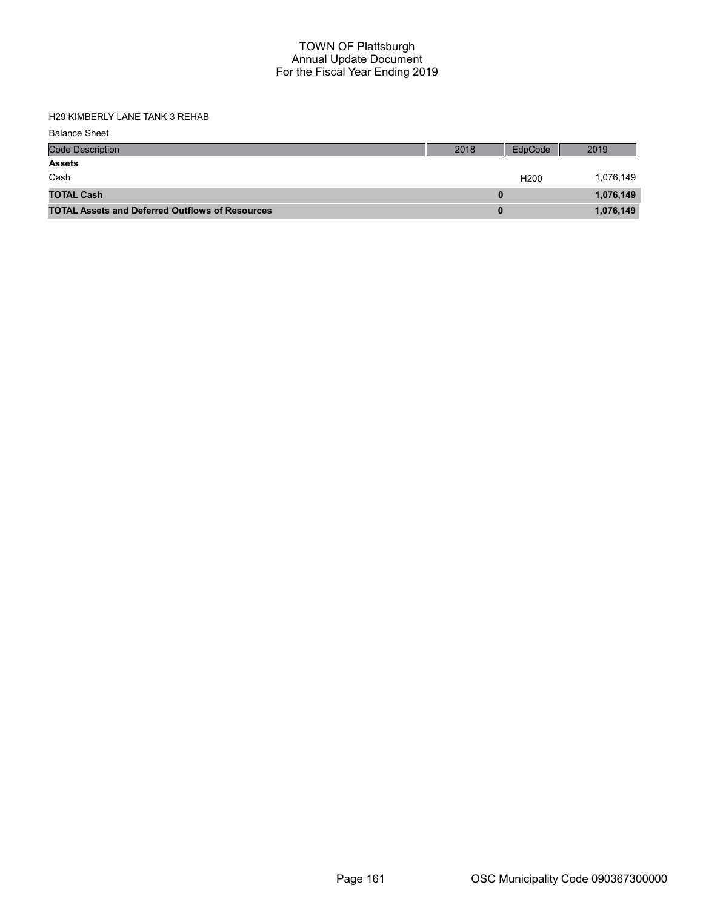H29 KIMBERLY LANE TANK 3 REHAB

| <b>Balance Sheet</b>                                   |      |                  |           |
|--------------------------------------------------------|------|------------------|-----------|
| <b>Code Description</b>                                | 2018 | EdpCode          | 2019      |
| <b>Assets</b>                                          |      |                  |           |
| Cash                                                   |      | H <sub>200</sub> | 1,076,149 |
| <b>TOTAL Cash</b>                                      | 0    |                  | 1,076,149 |
| <b>TOTAL Assets and Deferred Outflows of Resources</b> | 0    |                  | 1,076,149 |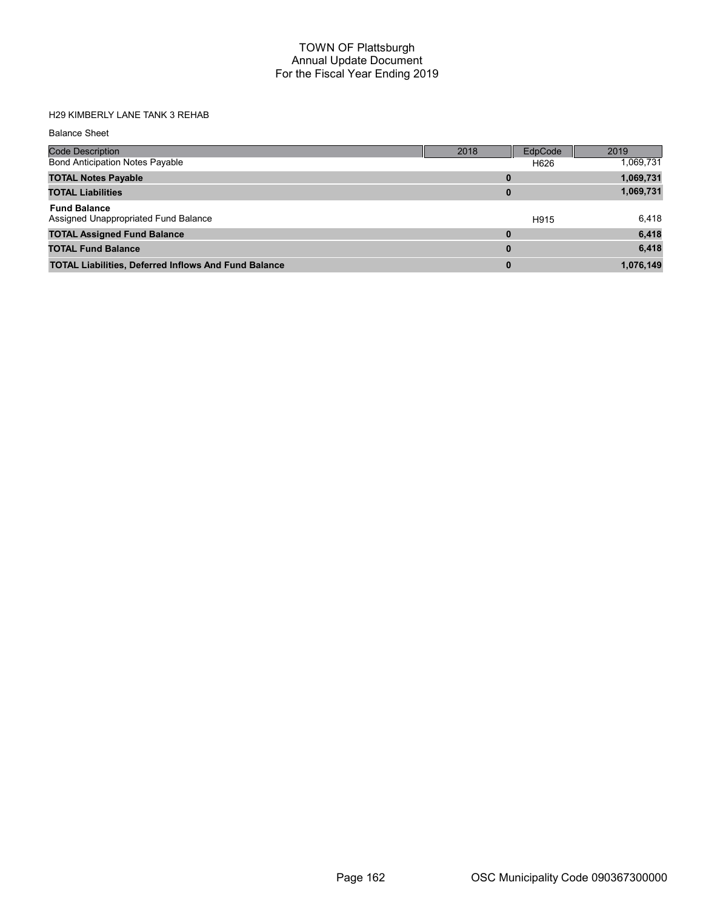# H29 KIMBERLY LANE TANK 3 REHAB

| <b>Balance Sheet</b>                                        |          |         |           |
|-------------------------------------------------------------|----------|---------|-----------|
| <b>Code Description</b>                                     | 2018     | EdpCode | 2019      |
| <b>Bond Anticipation Notes Payable</b>                      |          | H626    | 1,069,731 |
| <b>TOTAL Notes Payable</b>                                  |          |         | 1,069,731 |
| <b>TOTAL Liabilities</b>                                    | 0        |         | 1,069,731 |
| <b>Fund Balance</b><br>Assigned Unappropriated Fund Balance |          | H915    | 6,418     |
| <b>TOTAL Assigned Fund Balance</b>                          | $\bf{0}$ |         | 6,418     |
| <b>TOTAL Fund Balance</b>                                   | $\bf{0}$ |         | 6,418     |
| <b>TOTAL Liabilities, Deferred Inflows And Fund Balance</b> | 0        |         | 1,076,149 |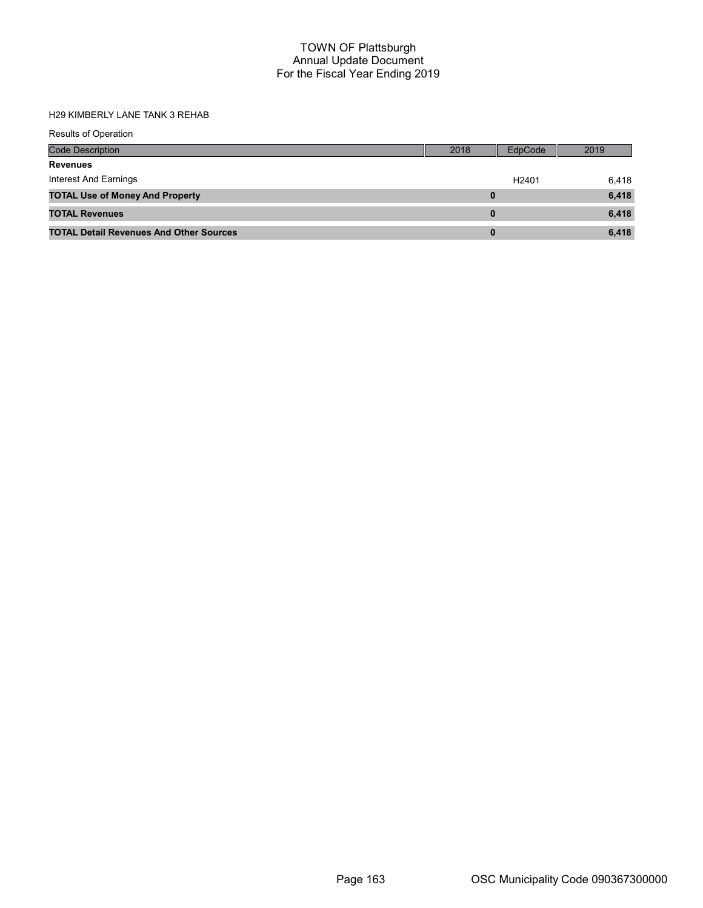# H29 KIMBERLY LANE TANK 3 REHAB

| <b>Results of Operation</b>                    |      |                   |       |
|------------------------------------------------|------|-------------------|-------|
| Code Description                               | 2018 | EdpCode           | 2019  |
| <b>Revenues</b>                                |      |                   |       |
| Interest And Earnings                          |      | H <sub>2401</sub> | 6,418 |
| <b>TOTAL Use of Money And Property</b>         |      |                   | 6,418 |
| <b>TOTAL Revenues</b>                          | 0    |                   | 6,418 |
| <b>TOTAL Detail Revenues And Other Sources</b> | 0    |                   | 6,418 |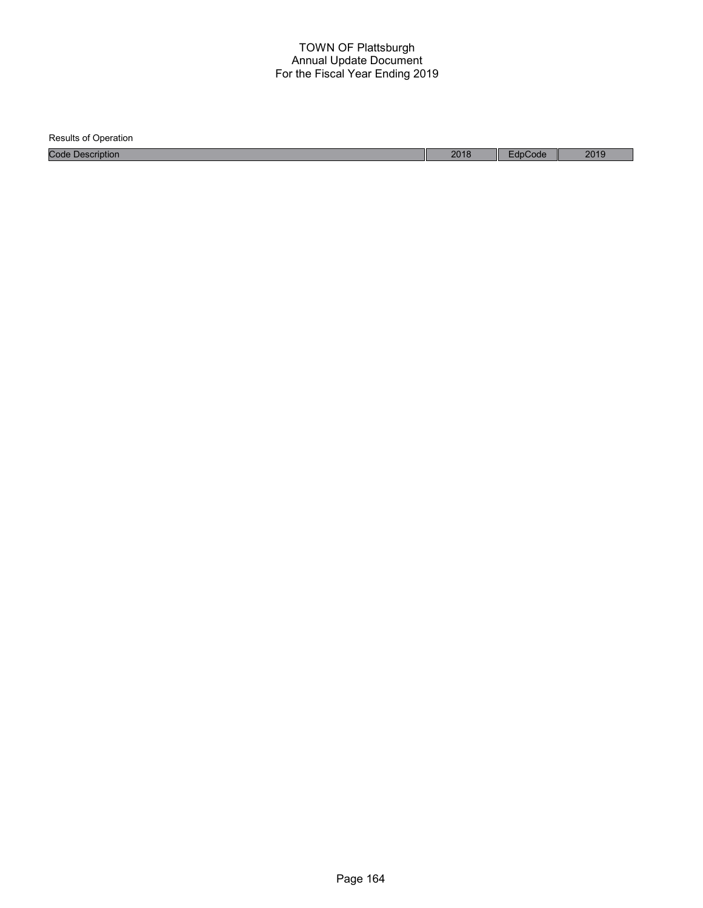| <b>Results of Operation</b> |      |         |      |
|-----------------------------|------|---------|------|
| <b>Code Description</b>     | 2018 | EdpCode | 2019 |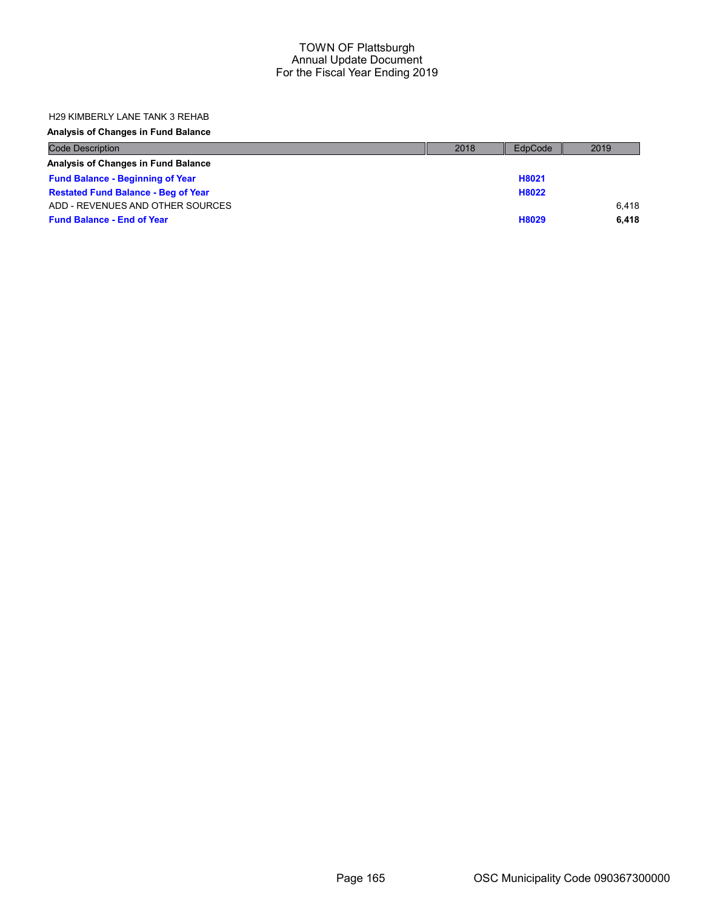### H29 KIMBERLY LANE TANK 3 REHAB

| <b>Code Description</b>                    | 2018 | EdpCode | 2019  |
|--------------------------------------------|------|---------|-------|
| Analysis of Changes in Fund Balance        |      |         |       |
| <b>Fund Balance - Beginning of Year</b>    |      | H8021   |       |
| <b>Restated Fund Balance - Beg of Year</b> |      | H8022   |       |
| ADD - REVENUES AND OTHER SOURCES           |      |         | 6.418 |
| <b>Fund Balance - End of Year</b>          |      | H8029   | 6.418 |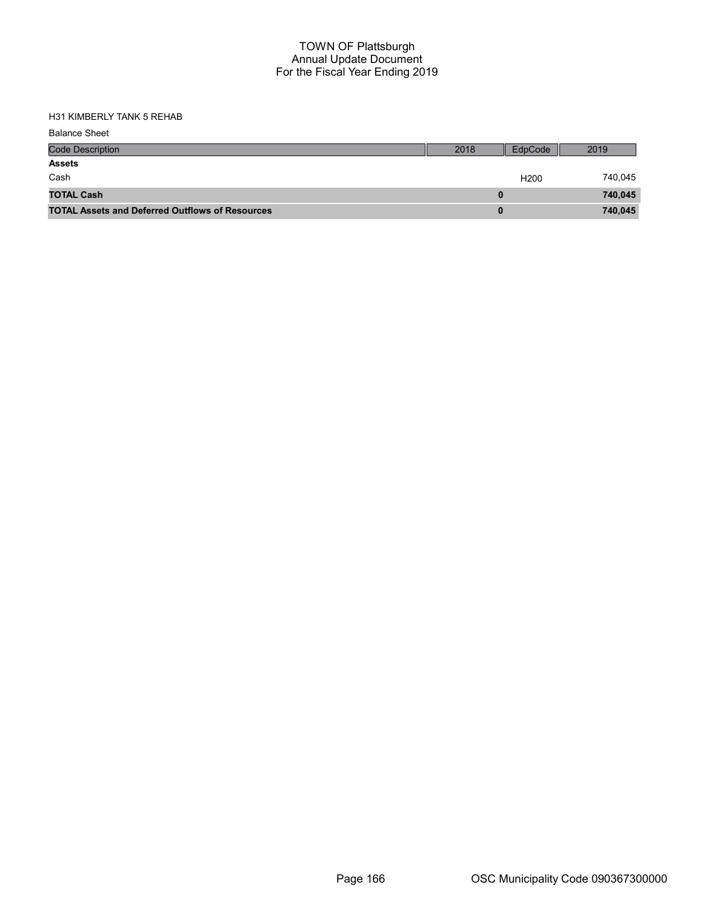H31 KIMBERLY TANK 5 REHAB

| <b>Balance Sheet</b>                                   |      |                  |         |
|--------------------------------------------------------|------|------------------|---------|
| <b>Code Description</b>                                | 2018 | EdpCode          | 2019    |
| <b>Assets</b>                                          |      |                  |         |
| Cash                                                   |      | H <sub>200</sub> | 740,045 |
| <b>TOTAL Cash</b>                                      |      |                  | 740,045 |
| <b>TOTAL Assets and Deferred Outflows of Resources</b> |      |                  | 740,045 |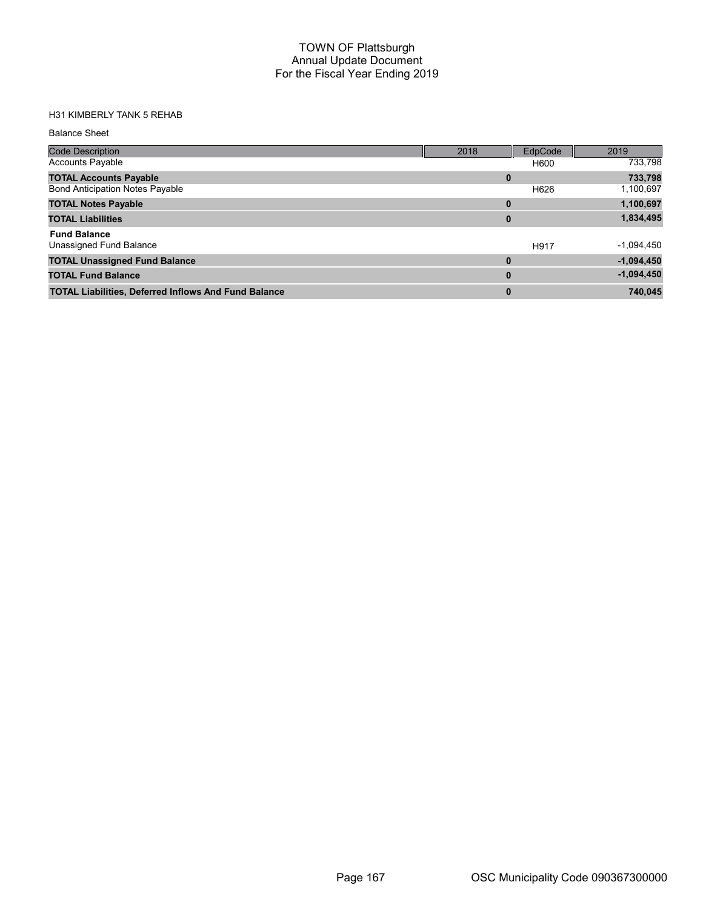# H31 KIMBERLY TANK 5 REHAB

#### Balance Sheet

| <b>Code Description</b>                                     | 2018 | EdpCode | 2019         |
|-------------------------------------------------------------|------|---------|--------------|
| <b>Accounts Payable</b>                                     |      | H600    | 733,798      |
| <b>TOTAL Accounts Payable</b>                               | 0    |         | 733,798      |
| <b>Bond Anticipation Notes Payable</b>                      |      | H626    | 1,100,697    |
| <b>TOTAL Notes Payable</b>                                  | 0    |         | 1,100,697    |
| <b>TOTAL Liabilities</b>                                    | 0    |         | 1,834,495    |
| <b>Fund Balance</b>                                         |      |         |              |
| Unassigned Fund Balance                                     |      | H917    | $-1,094,450$ |
| <b>TOTAL Unassigned Fund Balance</b>                        | 0    |         | $-1,094,450$ |
| <b>TOTAL Fund Balance</b>                                   | 0    |         | $-1,094,450$ |
| <b>TOTAL Liabilities, Deferred Inflows And Fund Balance</b> | 0    |         | 740,045      |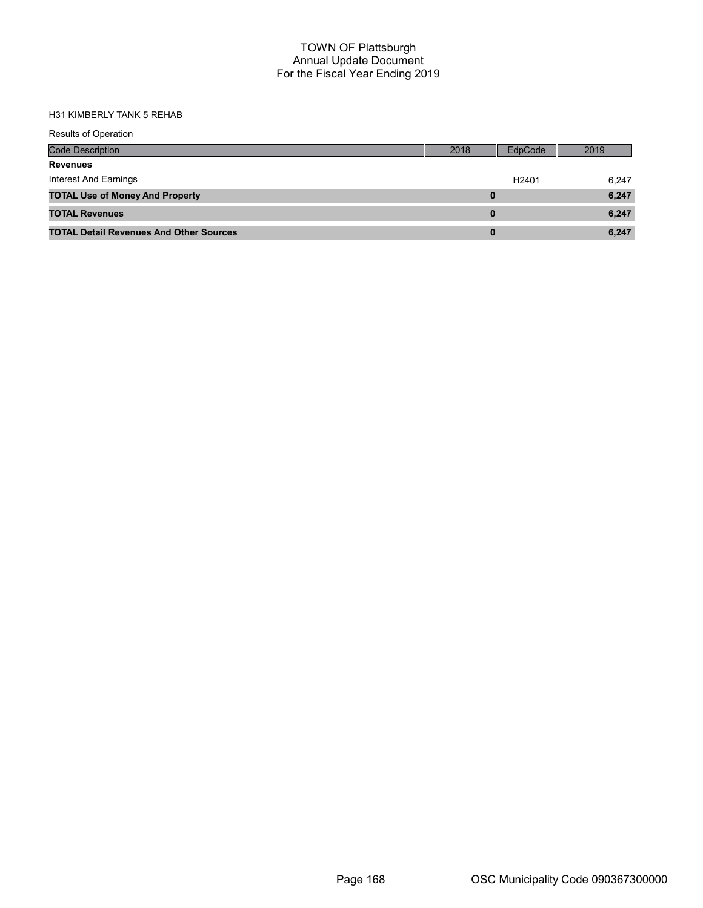#### H31 KIMBERLY TANK 5 REHAB

| <b>Results of Operation</b>                    |      |                   |       |
|------------------------------------------------|------|-------------------|-------|
| Code Description                               | 2018 | EdpCode           | 2019  |
| <b>Revenues</b>                                |      |                   |       |
| <b>Interest And Earnings</b>                   |      | H <sub>2401</sub> | 6,247 |
| <b>TOTAL Use of Money And Property</b>         | 0    |                   | 6,247 |
| <b>TOTAL Revenues</b>                          | 0    |                   | 6,247 |
| <b>TOTAL Detail Revenues And Other Sources</b> | 0    |                   | 6.247 |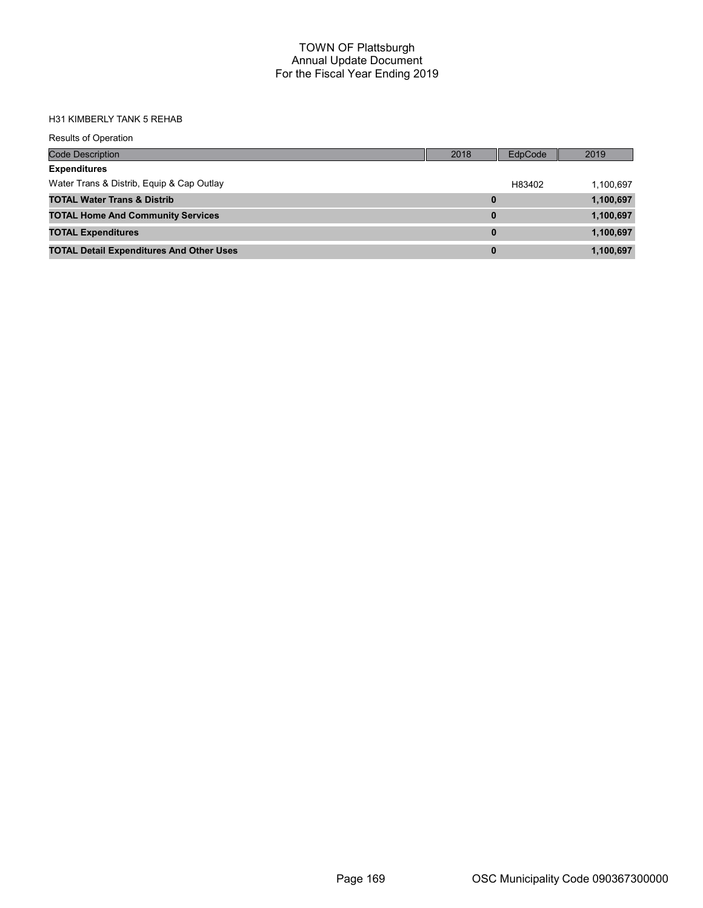# H31 KIMBERLY TANK 5 REHAB

| <b>Results of Operation</b>                     |          |         |           |
|-------------------------------------------------|----------|---------|-----------|
| <b>Code Description</b>                         | 2018     | EdpCode | 2019      |
| <b>Expenditures</b>                             |          |         |           |
| Water Trans & Distrib, Equip & Cap Outlay       |          | H83402  | 1,100,697 |
| <b>TOTAL Water Trans &amp; Distrib</b>          | 0        |         | 1,100,697 |
| <b>TOTAL Home And Community Services</b>        | 0        |         | 1,100,697 |
| <b>TOTAL Expenditures</b>                       | $\bf{0}$ |         | 1,100,697 |
| <b>TOTAL Detail Expenditures And Other Uses</b> | 0        |         | 1,100,697 |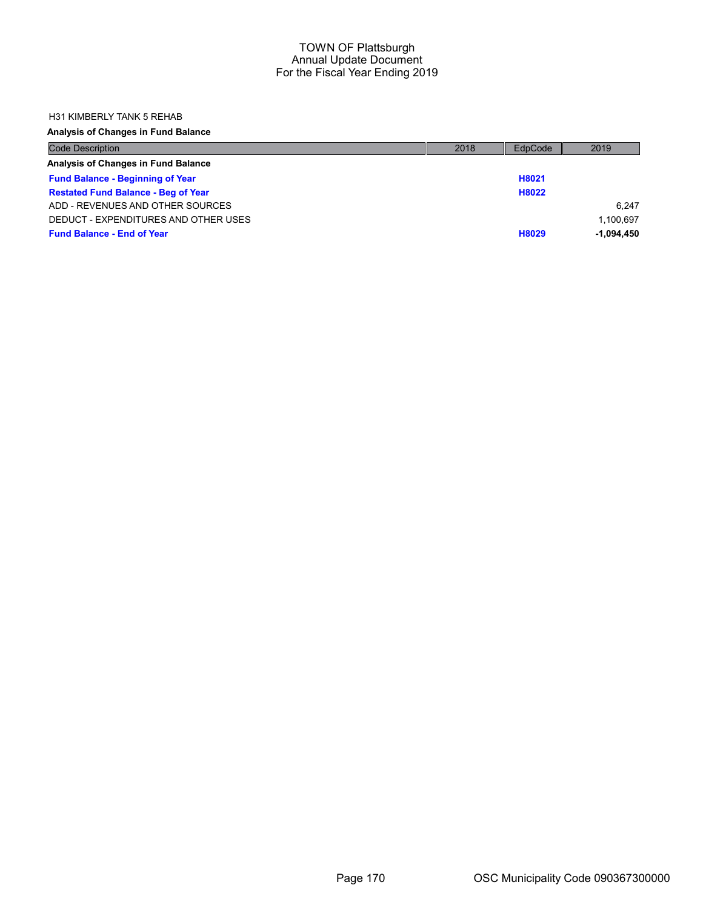### H31 KIMBERLY TANK 5 REHAB

| <b>Code Description</b>                    | 2018 | EdpCode | 2019         |
|--------------------------------------------|------|---------|--------------|
| Analysis of Changes in Fund Balance        |      |         |              |
| <b>Fund Balance - Beginning of Year</b>    |      | H8021   |              |
| <b>Restated Fund Balance - Beg of Year</b> |      | H8022   |              |
| ADD - REVENUES AND OTHER SOURCES           |      |         | 6.247        |
| DEDUCT - EXPENDITURES AND OTHER USES       |      |         | 1.100.697    |
| <b>Fund Balance - End of Year</b>          |      | H8029   | $-1.094.450$ |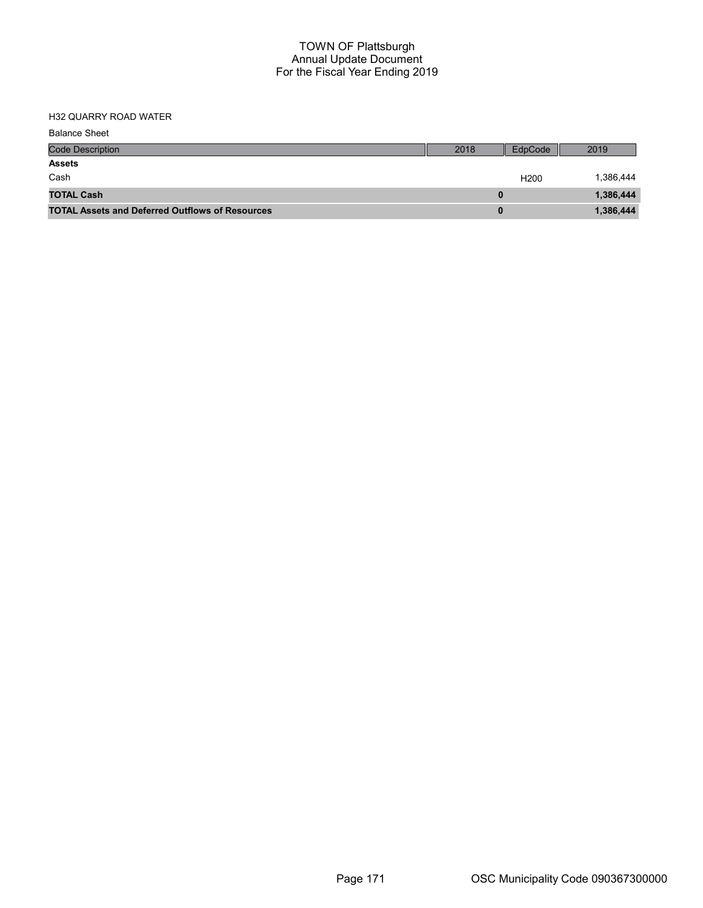# H32 QUARRY ROAD WATER

| <b>Balance Sheet</b>                                   |      |                  |           |
|--------------------------------------------------------|------|------------------|-----------|
| <b>Code Description</b>                                | 2018 | EdpCode          | 2019      |
| <b>Assets</b>                                          |      |                  |           |
| Cash                                                   |      | H <sub>200</sub> | 1,386,444 |
| <b>TOTAL Cash</b>                                      |      |                  | 1,386,444 |
| <b>TOTAL Assets and Deferred Outflows of Resources</b> |      |                  | 1,386,444 |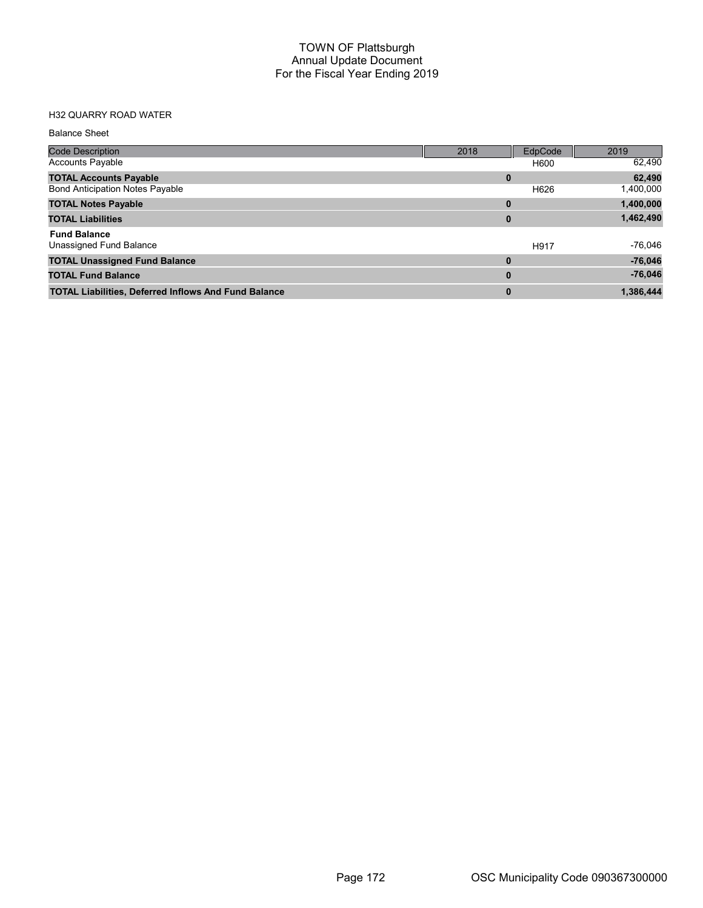# H32 QUARRY ROAD WATER

#### Balance Sheet

| <b>Code Description</b>                                     | 2018     | EdpCode | 2019      |
|-------------------------------------------------------------|----------|---------|-----------|
| <b>Accounts Payable</b>                                     |          | H600    | 62,490    |
| <b>TOTAL Accounts Payable</b>                               | 0        |         | 62,490    |
| <b>Bond Anticipation Notes Payable</b>                      |          | H626    | 1,400,000 |
| <b>TOTAL Notes Payable</b>                                  | 0        |         | 1,400,000 |
| <b>TOTAL Liabilities</b>                                    | $\bf{0}$ |         | 1,462,490 |
| <b>Fund Balance</b>                                         |          |         |           |
| Unassigned Fund Balance                                     |          | H917    | $-76,046$ |
| <b>TOTAL Unassigned Fund Balance</b>                        | $\bf{0}$ |         | $-76,046$ |
| <b>TOTAL Fund Balance</b>                                   | $\bf{0}$ |         | $-76,046$ |
| <b>TOTAL Liabilities, Deferred Inflows And Fund Balance</b> | $\bf{0}$ |         | 1,386,444 |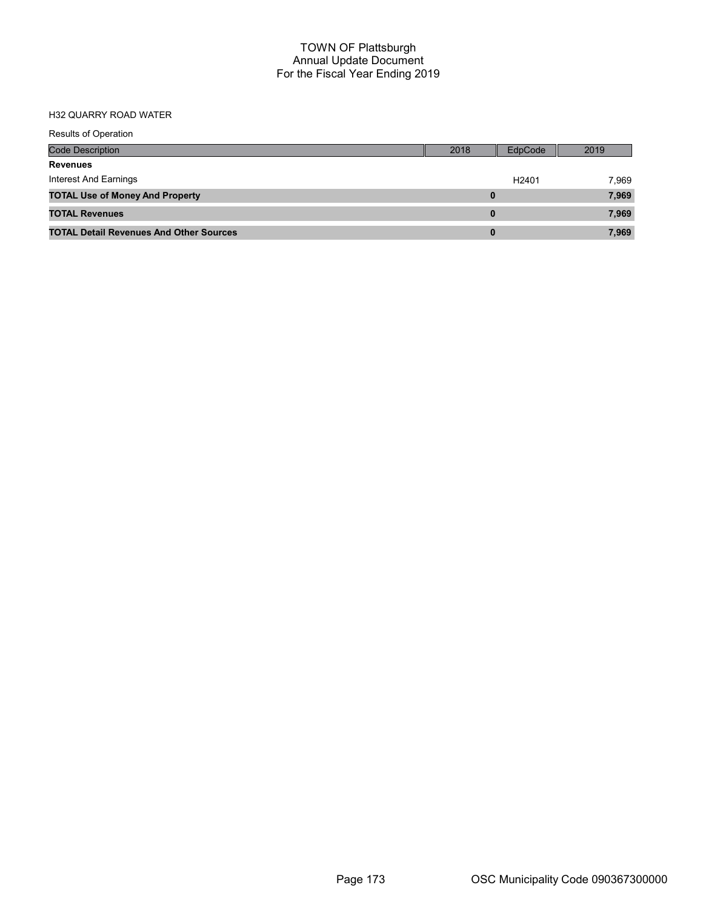# H32 QUARRY ROAD WATER

| Results of Operation                           |      |                   |       |
|------------------------------------------------|------|-------------------|-------|
| Code Description                               | 2018 | <b>EdpCode</b>    | 2019  |
| Revenues                                       |      |                   |       |
| Interest And Earnings                          |      | H <sub>2401</sub> | 7,969 |
| <b>TOTAL Use of Money And Property</b>         | 0    |                   | 7,969 |
| <b>TOTAL Revenues</b>                          | 0    |                   | 7,969 |
| <b>TOTAL Detail Revenues And Other Sources</b> | 0    |                   | 7,969 |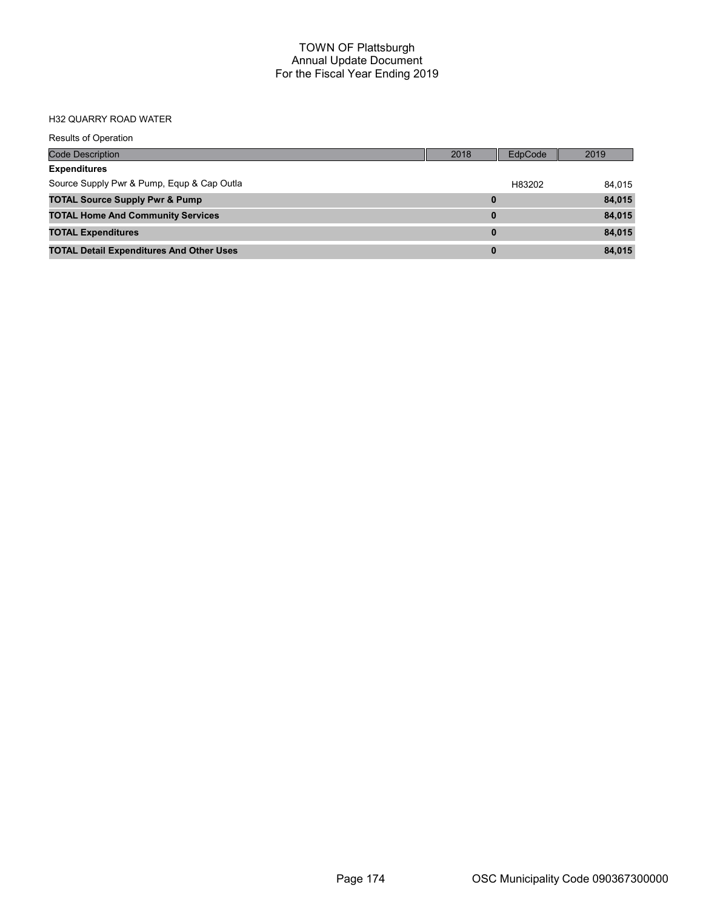#### H32 QUARRY ROAD WATER

| <b>Results of Operation</b>                     |          |         |        |
|-------------------------------------------------|----------|---------|--------|
| <b>Code Description</b>                         | 2018     | EdpCode | 2019   |
| <b>Expenditures</b>                             |          |         |        |
| Source Supply Pwr & Pump, Equp & Cap Outla      |          | H83202  | 84,015 |
| <b>TOTAL Source Supply Pwr &amp; Pump</b>       | $\bf{0}$ |         | 84,015 |
| <b>TOTAL Home And Community Services</b>        | $\bf{0}$ |         | 84,015 |
| <b>TOTAL Expenditures</b>                       | $\bf{0}$ |         | 84,015 |
| <b>TOTAL Detail Expenditures And Other Uses</b> | $\bf{0}$ |         | 84,015 |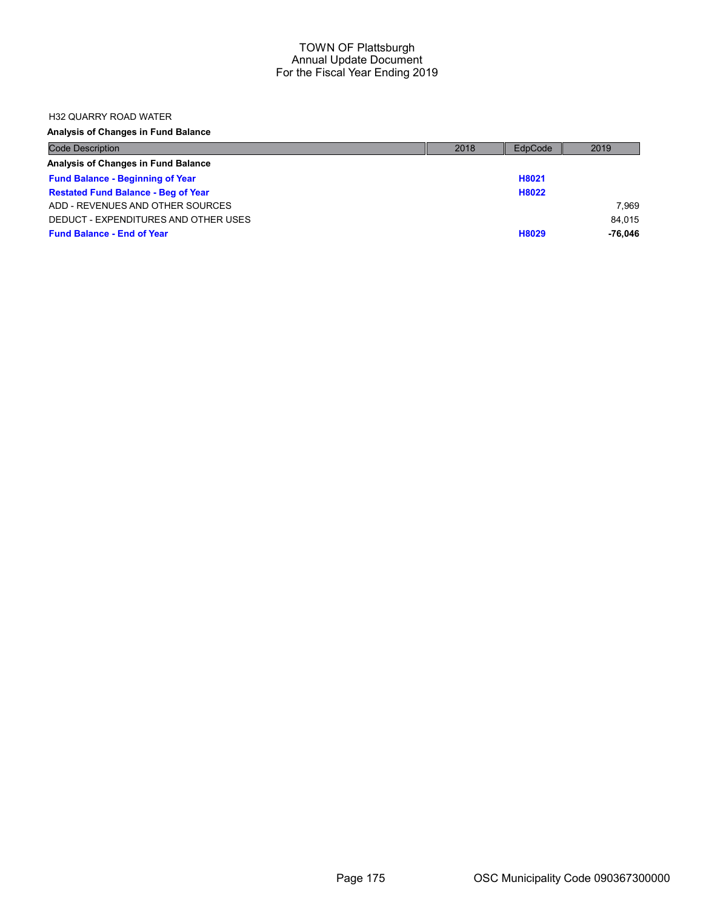### H32 QUARRY ROAD WATER

| <b>Code Description</b>                    | 2018 | EdpCode | 2019    |
|--------------------------------------------|------|---------|---------|
| Analysis of Changes in Fund Balance        |      |         |         |
| <b>Fund Balance - Beginning of Year</b>    |      | H8021   |         |
| <b>Restated Fund Balance - Beg of Year</b> |      | H8022   |         |
| ADD - REVENUES AND OTHER SOURCES           |      |         | 7.969   |
| DEDUCT - EXPENDITURES AND OTHER USES       |      |         | 84.015  |
| <b>Fund Balance - End of Year</b>          |      | H8029   | -76.046 |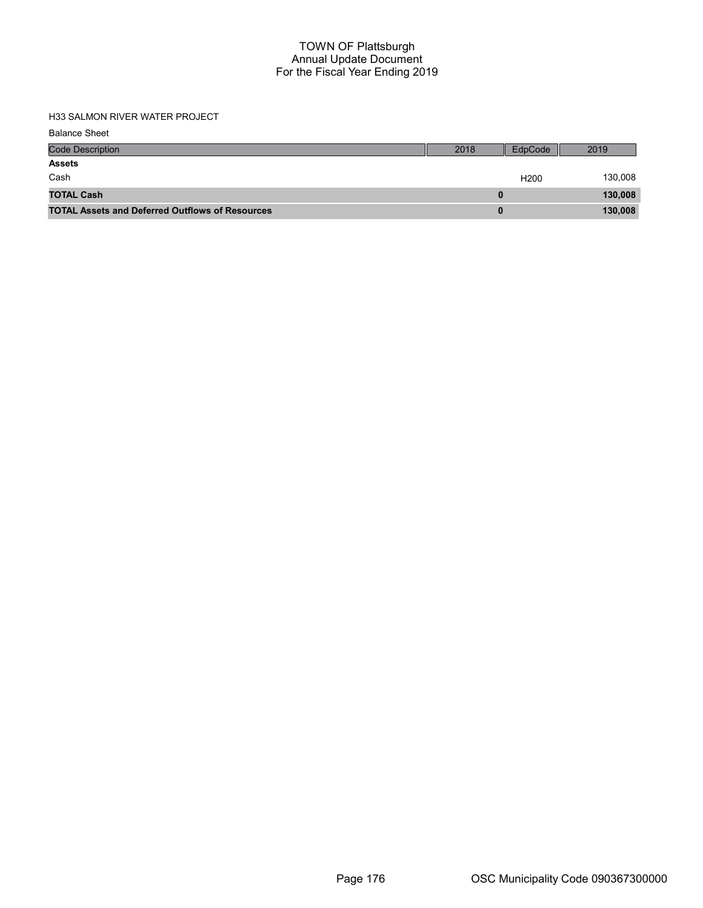| <b>Code Description</b>                                | 2018 | EdpCode          | 2019    |
|--------------------------------------------------------|------|------------------|---------|
| <b>Assets</b>                                          |      |                  |         |
| Cash                                                   |      | H <sub>200</sub> | 130,008 |
| <b>TOTAL Cash</b>                                      |      |                  | 130,008 |
| <b>TOTAL Assets and Deferred Outflows of Resources</b> |      |                  | 130,008 |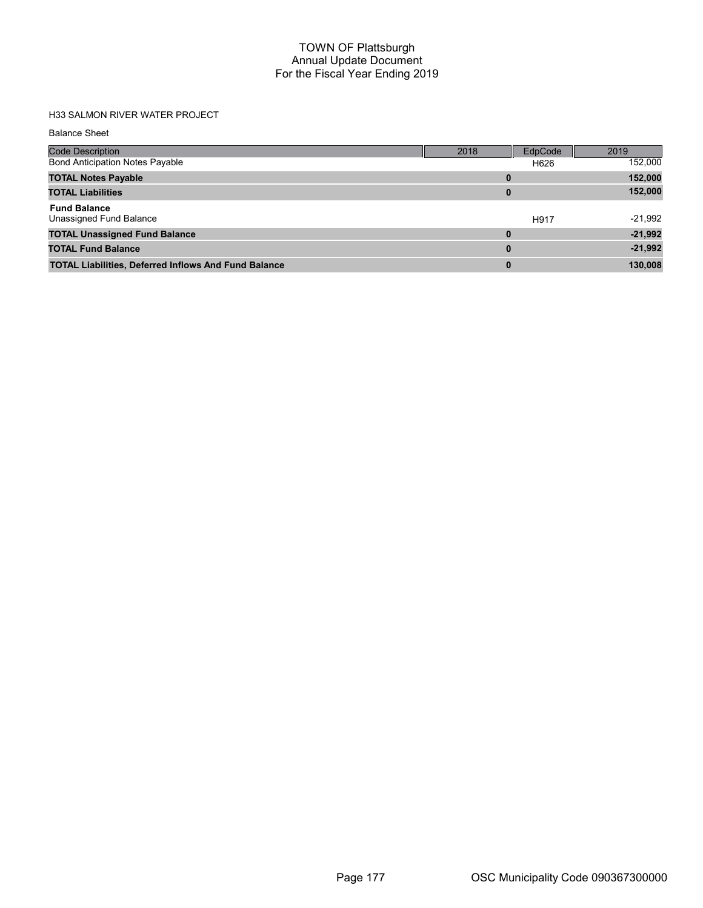| <b>Balance Sheet</b>                                        |          |         |           |
|-------------------------------------------------------------|----------|---------|-----------|
| Code Description                                            | 2018     | EdpCode | 2019      |
| <b>Bond Anticipation Notes Payable</b>                      |          | H626    | 152,000   |
| <b>TOTAL Notes Payable</b>                                  | 0        |         | 152,000   |
| <b>TOTAL Liabilities</b>                                    | $\bf{0}$ |         | 152,000   |
| <b>Fund Balance</b><br>Unassigned Fund Balance              |          | H917    | $-21,992$ |
| <b>TOTAL Unassigned Fund Balance</b>                        | 0        |         | $-21,992$ |
| <b>TOTAL Fund Balance</b>                                   | $\bf{0}$ |         | $-21,992$ |
| <b>TOTAL Liabilities, Deferred Inflows And Fund Balance</b> | $\bf{0}$ |         | 130,008   |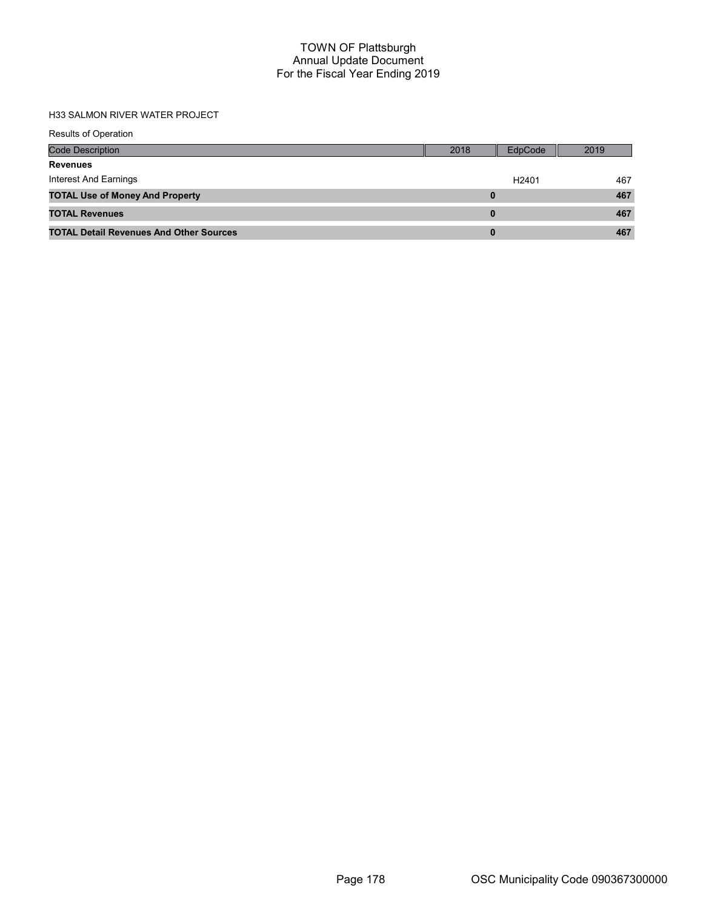| <b>Results of Operation</b>                    |      |                   |      |
|------------------------------------------------|------|-------------------|------|
| <b>Code Description</b>                        | 2018 | EdpCode           | 2019 |
| <b>Revenues</b>                                |      |                   |      |
| Interest And Earnings                          |      | H <sub>2401</sub> | 467  |
| <b>TOTAL Use of Money And Property</b>         |      |                   | 467  |
| <b>TOTAL Revenues</b>                          | 0    |                   | 467  |
| <b>TOTAL Detail Revenues And Other Sources</b> | 0    |                   | 467  |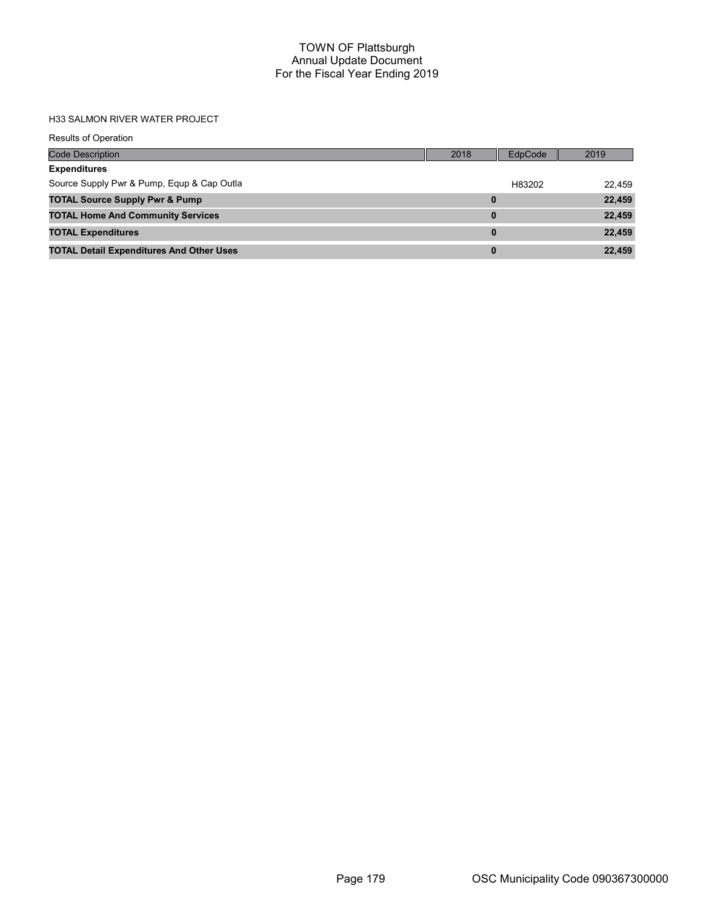| <b>Results of Operation</b>                     |          |         |        |
|-------------------------------------------------|----------|---------|--------|
| <b>Code Description</b>                         | 2018     | EdpCode | 2019   |
| <b>Expenditures</b>                             |          |         |        |
| Source Supply Pwr & Pump, Equp & Cap Outla      |          | H83202  | 22.459 |
| <b>TOTAL Source Supply Pwr &amp; Pump</b>       | $\bf{0}$ |         | 22,459 |
| <b>TOTAL Home And Community Services</b>        | 0        |         | 22,459 |
| <b>TOTAL Expenditures</b>                       | $\bf{0}$ |         | 22,459 |
| <b>TOTAL Detail Expenditures And Other Uses</b> | 0        |         | 22,459 |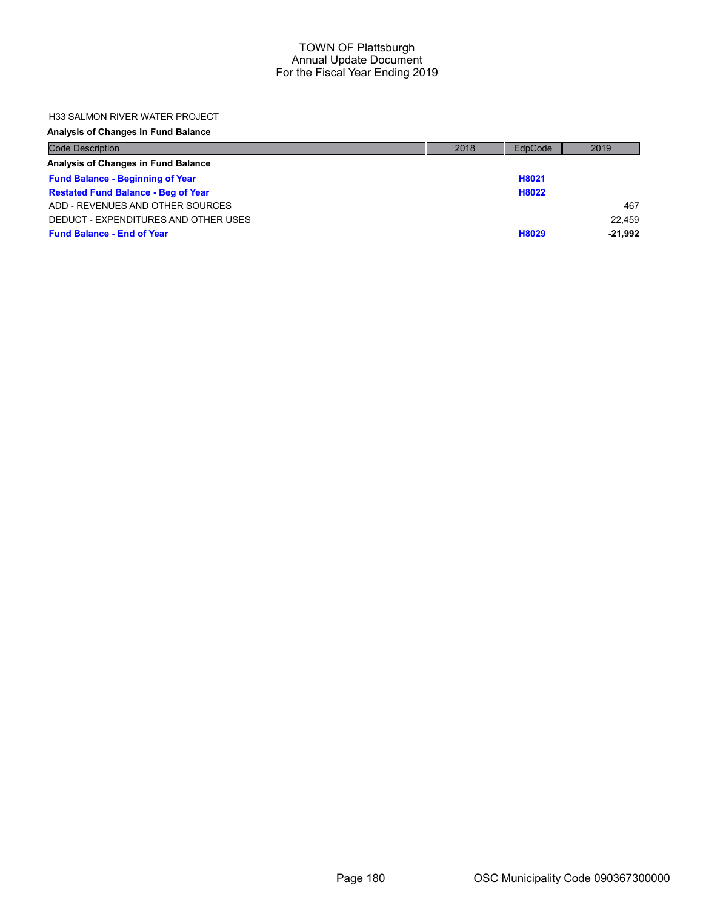### H33 SALMON RIVER WATER PROJECT

| <b>Code Description</b>                    | 2018 | EdpCode | 2019      |
|--------------------------------------------|------|---------|-----------|
| Analysis of Changes in Fund Balance        |      |         |           |
| <b>Fund Balance - Beginning of Year</b>    |      | H8021   |           |
| <b>Restated Fund Balance - Beg of Year</b> |      | H8022   |           |
| ADD - REVENUES AND OTHER SOURCES           |      |         | 467       |
| DEDUCT - EXPENDITURES AND OTHER USES       |      |         | 22.459    |
| <b>Fund Balance - End of Year</b>          |      | H8029   | $-21.992$ |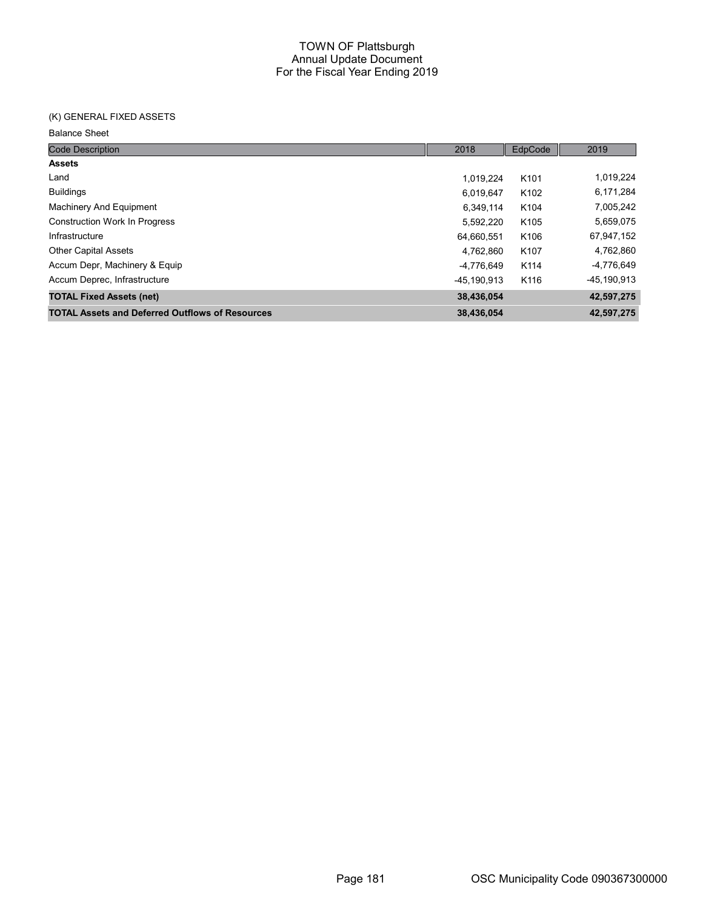# (K) GENERAL FIXED ASSETS

| <b>Code Description</b>                                | 2018        | EdpCode          | 2019        |
|--------------------------------------------------------|-------------|------------------|-------------|
| <b>Assets</b>                                          |             |                  |             |
| Land                                                   | 1.019.224   | K <sub>101</sub> | 1,019,224   |
| <b>Buildings</b>                                       | 6,019,647   | K <sub>102</sub> | 6,171,284   |
| Machinery And Equipment                                | 6,349,114   | K <sub>104</sub> | 7,005,242   |
| <b>Construction Work In Progress</b>                   | 5,592,220   | K <sub>105</sub> | 5,659,075   |
| Infrastructure                                         | 64,660,551  | K106             | 67,947,152  |
| <b>Other Capital Assets</b>                            | 4.762.860   | K107             | 4,762,860   |
| Accum Depr, Machinery & Equip                          | -4,776,649  | K114             | -4,776,649  |
| Accum Deprec, Infrastructure                           | -45.190.913 | K116             | -45,190,913 |
| <b>TOTAL Fixed Assets (net)</b>                        | 38,436,054  |                  | 42,597,275  |
| <b>TOTAL Assets and Deferred Outflows of Resources</b> | 38,436,054  |                  | 42,597,275  |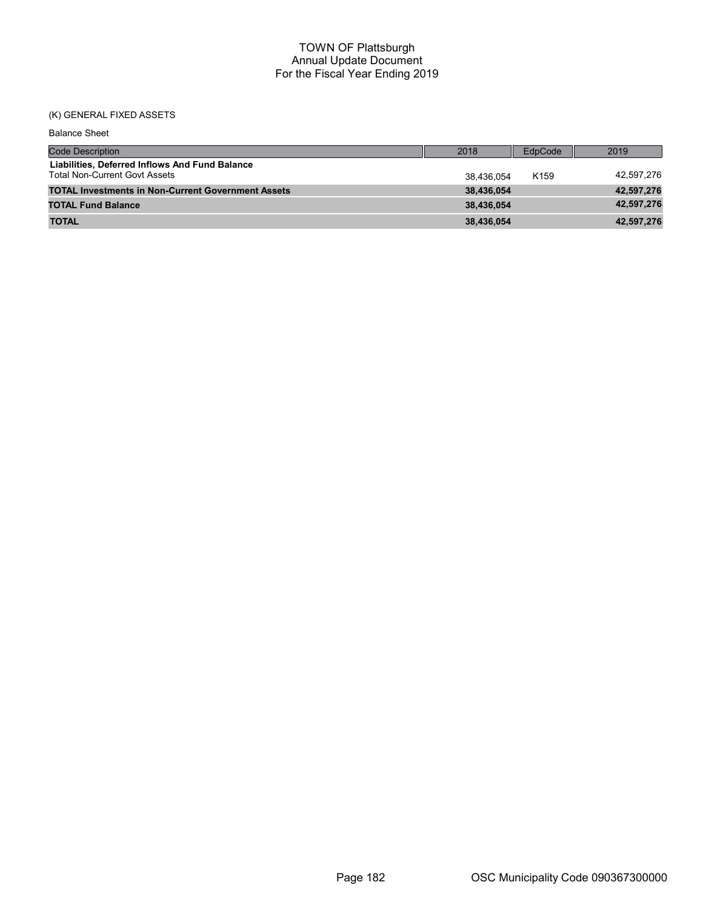# (K) GENERAL FIXED ASSETS

| <b>Balance Sheet</b>                                                                   |            |                  |            |
|----------------------------------------------------------------------------------------|------------|------------------|------------|
| <b>Code Description</b>                                                                | 2018       | EdpCode          | 2019       |
| Liabilities, Deferred Inflows And Fund Balance<br><b>Total Non-Current Govt Assets</b> | 38.436.054 | K <sub>159</sub> | 42,597,276 |
| <b>TOTAL Investments in Non-Current Government Assets</b>                              | 38.436.054 |                  | 42,597,276 |
| <b>TOTAL Fund Balance</b>                                                              | 38.436.054 |                  | 42,597,276 |
| <b>TOTAL</b>                                                                           | 38,436,054 |                  | 42,597,276 |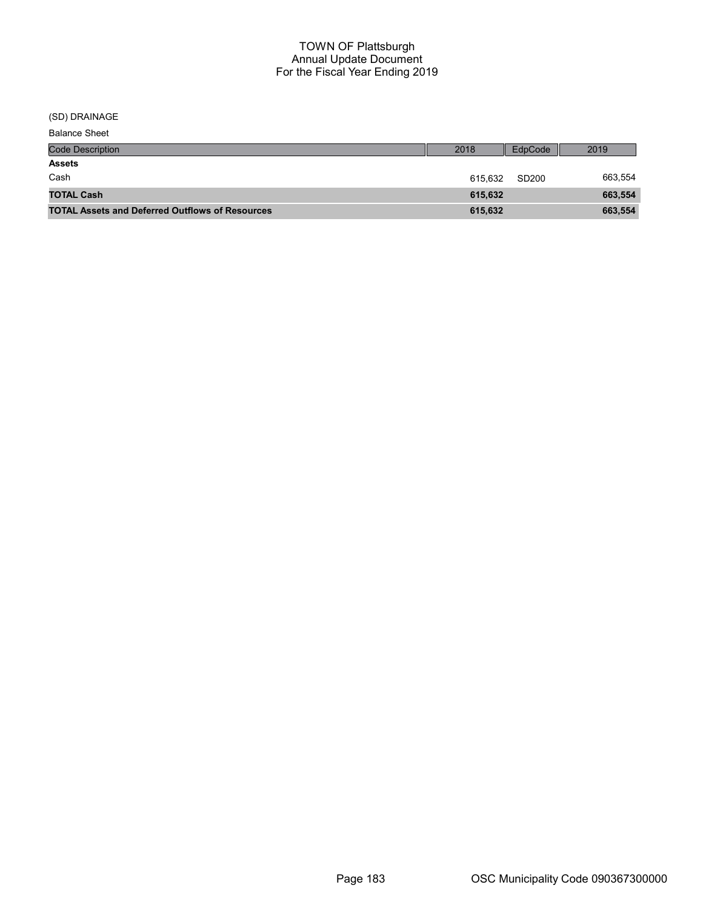(SD) DRAINAGE

| <b>Code Description</b>                                | 2018    | EdpCode           | 2019    |
|--------------------------------------------------------|---------|-------------------|---------|
| <b>Assets</b>                                          |         |                   |         |
| Cash                                                   | 615.632 | SD <sub>200</sub> | 663,554 |
| <b>TOTAL Cash</b>                                      | 615,632 |                   | 663,554 |
| <b>TOTAL Assets and Deferred Outflows of Resources</b> | 615,632 |                   | 663,554 |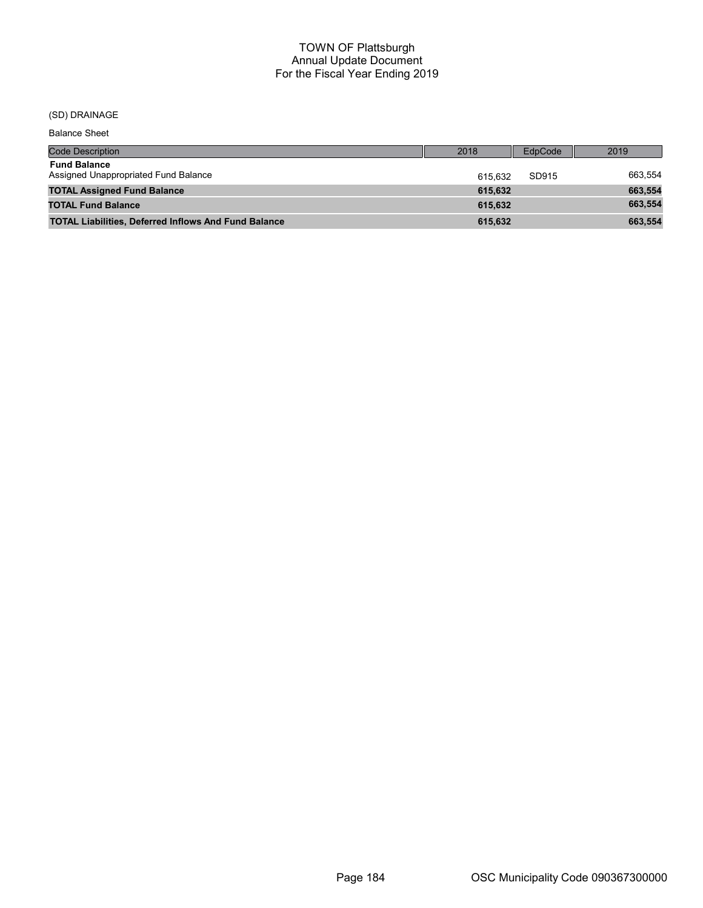# (SD) DRAINAGE

| <b>Code Description</b>                                     | 2018    | EdpCode | 2019    |
|-------------------------------------------------------------|---------|---------|---------|
| <b>Fund Balance</b><br>Assigned Unappropriated Fund Balance | 615.632 | SD915   | 663.554 |
| <b>TOTAL Assigned Fund Balance</b>                          | 615.632 |         | 663,554 |
| <b>TOTAL Fund Balance</b>                                   | 615.632 |         | 663,554 |
| <b>TOTAL Liabilities, Deferred Inflows And Fund Balance</b> | 615.632 |         | 663,554 |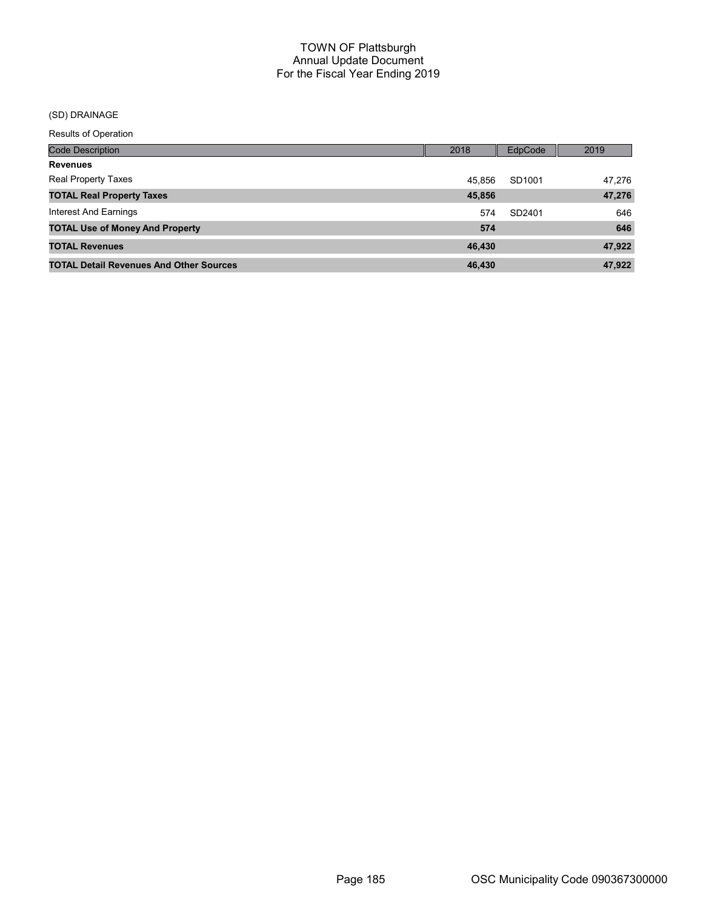# (SD) DRAINAGE

| <b>Code Description</b>                        | 2018   | EdpCode | 2019   |
|------------------------------------------------|--------|---------|--------|
| <b>Revenues</b>                                |        |         |        |
| <b>Real Property Taxes</b>                     | 45.856 | SD1001  | 47.276 |
| <b>TOTAL Real Property Taxes</b>               | 45,856 |         | 47,276 |
| Interest And Earnings                          | 574    | SD2401  | 646    |
| <b>TOTAL Use of Money And Property</b>         | 574    |         | 646    |
| <b>TOTAL Revenues</b>                          | 46,430 |         | 47,922 |
| <b>TOTAL Detail Revenues And Other Sources</b> | 46.430 |         | 47.922 |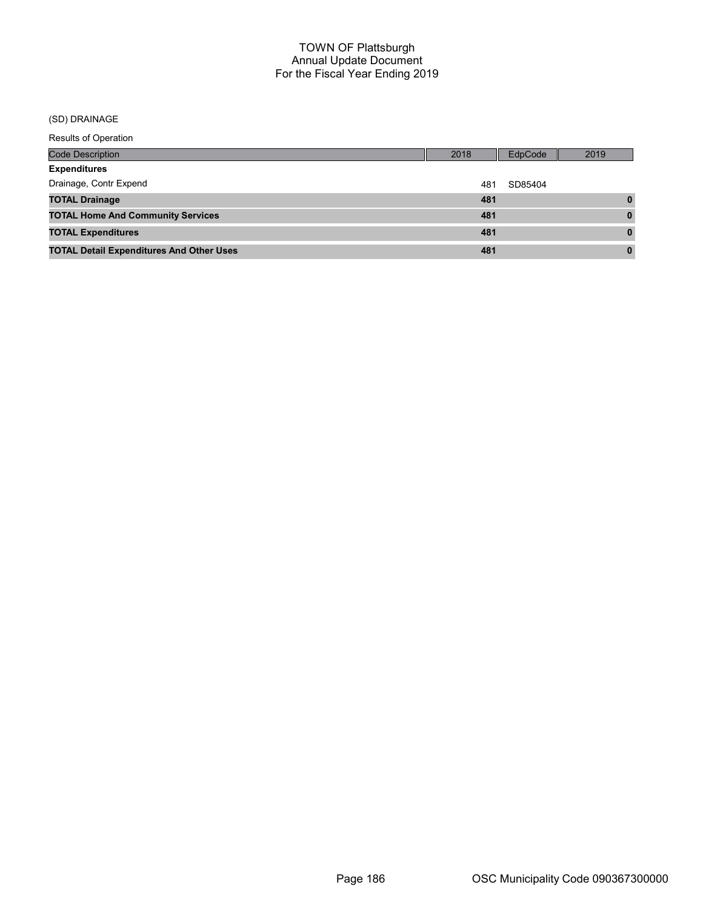# (SD) DRAINAGE

| <b>Code Description</b>                         | 2018 | EdpCode | 2019     |
|-------------------------------------------------|------|---------|----------|
| <b>Expenditures</b>                             |      |         |          |
| Drainage, Contr Expend                          | 481  | SD85404 |          |
| <b>TOTAL Drainage</b>                           | 481  |         |          |
| <b>TOTAL Home And Community Services</b>        | 481  |         | $\bf{0}$ |
| <b>TOTAL Expenditures</b>                       | 481  |         | 0        |
| <b>TOTAL Detail Expenditures And Other Uses</b> | 481  |         | 0        |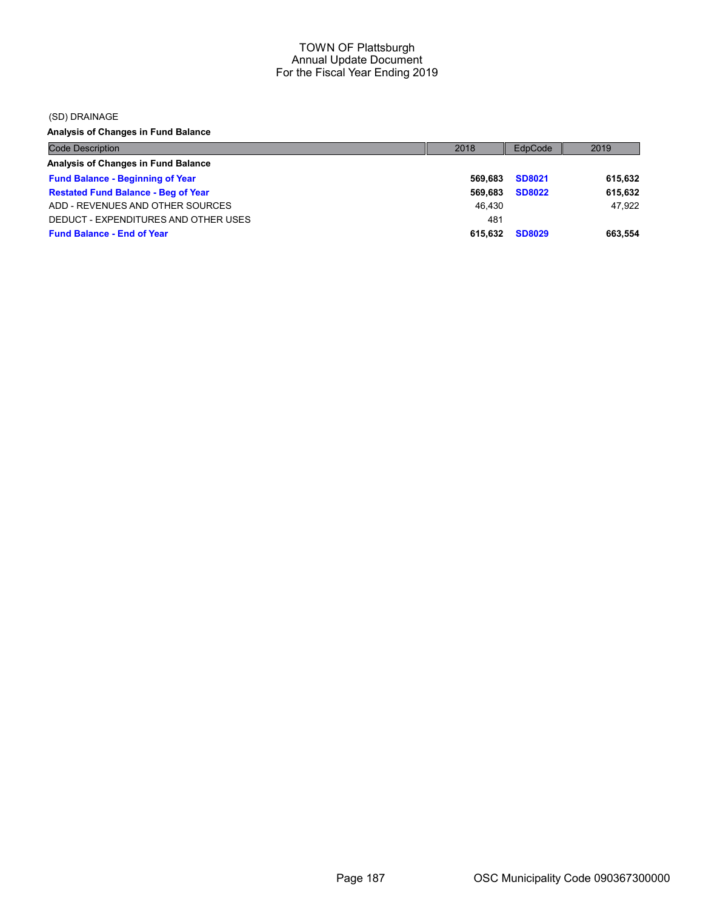(SD) DRAINAGE

Analysis of Changes in Fund Balance

| <b>Code Description</b>                    | 2018    | EdpCode       | 2019    |
|--------------------------------------------|---------|---------------|---------|
| Analysis of Changes in Fund Balance        |         |               |         |
| <b>Fund Balance - Beginning of Year</b>    | 569.683 | <b>SD8021</b> | 615,632 |
| <b>Restated Fund Balance - Beg of Year</b> | 569.683 | <b>SD8022</b> | 615,632 |
| ADD - REVENUES AND OTHER SOURCES           | 46.430  |               | 47.922  |
| DEDUCT - EXPENDITURES AND OTHER USES       | 481     |               |         |
| <b>Fund Balance - End of Year</b>          | 615.632 | <b>SD8029</b> | 663.554 |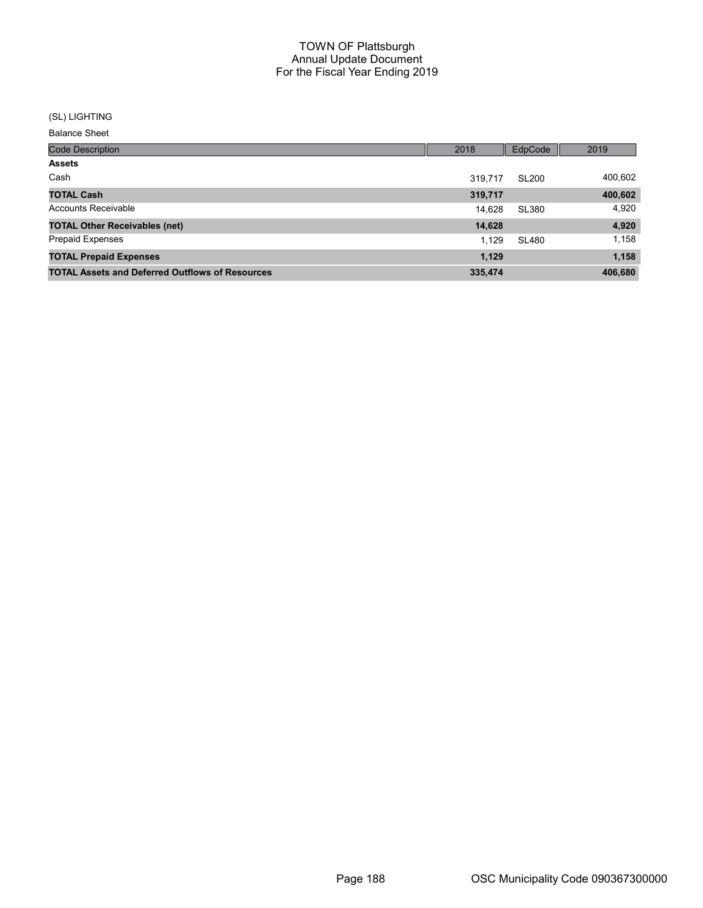#### (SL) LIGHTING

| <b>Code Description</b>                                | 2018    | EdpCode      | 2019    |
|--------------------------------------------------------|---------|--------------|---------|
| <b>Assets</b>                                          |         |              |         |
| Cash                                                   | 319.717 | <b>SL200</b> | 400,602 |
| <b>TOTAL Cash</b>                                      | 319,717 |              | 400,602 |
| Accounts Receivable                                    | 14,628  | SL380        | 4,920   |
| <b>TOTAL Other Receivables (net)</b>                   | 14,628  |              | 4,920   |
| <b>Prepaid Expenses</b>                                | 1.129   | <b>SL480</b> | 1,158   |
| <b>TOTAL Prepaid Expenses</b>                          | 1,129   |              | 1,158   |
| <b>TOTAL Assets and Deferred Outflows of Resources</b> | 335,474 |              | 406,680 |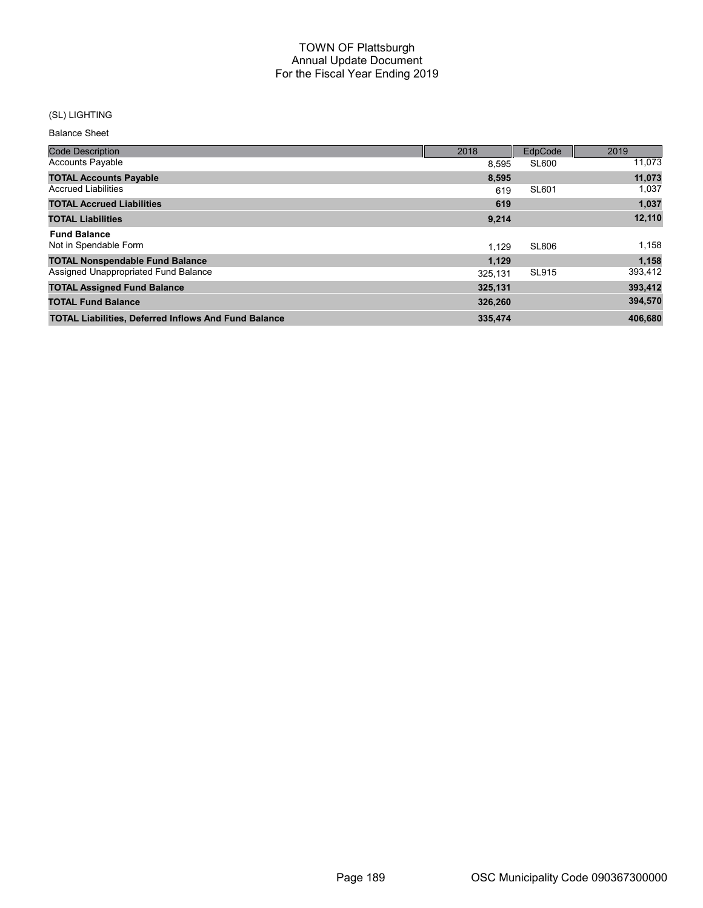# (SL) LIGHTING

| <b>Code Description</b>                                     | 2018    | EdpCode      | 2019    |
|-------------------------------------------------------------|---------|--------------|---------|
| <b>Accounts Payable</b>                                     | 8.595   | <b>SL600</b> | 11,073  |
| <b>TOTAL Accounts Payable</b>                               | 8,595   |              | 11,073  |
| <b>Accrued Liabilities</b>                                  | 619     | <b>SL601</b> | 1,037   |
| <b>TOTAL Accrued Liabilities</b>                            | 619     |              | 1,037   |
| <b>TOTAL Liabilities</b>                                    | 9,214   |              | 12,110  |
| <b>Fund Balance</b>                                         |         |              |         |
| Not in Spendable Form                                       | 1.129   | <b>SL806</b> | 1,158   |
| <b>TOTAL Nonspendable Fund Balance</b>                      | 1,129   |              | 1,158   |
| Assigned Unappropriated Fund Balance                        | 325,131 | <b>SL915</b> | 393,412 |
| <b>TOTAL Assigned Fund Balance</b>                          | 325,131 |              | 393,412 |
| <b>TOTAL Fund Balance</b>                                   | 326,260 |              | 394,570 |
| <b>TOTAL Liabilities, Deferred Inflows And Fund Balance</b> | 335,474 |              | 406,680 |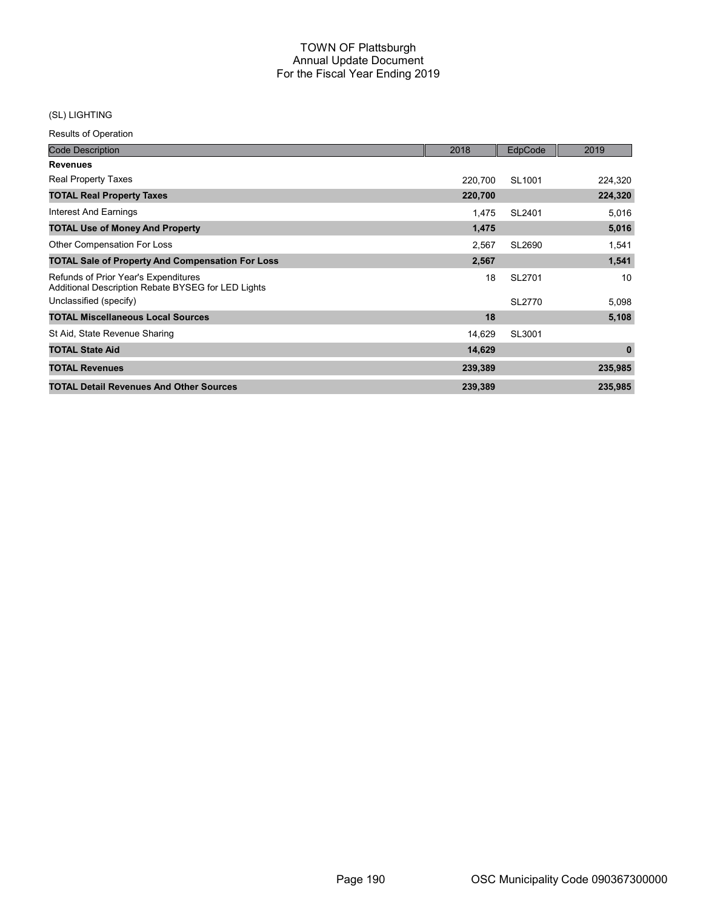# (SL) LIGHTING

| <b>Code Description</b>                                                                    | 2018    | EdpCode            | 2019         |
|--------------------------------------------------------------------------------------------|---------|--------------------|--------------|
| <b>Revenues</b>                                                                            |         |                    |              |
| <b>Real Property Taxes</b>                                                                 | 220,700 | SL <sub>1001</sub> | 224,320      |
| <b>TOTAL Real Property Taxes</b>                                                           | 220,700 |                    | 224,320      |
| Interest And Earnings                                                                      | 1,475   | SL2401             | 5,016        |
| <b>TOTAL Use of Money And Property</b>                                                     | 1,475   |                    | 5,016        |
| Other Compensation For Loss                                                                | 2,567   | SL2690             | 1,541        |
| <b>TOTAL Sale of Property And Compensation For Loss</b>                                    | 2,567   |                    | 1,541        |
| Refunds of Prior Year's Expenditures<br>Additional Description Rebate BYSEG for LED Lights | 18      | SL2701             | 10           |
| Unclassified (specify)                                                                     |         | SL2770             | 5,098        |
| <b>TOTAL Miscellaneous Local Sources</b>                                                   | 18      |                    | 5,108        |
| St Aid, State Revenue Sharing                                                              | 14,629  | SL3001             |              |
| <b>TOTAL State Aid</b>                                                                     | 14,629  |                    | $\mathbf{0}$ |
| <b>TOTAL Revenues</b>                                                                      | 239,389 |                    | 235,985      |
| <b>TOTAL Detail Revenues And Other Sources</b>                                             | 239,389 |                    | 235,985      |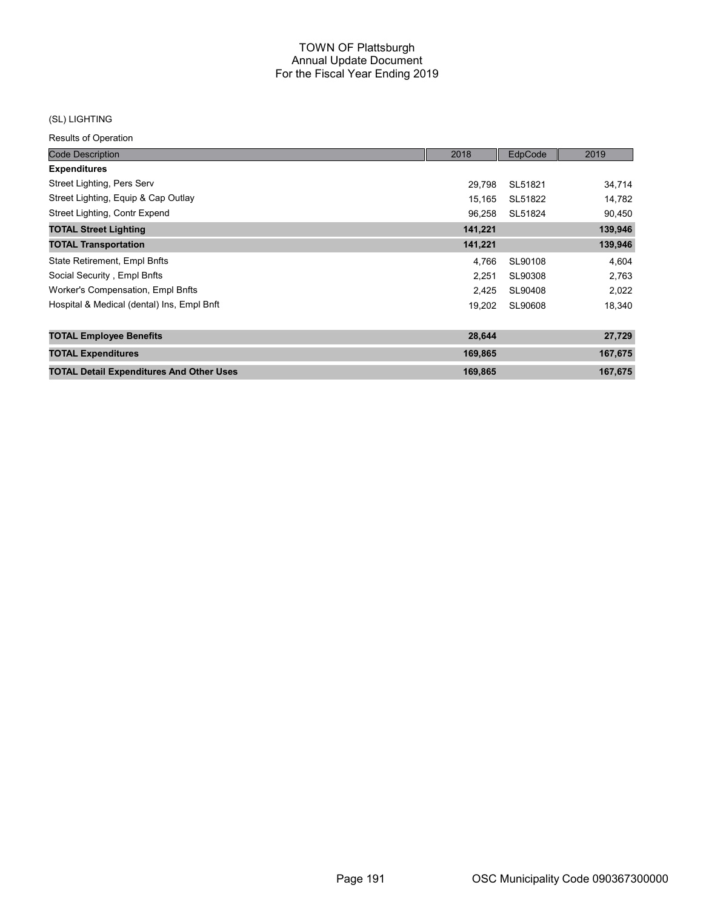#### (SL) LIGHTING

| <b>Code Description</b>                         | 2018    | EdpCode | 2019    |
|-------------------------------------------------|---------|---------|---------|
| <b>Expenditures</b>                             |         |         |         |
| Street Lighting, Pers Serv                      | 29.798  | SL51821 | 34,714  |
| Street Lighting, Equip & Cap Outlay             | 15.165  | SL51822 | 14,782  |
| Street Lighting, Contr Expend                   | 96,258  | SL51824 | 90,450  |
| <b>TOTAL Street Lighting</b>                    | 141,221 |         | 139,946 |
| <b>TOTAL Transportation</b>                     | 141,221 |         | 139,946 |
| State Retirement, Empl Bnfts                    | 4,766   | SL90108 | 4,604   |
| Social Security, Empl Bnfts                     | 2,251   | SL90308 | 2,763   |
| Worker's Compensation, Empl Bnfts               | 2,425   | SL90408 | 2,022   |
| Hospital & Medical (dental) Ins, Empl Bnft      | 19,202  | SL90608 | 18,340  |
| <b>TOTAL Employee Benefits</b>                  | 28,644  |         | 27,729  |
| <b>TOTAL Expenditures</b>                       | 169,865 |         | 167,675 |
| <b>TOTAL Detail Expenditures And Other Uses</b> | 169,865 |         | 167,675 |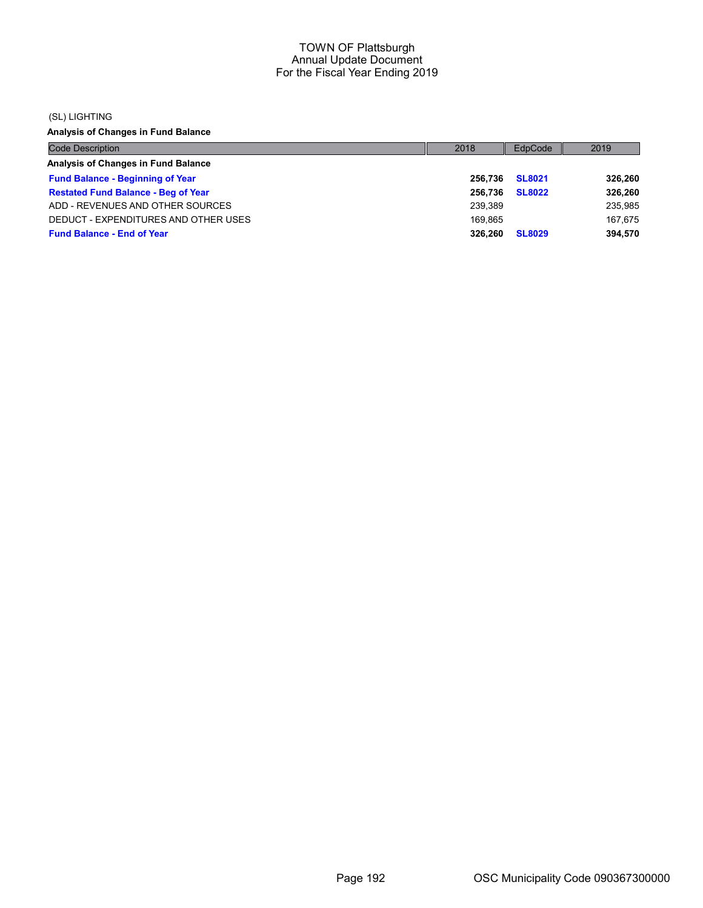#### (SL) LIGHTING

Analysis of Changes in Fund Balance

| <b>Code Description</b>                    | 2018    | EdpCode       | 2019    |
|--------------------------------------------|---------|---------------|---------|
| Analysis of Changes in Fund Balance        |         |               |         |
| <b>Fund Balance - Beginning of Year</b>    | 256.736 | <b>SL8021</b> | 326,260 |
| <b>Restated Fund Balance - Beg of Year</b> | 256.736 | <b>SL8022</b> | 326,260 |
| ADD - REVENUES AND OTHER SOURCES           | 239.389 |               | 235,985 |
| DEDUCT - EXPENDITURES AND OTHER USES       | 169.865 |               | 167.675 |
| <b>Fund Balance - End of Year</b>          | 326.260 | <b>SL8029</b> | 394,570 |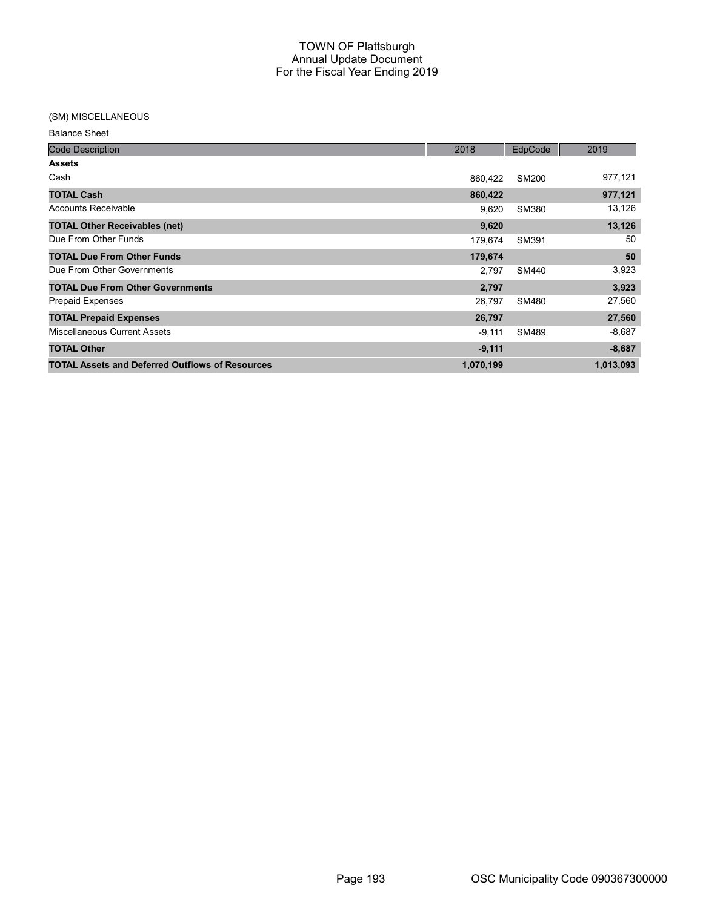#### (SM) MISCELLANEOUS

| <b>Balance Sheet</b> |  |
|----------------------|--|
|----------------------|--|

| <b>Code Description</b>                                | 2018      | EdpCode      | 2019      |
|--------------------------------------------------------|-----------|--------------|-----------|
| <b>Assets</b>                                          |           |              |           |
| Cash                                                   | 860,422   | <b>SM200</b> | 977,121   |
| <b>TOTAL Cash</b>                                      | 860,422   |              | 977,121   |
| <b>Accounts Receivable</b>                             | 9,620     | <b>SM380</b> | 13,126    |
| <b>TOTAL Other Receivables (net)</b>                   | 9,620     |              | 13,126    |
| Due From Other Funds                                   | 179.674   | SM391        | 50        |
| <b>TOTAL Due From Other Funds</b>                      | 179,674   |              | 50        |
| Due From Other Governments                             | 2,797     | <b>SM440</b> | 3,923     |
| <b>TOTAL Due From Other Governments</b>                | 2,797     |              | 3,923     |
| <b>Prepaid Expenses</b>                                | 26,797    | <b>SM480</b> | 27,560    |
| <b>TOTAL Prepaid Expenses</b>                          | 26,797    |              | 27,560    |
| Miscellaneous Current Assets                           | $-9,111$  | SM489        | $-8,687$  |
| <b>TOTAL Other</b>                                     | $-9,111$  |              | $-8,687$  |
| <b>TOTAL Assets and Deferred Outflows of Resources</b> | 1,070,199 |              | 1,013,093 |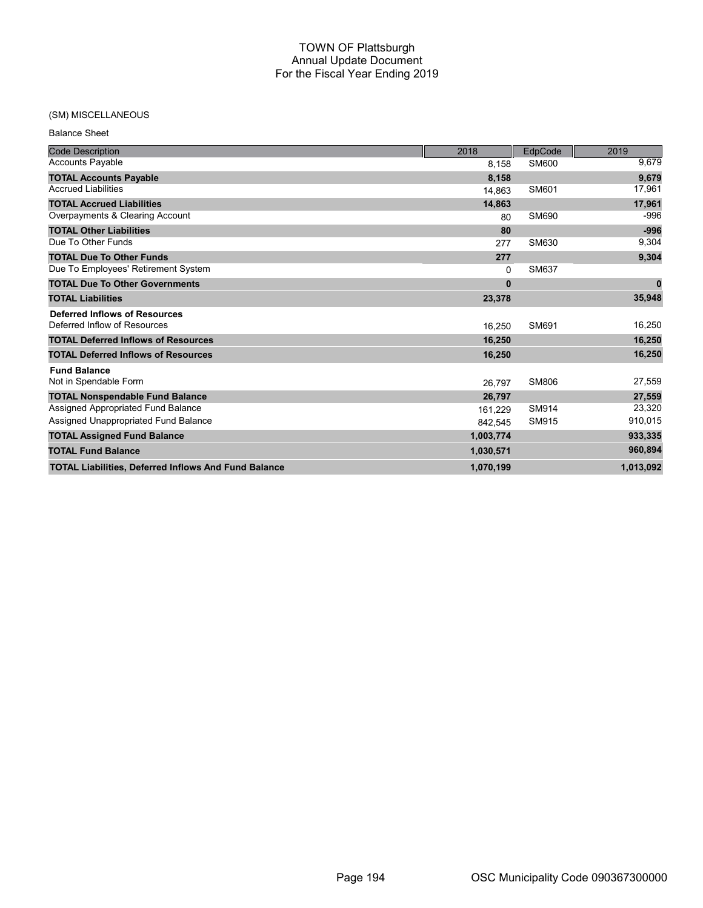## (SM) MISCELLANEOUS

| <b>Balance Sheet</b> |  |
|----------------------|--|
|                      |  |

| <b>Code Description</b>                                     | 2018      | EdpCode      | 2019         |
|-------------------------------------------------------------|-----------|--------------|--------------|
| <b>Accounts Payable</b>                                     | 8,158     | <b>SM600</b> | 9,679        |
| <b>TOTAL Accounts Payable</b>                               | 8,158     |              | 9,679        |
| <b>Accrued Liabilities</b>                                  | 14.863    | SM601        | 17,961       |
| <b>TOTAL Accrued Liabilities</b>                            | 14,863    |              | 17,961       |
| Overpayments & Clearing Account                             | 80        | SM690        | -996         |
| <b>TOTAL Other Liabilities</b>                              | 80        |              | $-996$       |
| Due To Other Funds                                          | 277       | SM630        | 9,304        |
| <b>TOTAL Due To Other Funds</b>                             | 277       |              | 9,304        |
| Due To Employees' Retirement System                         | 0         | <b>SM637</b> |              |
| <b>TOTAL Due To Other Governments</b>                       | $\bf{0}$  |              | $\mathbf{0}$ |
| <b>TOTAL Liabilities</b>                                    | 23,378    |              | 35,948       |
| <b>Deferred Inflows of Resources</b>                        |           |              |              |
| Deferred Inflow of Resources                                | 16.250    | SM691        | 16,250       |
| <b>TOTAL Deferred Inflows of Resources</b>                  | 16,250    |              | 16,250       |
| <b>TOTAL Deferred Inflows of Resources</b>                  | 16,250    |              | 16,250       |
| <b>Fund Balance</b>                                         |           |              |              |
| Not in Spendable Form                                       | 26,797    | <b>SM806</b> | 27,559       |
| <b>TOTAL Nonspendable Fund Balance</b>                      | 26,797    |              | 27,559       |
| Assigned Appropriated Fund Balance                          | 161,229   | SM914        | 23,320       |
| Assigned Unappropriated Fund Balance                        | 842,545   | SM915        | 910,015      |
| <b>TOTAL Assigned Fund Balance</b>                          | 1,003,774 |              | 933,335      |
| <b>TOTAL Fund Balance</b>                                   | 1,030,571 |              | 960,894      |
| <b>TOTAL Liabilities, Deferred Inflows And Fund Balance</b> | 1,070,199 |              | 1,013,092    |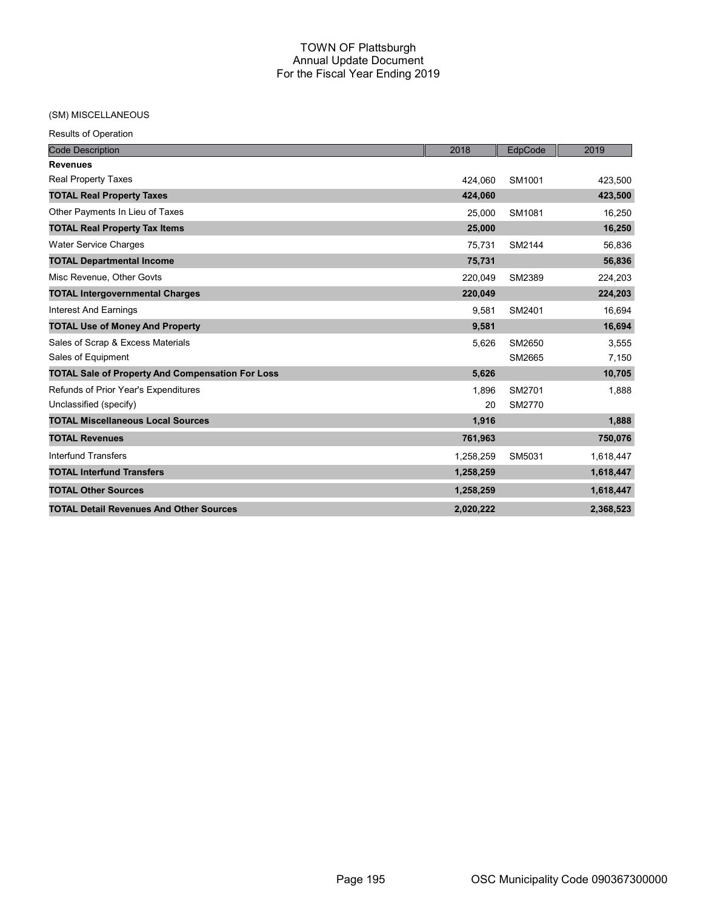# (SM) MISCELLANEOUS

| <b>Code Description</b>                                 | 2018      | EdpCode | 2019      |
|---------------------------------------------------------|-----------|---------|-----------|
| <b>Revenues</b>                                         |           |         |           |
| <b>Real Property Taxes</b>                              | 424,060   | SM1001  | 423,500   |
| <b>TOTAL Real Property Taxes</b>                        | 424,060   |         | 423,500   |
| Other Payments In Lieu of Taxes                         | 25,000    | SM1081  | 16,250    |
| <b>TOTAL Real Property Tax Items</b>                    | 25,000    |         | 16,250    |
| <b>Water Service Charges</b>                            | 75,731    | SM2144  | 56,836    |
| <b>TOTAL Departmental Income</b>                        | 75,731    |         | 56,836    |
| Misc Revenue, Other Govts                               | 220,049   | SM2389  | 224,203   |
| <b>TOTAL Intergovernmental Charges</b>                  | 220,049   |         | 224,203   |
| <b>Interest And Earnings</b>                            | 9,581     | SM2401  | 16,694    |
| <b>TOTAL Use of Money And Property</b>                  | 9,581     |         | 16,694    |
| Sales of Scrap & Excess Materials                       | 5,626     | SM2650  | 3,555     |
| Sales of Equipment                                      |           | SM2665  | 7,150     |
| <b>TOTAL Sale of Property And Compensation For Loss</b> | 5,626     |         | 10,705    |
| Refunds of Prior Year's Expenditures                    | 1,896     | SM2701  | 1,888     |
| Unclassified (specify)                                  | 20        | SM2770  |           |
| <b>TOTAL Miscellaneous Local Sources</b>                | 1,916     |         | 1,888     |
| <b>TOTAL Revenues</b>                                   | 761,963   |         | 750,076   |
| <b>Interfund Transfers</b>                              | 1,258,259 | SM5031  | 1,618,447 |
| <b>TOTAL Interfund Transfers</b>                        | 1,258,259 |         | 1,618,447 |
| <b>TOTAL Other Sources</b>                              | 1,258,259 |         | 1,618,447 |
| <b>TOTAL Detail Revenues And Other Sources</b>          | 2,020,222 |         | 2,368,523 |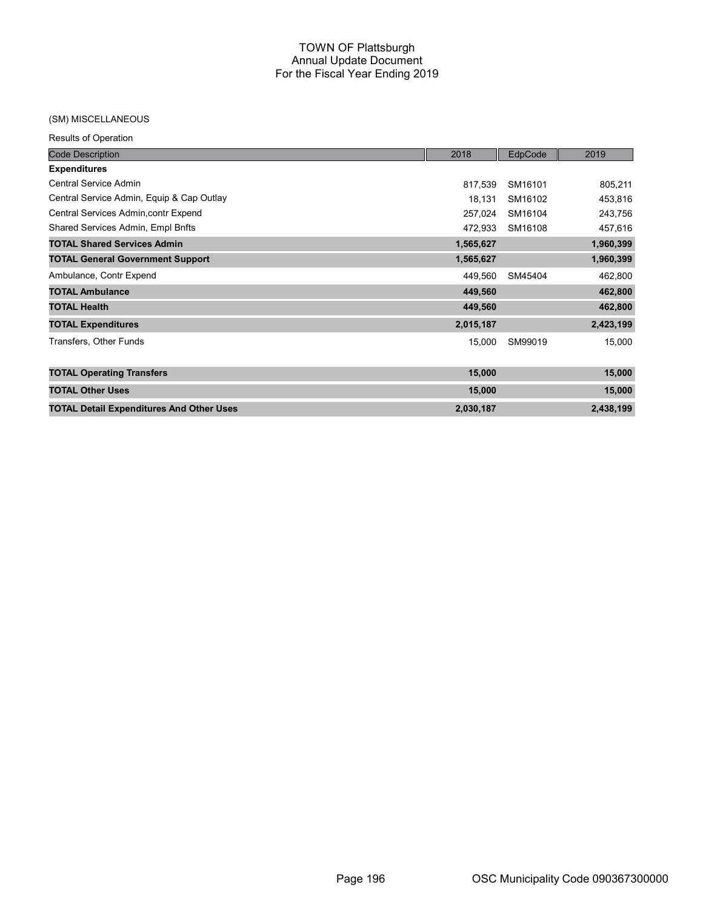#### (SM) MISCELLANEOUS

| <b>Code Description</b>                         | 2018      | EdpCode | 2019      |
|-------------------------------------------------|-----------|---------|-----------|
| <b>Expenditures</b>                             |           |         |           |
| Central Service Admin                           | 817,539   | SM16101 | 805,211   |
| Central Service Admin, Equip & Cap Outlay       | 18,131    | SM16102 | 453,816   |
| Central Services Admin, contr Expend            | 257,024   | SM16104 | 243,756   |
| Shared Services Admin, Empl Bnfts               | 472,933   | SM16108 | 457,616   |
| <b>TOTAL Shared Services Admin</b>              | 1,565,627 |         | 1,960,399 |
| <b>TOTAL General Government Support</b>         | 1,565,627 |         | 1,960,399 |
| Ambulance, Contr Expend                         | 449,560   | SM45404 | 462,800   |
| <b>TOTAL Ambulance</b>                          | 449,560   |         | 462,800   |
| <b>TOTAL Health</b>                             | 449,560   |         | 462,800   |
| <b>TOTAL Expenditures</b>                       | 2,015,187 |         | 2,423,199 |
| Transfers, Other Funds                          | 15,000    | SM99019 | 15,000    |
| <b>TOTAL Operating Transfers</b>                | 15,000    |         | 15,000    |
| <b>TOTAL Other Uses</b>                         | 15,000    |         | 15,000    |
| <b>TOTAL Detail Expenditures And Other Uses</b> | 2,030,187 |         | 2,438,199 |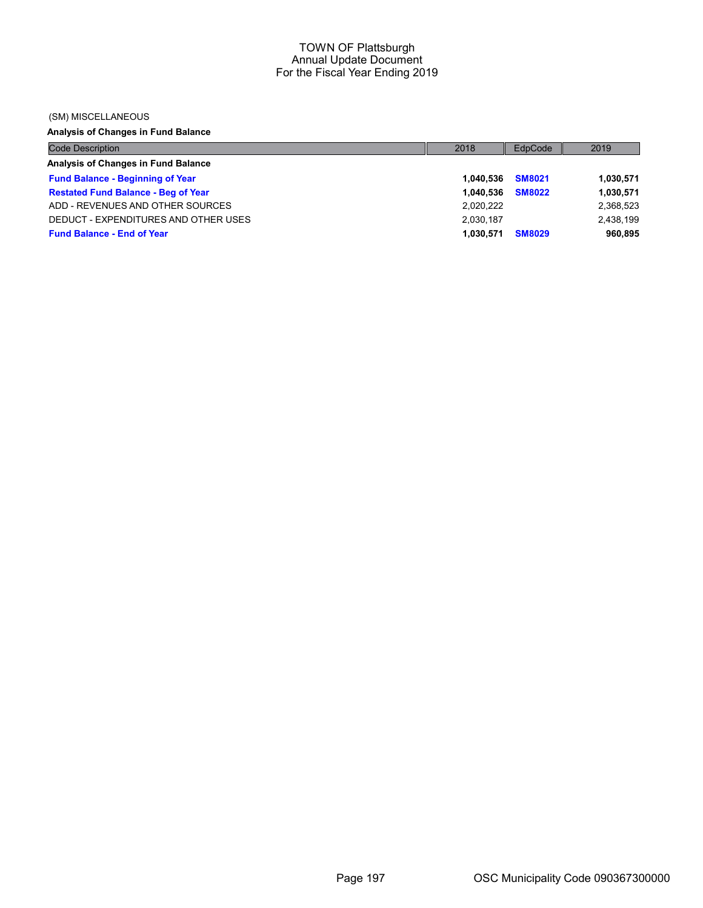#### (SM) MISCELLANEOUS

# Analysis of Changes in Fund Balance

| <b>Code Description</b>                    | 2018      | EdpCode       | 2019      |
|--------------------------------------------|-----------|---------------|-----------|
| Analysis of Changes in Fund Balance        |           |               |           |
| <b>Fund Balance - Beginning of Year</b>    | 1.040.536 | <b>SM8021</b> | 1,030,571 |
| <b>Restated Fund Balance - Beg of Year</b> | 1.040.536 | <b>SM8022</b> | 1,030,571 |
| ADD - REVENUES AND OTHER SOURCES           | 2.020.222 |               | 2,368,523 |
| DEDUCT - EXPENDITURES AND OTHER USES       | 2,030,187 |               | 2.438.199 |
| <b>Fund Balance - End of Year</b>          | 1.030.571 | <b>SM8029</b> | 960,895   |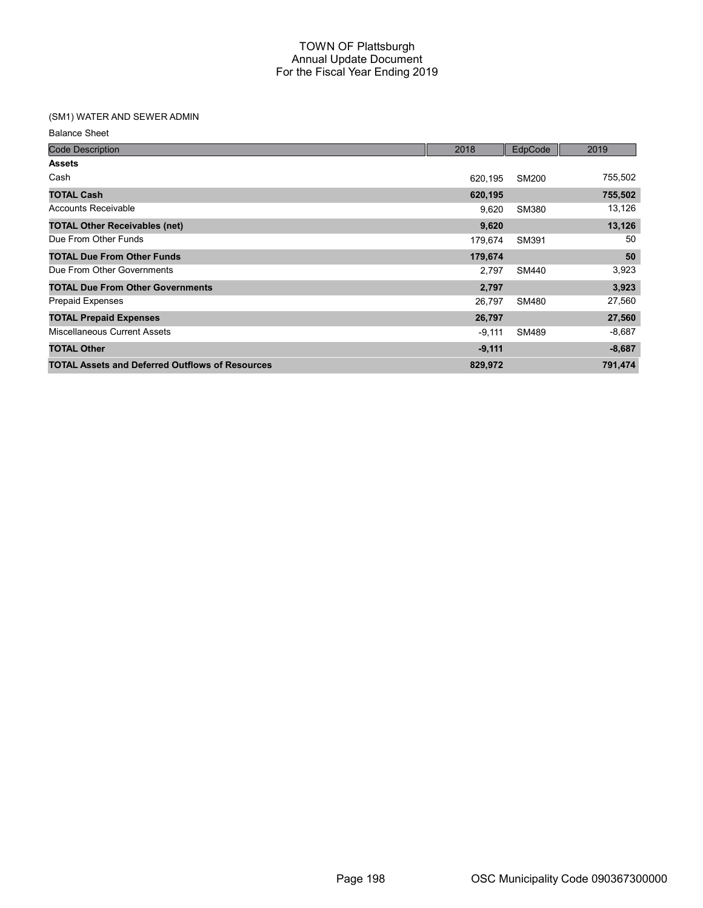# (SM1) WATER AND SEWER ADMIN

| <b>Code Description</b>                                | 2018     | EdpCode      | 2019     |
|--------------------------------------------------------|----------|--------------|----------|
| <b>Assets</b>                                          |          |              |          |
| Cash                                                   | 620.195  | SM200        | 755,502  |
| <b>TOTAL Cash</b>                                      | 620,195  |              | 755,502  |
| Accounts Receivable                                    | 9,620    | <b>SM380</b> | 13,126   |
| <b>TOTAL Other Receivables (net)</b>                   | 9,620    |              | 13,126   |
| Due From Other Funds                                   | 179,674  | SM391        | 50       |
| <b>TOTAL Due From Other Funds</b>                      | 179,674  |              | 50       |
| Due From Other Governments                             | 2,797    | <b>SM440</b> | 3,923    |
| <b>TOTAL Due From Other Governments</b>                | 2,797    |              | 3,923    |
| <b>Prepaid Expenses</b>                                | 26.797   | <b>SM480</b> | 27,560   |
| <b>TOTAL Prepaid Expenses</b>                          | 26,797   |              | 27,560   |
| <b>Miscellaneous Current Assets</b>                    | $-9,111$ | SM489        | $-8,687$ |
| <b>TOTAL Other</b>                                     | $-9,111$ |              | $-8,687$ |
| <b>TOTAL Assets and Deferred Outflows of Resources</b> | 829,972  |              | 791,474  |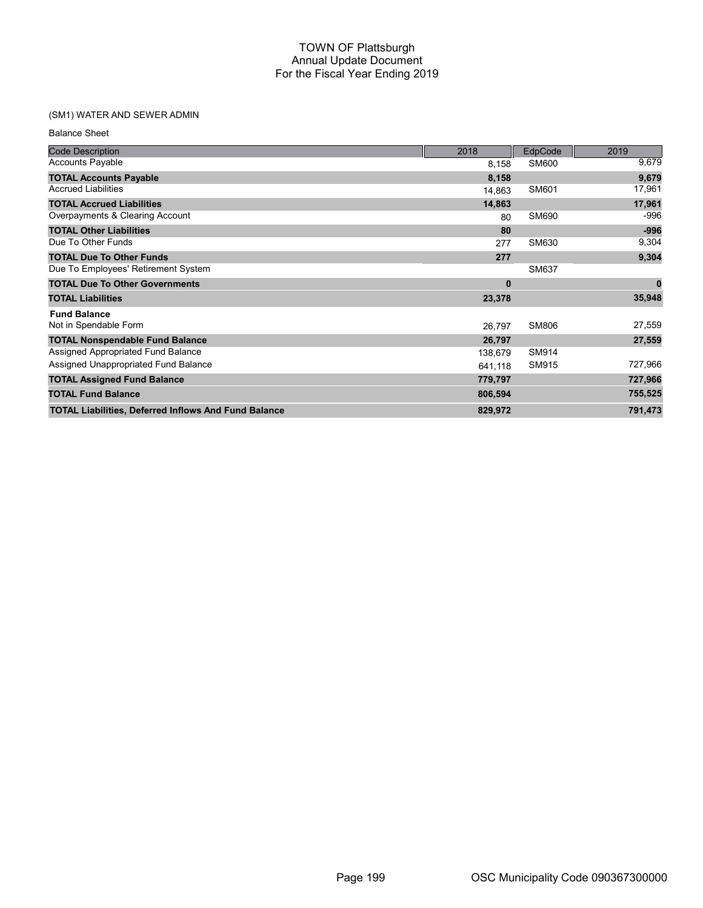# (SM1) WATER AND SEWER ADMIN

| <b>Balance Sheet</b> |  |
|----------------------|--|
|----------------------|--|

| <b>Code Description</b>                                     | 2018     | EdpCode      | 2019     |
|-------------------------------------------------------------|----------|--------------|----------|
| <b>Accounts Payable</b>                                     | 8,158    | SM600        | 9,679    |
| <b>TOTAL Accounts Payable</b>                               | 8,158    |              | 9,679    |
| <b>Accrued Liabilities</b>                                  | 14,863   | SM601        | 17,961   |
| <b>TOTAL Accrued Liabilities</b>                            | 14,863   |              | 17,961   |
| Overpayments & Clearing Account                             | 80       | SM690        | -996     |
| <b>TOTAL Other Liabilities</b>                              | 80       |              | $-996$   |
| Due To Other Funds                                          | 277      | SM630        | 9,304    |
| <b>TOTAL Due To Other Funds</b>                             | 277      |              | 9,304    |
| Due To Employees' Retirement System                         |          | SM637        |          |
| <b>TOTAL Due To Other Governments</b>                       | $\bf{0}$ |              | $\bf{0}$ |
| <b>TOTAL Liabilities</b>                                    | 23,378   |              | 35,948   |
| <b>Fund Balance</b>                                         |          |              |          |
| Not in Spendable Form                                       | 26,797   | <b>SM806</b> | 27,559   |
| <b>TOTAL Nonspendable Fund Balance</b>                      | 26,797   |              | 27,559   |
| Assigned Appropriated Fund Balance                          | 138,679  | SM914        |          |
| Assigned Unappropriated Fund Balance                        | 641,118  | SM915        | 727,966  |
| <b>TOTAL Assigned Fund Balance</b>                          | 779,797  |              | 727,966  |
| <b>TOTAL Fund Balance</b>                                   | 806,594  |              | 755,525  |
| <b>TOTAL Liabilities, Deferred Inflows And Fund Balance</b> | 829,972  |              | 791,473  |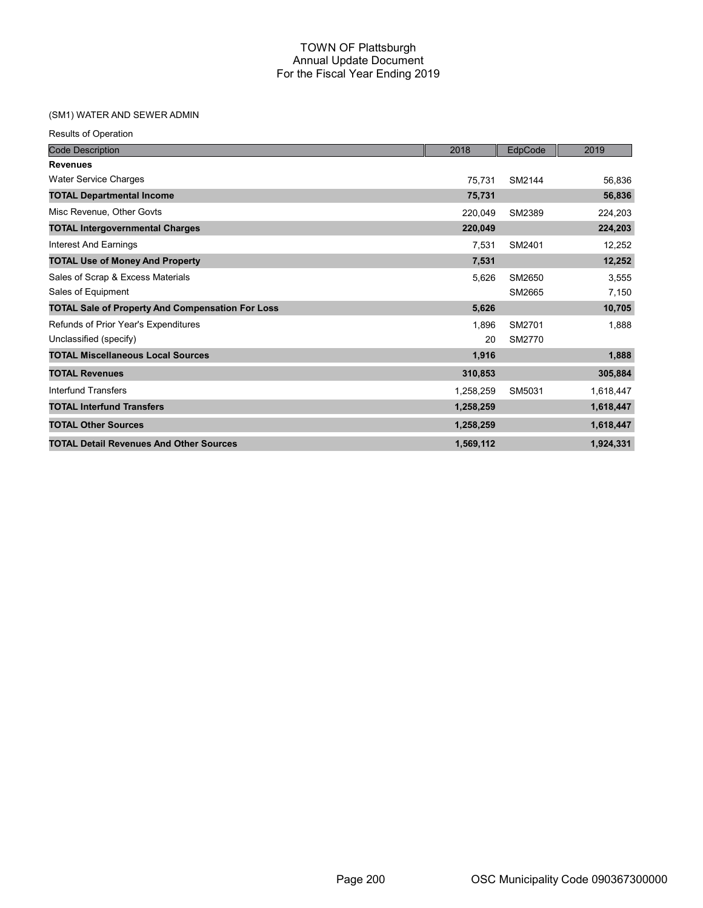# (SM1) WATER AND SEWER ADMIN

|  |  | <b>Results of Operation</b> |
|--|--|-----------------------------|
|--|--|-----------------------------|

| <b>Code Description</b>                                 | 2018      | EdpCode | 2019      |
|---------------------------------------------------------|-----------|---------|-----------|
| <b>Revenues</b>                                         |           |         |           |
| <b>Water Service Charges</b>                            | 75,731    | SM2144  | 56,836    |
| <b>TOTAL Departmental Income</b>                        | 75,731    |         | 56,836    |
| Misc Revenue, Other Govts                               | 220,049   | SM2389  | 224,203   |
| <b>TOTAL Intergovernmental Charges</b>                  | 220,049   |         | 224,203   |
| <b>Interest And Earnings</b>                            | 7,531     | SM2401  | 12,252    |
| <b>TOTAL Use of Money And Property</b>                  | 7,531     |         | 12,252    |
| Sales of Scrap & Excess Materials                       | 5,626     | SM2650  | 3,555     |
| Sales of Equipment                                      |           | SM2665  | 7,150     |
| <b>TOTAL Sale of Property And Compensation For Loss</b> | 5,626     |         | 10,705    |
| Refunds of Prior Year's Expenditures                    | 1,896     | SM2701  | 1,888     |
| Unclassified (specify)                                  | 20        | SM2770  |           |
| <b>TOTAL Miscellaneous Local Sources</b>                | 1,916     |         | 1,888     |
| <b>TOTAL Revenues</b>                                   | 310,853   |         | 305,884   |
| Interfund Transfers                                     | 1,258,259 | SM5031  | 1,618,447 |
| <b>TOTAL Interfund Transfers</b>                        | 1,258,259 |         | 1,618,447 |
| <b>TOTAL Other Sources</b>                              | 1,258,259 |         | 1,618,447 |
| <b>TOTAL Detail Revenues And Other Sources</b>          | 1,569,112 |         | 1,924,331 |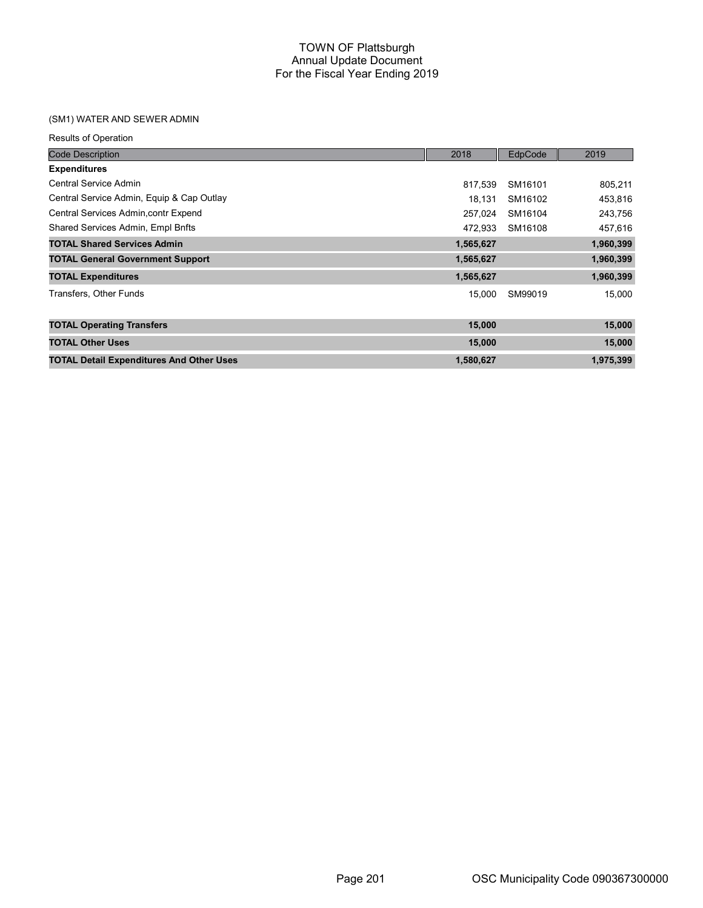### (SM1) WATER AND SEWER ADMIN

| <b>Code Description</b>                         | 2018      | EdpCode | 2019      |
|-------------------------------------------------|-----------|---------|-----------|
| <b>Expenditures</b>                             |           |         |           |
| Central Service Admin                           | 817,539   | SM16101 | 805,211   |
| Central Service Admin, Equip & Cap Outlay       | 18,131    | SM16102 | 453,816   |
| Central Services Admin, contr Expend            | 257,024   | SM16104 | 243,756   |
| Shared Services Admin, Empl Bnfts               | 472.933   | SM16108 | 457,616   |
| <b>TOTAL Shared Services Admin</b>              | 1,565,627 |         | 1,960,399 |
| <b>TOTAL General Government Support</b>         | 1,565,627 |         | 1,960,399 |
| <b>TOTAL Expenditures</b>                       | 1,565,627 |         | 1,960,399 |
| Transfers, Other Funds                          | 15,000    | SM99019 | 15,000    |
| <b>TOTAL Operating Transfers</b>                | 15,000    |         | 15,000    |
| <b>TOTAL Other Uses</b>                         | 15,000    |         | 15,000    |
| <b>TOTAL Detail Expenditures And Other Uses</b> | 1,580,627 |         | 1,975,399 |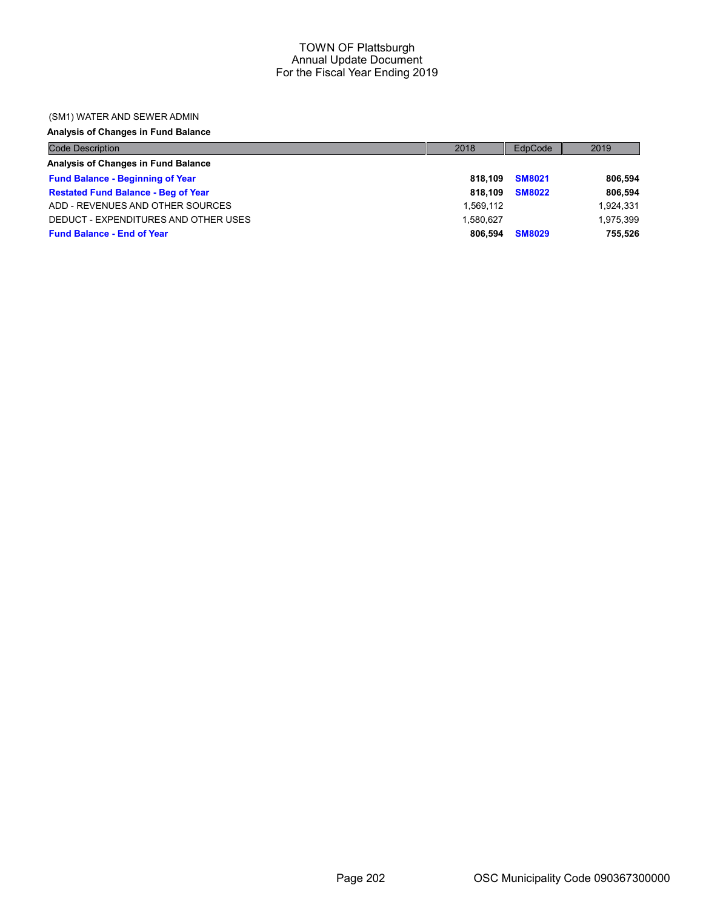#### (SM1) WATER AND SEWER ADMIN

### Analysis of Changes in Fund Balance

| <b>Code Description</b>                    | 2018      | EdpCode       | 2019      |
|--------------------------------------------|-----------|---------------|-----------|
| Analysis of Changes in Fund Balance        |           |               |           |
| <b>Fund Balance - Beginning of Year</b>    | 818.109   | <b>SM8021</b> | 806,594   |
| <b>Restated Fund Balance - Beg of Year</b> | 818.109   | <b>SM8022</b> | 806,594   |
| ADD - REVENUES AND OTHER SOURCES           | 1.569.112 |               | 1,924,331 |
| DEDUCT - EXPENDITURES AND OTHER USES       | 1.580.627 |               | 1.975.399 |
| <b>Fund Balance - End of Year</b>          | 806.594   | <b>SM8029</b> | 755,526   |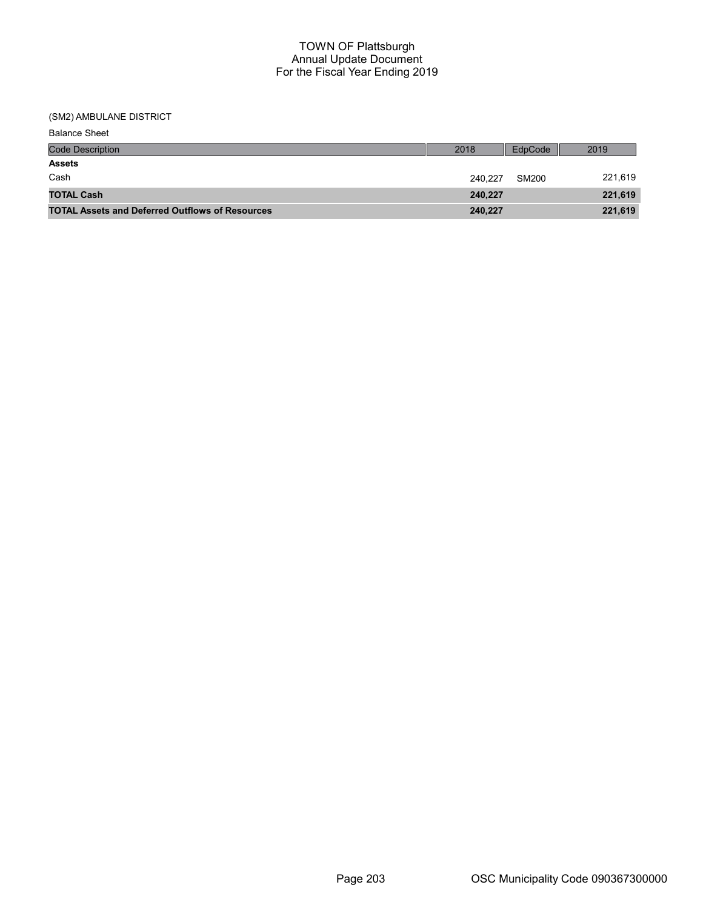| <b>Balance Sheet</b>                                   |         |         |         |
|--------------------------------------------------------|---------|---------|---------|
| <b>Code Description</b>                                | 2018    | EdpCode | 2019    |
| <b>Assets</b>                                          |         |         |         |
| Cash                                                   | 240.227 | SM200   | 221,619 |
| <b>TOTAL Cash</b>                                      | 240,227 |         | 221,619 |
| <b>TOTAL Assets and Deferred Outflows of Resources</b> | 240,227 |         | 221,619 |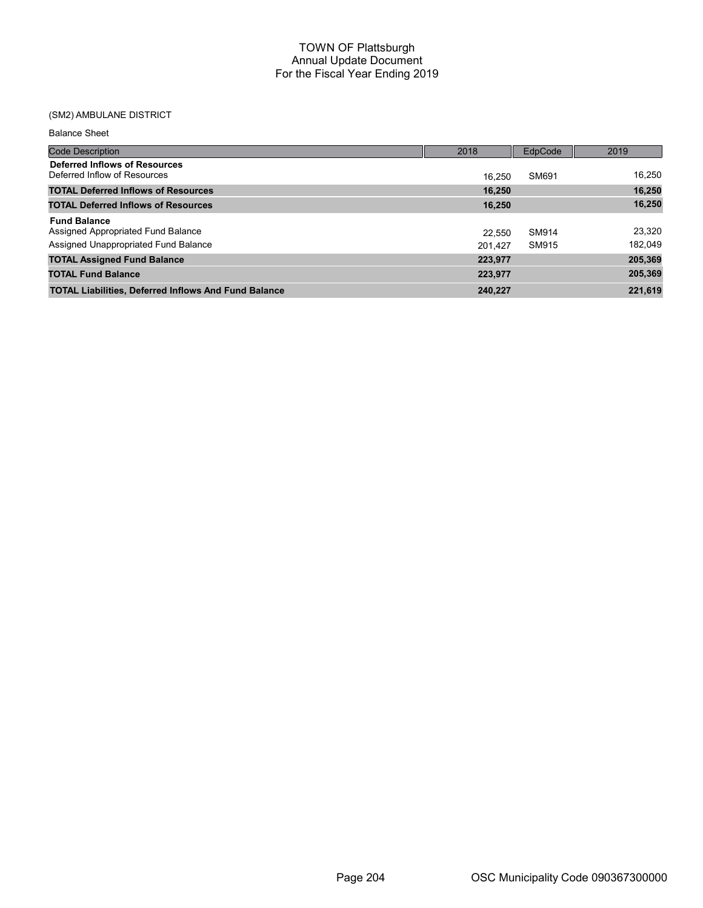| <b>Balance Sheet</b>                                                                              |                   |                       |                   |
|---------------------------------------------------------------------------------------------------|-------------------|-----------------------|-------------------|
| Code Description                                                                                  | 2018              | EdpCode               | 2019              |
| Deferred Inflows of Resources<br>Deferred Inflow of Resources                                     | 16.250            | SM691                 | 16,250            |
| <b>TOTAL Deferred Inflows of Resources</b>                                                        | 16.250            |                       | 16,250            |
| <b>TOTAL Deferred Inflows of Resources</b>                                                        | 16.250            |                       | 16,250            |
| <b>Fund Balance</b><br>Assigned Appropriated Fund Balance<br>Assigned Unappropriated Fund Balance | 22.550<br>201.427 | <b>SM914</b><br>SM915 | 23.320<br>182,049 |
| <b>TOTAL Assigned Fund Balance</b>                                                                | 223,977           |                       | 205,369           |
| <b>TOTAL Fund Balance</b>                                                                         | 223,977           |                       | 205,369           |
| <b>TOTAL Liabilities, Deferred Inflows And Fund Balance</b>                                       | 240.227           |                       | 221,619           |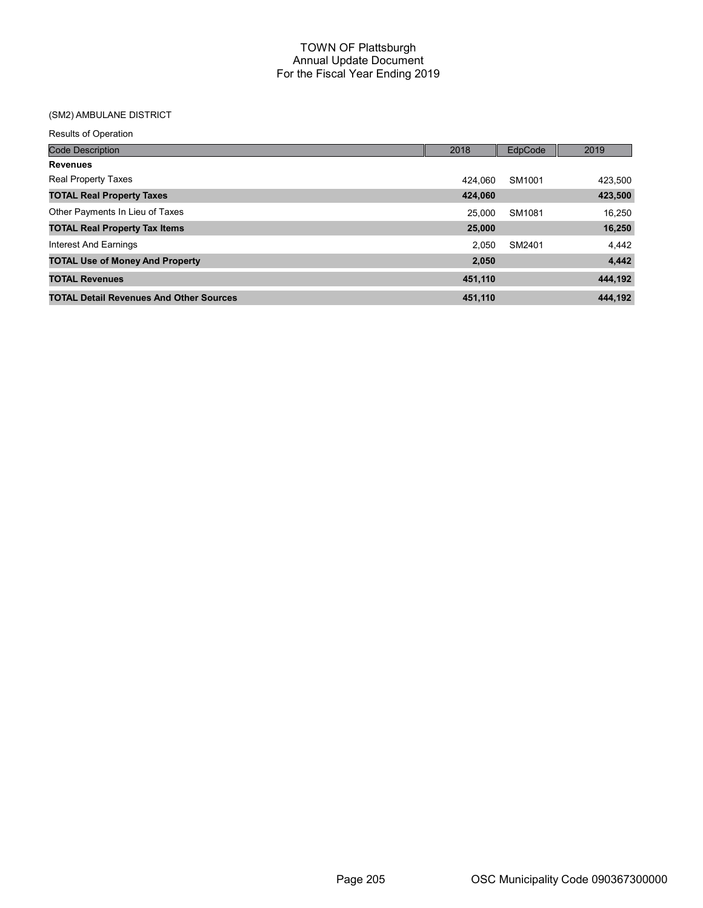| <b>Results of Operation</b>                    |         |         |         |
|------------------------------------------------|---------|---------|---------|
| <b>Code Description</b>                        | 2018    | EdpCode | 2019    |
| <b>Revenues</b>                                |         |         |         |
| <b>Real Property Taxes</b>                     | 424.060 | SM1001  | 423,500 |
| <b>TOTAL Real Property Taxes</b>               | 424,060 |         | 423,500 |
| Other Payments In Lieu of Taxes                | 25.000  | SM1081  | 16,250  |
| <b>TOTAL Real Property Tax Items</b>           | 25,000  |         | 16,250  |
| Interest And Earnings                          | 2.050   | SM2401  | 4,442   |
| <b>TOTAL Use of Money And Property</b>         | 2,050   |         | 4,442   |
| <b>TOTAL Revenues</b>                          | 451,110 |         | 444,192 |
| <b>TOTAL Detail Revenues And Other Sources</b> | 451,110 |         | 444.192 |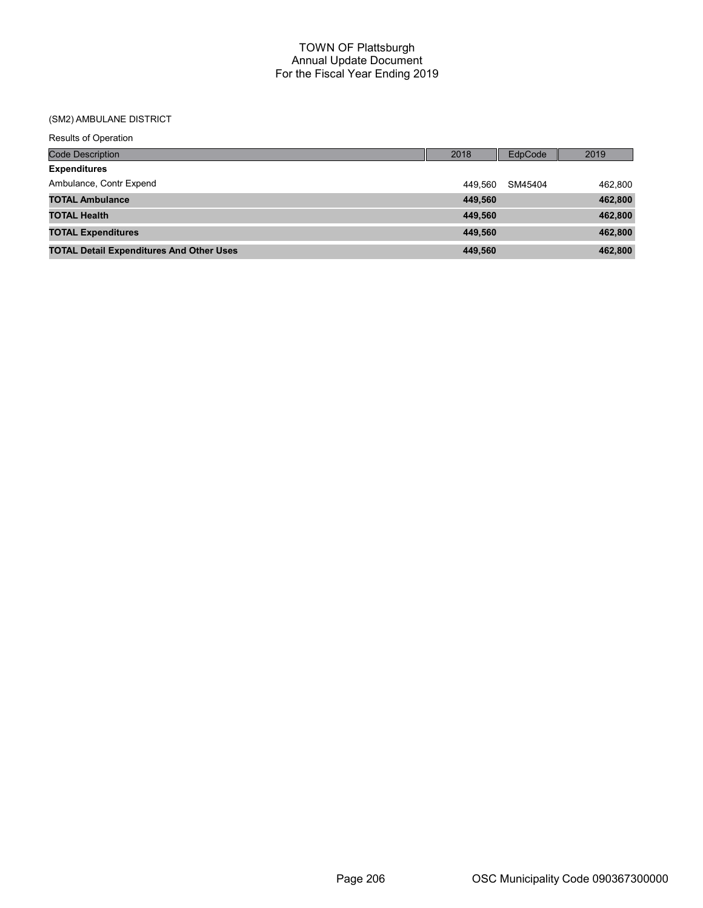| <b>Results of Operation</b>                     |         |         |         |
|-------------------------------------------------|---------|---------|---------|
| <b>Code Description</b>                         | 2018    | EdpCode | 2019    |
| <b>Expenditures</b>                             |         |         |         |
| Ambulance, Contr Expend                         | 449.560 | SM45404 | 462,800 |
| <b>TOTAL Ambulance</b>                          | 449,560 |         | 462,800 |
| <b>TOTAL Health</b>                             | 449,560 |         | 462,800 |
| <b>TOTAL Expenditures</b>                       | 449,560 |         | 462,800 |
| <b>TOTAL Detail Expenditures And Other Uses</b> | 449,560 |         | 462,800 |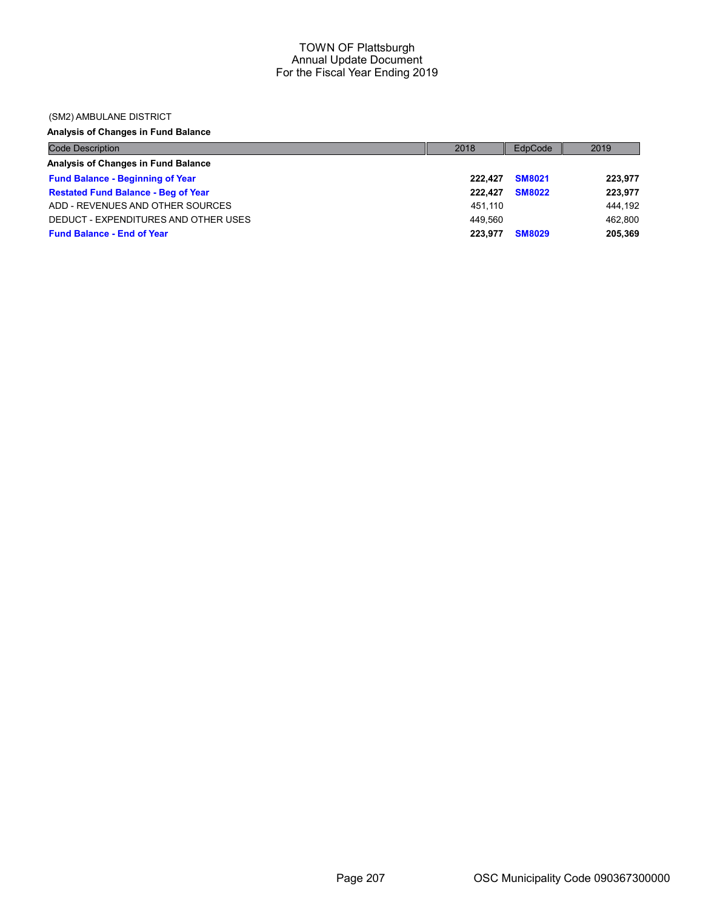#### (SM2) AMBULANE DISTRICT

# Analysis of Changes in Fund Balance

| <b>Code Description</b>                    | 2018    | EdpCode       | 2019    |
|--------------------------------------------|---------|---------------|---------|
| Analysis of Changes in Fund Balance        |         |               |         |
| <b>Fund Balance - Beginning of Year</b>    | 222.427 | <b>SM8021</b> | 223,977 |
| <b>Restated Fund Balance - Beg of Year</b> | 222.427 | <b>SM8022</b> | 223,977 |
| ADD - REVENUES AND OTHER SOURCES           | 451.110 |               | 444.192 |
| DEDUCT - EXPENDITURES AND OTHER USES       | 449.560 |               | 462,800 |
| <b>Fund Balance - End of Year</b>          | 223.977 | <b>SM8029</b> | 205,369 |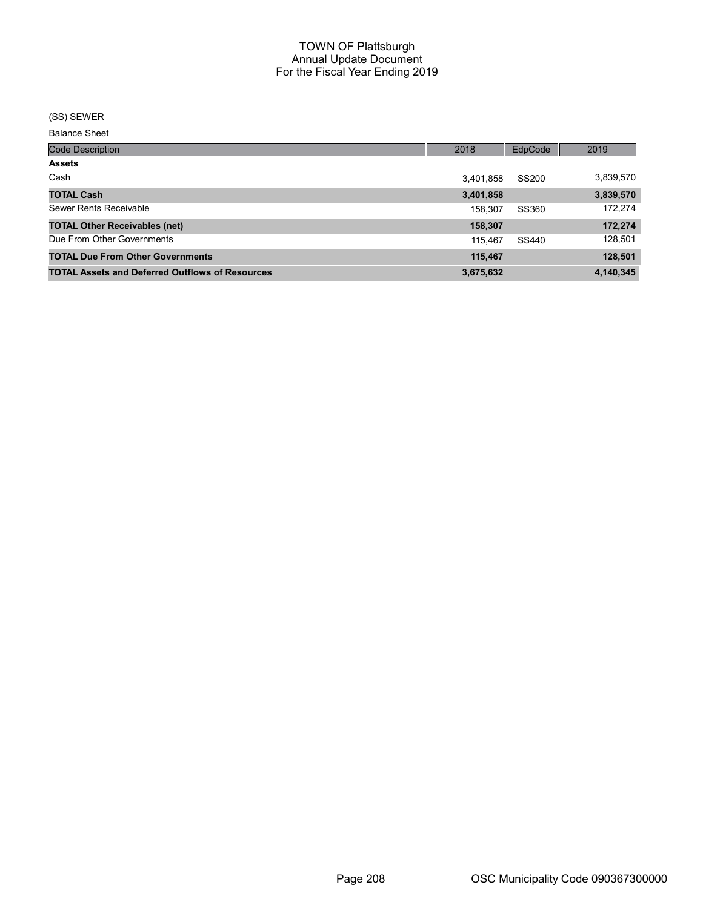#### (SS) SEWER

| <b>Code Description</b>                                | 2018      | EdpCode | 2019      |
|--------------------------------------------------------|-----------|---------|-----------|
| <b>Assets</b>                                          |           |         |           |
| Cash                                                   | 3,401,858 | SS200   | 3,839,570 |
| <b>TOTAL Cash</b>                                      | 3,401,858 |         | 3,839,570 |
| Sewer Rents Receivable                                 | 158,307   | SS360   | 172,274   |
| <b>TOTAL Other Receivables (net)</b>                   | 158,307   |         | 172,274   |
| Due From Other Governments                             | 115.467   | SS440   | 128,501   |
| <b>TOTAL Due From Other Governments</b>                | 115,467   |         | 128,501   |
| <b>TOTAL Assets and Deferred Outflows of Resources</b> | 3,675,632 |         | 4,140,345 |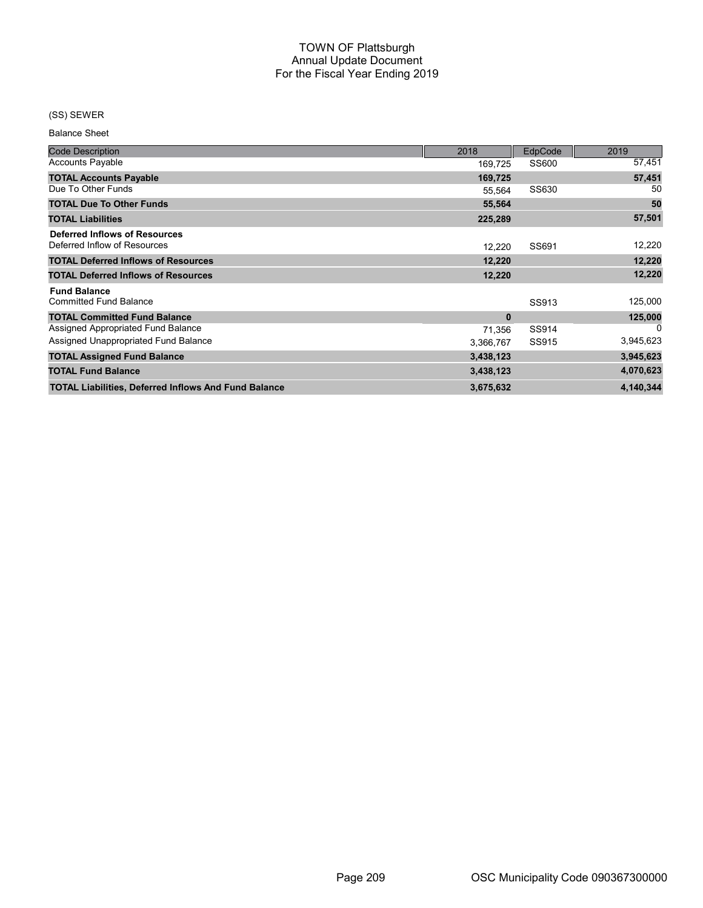## (SS) SEWER

| <b>Code Description</b>                                              | 2018         | <b>EdpCode</b> | 2019      |
|----------------------------------------------------------------------|--------------|----------------|-----------|
| <b>Accounts Payable</b>                                              | 169,725      | SS600          | 57,451    |
| <b>TOTAL Accounts Payable</b>                                        | 169,725      |                | 57,451    |
| Due To Other Funds                                                   | 55,564       | SS630          | 50        |
| <b>TOTAL Due To Other Funds</b>                                      | 55,564       |                | 50        |
| <b>TOTAL Liabilities</b>                                             | 225,289      |                | 57,501    |
| <b>Deferred Inflows of Resources</b><br>Deferred Inflow of Resources | 12.220       | SS691          | 12,220    |
| <b>TOTAL Deferred Inflows of Resources</b>                           | 12,220       |                | 12,220    |
| <b>TOTAL Deferred Inflows of Resources</b>                           | 12,220       |                | 12,220    |
| <b>Fund Balance</b><br><b>Committed Fund Balance</b>                 |              | SS913          | 125,000   |
| <b>TOTAL Committed Fund Balance</b>                                  | $\mathbf{0}$ |                | 125,000   |
| Assigned Appropriated Fund Balance                                   | 71,356       | SS914          | 0         |
| Assigned Unappropriated Fund Balance                                 | 3,366,767    | SS915          | 3,945,623 |
| <b>TOTAL Assigned Fund Balance</b>                                   | 3,438,123    |                | 3,945,623 |
| <b>TOTAL Fund Balance</b>                                            | 3,438,123    |                | 4,070,623 |
| <b>TOTAL Liabilities, Deferred Inflows And Fund Balance</b>          | 3,675,632    |                | 4,140,344 |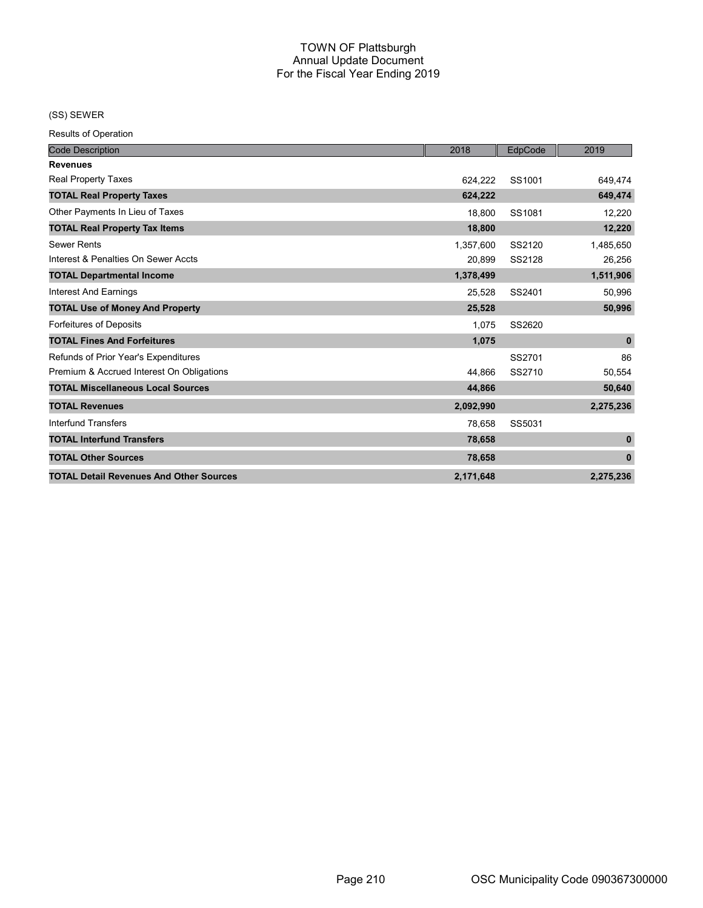(SS) SEWER

| <b>Code Description</b>                        | 2018      | EdpCode | 2019         |
|------------------------------------------------|-----------|---------|--------------|
| <b>Revenues</b>                                |           |         |              |
| Real Property Taxes                            | 624.222   | SS1001  | 649,474      |
| <b>TOTAL Real Property Taxes</b>               | 624,222   |         | 649,474      |
| Other Payments In Lieu of Taxes                | 18,800    | SS1081  | 12,220       |
| <b>TOTAL Real Property Tax Items</b>           | 18,800    |         | 12,220       |
| <b>Sewer Rents</b>                             | 1,357,600 | SS2120  | 1,485,650    |
| Interest & Penalties On Sewer Accts            | 20,899    | SS2128  | 26,256       |
| <b>TOTAL Departmental Income</b>               | 1,378,499 |         | 1,511,906    |
| <b>Interest And Earnings</b>                   | 25,528    | SS2401  | 50,996       |
| <b>TOTAL Use of Money And Property</b>         | 25,528    |         | 50,996       |
| Forfeitures of Deposits                        | 1,075     | SS2620  |              |
| <b>TOTAL Fines And Forfeitures</b>             | 1,075     |         | $\mathbf 0$  |
| Refunds of Prior Year's Expenditures           |           | SS2701  | 86           |
| Premium & Accrued Interest On Obligations      | 44.866    | SS2710  | 50,554       |
| <b>TOTAL Miscellaneous Local Sources</b>       | 44,866    |         | 50,640       |
| <b>TOTAL Revenues</b>                          | 2,092,990 |         | 2,275,236    |
| <b>Interfund Transfers</b>                     | 78,658    | SS5031  |              |
| <b>TOTAL Interfund Transfers</b>               | 78,658    |         | $\mathbf{0}$ |
| <b>TOTAL Other Sources</b>                     | 78,658    |         | $\mathbf{0}$ |
| <b>TOTAL Detail Revenues And Other Sources</b> | 2,171,648 |         | 2,275,236    |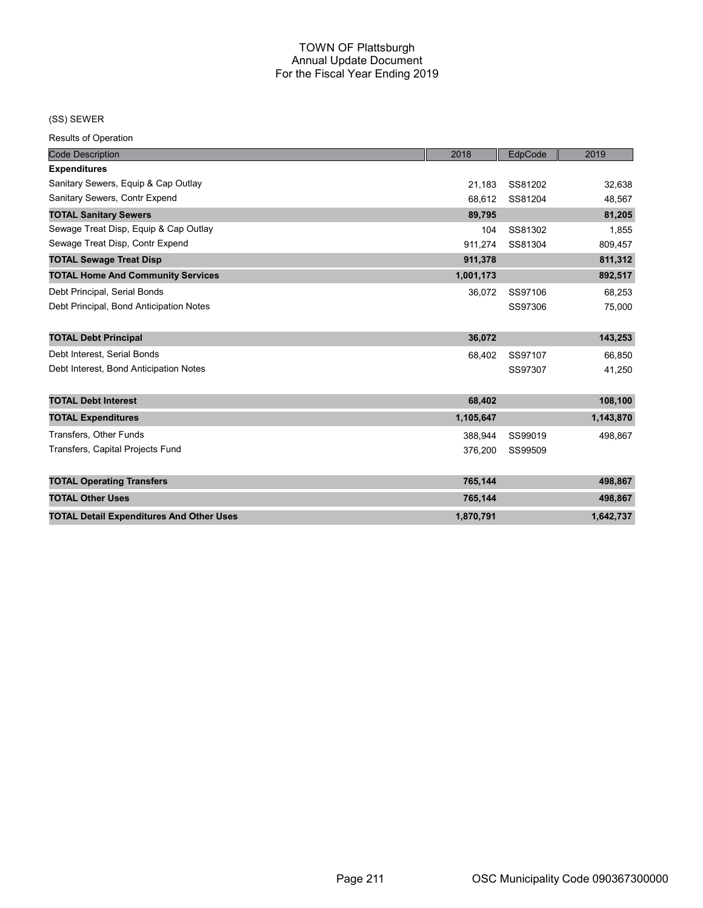#### (SS) SEWER

| <b>Code Description</b>                         | 2018      | EdpCode | 2019      |
|-------------------------------------------------|-----------|---------|-----------|
| <b>Expenditures</b>                             |           |         |           |
| Sanitary Sewers, Equip & Cap Outlay             | 21,183    | SS81202 | 32,638    |
| Sanitary Sewers, Contr Expend                   | 68.612    | SS81204 | 48,567    |
| <b>TOTAL Sanitary Sewers</b>                    | 89,795    |         | 81,205    |
| Sewage Treat Disp, Equip & Cap Outlay           | 104       | SS81302 | 1,855     |
| Sewage Treat Disp, Contr Expend                 | 911.274   | SS81304 | 809,457   |
| <b>TOTAL Sewage Treat Disp</b>                  | 911,378   |         | 811,312   |
| <b>TOTAL Home And Community Services</b>        | 1,001,173 |         | 892,517   |
| Debt Principal, Serial Bonds                    | 36,072    | SS97106 | 68,253    |
| Debt Principal, Bond Anticipation Notes         |           | SS97306 | 75,000    |
|                                                 |           |         |           |
| <b>TOTAL Debt Principal</b>                     | 36,072    |         | 143,253   |
| Debt Interest, Serial Bonds                     | 68,402    | SS97107 | 66,850    |
| Debt Interest, Bond Anticipation Notes          |           | SS97307 | 41,250    |
|                                                 |           |         |           |
| <b>TOTAL Debt Interest</b>                      | 68,402    |         | 108,100   |
| <b>TOTAL Expenditures</b>                       | 1,105,647 |         | 1,143,870 |
| <b>Transfers, Other Funds</b>                   | 388,944   | SS99019 | 498,867   |
| Transfers, Capital Projects Fund                | 376,200   | SS99509 |           |
|                                                 |           |         |           |
| <b>TOTAL Operating Transfers</b>                | 765,144   |         | 498,867   |
| <b>TOTAL Other Uses</b>                         | 765,144   |         | 498,867   |
| <b>TOTAL Detail Expenditures And Other Uses</b> | 1,870,791 |         | 1,642,737 |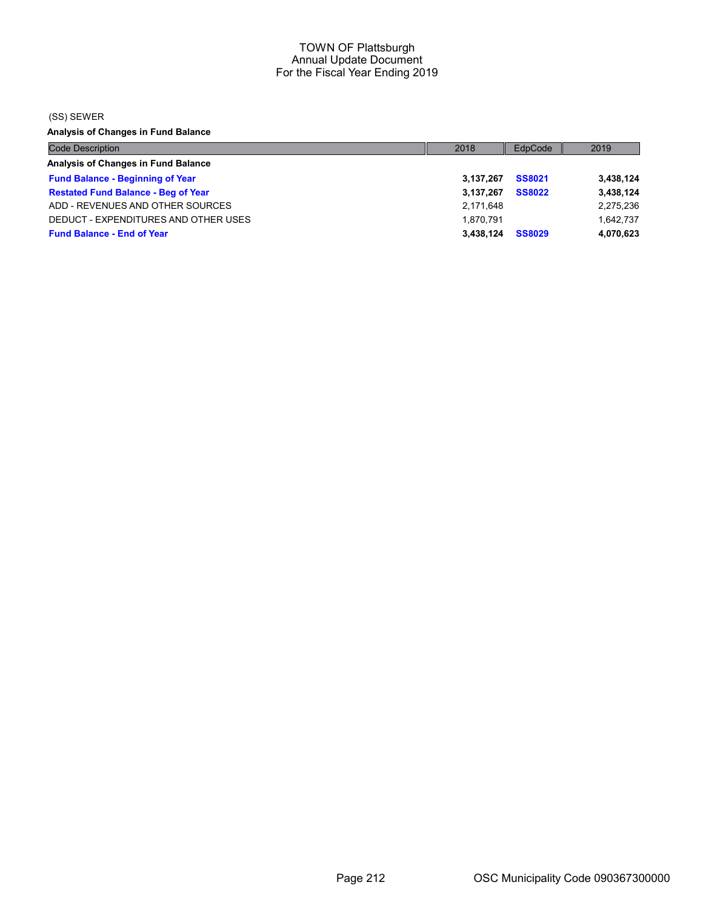(SS) SEWER

Analysis of Changes in Fund Balance

| <b>Code Description</b>                    | 2018      | EdpCode       | 2019      |
|--------------------------------------------|-----------|---------------|-----------|
| Analysis of Changes in Fund Balance        |           |               |           |
| <b>Fund Balance - Beginning of Year</b>    | 3.137.267 | <b>SS8021</b> | 3,438,124 |
| <b>Restated Fund Balance - Beg of Year</b> | 3.137.267 | <b>SS8022</b> | 3,438,124 |
| ADD - REVENUES AND OTHER SOURCES           | 2,171,648 |               | 2,275,236 |
| DEDUCT - EXPENDITURES AND OTHER USES       | 1.870.791 |               | 1.642.737 |
| <b>Fund Balance - End of Year</b>          | 3.438.124 | <b>SS8029</b> | 4,070,623 |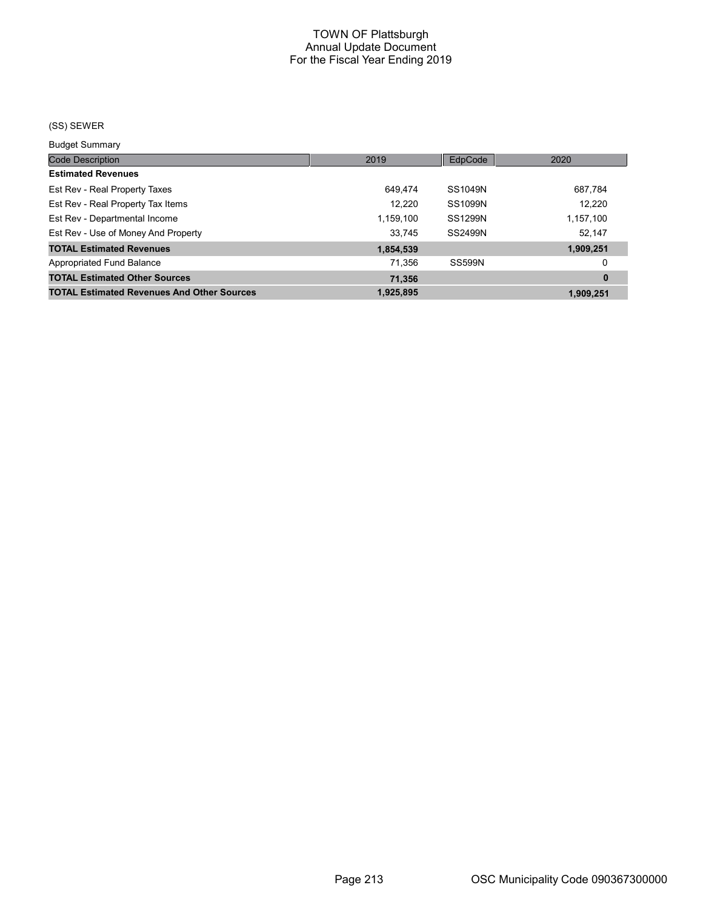# (SS) SEWER

Budget Summary

| 2019      | EdpCode        | 2020      |
|-----------|----------------|-----------|
|           |                |           |
| 649,474   | SS1049N        | 687,784   |
| 12,220    | <b>SS1099N</b> | 12.220    |
| 1,159,100 | <b>SS1299N</b> | 1,157,100 |
| 33,745    | SS2499N        | 52,147    |
| 1,854,539 |                | 1,909,251 |
| 71,356    | <b>SS599N</b>  | 0         |
| 71,356    |                | $\bf{0}$  |
| 1,925,895 |                | 1.909.251 |
|           |                |           |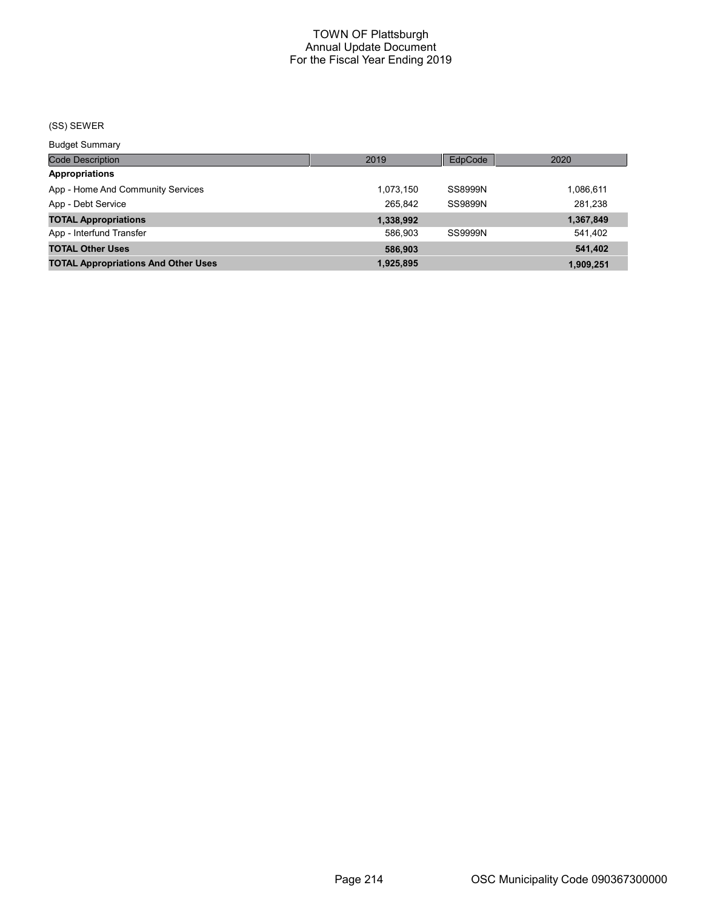# (SS) SEWER

Budget Summary

| <b>Code Description</b>                    | 2019      | EdpCode        | 2020      |
|--------------------------------------------|-----------|----------------|-----------|
| <b>Appropriations</b>                      |           |                |           |
| App - Home And Community Services          | 1.073.150 | SS8999N        | 1,086,611 |
| App - Debt Service                         | 265.842   | <b>SS9899N</b> | 281,238   |
| <b>TOTAL Appropriations</b>                | 1,338,992 |                | 1,367,849 |
| App - Interfund Transfer                   | 586.903   | SS9999N        | 541,402   |
| <b>TOTAL Other Uses</b>                    | 586.903   |                | 541.402   |
| <b>TOTAL Appropriations And Other Uses</b> | 1,925,895 |                | 1,909,251 |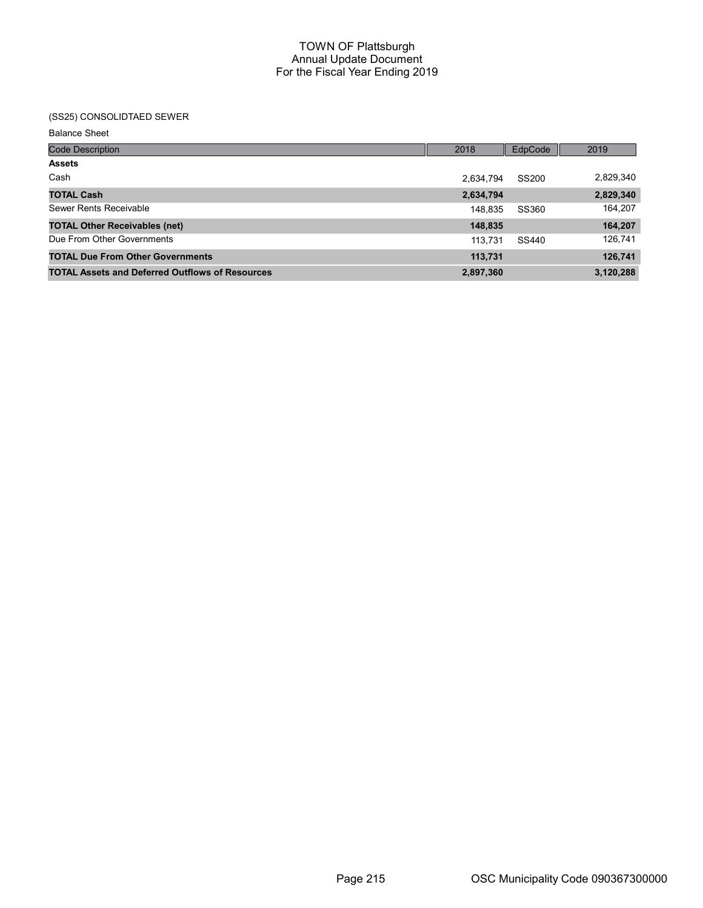# (SS25) CONSOLIDTAED SEWER

| <b>Code Description</b>                                | 2018      | EdpCode | 2019      |
|--------------------------------------------------------|-----------|---------|-----------|
| <b>Assets</b>                                          |           |         |           |
| Cash                                                   | 2,634,794 | SS200   | 2,829,340 |
| <b>TOTAL Cash</b>                                      | 2,634,794 |         | 2,829,340 |
| Sewer Rents Receivable                                 | 148,835   | SS360   | 164,207   |
| <b>TOTAL Other Receivables (net)</b>                   | 148,835   |         | 164,207   |
| Due From Other Governments                             | 113.731   | SS440   | 126,741   |
| <b>TOTAL Due From Other Governments</b>                | 113,731   |         | 126,741   |
| <b>TOTAL Assets and Deferred Outflows of Resources</b> | 2,897,360 |         | 3,120,288 |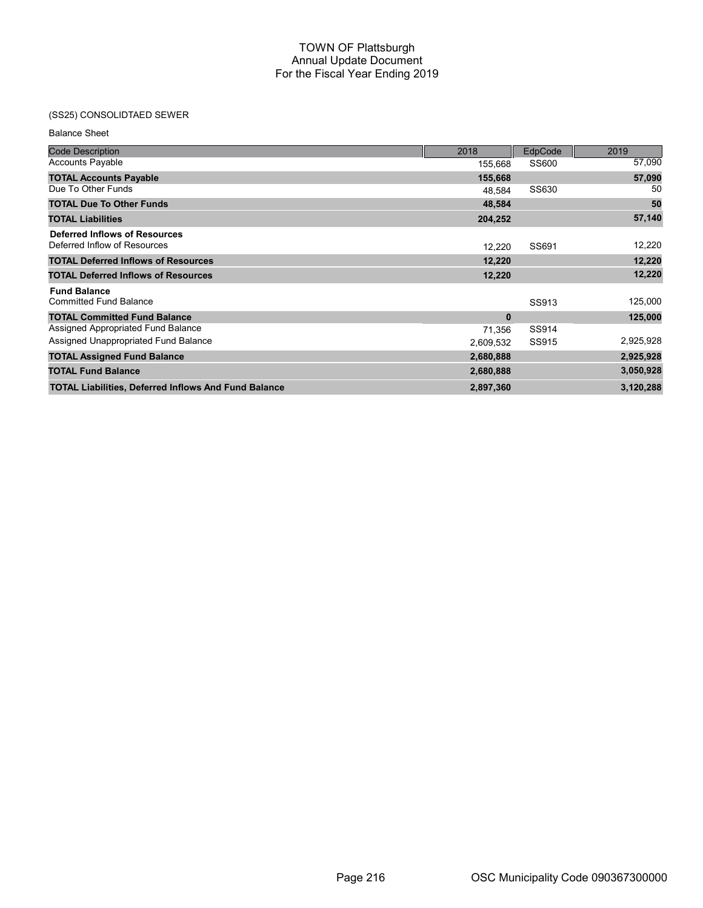# (SS25) CONSOLIDTAED SEWER

| <b>Code Description</b>                                              | 2018         | EdpCode | 2019      |
|----------------------------------------------------------------------|--------------|---------|-----------|
| <b>Accounts Payable</b>                                              | 155,668      | SS600   | 57,090    |
| <b>TOTAL Accounts Payable</b>                                        | 155,668      |         | 57,090    |
| Due To Other Funds                                                   | 48.584       | SS630   | 50        |
| <b>TOTAL Due To Other Funds</b>                                      | 48,584       |         | 50        |
| <b>TOTAL Liabilities</b>                                             | 204,252      |         | 57,140    |
| <b>Deferred Inflows of Resources</b><br>Deferred Inflow of Resources | 12,220       | SS691   | 12,220    |
| <b>TOTAL Deferred Inflows of Resources</b>                           | 12,220       |         | 12,220    |
|                                                                      |              |         | 12,220    |
| <b>TOTAL Deferred Inflows of Resources</b>                           | 12,220       |         |           |
| <b>Fund Balance</b><br><b>Committed Fund Balance</b>                 |              | SS913   | 125,000   |
| <b>TOTAL Committed Fund Balance</b>                                  | $\mathbf{0}$ |         | 125,000   |
| Assigned Appropriated Fund Balance                                   | 71,356       | SS914   |           |
| Assigned Unappropriated Fund Balance                                 | 2,609,532    | SS915   | 2,925,928 |
| <b>TOTAL Assigned Fund Balance</b>                                   | 2,680,888    |         | 2,925,928 |
| <b>TOTAL Fund Balance</b>                                            | 2,680,888    |         | 3,050,928 |
| <b>TOTAL Liabilities, Deferred Inflows And Fund Balance</b>          | 2,897,360    |         | 3,120,288 |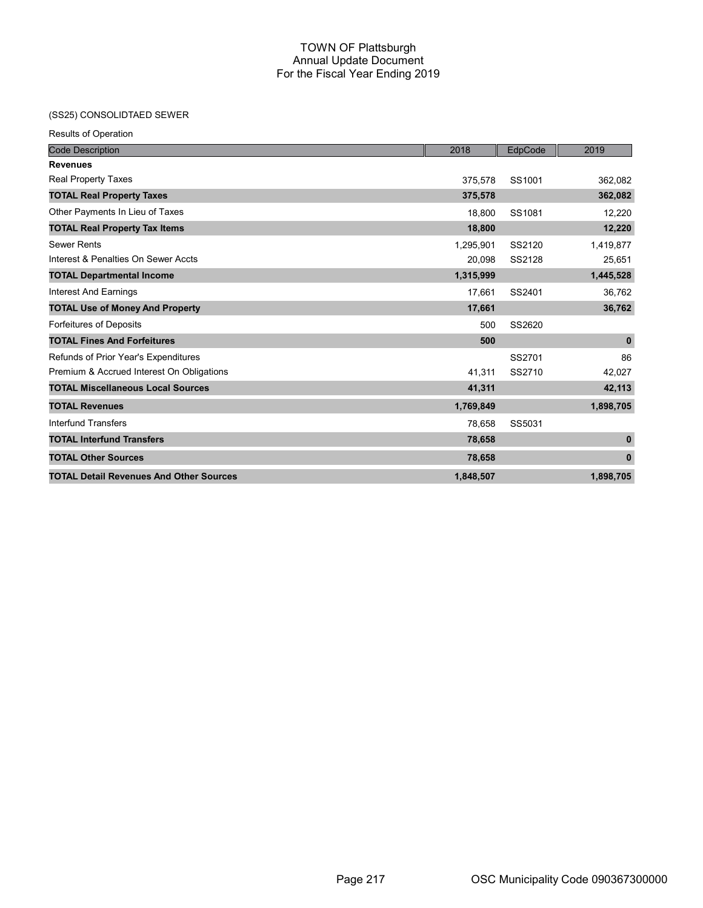## (SS25) CONSOLIDTAED SEWER

| <b>Results of Operation</b>                    |           |         |              |
|------------------------------------------------|-----------|---------|--------------|
| <b>Code Description</b>                        | 2018      | EdpCode | 2019         |
| <b>Revenues</b>                                |           |         |              |
| Real Property Taxes                            | 375,578   | SS1001  | 362,082      |
| <b>TOTAL Real Property Taxes</b>               | 375,578   |         | 362,082      |
| Other Payments In Lieu of Taxes                | 18.800    | SS1081  | 12,220       |
| <b>TOTAL Real Property Tax Items</b>           | 18,800    |         | 12,220       |
| <b>Sewer Rents</b>                             | 1,295,901 | SS2120  | 1,419,877    |
| Interest & Penalties On Sewer Accts            | 20,098    | SS2128  | 25,651       |
| <b>TOTAL Departmental Income</b>               | 1,315,999 |         | 1,445,528    |
| Interest And Earnings                          | 17,661    | SS2401  | 36,762       |
| <b>TOTAL Use of Money And Property</b>         | 17,661    |         | 36,762       |
| <b>Forfeitures of Deposits</b>                 | 500       | SS2620  |              |
| <b>TOTAL Fines And Forfeitures</b>             | 500       |         | $\mathbf{0}$ |
| Refunds of Prior Year's Expenditures           |           | SS2701  | 86           |
| Premium & Accrued Interest On Obligations      | 41,311    | SS2710  | 42,027       |
| <b>TOTAL Miscellaneous Local Sources</b>       | 41,311    |         | 42,113       |
| <b>TOTAL Revenues</b>                          | 1,769,849 |         | 1,898,705    |
| <b>Interfund Transfers</b>                     | 78,658    | SS5031  |              |
| <b>TOTAL Interfund Transfers</b>               | 78,658    |         | $\mathbf{0}$ |
| <b>TOTAL Other Sources</b>                     | 78,658    |         | $\bf{0}$     |
| <b>TOTAL Detail Revenues And Other Sources</b> | 1,848,507 |         | 1,898,705    |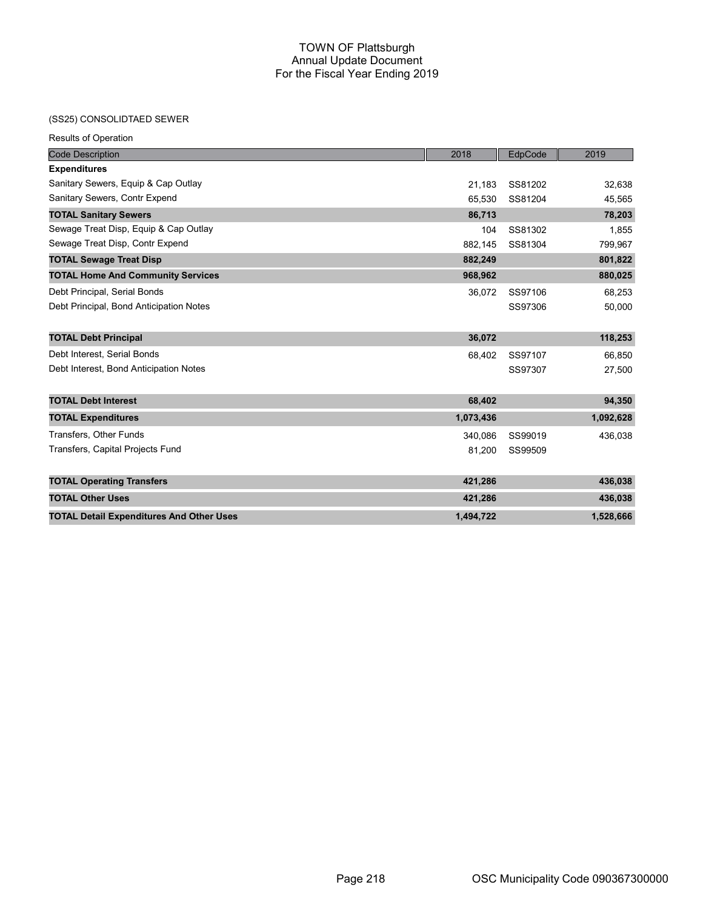## (SS25) CONSOLIDTAED SEWER

Results of Operation

| <b>Code Description</b>                         | 2018      | EdpCode | 2019      |
|-------------------------------------------------|-----------|---------|-----------|
| <b>Expenditures</b>                             |           |         |           |
| Sanitary Sewers, Equip & Cap Outlay             | 21,183    | SS81202 | 32,638    |
| Sanitary Sewers, Contr Expend                   | 65,530    | SS81204 | 45,565    |
| <b>TOTAL Sanitary Sewers</b>                    | 86,713    |         | 78,203    |
| Sewage Treat Disp, Equip & Cap Outlay           | 104       | SS81302 | 1,855     |
| Sewage Treat Disp, Contr Expend                 | 882,145   | SS81304 | 799,967   |
| <b>TOTAL Sewage Treat Disp</b>                  | 882,249   |         | 801,822   |
| <b>TOTAL Home And Community Services</b>        | 968,962   |         | 880,025   |
| Debt Principal, Serial Bonds                    | 36,072    | SS97106 | 68,253    |
| Debt Principal, Bond Anticipation Notes         |           | SS97306 | 50,000    |
|                                                 |           |         |           |
| <b>TOTAL Debt Principal</b>                     | 36,072    |         | 118,253   |
| Debt Interest, Serial Bonds                     | 68,402    | SS97107 | 66,850    |
| Debt Interest, Bond Anticipation Notes          |           | SS97307 | 27,500    |
|                                                 |           |         |           |
| <b>TOTAL Debt Interest</b>                      | 68,402    |         | 94,350    |
| <b>TOTAL Expenditures</b>                       | 1,073,436 |         | 1,092,628 |
| Transfers, Other Funds                          | 340,086   | SS99019 | 436,038   |
| Transfers, Capital Projects Fund                | 81,200    | SS99509 |           |
|                                                 |           |         |           |
| <b>TOTAL Operating Transfers</b>                | 421,286   |         | 436,038   |
| <b>TOTAL Other Uses</b>                         | 421,286   |         | 436,038   |
| <b>TOTAL Detail Expenditures And Other Uses</b> | 1,494,722 |         | 1,528,666 |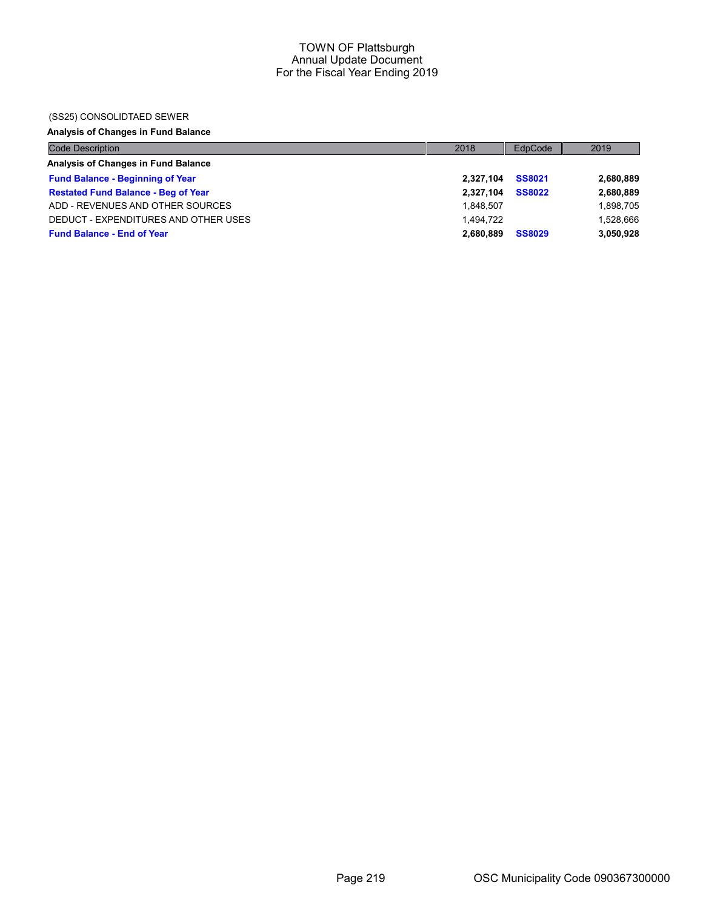### (SS25) CONSOLIDTAED SEWER

## Analysis of Changes in Fund Balance

| <b>Code Description</b>                    | 2018      | EdpCode       | 2019      |
|--------------------------------------------|-----------|---------------|-----------|
| Analysis of Changes in Fund Balance        |           |               |           |
| <b>Fund Balance - Beginning of Year</b>    | 2.327.104 | <b>SS8021</b> | 2,680,889 |
| <b>Restated Fund Balance - Beg of Year</b> | 2.327.104 | <b>SS8022</b> | 2,680,889 |
| ADD - REVENUES AND OTHER SOURCES           | 1.848.507 |               | 1,898,705 |
| DEDUCT - EXPENDITURES AND OTHER USES       | 1.494.722 |               | 1.528.666 |
| <b>Fund Balance - End of Year</b>          | 2.680.889 | <b>SS8029</b> | 3,050,928 |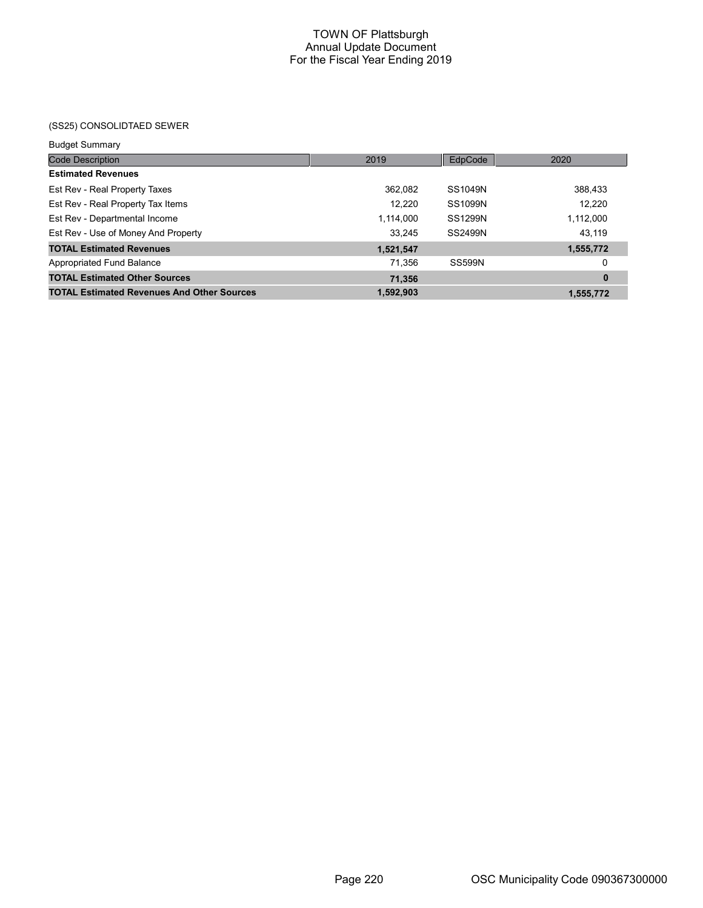## (SS25) CONSOLIDTAED SEWER

| <b>Budget Summary</b> |  |
|-----------------------|--|
|                       |  |

| <b>Code Description</b>                           | 2019      | EdpCode        | 2020      |
|---------------------------------------------------|-----------|----------------|-----------|
| <b>Estimated Revenues</b>                         |           |                |           |
| Est Rev - Real Property Taxes                     | 362,082   | SS1049N        | 388,433   |
| Est Rev - Real Property Tax Items                 | 12,220    | SS1099N        | 12,220    |
| Est Rev - Departmental Income                     | 1,114,000 | <b>SS1299N</b> | 1,112,000 |
| Est Rev - Use of Money And Property               | 33,245    | SS2499N        | 43,119    |
| <b>TOTAL Estimated Revenues</b>                   | 1,521,547 |                | 1,555,772 |
| Appropriated Fund Balance                         | 71,356    | <b>SS599N</b>  | 0         |
| <b>TOTAL Estimated Other Sources</b>              | 71,356    |                | $\bf{0}$  |
| <b>TOTAL Estimated Revenues And Other Sources</b> | 1,592,903 |                | 1,555,772 |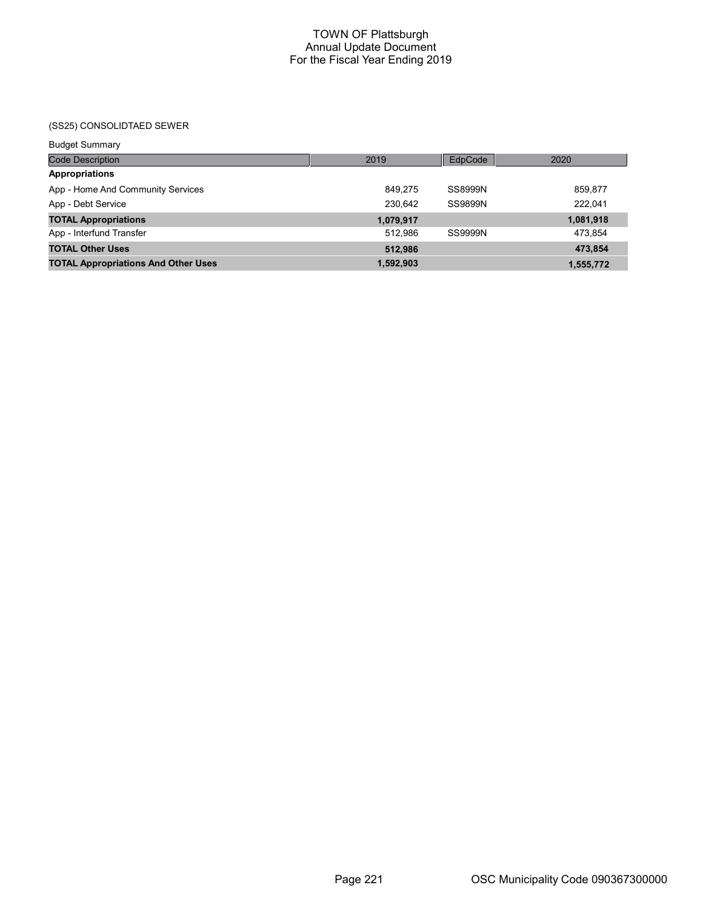(SS25) CONSOLIDTAED SEWER

| <b>Budget Summary</b>                      |           |         |           |
|--------------------------------------------|-----------|---------|-----------|
| <b>Code Description</b>                    | 2019      | EdpCode | 2020      |
| <b>Appropriations</b>                      |           |         |           |
| App - Home And Community Services          | 849.275   | SS8999N | 859,877   |
| App - Debt Service                         | 230.642   | SS9899N | 222.041   |
| <b>TOTAL Appropriations</b>                | 1,079,917 |         | 1,081,918 |
| App - Interfund Transfer                   | 512.986   | SS9999N | 473,854   |
| <b>TOTAL Other Uses</b>                    | 512,986   |         | 473,854   |
| <b>TOTAL Appropriations And Other Uses</b> | 1,592,903 |         | 1,555,772 |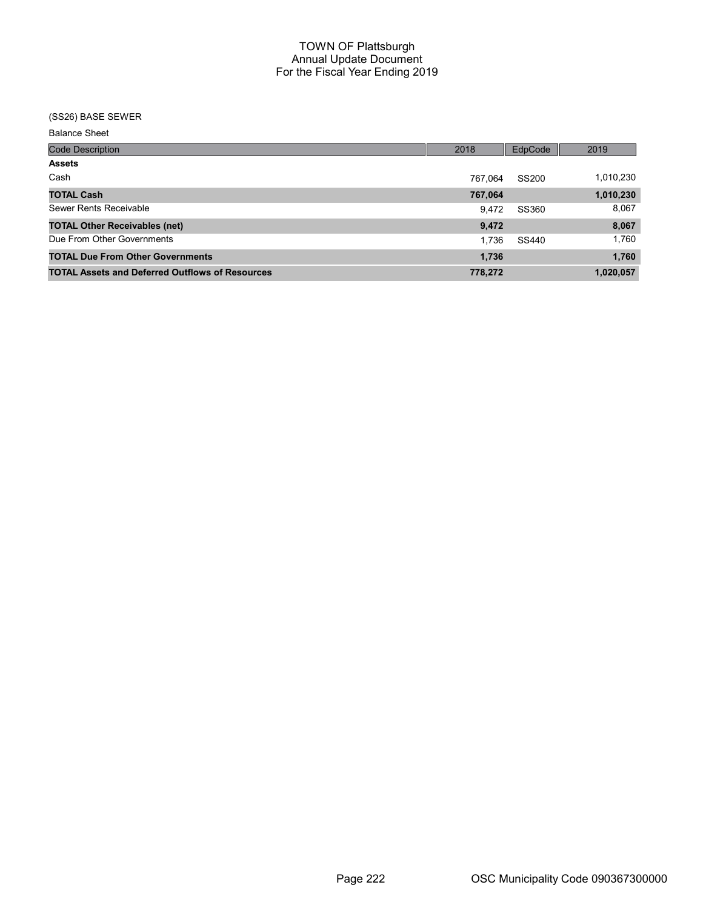### (SS26) BASE SEWER

| <b>Code Description</b>                                | 2018    | EdpCode      | 2019      |
|--------------------------------------------------------|---------|--------------|-----------|
| <b>Assets</b>                                          |         |              |           |
| Cash                                                   | 767.064 | <b>SS200</b> | 1,010,230 |
| <b>TOTAL Cash</b>                                      | 767,064 |              | 1,010,230 |
| Sewer Rents Receivable                                 | 9.472   | SS360        | 8,067     |
| <b>TOTAL Other Receivables (net)</b>                   | 9,472   |              | 8,067     |
| Due From Other Governments                             | 1.736   | SS440        | 1.760     |
| <b>TOTAL Due From Other Governments</b>                | 1,736   |              | 1,760     |
| <b>TOTAL Assets and Deferred Outflows of Resources</b> | 778,272 |              | 1,020,057 |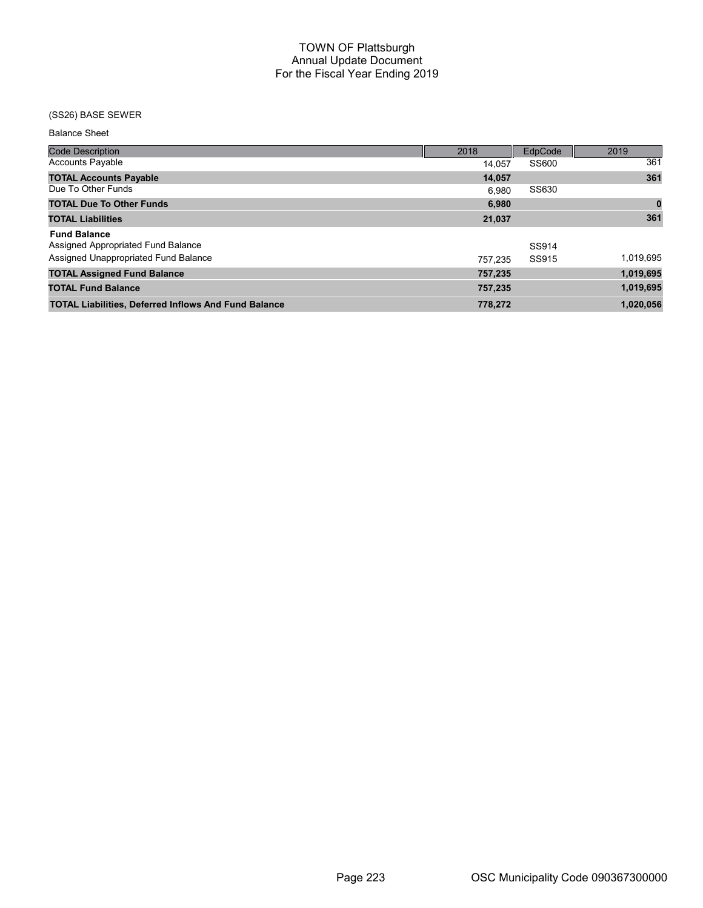## (SS26) BASE SEWER

| <b>Code Description</b>                                     | 2018    | EdpCode | 2019      |
|-------------------------------------------------------------|---------|---------|-----------|
| <b>Accounts Payable</b>                                     | 14.057  | SS600   | 361       |
| <b>TOTAL Accounts Payable</b>                               | 14,057  |         | 361       |
| Due To Other Funds                                          | 6.980   | SS630   |           |
| <b>TOTAL Due To Other Funds</b>                             | 6,980   |         | $\bf{0}$  |
| <b>TOTAL Liabilities</b>                                    | 21,037  |         | 361       |
| <b>Fund Balance</b>                                         |         |         |           |
| Assigned Appropriated Fund Balance                          |         | SS914   |           |
| Assigned Unappropriated Fund Balance                        | 757.235 | SS915   | 1,019,695 |
| <b>TOTAL Assigned Fund Balance</b>                          | 757,235 |         | 1,019,695 |
| <b>TOTAL Fund Balance</b>                                   | 757,235 |         | 1,019,695 |
| <b>TOTAL Liabilities, Deferred Inflows And Fund Balance</b> | 778,272 |         | 1,020,056 |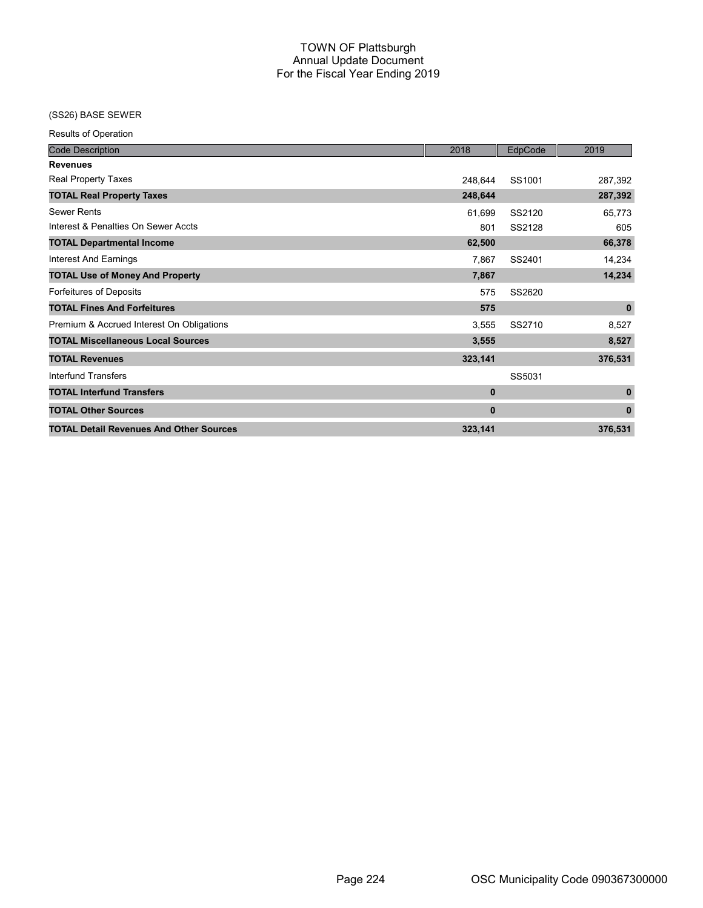## (SS26) BASE SEWER

Results of Operation

| <b>Code Description</b>                        | 2018         | EdpCode | 2019         |
|------------------------------------------------|--------------|---------|--------------|
| <b>Revenues</b>                                |              |         |              |
| <b>Real Property Taxes</b>                     | 248,644      | SS1001  | 287,392      |
| <b>TOTAL Real Property Taxes</b>               | 248,644      |         | 287,392      |
| <b>Sewer Rents</b>                             | 61,699       | SS2120  | 65,773       |
| Interest & Penalties On Sewer Accts            | 801          | SS2128  | 605          |
| <b>TOTAL Departmental Income</b>               | 62,500       |         | 66,378       |
| <b>Interest And Earnings</b>                   | 7,867        | SS2401  | 14,234       |
| <b>TOTAL Use of Money And Property</b>         | 7,867        |         | 14,234       |
| Forfeitures of Deposits                        | 575          | SS2620  |              |
| <b>TOTAL Fines And Forfeitures</b>             | 575          |         | $\mathbf 0$  |
| Premium & Accrued Interest On Obligations      | 3,555        | SS2710  | 8,527        |
| <b>TOTAL Miscellaneous Local Sources</b>       | 3,555        |         | 8,527        |
| <b>TOTAL Revenues</b>                          | 323,141      |         | 376,531      |
| Interfund Transfers                            |              | SS5031  |              |
| <b>TOTAL Interfund Transfers</b>               | $\bf{0}$     |         | $\mathbf 0$  |
| <b>TOTAL Other Sources</b>                     | $\mathbf{0}$ |         | $\mathbf{0}$ |
| <b>TOTAL Detail Revenues And Other Sources</b> | 323,141      |         | 376,531      |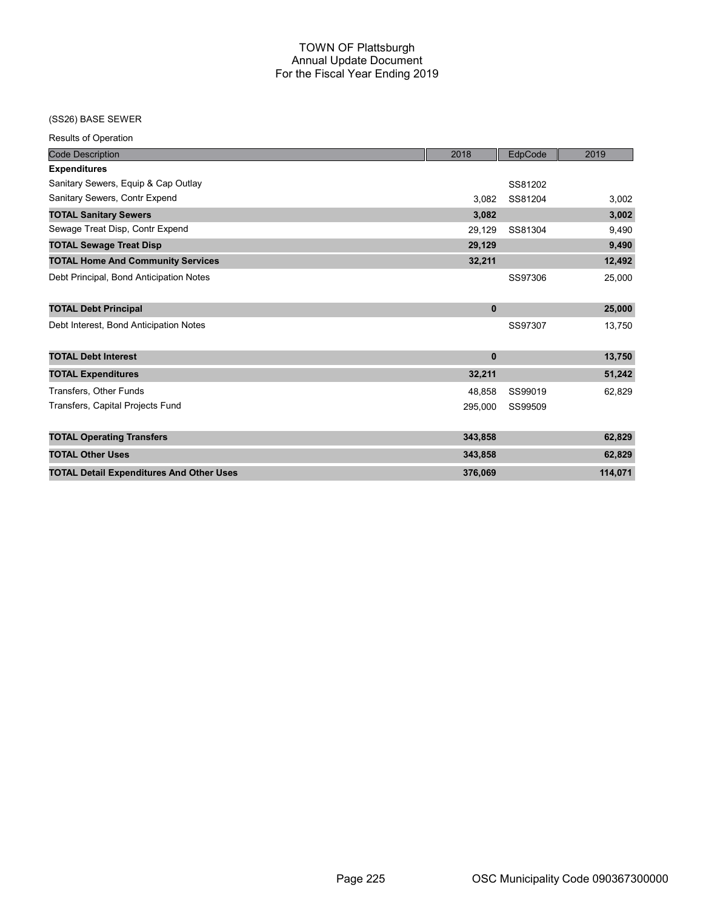## (SS26) BASE SEWER

Results of Operation

| <b>Code Description</b>                         | 2018     | EdpCode | 2019    |
|-------------------------------------------------|----------|---------|---------|
| <b>Expenditures</b>                             |          |         |         |
| Sanitary Sewers, Equip & Cap Outlay             |          | SS81202 |         |
| Sanitary Sewers, Contr Expend                   | 3.082    | SS81204 | 3,002   |
| <b>TOTAL Sanitary Sewers</b>                    | 3,082    |         | 3,002   |
| Sewage Treat Disp, Contr Expend                 | 29,129   | SS81304 | 9,490   |
| <b>TOTAL Sewage Treat Disp</b>                  | 29,129   |         | 9,490   |
| <b>TOTAL Home And Community Services</b>        | 32,211   |         | 12,492  |
| Debt Principal, Bond Anticipation Notes         |          | SS97306 | 25,000  |
| <b>TOTAL Debt Principal</b>                     | $\bf{0}$ |         | 25,000  |
| Debt Interest, Bond Anticipation Notes          |          | SS97307 | 13,750  |
| <b>TOTAL Debt Interest</b>                      | $\bf{0}$ |         | 13,750  |
| <b>TOTAL Expenditures</b>                       | 32,211   |         | 51,242  |
| <b>Transfers, Other Funds</b>                   | 48,858   | SS99019 | 62,829  |
| Transfers, Capital Projects Fund                | 295,000  | SS99509 |         |
| <b>TOTAL Operating Transfers</b>                | 343,858  |         | 62,829  |
| <b>TOTAL Other Uses</b>                         | 343,858  |         | 62,829  |
| <b>TOTAL Detail Expenditures And Other Uses</b> | 376,069  |         | 114,071 |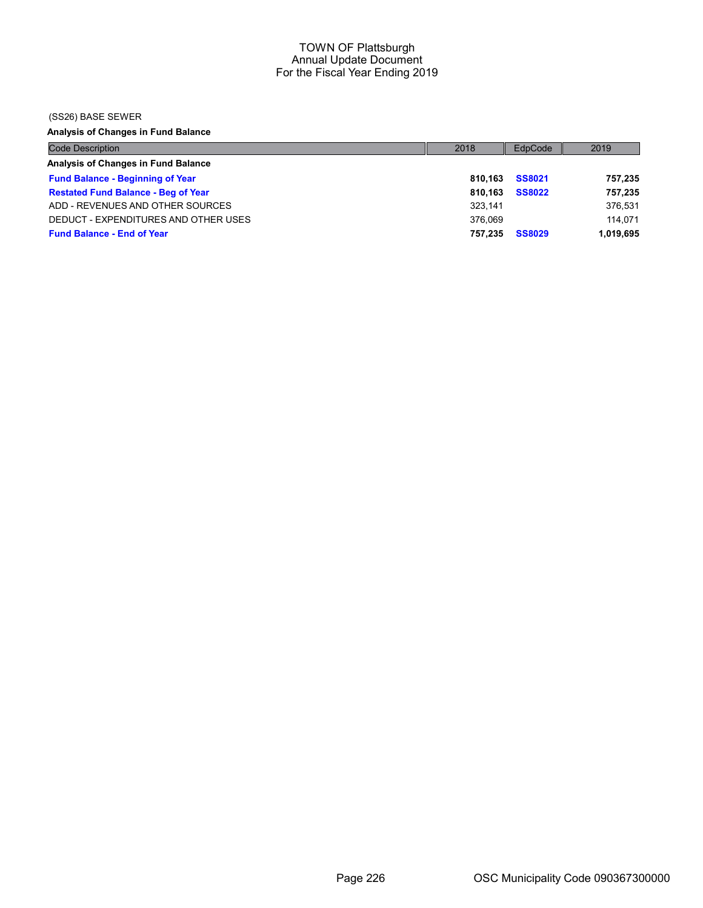### (SS26) BASE SEWER

Analysis of Changes in Fund Balance

| <b>Code Description</b>                    | 2018    | EdpCode       | 2019      |
|--------------------------------------------|---------|---------------|-----------|
| Analysis of Changes in Fund Balance        |         |               |           |
| <b>Fund Balance - Beginning of Year</b>    | 810.163 | <b>SS8021</b> | 757,235   |
| <b>Restated Fund Balance - Beg of Year</b> | 810.163 | <b>SS8022</b> | 757,235   |
| ADD - REVENUES AND OTHER SOURCES           | 323.141 |               | 376,531   |
| DEDUCT - EXPENDITURES AND OTHER USES       | 376.069 |               | 114.071   |
| <b>Fund Balance - End of Year</b>          | 757.235 | <b>SS8029</b> | 1,019,695 |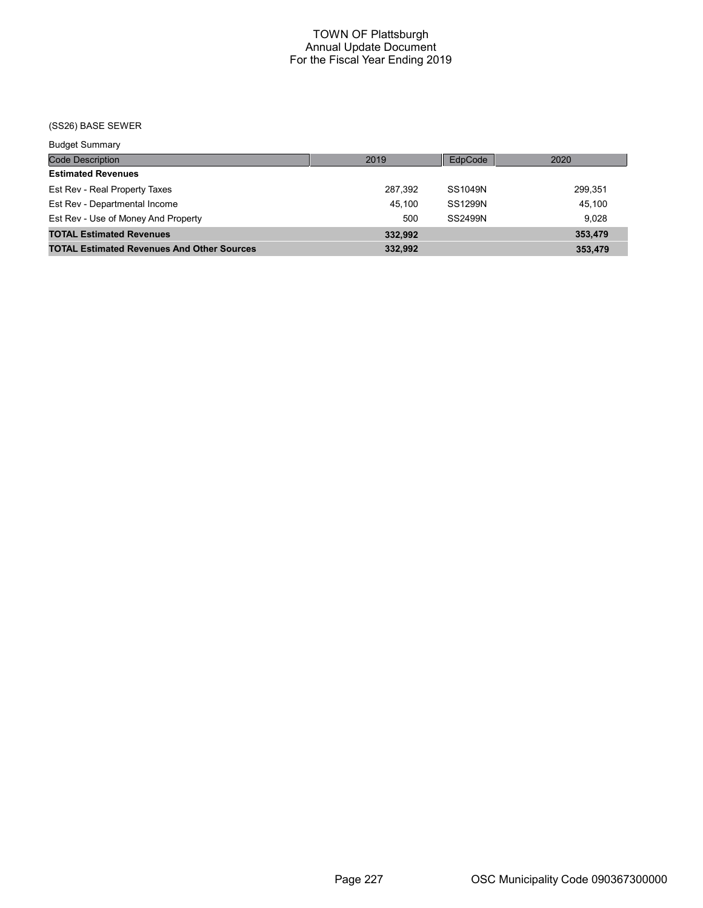(SS26) BASE SEWER

| <b>Budget Summary</b>                             |         |         |         |
|---------------------------------------------------|---------|---------|---------|
| <b>Code Description</b>                           | 2019    | EdpCode | 2020    |
| <b>Estimated Revenues</b>                         |         |         |         |
| Est Rev - Real Property Taxes                     | 287.392 | SS1049N | 299,351 |
| Est Rev - Departmental Income                     | 45.100  | SS1299N | 45,100  |
| Est Rev - Use of Money And Property               | 500     | SS2499N | 9.028   |
| <b>TOTAL Estimated Revenues</b>                   | 332.992 |         | 353,479 |
| <b>TOTAL Estimated Revenues And Other Sources</b> | 332,992 |         | 353,479 |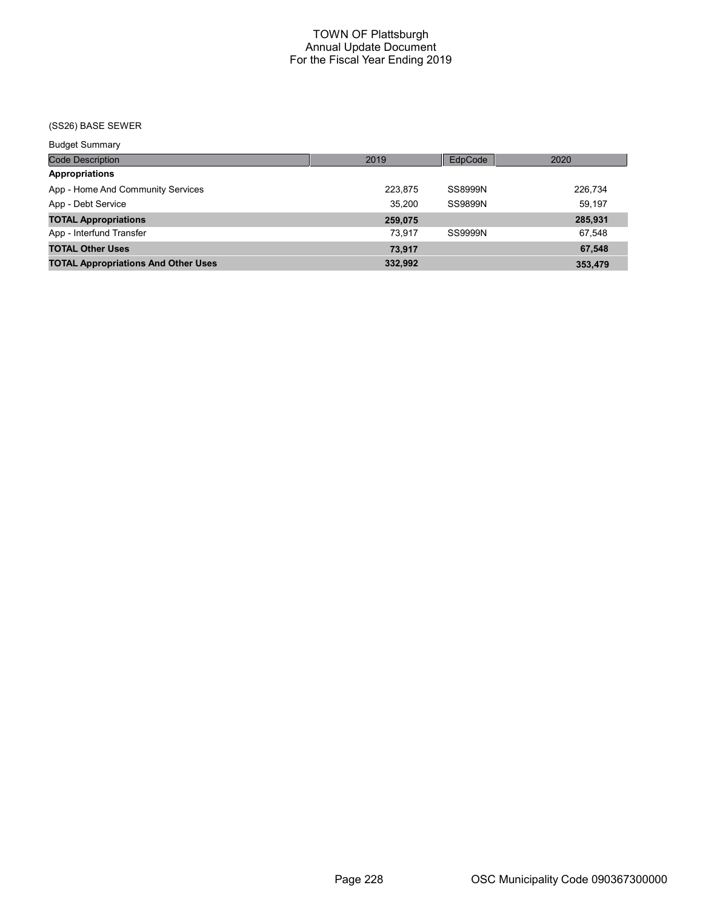## (SS26) BASE SEWER

| <b>Budget Summary</b>                      |         |         |         |
|--------------------------------------------|---------|---------|---------|
| <b>Code Description</b>                    | 2019    | EdpCode | 2020    |
| <b>Appropriations</b>                      |         |         |         |
| App - Home And Community Services          | 223.875 | SS8999N | 226,734 |
| App - Debt Service                         | 35.200  | SS9899N | 59.197  |
| <b>TOTAL Appropriations</b>                | 259,075 |         | 285,931 |
| App - Interfund Transfer                   | 73.917  | SS9999N | 67.548  |
| <b>TOTAL Other Uses</b>                    | 73,917  |         | 67,548  |
| <b>TOTAL Appropriations And Other Uses</b> | 332,992 |         | 353,479 |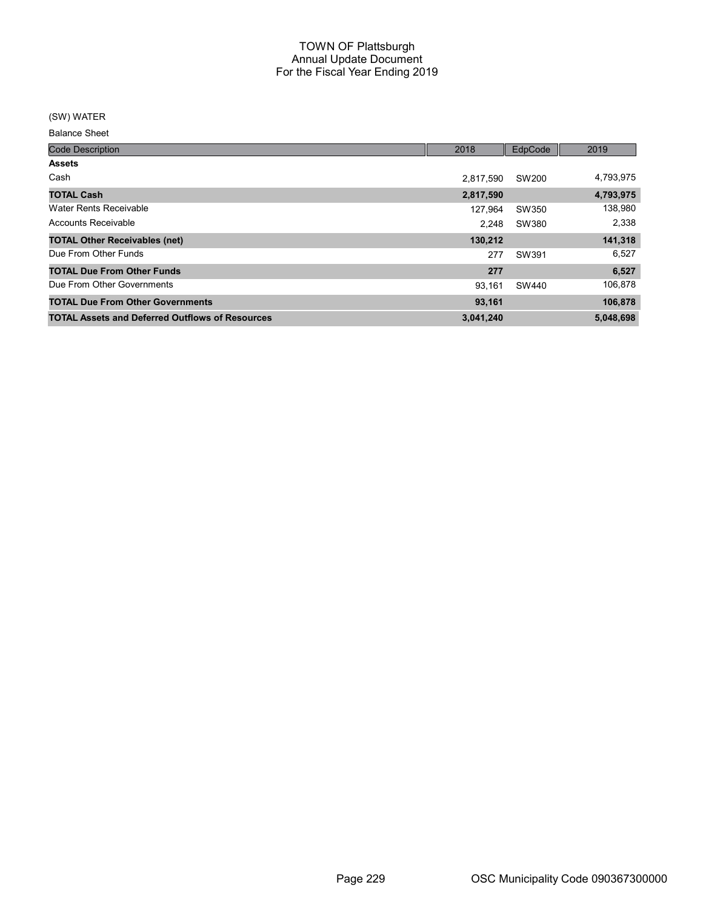### (SW) WATER

| <b>Code Description</b>                                | 2018      | EdpCode | 2019      |
|--------------------------------------------------------|-----------|---------|-----------|
| <b>Assets</b>                                          |           |         |           |
| Cash                                                   | 2.817.590 | SW200   | 4,793,975 |
| <b>TOTAL Cash</b>                                      | 2,817,590 |         | 4,793,975 |
| Water Rents Receivable                                 | 127.964   | SW350   | 138,980   |
| Accounts Receivable                                    | 2.248     | SW380   | 2,338     |
| <b>TOTAL Other Receivables (net)</b>                   | 130,212   |         | 141,318   |
| Due From Other Funds                                   | 277       | SW391   | 6,527     |
| <b>TOTAL Due From Other Funds</b>                      | 277       |         | 6,527     |
| Due From Other Governments                             | 93.161    | SW440   | 106,878   |
| <b>TOTAL Due From Other Governments</b>                | 93,161    |         | 106,878   |
| <b>TOTAL Assets and Deferred Outflows of Resources</b> | 3,041,240 |         | 5,048,698 |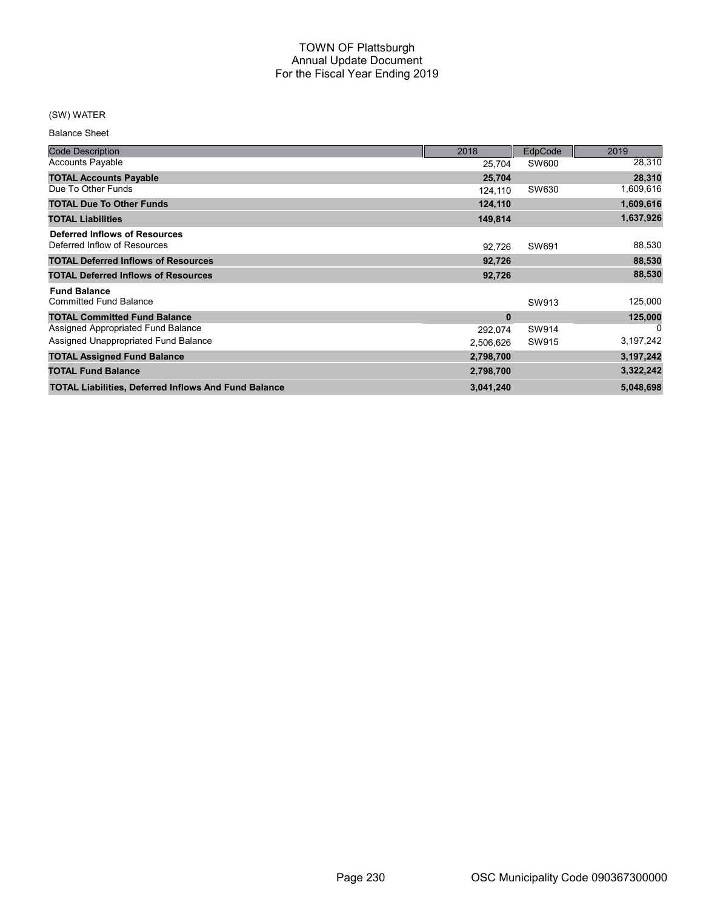## (SW) WATER

| <b>Code Description</b>                                       | 2018      | EdpCode | 2019      |
|---------------------------------------------------------------|-----------|---------|-----------|
| <b>Accounts Payable</b>                                       | 25,704    | SW600   | 28,310    |
| <b>TOTAL Accounts Payable</b>                                 | 25,704    |         | 28,310    |
| Due To Other Funds                                            | 124,110   | SW630   | 1,609,616 |
| <b>TOTAL Due To Other Funds</b>                               | 124,110   |         | 1,609,616 |
| <b>TOTAL Liabilities</b>                                      | 149,814   |         | 1,637,926 |
| Deferred Inflows of Resources<br>Deferred Inflow of Resources | 92,726    | SW691   | 88,530    |
| <b>TOTAL Deferred Inflows of Resources</b>                    | 92,726    |         | 88,530    |
| <b>TOTAL Deferred Inflows of Resources</b>                    | 92,726    |         | 88,530    |
| <b>Fund Balance</b><br><b>Committed Fund Balance</b>          |           | SW913   | 125,000   |
| <b>TOTAL Committed Fund Balance</b>                           | $\bf{0}$  |         | 125,000   |
| Assigned Appropriated Fund Balance                            | 292,074   | SW914   | 0         |
| Assigned Unappropriated Fund Balance                          | 2,506,626 | SW915   | 3,197,242 |
| <b>TOTAL Assigned Fund Balance</b>                            | 2,798,700 |         | 3,197,242 |
| <b>TOTAL Fund Balance</b>                                     | 2,798,700 |         | 3,322,242 |
| <b>TOTAL Liabilities, Deferred Inflows And Fund Balance</b>   | 3,041,240 |         | 5,048,698 |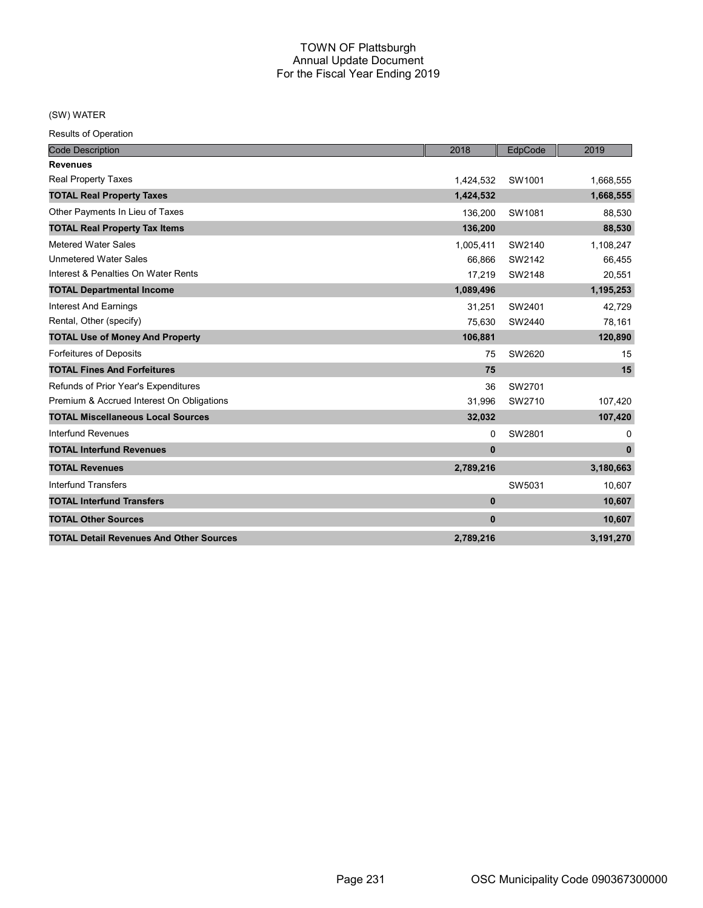## (SW) WATER

Results of Operation

| <b>Code Description</b>                        | 2018         | EdpCode | 2019         |
|------------------------------------------------|--------------|---------|--------------|
| <b>Revenues</b>                                |              |         |              |
| Real Property Taxes                            | 1,424,532    | SW1001  | 1,668,555    |
| <b>TOTAL Real Property Taxes</b>               | 1,424,532    |         | 1,668,555    |
| Other Payments In Lieu of Taxes                | 136,200      | SW1081  | 88,530       |
| <b>TOTAL Real Property Tax Items</b>           | 136,200      |         | 88,530       |
| <b>Metered Water Sales</b>                     | 1,005,411    | SW2140  | 1,108,247    |
| <b>Unmetered Water Sales</b>                   | 66.866       | SW2142  | 66,455       |
| Interest & Penalties On Water Rents            | 17,219       | SW2148  | 20,551       |
| <b>TOTAL Departmental Income</b>               | 1,089,496    |         | 1,195,253    |
| <b>Interest And Earnings</b>                   | 31,251       | SW2401  | 42,729       |
| Rental, Other (specify)                        | 75,630       | SW2440  | 78,161       |
| <b>TOTAL Use of Money And Property</b>         | 106,881      |         | 120,890      |
| Forfeitures of Deposits                        | 75           | SW2620  | 15           |
| <b>TOTAL Fines And Forfeitures</b>             | 75           |         | 15           |
| Refunds of Prior Year's Expenditures           | 36           | SW2701  |              |
| Premium & Accrued Interest On Obligations      | 31,996       | SW2710  | 107,420      |
| <b>TOTAL Miscellaneous Local Sources</b>       | 32,032       |         | 107,420      |
| Interfund Revenues                             | 0            | SW2801  | 0            |
| <b>TOTAL Interfund Revenues</b>                | $\mathbf{0}$ |         | $\mathbf{0}$ |
| <b>TOTAL Revenues</b>                          | 2,789,216    |         | 3,180,663    |
| <b>Interfund Transfers</b>                     |              | SW5031  | 10,607       |
| <b>TOTAL Interfund Transfers</b>               | $\mathbf{0}$ |         | 10,607       |
| <b>TOTAL Other Sources</b>                     | $\mathbf{0}$ |         | 10,607       |
| <b>TOTAL Detail Revenues And Other Sources</b> | 2,789,216    |         | 3,191,270    |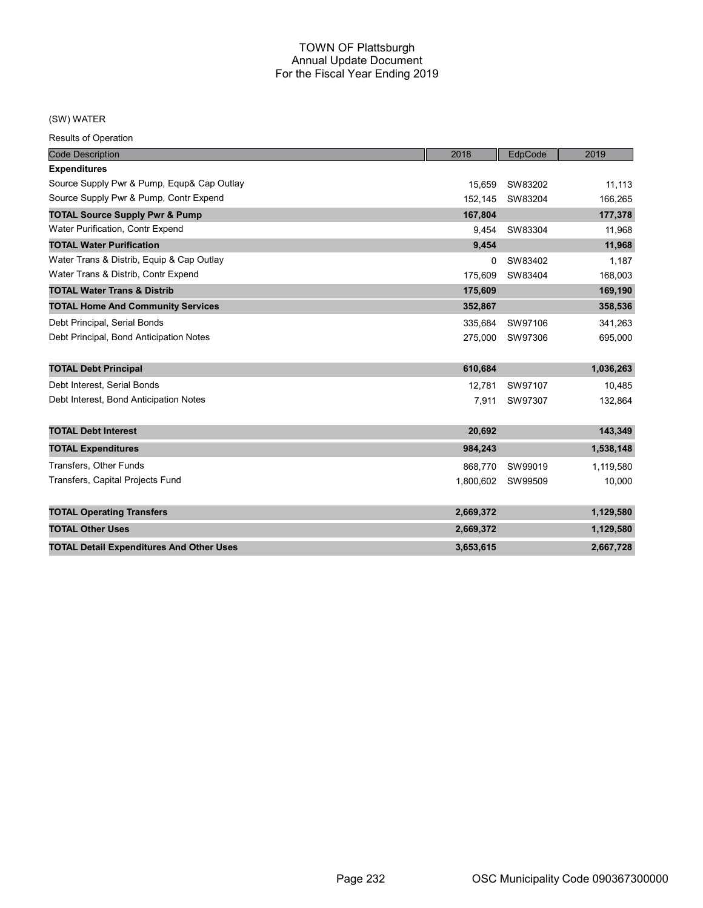### (SW) WATER

Results of Operation

| <b>Code Description</b>                         | 2018      | EdpCode           | 2019      |
|-------------------------------------------------|-----------|-------------------|-----------|
| <b>Expenditures</b>                             |           |                   |           |
| Source Supply Pwr & Pump, Equp& Cap Outlay      | 15.659    | SW83202           | 11,113    |
| Source Supply Pwr & Pump, Contr Expend          | 152,145   | SW83204           | 166,265   |
| <b>TOTAL Source Supply Pwr &amp; Pump</b>       | 167.804   |                   | 177,378   |
| Water Purification, Contr Expend                | 9.454     | SW83304           | 11,968    |
| <b>TOTAL Water Purification</b>                 | 9,454     |                   | 11,968    |
| Water Trans & Distrib, Equip & Cap Outlay       | $\Omega$  | SW83402           | 1,187     |
| Water Trans & Distrib, Contr Expend             | 175.609   | SW83404           | 168,003   |
| <b>TOTAL Water Trans &amp; Distrib</b>          | 175,609   |                   | 169,190   |
| <b>TOTAL Home And Community Services</b>        | 352,867   |                   | 358,536   |
| Debt Principal, Serial Bonds                    | 335.684   | SW97106           | 341,263   |
| Debt Principal, Bond Anticipation Notes         |           | 275,000 SW97306   | 695,000   |
| <b>TOTAL Debt Principal</b>                     | 610,684   |                   | 1,036,263 |
| Debt Interest, Serial Bonds                     | 12.781    | SW97107           | 10,485    |
| Debt Interest, Bond Anticipation Notes          | 7,911     | SW97307           | 132,864   |
| <b>TOTAL Debt Interest</b>                      | 20,692    |                   | 143,349   |
| <b>TOTAL Expenditures</b>                       | 984,243   |                   | 1,538,148 |
| <b>Transfers, Other Funds</b>                   | 868,770   | SW99019           | 1,119,580 |
| Transfers, Capital Projects Fund                |           | 1,800,602 SW99509 | 10,000    |
|                                                 |           |                   |           |
| <b>TOTAL Operating Transfers</b>                | 2,669,372 |                   | 1,129,580 |
| <b>TOTAL Other Uses</b>                         | 2,669,372 |                   | 1,129,580 |
| <b>TOTAL Detail Expenditures And Other Uses</b> | 3,653,615 |                   | 2,667,728 |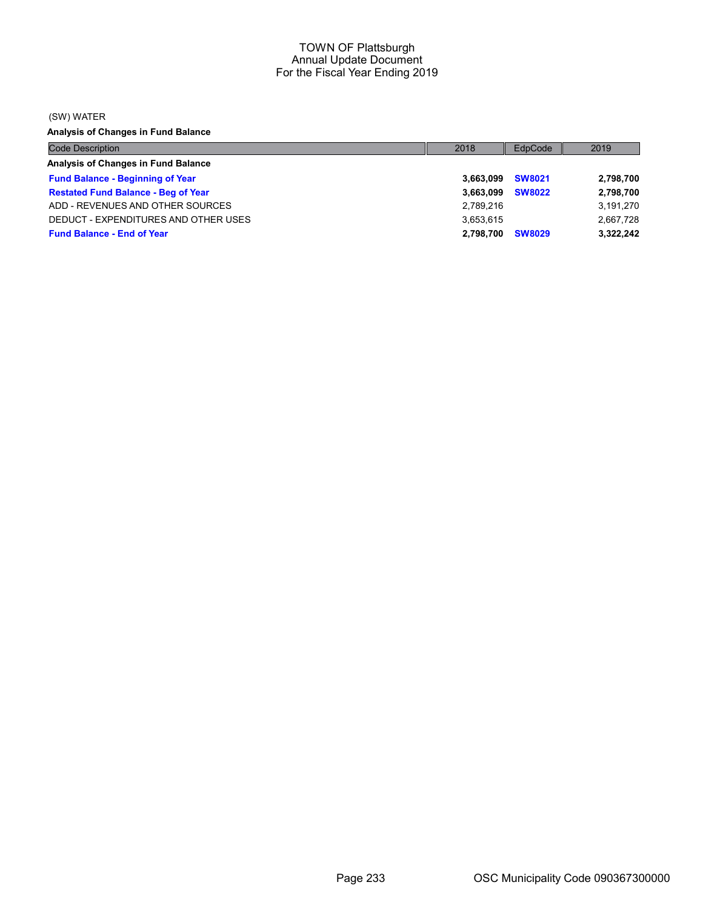(SW) WATER

Analysis of Changes in Fund Balance

| <b>Code Description</b>                    | 2018      | EdpCode       | 2019      |
|--------------------------------------------|-----------|---------------|-----------|
| Analysis of Changes in Fund Balance        |           |               |           |
| <b>Fund Balance - Beginning of Year</b>    | 3.663.099 | <b>SW8021</b> | 2,798,700 |
| <b>Restated Fund Balance - Beg of Year</b> | 3.663.099 | <b>SW8022</b> | 2,798,700 |
| ADD - REVENUES AND OTHER SOURCES           | 2.789.216 |               | 3,191,270 |
| DEDUCT - EXPENDITURES AND OTHER USES       | 3.653.615 |               | 2,667,728 |
| <b>Fund Balance - End of Year</b>          | 2.798.700 | <b>SW8029</b> | 3,322,242 |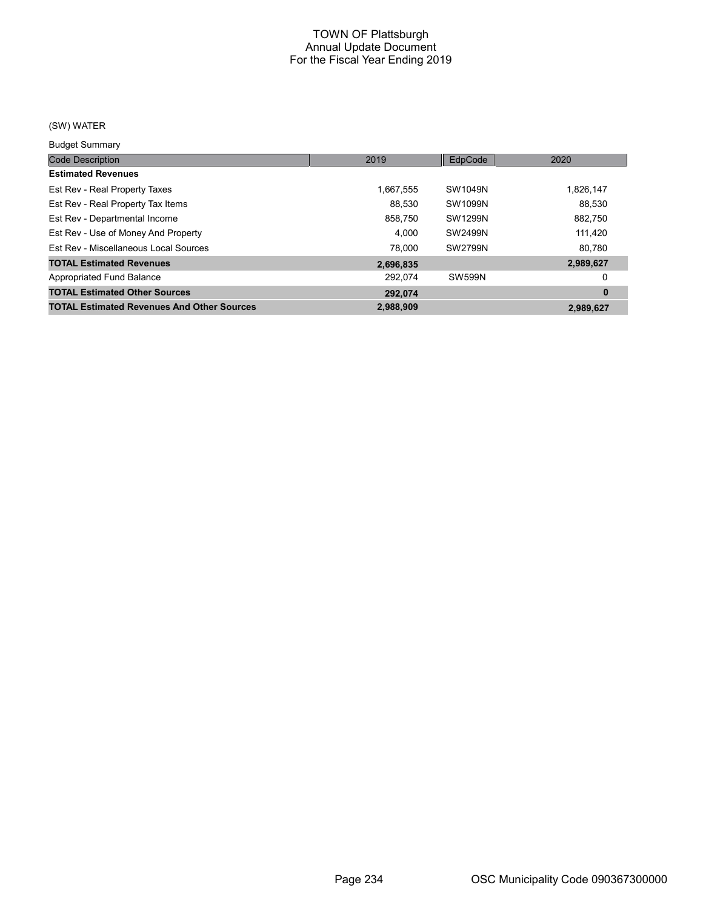# (SW) WATER

Budget Summary

| <b>DUUYUL OUIIIIIIIII</b>                         |           |               |           |
|---------------------------------------------------|-----------|---------------|-----------|
| <b>Code Description</b>                           | 2019      | EdpCode       | 2020      |
| <b>Estimated Revenues</b>                         |           |               |           |
| Est Rev - Real Property Taxes                     | 1.667.555 | SW1049N       | 1,826,147 |
| Est Rev - Real Property Tax Items                 | 88.530    | SW1099N       | 88,530    |
| Est Rev - Departmental Income                     | 858,750   | SW1299N       | 882,750   |
| Est Rev - Use of Money And Property               | 4.000     | SW2499N       | 111,420   |
| Est Rev - Miscellaneous Local Sources             | 78.000    | SW2799N       | 80,780    |
| <b>TOTAL Estimated Revenues</b>                   | 2,696,835 |               | 2,989,627 |
| Appropriated Fund Balance                         | 292.074   | <b>SW599N</b> | 0         |
| <b>TOTAL Estimated Other Sources</b>              | 292.074   |               | $\bf{0}$  |
| <b>TOTAL Estimated Revenues And Other Sources</b> | 2.988.909 |               | 2,989,627 |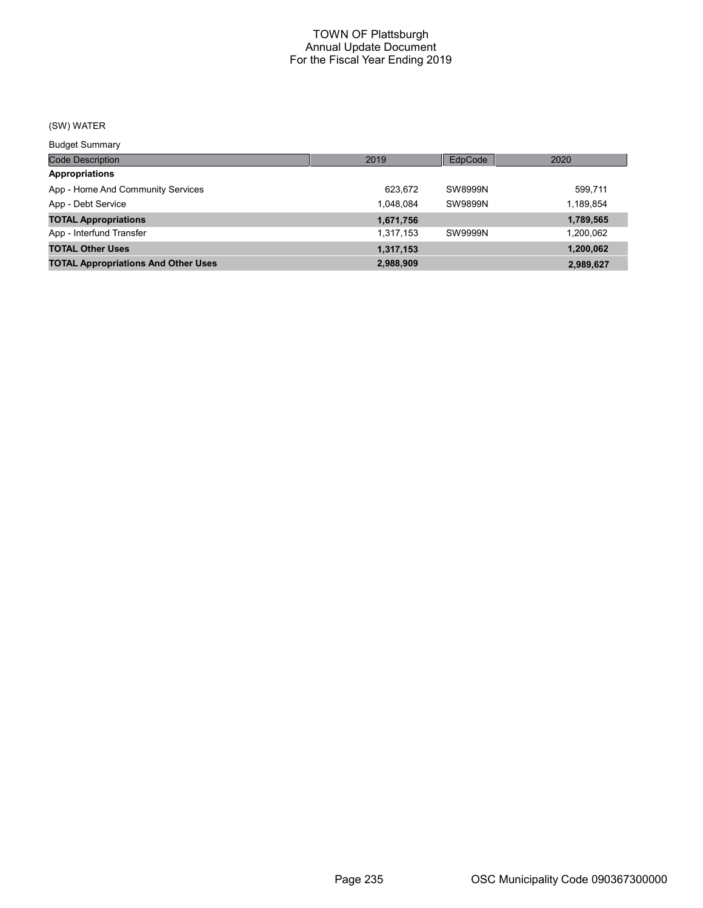# (SW) WATER

Budget Summary

| ___________                                |           |                |           |
|--------------------------------------------|-----------|----------------|-----------|
| Code Description                           | 2019      | EdpCode        | 2020      |
| <b>Appropriations</b>                      |           |                |           |
| App - Home And Community Services          | 623.672   | SW8999N        | 599,711   |
| App - Debt Service                         | 1.048.084 | <b>SW9899N</b> | 1,189,854 |
| <b>TOTAL Appropriations</b>                | 1,671,756 |                | 1,789,565 |
| App - Interfund Transfer                   | 1,317,153 | <b>SW9999N</b> | 1,200,062 |
| <b>TOTAL Other Uses</b>                    | 1,317,153 |                | 1,200,062 |
| <b>TOTAL Appropriations And Other Uses</b> | 2,988,909 |                | 2,989,627 |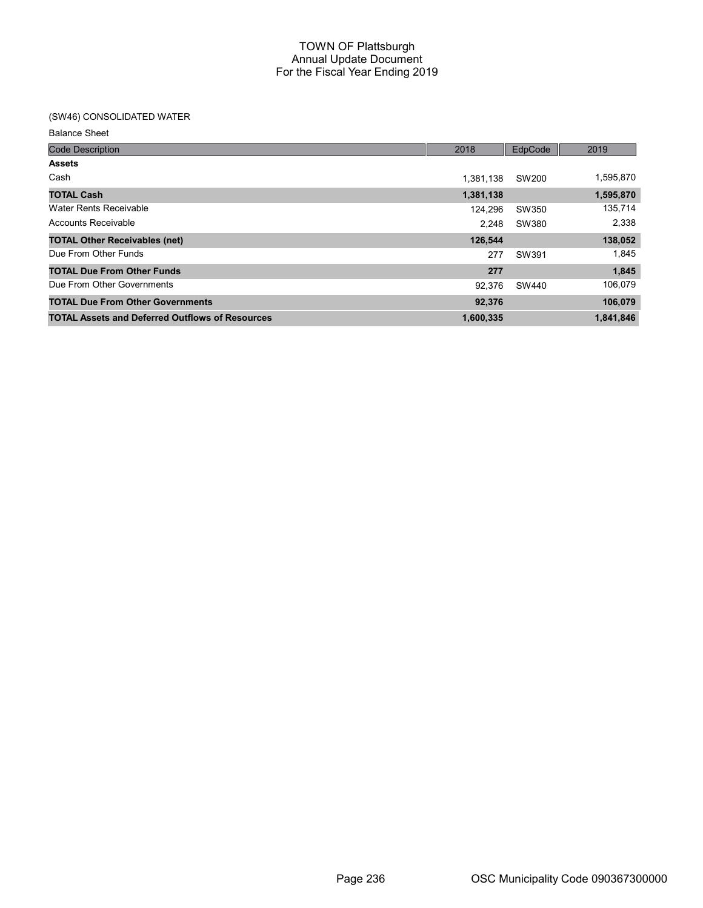## (SW46) CONSOLIDATED WATER

| <b>Code Description</b>                                | 2018      | EdpCode | 2019      |
|--------------------------------------------------------|-----------|---------|-----------|
| <b>Assets</b>                                          |           |         |           |
| Cash                                                   | 1.381.138 | SW200   | 1,595,870 |
| <b>TOTAL Cash</b>                                      | 1,381,138 |         | 1,595,870 |
| Water Rents Receivable                                 | 124.296   | SW350   | 135,714   |
| Accounts Receivable                                    | 2.248     | SW380   | 2,338     |
| <b>TOTAL Other Receivables (net)</b>                   | 126.544   |         | 138,052   |
| Due From Other Funds                                   | 277       | SW391   | 1,845     |
| <b>TOTAL Due From Other Funds</b>                      | 277       |         | 1,845     |
| Due From Other Governments                             | 92.376    | SW440   | 106,079   |
| <b>TOTAL Due From Other Governments</b>                | 92,376    |         | 106,079   |
| <b>TOTAL Assets and Deferred Outflows of Resources</b> | 1,600,335 |         | 1,841,846 |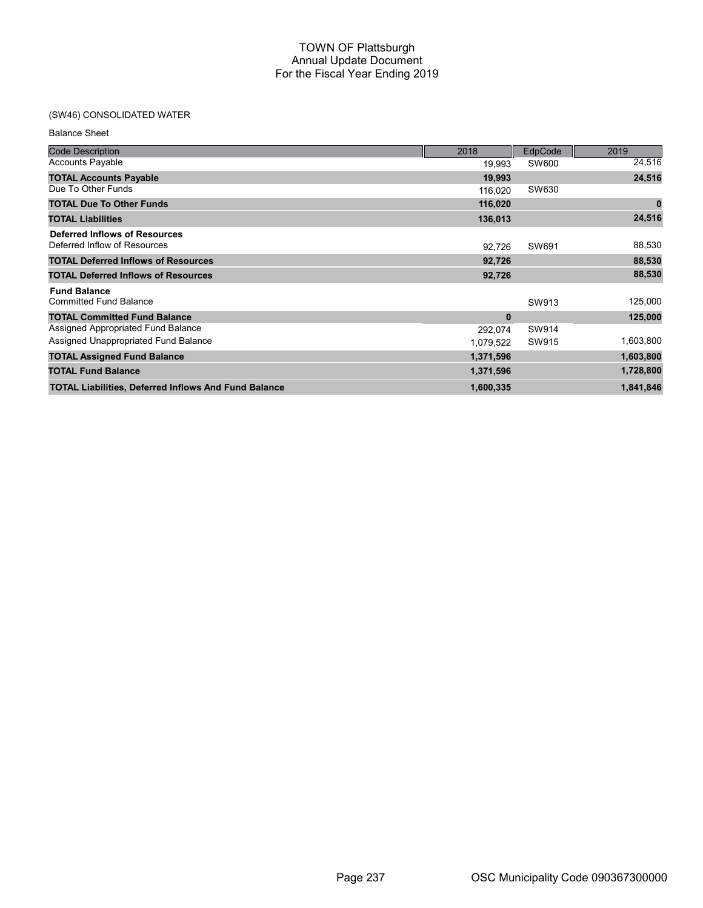## (SW46) CONSOLIDATED WATER

| <b>Code Description</b>                                              | 2018      | EdpCode | 2019      |
|----------------------------------------------------------------------|-----------|---------|-----------|
| <b>Accounts Payable</b>                                              | 19,993    | SW600   | 24,516    |
| <b>TOTAL Accounts Payable</b>                                        | 19,993    |         | 24,516    |
| Due To Other Funds                                                   | 116.020   | SW630   |           |
| <b>TOTAL Due To Other Funds</b>                                      | 116,020   |         | 0         |
| <b>TOTAL Liabilities</b>                                             | 136,013   |         | 24,516    |
| <b>Deferred Inflows of Resources</b><br>Deferred Inflow of Resources | 92,726    | SW691   | 88,530    |
| <b>TOTAL Deferred Inflows of Resources</b>                           | 92,726    |         | 88,530    |
| <b>TOTAL Deferred Inflows of Resources</b>                           | 92,726    |         | 88,530    |
| <b>Fund Balance</b>                                                  |           |         |           |
| <b>Committed Fund Balance</b>                                        |           | SW913   | 125,000   |
| <b>TOTAL Committed Fund Balance</b>                                  | $\bf{0}$  |         | 125,000   |
| Assigned Appropriated Fund Balance                                   | 292,074   | SW914   |           |
| Assigned Unappropriated Fund Balance                                 | 1,079,522 | SW915   | 1,603,800 |
| <b>TOTAL Assigned Fund Balance</b>                                   | 1,371,596 |         | 1,603,800 |
| <b>TOTAL Fund Balance</b>                                            | 1,371,596 |         | 1,728,800 |
| <b>TOTAL Liabilities, Deferred Inflows And Fund Balance</b>          | 1,600,335 |         | 1,841,846 |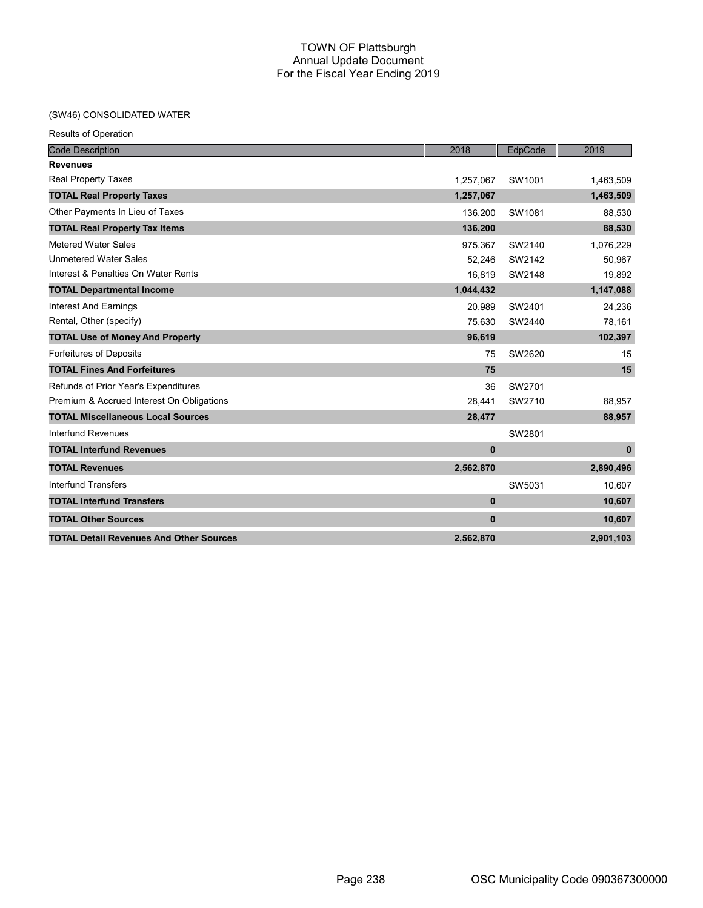## (SW46) CONSOLIDATED WATER

| <b>Results of Operation</b>                    |              |         |              |
|------------------------------------------------|--------------|---------|--------------|
| <b>Code Description</b>                        | 2018         | EdpCode | 2019         |
| <b>Revenues</b>                                |              |         |              |
| <b>Real Property Taxes</b>                     | 1,257,067    | SW1001  | 1,463,509    |
| <b>TOTAL Real Property Taxes</b>               | 1,257,067    |         | 1,463,509    |
| Other Payments In Lieu of Taxes                | 136,200      | SW1081  | 88,530       |
| <b>TOTAL Real Property Tax Items</b>           | 136,200      |         | 88,530       |
| <b>Metered Water Sales</b>                     | 975,367      | SW2140  | 1,076,229    |
| <b>Unmetered Water Sales</b>                   | 52,246       | SW2142  | 50,967       |
| Interest & Penalties On Water Rents            | 16,819       | SW2148  | 19,892       |
| <b>TOTAL Departmental Income</b>               | 1,044,432    |         | 1,147,088    |
| <b>Interest And Earnings</b>                   | 20,989       | SW2401  | 24,236       |
| Rental, Other (specify)                        | 75,630       | SW2440  | 78,161       |
| <b>TOTAL Use of Money And Property</b>         | 96,619       |         | 102,397      |
| <b>Forfeitures of Deposits</b>                 | 75           | SW2620  | 15           |
| <b>TOTAL Fines And Forfeitures</b>             | 75           |         | 15           |
| Refunds of Prior Year's Expenditures           | 36           | SW2701  |              |
| Premium & Accrued Interest On Obligations      | 28,441       | SW2710  | 88,957       |
| <b>TOTAL Miscellaneous Local Sources</b>       | 28,477       |         | 88,957       |
| <b>Interfund Revenues</b>                      |              | SW2801  |              |
| <b>TOTAL Interfund Revenues</b>                | $\mathbf{0}$ |         | $\mathbf{0}$ |
| <b>TOTAL Revenues</b>                          | 2,562,870    |         | 2,890,496    |
| <b>Interfund Transfers</b>                     |              | SW5031  | 10,607       |
| <b>TOTAL Interfund Transfers</b>               | $\mathbf 0$  |         | 10,607       |
| <b>TOTAL Other Sources</b>                     | $\bf{0}$     |         | 10,607       |
| <b>TOTAL Detail Revenues And Other Sources</b> | 2,562,870    |         | 2,901,103    |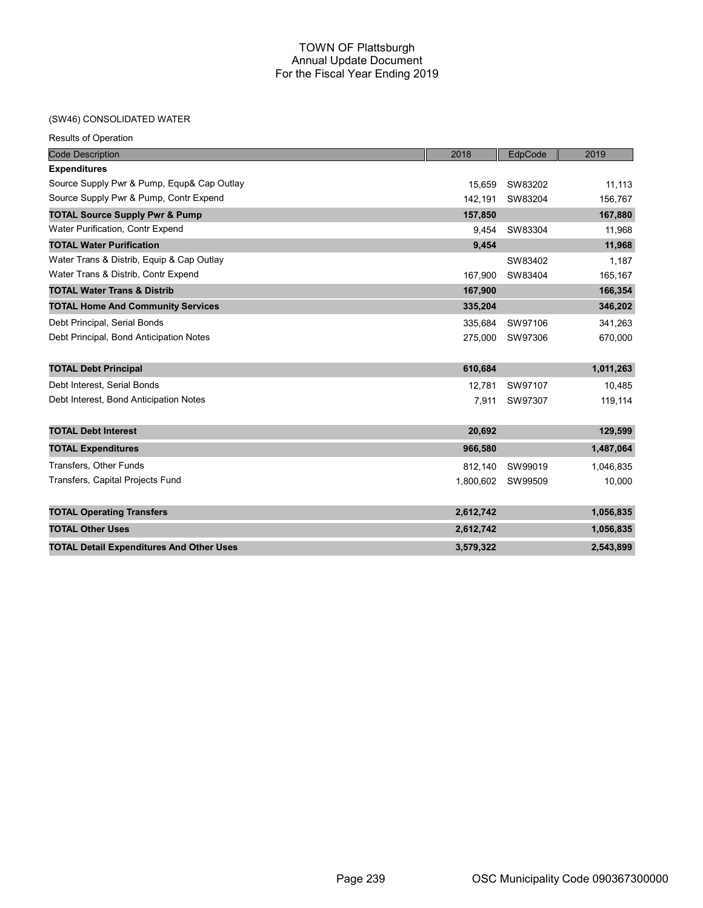### (SW

| (SW46) CONSOLIDATED WATER                       |           |         |           |
|-------------------------------------------------|-----------|---------|-----------|
| <b>Results of Operation</b>                     |           |         |           |
| <b>Code Description</b>                         | 2018      | EdpCode | 2019      |
| <b>Expenditures</b>                             |           |         |           |
| Source Supply Pwr & Pump, Equp& Cap Outlay      | 15.659    | SW83202 | 11,113    |
| Source Supply Pwr & Pump, Contr Expend          | 142,191   | SW83204 | 156,767   |
| <b>TOTAL Source Supply Pwr &amp; Pump</b>       | 157,850   |         | 167,880   |
| Water Purification, Contr Expend                | 9,454     | SW83304 | 11,968    |
| <b>TOTAL Water Purification</b>                 | 9,454     |         | 11,968    |
| Water Trans & Distrib, Equip & Cap Outlay       |           | SW83402 | 1,187     |
| Water Trans & Distrib, Contr Expend             | 167,900   | SW83404 | 165,167   |
| <b>TOTAL Water Trans &amp; Distrib</b>          | 167,900   |         | 166,354   |
| <b>TOTAL Home And Community Services</b>        | 335,204   |         | 346,202   |
| Debt Principal, Serial Bonds                    | 335,684   | SW97106 | 341,263   |
| Debt Principal, Bond Anticipation Notes         | 275,000   | SW97306 | 670,000   |
| <b>TOTAL Debt Principal</b>                     | 610,684   |         | 1,011,263 |
| Debt Interest, Serial Bonds                     | 12,781    | SW97107 | 10,485    |
| Debt Interest, Bond Anticipation Notes          | 7,911     | SW97307 | 119,114   |
| <b>TOTAL Debt Interest</b>                      | 20,692    |         | 129,599   |
| <b>TOTAL Expenditures</b>                       | 966,580   |         | 1,487,064 |
| Transfers, Other Funds                          | 812.140   | SW99019 | 1,046,835 |
| Transfers, Capital Projects Fund                | 1,800,602 | SW99509 | 10,000    |
| <b>TOTAL Operating Transfers</b>                | 2,612,742 |         | 1,056,835 |
| <b>TOTAL Other Uses</b>                         | 2,612,742 |         | 1,056,835 |
| <b>TOTAL Detail Expenditures And Other Uses</b> | 3,579,322 |         | 2,543,899 |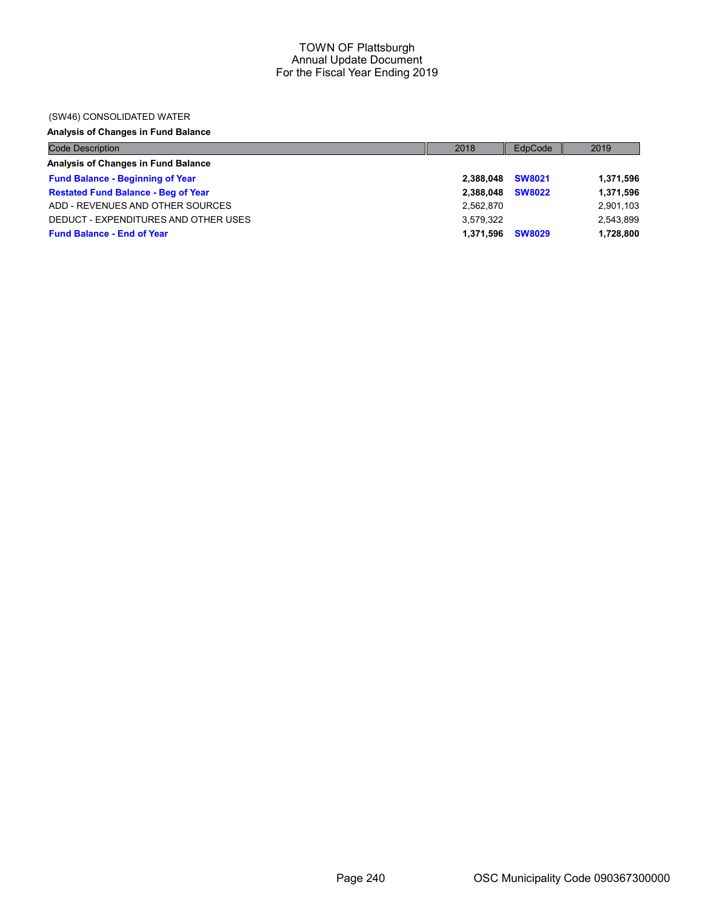### (SW46) CONSOLIDATED WATER

# Analysis of Changes in Fund Balance

| <b>Code Description</b>                    | 2018      | EdpCode       | 2019      |
|--------------------------------------------|-----------|---------------|-----------|
| Analysis of Changes in Fund Balance        |           |               |           |
| <b>Fund Balance - Beginning of Year</b>    | 2.388.048 | <b>SW8021</b> | 1,371,596 |
| <b>Restated Fund Balance - Beg of Year</b> | 2.388.048 | <b>SW8022</b> | 1,371,596 |
| ADD - REVENUES AND OTHER SOURCES           | 2,562,870 |               | 2,901,103 |
| DEDUCT - EXPENDITURES AND OTHER USES       | 3.579.322 |               | 2,543,899 |
| <b>Fund Balance - End of Year</b>          | 1,371,596 | <b>SW8029</b> | 1,728,800 |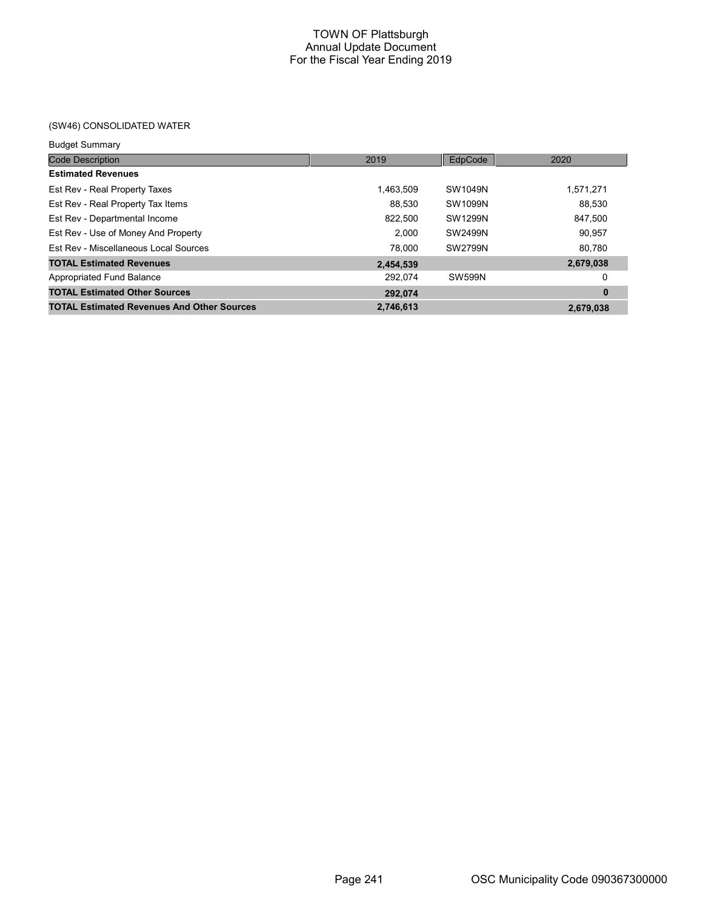## (SW46) CONSOLIDATED WATER

| <b>Code Description</b>                           | 2019      | EdpCode        | 2020      |
|---------------------------------------------------|-----------|----------------|-----------|
| <b>Estimated Revenues</b>                         |           |                |           |
| Est Rev - Real Property Taxes                     | 1,463,509 | SW1049N        | 1,571,271 |
| Est Rev - Real Property Tax Items                 | 88.530    | SW1099N        | 88.530    |
| Est Rev - Departmental Income                     | 822,500   | <b>SW1299N</b> | 847,500   |
| Est Rev - Use of Money And Property               | 2.000     | <b>SW2499N</b> | 90,957    |
| Est Rev - Miscellaneous Local Sources             | 78.000    | SW2799N        | 80.780    |
| <b>TOTAL Estimated Revenues</b>                   | 2,454,539 |                | 2,679,038 |
| Appropriated Fund Balance                         | 292.074   | <b>SW599N</b>  | 0         |
| <b>TOTAL Estimated Other Sources</b>              | 292.074   |                | $\bf{0}$  |
| <b>TOTAL Estimated Revenues And Other Sources</b> | 2.746.613 |                | 2,679,038 |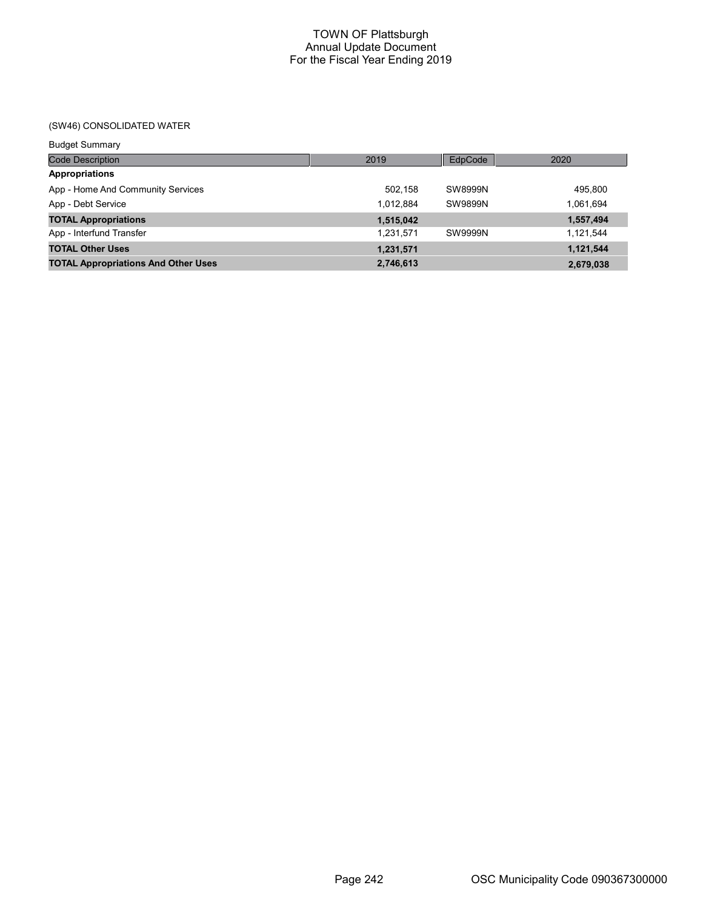## (SW46) CONSOLIDATED WATER

| <b>Budget Summary</b>                      |           |                |           |
|--------------------------------------------|-----------|----------------|-----------|
| <b>Code Description</b>                    | 2019      | EdpCode        | 2020      |
| <b>Appropriations</b>                      |           |                |           |
| App - Home And Community Services          | 502.158   | <b>SW8999N</b> | 495,800   |
| App - Debt Service                         | 1,012,884 | <b>SW9899N</b> | 1,061,694 |
| <b>TOTAL Appropriations</b>                | 1,515,042 |                | 1,557,494 |
| App - Interfund Transfer                   | 1,231,571 | SW9999N        | 1.121.544 |
| <b>TOTAL Other Uses</b>                    | 1,231,571 |                | 1,121,544 |
| <b>TOTAL Appropriations And Other Uses</b> | 2,746,613 |                | 2,679,038 |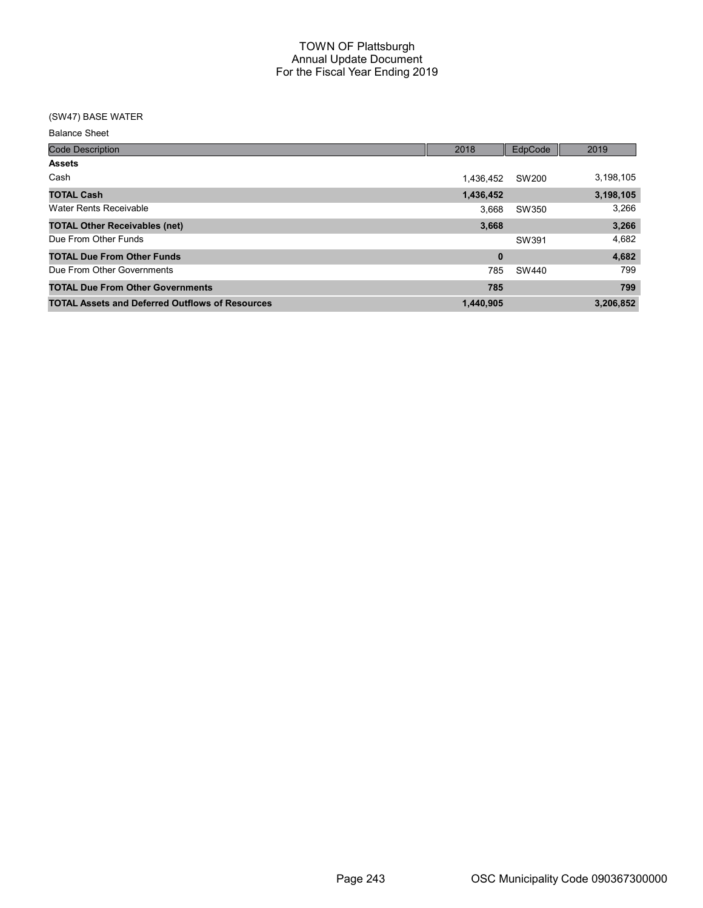## (SW47) BASE WATER

| <b>Code Description</b>                                | 2018      | EdpCode | 2019      |
|--------------------------------------------------------|-----------|---------|-----------|
| <b>Assets</b>                                          |           |         |           |
| Cash                                                   | 1,436,452 | SW200   | 3,198,105 |
| <b>TOTAL Cash</b>                                      | 1,436,452 |         | 3,198,105 |
| Water Rents Receivable                                 | 3.668     | SW350   | 3.266     |
| <b>TOTAL Other Receivables (net)</b>                   | 3,668     |         | 3,266     |
| Due From Other Funds                                   |           | SW391   | 4,682     |
| <b>TOTAL Due From Other Funds</b>                      | $\bf{0}$  |         | 4,682     |
| Due From Other Governments                             | 785       | SW440   | 799       |
| <b>TOTAL Due From Other Governments</b>                | 785       |         | 799       |
| <b>TOTAL Assets and Deferred Outflows of Resources</b> | 1,440,905 |         | 3,206,852 |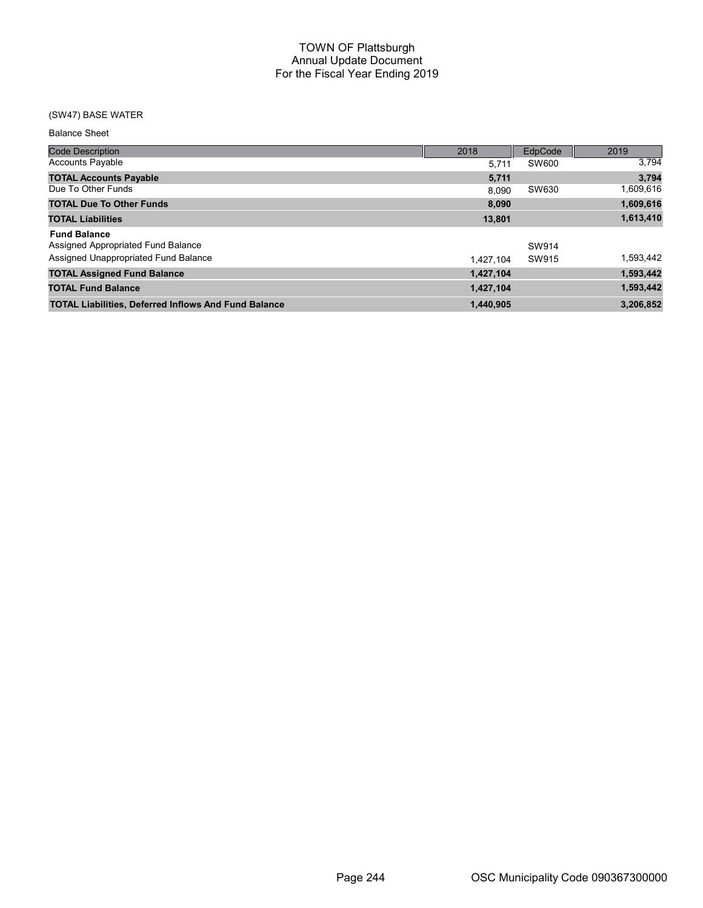## (SW47) BASE WATER

| <b>Code Description</b>                                     | 2018      | EdpCode | 2019      |
|-------------------------------------------------------------|-----------|---------|-----------|
| <b>Accounts Payable</b>                                     | 5.711     | SW600   | 3,794     |
| <b>TOTAL Accounts Payable</b>                               | 5,711     |         | 3,794     |
| Due To Other Funds                                          | 8.090     | SW630   | 1,609,616 |
| <b>TOTAL Due To Other Funds</b>                             | 8.090     |         | 1,609,616 |
| <b>TOTAL Liabilities</b>                                    | 13,801    |         | 1,613,410 |
| <b>Fund Balance</b>                                         |           |         |           |
| Assigned Appropriated Fund Balance                          |           | SW914   |           |
| Assigned Unappropriated Fund Balance                        | 1.427.104 | SW915   | 1,593,442 |
| <b>TOTAL Assigned Fund Balance</b>                          | 1,427,104 |         | 1,593,442 |
| <b>TOTAL Fund Balance</b>                                   | 1,427,104 |         | 1,593,442 |
| <b>TOTAL Liabilities, Deferred Inflows And Fund Balance</b> | 1.440.905 |         | 3,206,852 |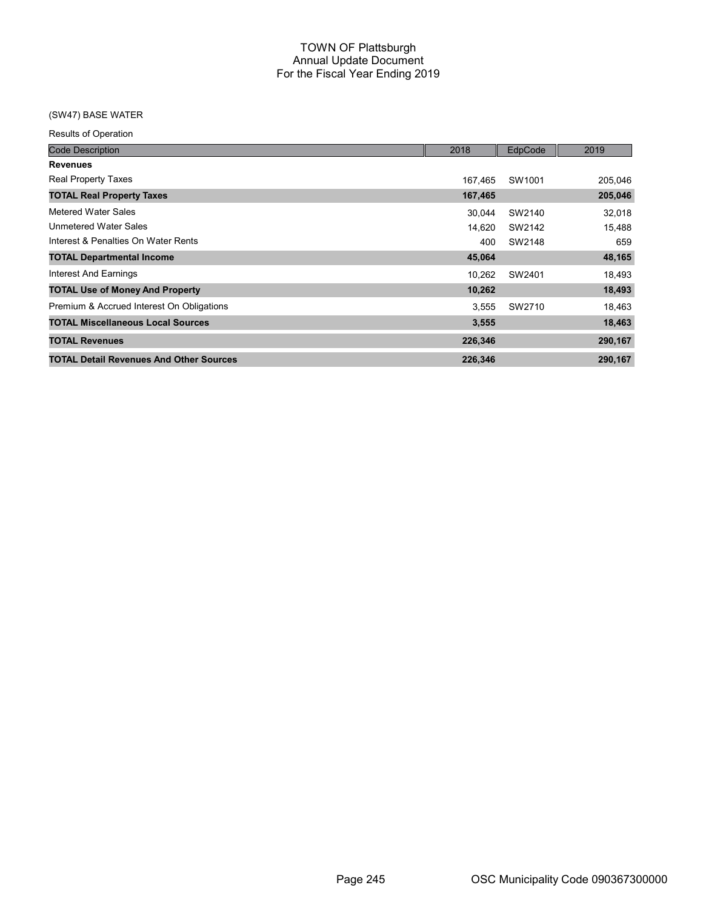## (SW47) BASE WATER

Results of Operation

| <b>Code Description</b>                        | 2018    | EdpCode | 2019    |
|------------------------------------------------|---------|---------|---------|
| <b>Revenues</b>                                |         |         |         |
| <b>Real Property Taxes</b>                     | 167.465 | SW1001  | 205,046 |
| <b>TOTAL Real Property Taxes</b>               | 167,465 |         | 205,046 |
| Metered Water Sales                            | 30,044  | SW2140  | 32,018  |
| <b>Unmetered Water Sales</b>                   | 14,620  | SW2142  | 15,488  |
| Interest & Penalties On Water Rents            | 400     | SW2148  | 659     |
| <b>TOTAL Departmental Income</b>               | 45,064  |         | 48,165  |
| Interest And Earnings                          | 10,262  | SW2401  | 18,493  |
| <b>TOTAL Use of Money And Property</b>         | 10,262  |         | 18,493  |
| Premium & Accrued Interest On Obligations      | 3.555   | SW2710  | 18,463  |
| <b>TOTAL Miscellaneous Local Sources</b>       | 3,555   |         | 18,463  |
| <b>TOTAL Revenues</b>                          | 226,346 |         | 290,167 |
| <b>TOTAL Detail Revenues And Other Sources</b> | 226,346 |         | 290,167 |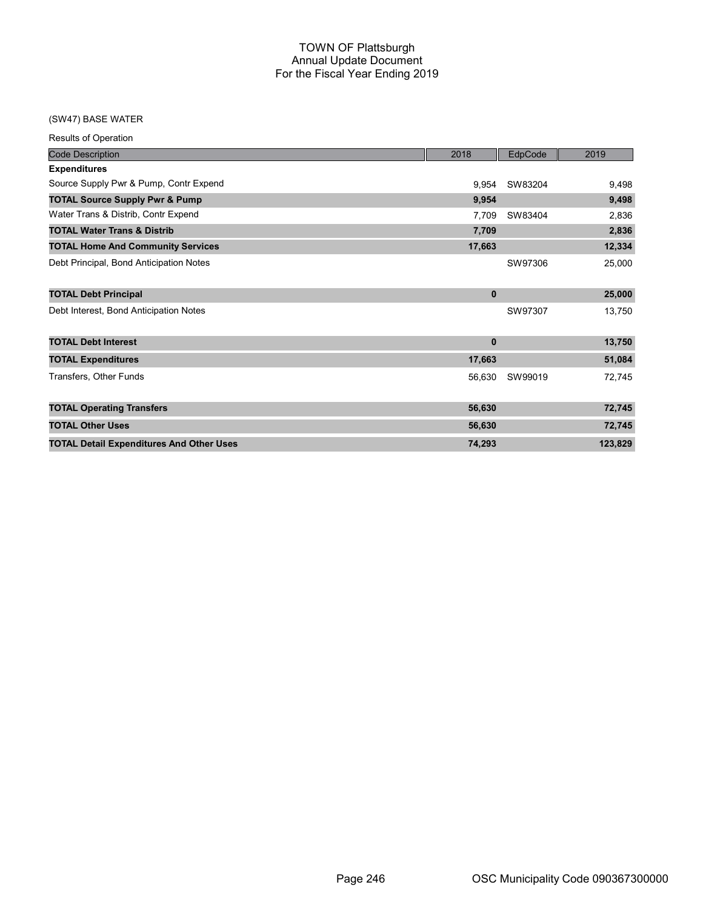## (SW47) BASE WATER

| <b>Results of Operation</b>                     |          |         |         |
|-------------------------------------------------|----------|---------|---------|
| <b>Code Description</b>                         | 2018     | EdpCode | 2019    |
| <b>Expenditures</b>                             |          |         |         |
| Source Supply Pwr & Pump, Contr Expend          | 9,954    | SW83204 | 9,498   |
| <b>TOTAL Source Supply Pwr &amp; Pump</b>       | 9,954    |         | 9,498   |
| Water Trans & Distrib, Contr Expend             | 7.709    | SW83404 | 2,836   |
| <b>TOTAL Water Trans &amp; Distrib</b>          | 7,709    |         | 2,836   |
| <b>TOTAL Home And Community Services</b>        | 17,663   |         | 12,334  |
| Debt Principal, Bond Anticipation Notes         |          | SW97306 | 25,000  |
| <b>TOTAL Debt Principal</b>                     | $\bf{0}$ |         | 25,000  |
| Debt Interest, Bond Anticipation Notes          |          | SW97307 | 13,750  |
| <b>TOTAL Debt Interest</b>                      | $\bf{0}$ |         | 13,750  |
| <b>TOTAL Expenditures</b>                       | 17,663   |         | 51,084  |
| Transfers, Other Funds                          | 56,630   | SW99019 | 72,745  |
| <b>TOTAL Operating Transfers</b>                | 56,630   |         | 72,745  |
| <b>TOTAL Other Uses</b>                         | 56,630   |         | 72,745  |
| <b>TOTAL Detail Expenditures And Other Uses</b> | 74,293   |         | 123,829 |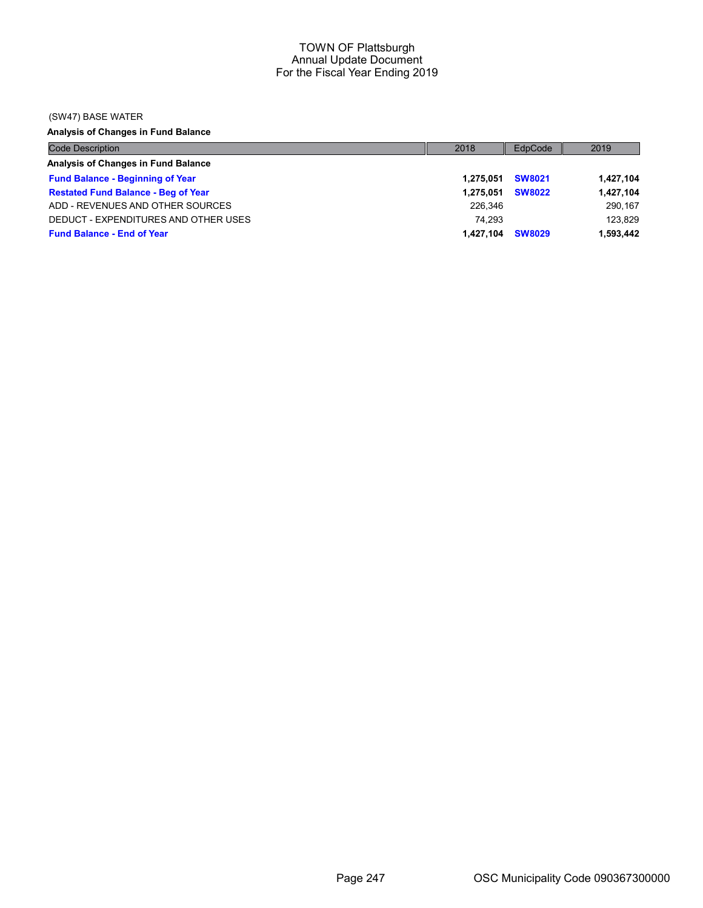### (SW47) BASE WATER

Analysis of Changes in Fund Balance

| <b>Code Description</b>                    | 2018      | EdpCode       | 2019      |
|--------------------------------------------|-----------|---------------|-----------|
| Analysis of Changes in Fund Balance        |           |               |           |
| <b>Fund Balance - Beginning of Year</b>    | 1.275.051 | <b>SW8021</b> | 1,427,104 |
| <b>Restated Fund Balance - Beg of Year</b> | 1.275.051 | <b>SW8022</b> | 1,427,104 |
| ADD - REVENUES AND OTHER SOURCES           | 226.346   |               | 290.167   |
| DEDUCT - EXPENDITURES AND OTHER USES       | 74.293    |               | 123.829   |
| <b>Fund Balance - End of Year</b>          | 1.427.104 | <b>SW8029</b> | 1,593,442 |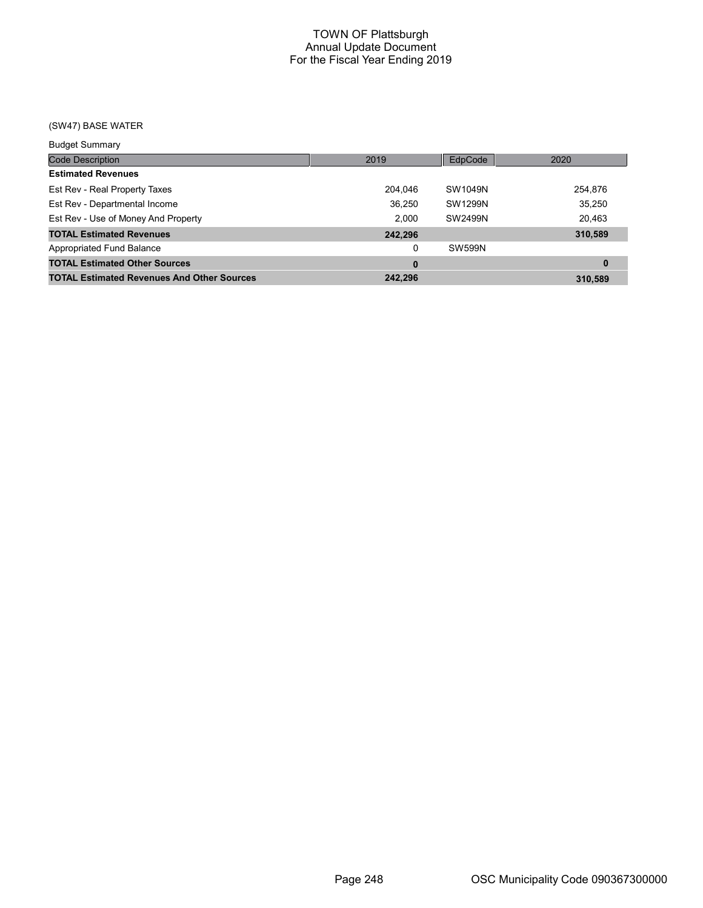## (SW47) BASE WATER

| <b>Budget Summary</b>                             |         |         |          |
|---------------------------------------------------|---------|---------|----------|
| <b>Code Description</b>                           | 2019    | EdpCode | 2020     |
| <b>Estimated Revenues</b>                         |         |         |          |
| Est Rev - Real Property Taxes                     | 204,046 | SW1049N | 254,876  |
| Est Rev - Departmental Income                     | 36,250  | SW1299N | 35,250   |
| Est Rev - Use of Money And Property               | 2.000   | SW2499N | 20,463   |
| <b>TOTAL Estimated Revenues</b>                   | 242,296 |         | 310,589  |
| Appropriated Fund Balance                         | 0       | SW599N  |          |
| <b>TOTAL Estimated Other Sources</b>              | 0       |         | $\bf{0}$ |
| <b>TOTAL Estimated Revenues And Other Sources</b> | 242.296 |         | 310.589  |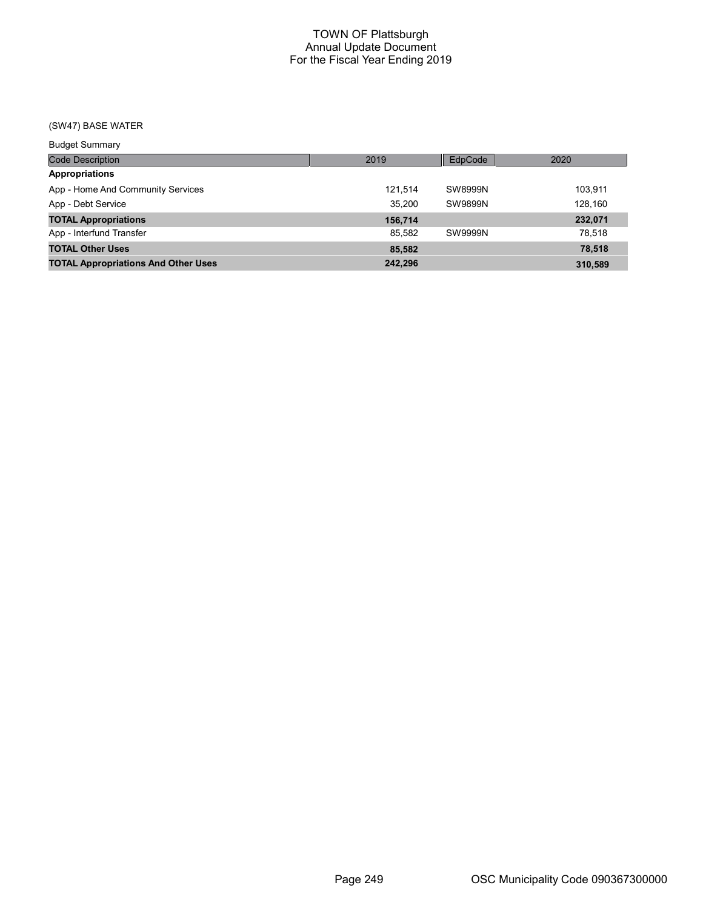# (SW47) BASE WATER

| <b>Budget Summary</b>                      |         |                |         |
|--------------------------------------------|---------|----------------|---------|
| Code Description                           | 2019    | EdpCode        | 2020    |
| <b>Appropriations</b>                      |         |                |         |
| App - Home And Community Services          | 121.514 | SW8999N        | 103,911 |
| App - Debt Service                         | 35.200  | <b>SW9899N</b> | 128,160 |
| <b>TOTAL Appropriations</b>                | 156,714 |                | 232,071 |
| App - Interfund Transfer                   | 85.582  | SW9999N        | 78.518  |
| <b>TOTAL Other Uses</b>                    | 85,582  |                | 78,518  |
| <b>TOTAL Appropriations And Other Uses</b> | 242,296 |                | 310.589 |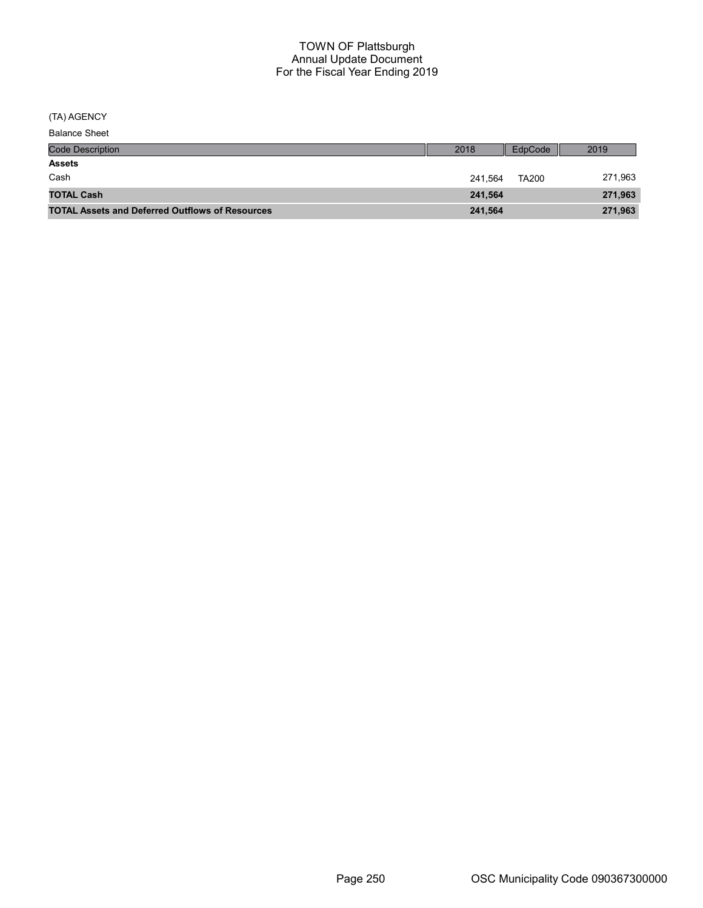(TA) AGENCY

| <b>Balance Sheet</b> |
|----------------------|
|----------------------|

| <b>Code Description</b>                                | 2018    | EdpCode      | 2019    |
|--------------------------------------------------------|---------|--------------|---------|
| <b>Assets</b>                                          |         |              |         |
| Cash                                                   | 241.564 | <b>TA200</b> | 271,963 |
| <b>TOTAL Cash</b>                                      | 241.564 |              | 271,963 |
| <b>TOTAL Assets and Deferred Outflows of Resources</b> | 241,564 |              | 271,963 |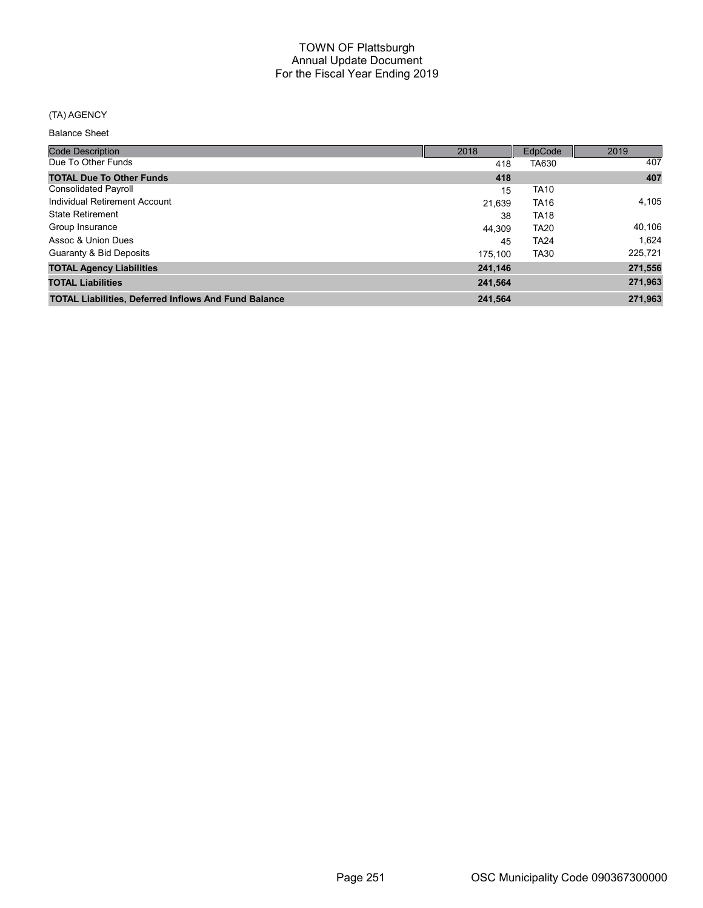## (TA) AGENCY

| <b>Code Description</b>                                     | 2018    | EdpCode     | 2019    |
|-------------------------------------------------------------|---------|-------------|---------|
| Due To Other Funds                                          | 418     | TA630       | 407     |
| <b>TOTAL Due To Other Funds</b>                             | 418     |             | 407     |
| <b>Consolidated Payroll</b>                                 | 15      | <b>TA10</b> |         |
| Individual Retirement Account                               | 21.639  | <b>TA16</b> | 4,105   |
| <b>State Retirement</b>                                     | 38      | <b>TA18</b> |         |
| Group Insurance                                             | 44.309  | <b>TA20</b> | 40,106  |
| Assoc & Union Dues                                          | 45      | <b>TA24</b> | 1,624   |
| Guaranty & Bid Deposits                                     | 175,100 | <b>TA30</b> | 225,721 |
| <b>TOTAL Agency Liabilities</b>                             | 241,146 |             | 271,556 |
| <b>TOTAL Liabilities</b>                                    | 241,564 |             | 271,963 |
| <b>TOTAL Liabilities, Deferred Inflows And Fund Balance</b> | 241,564 |             | 271,963 |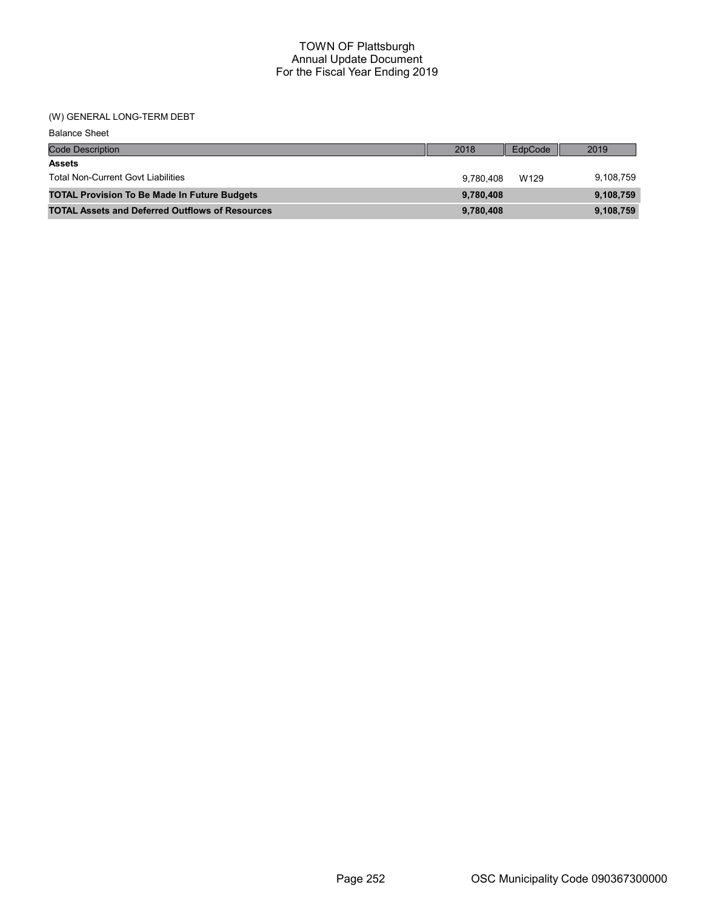## (W) GENERAL LONG-TERM DEBT

| <b>Balance Sheet</b>                                   |           |         |           |
|--------------------------------------------------------|-----------|---------|-----------|
| <b>Code Description</b>                                | 2018      | EdpCode | 2019      |
| <b>Assets</b>                                          |           |         |           |
| <b>Total Non-Current Govt Liabilities</b>              | 9.780.408 | W129    | 9,108,759 |
| <b>TOTAL Provision To Be Made In Future Budgets</b>    | 9,780,408 |         | 9,108,759 |
| <b>TOTAL Assets and Deferred Outflows of Resources</b> | 9,780,408 |         | 9,108,759 |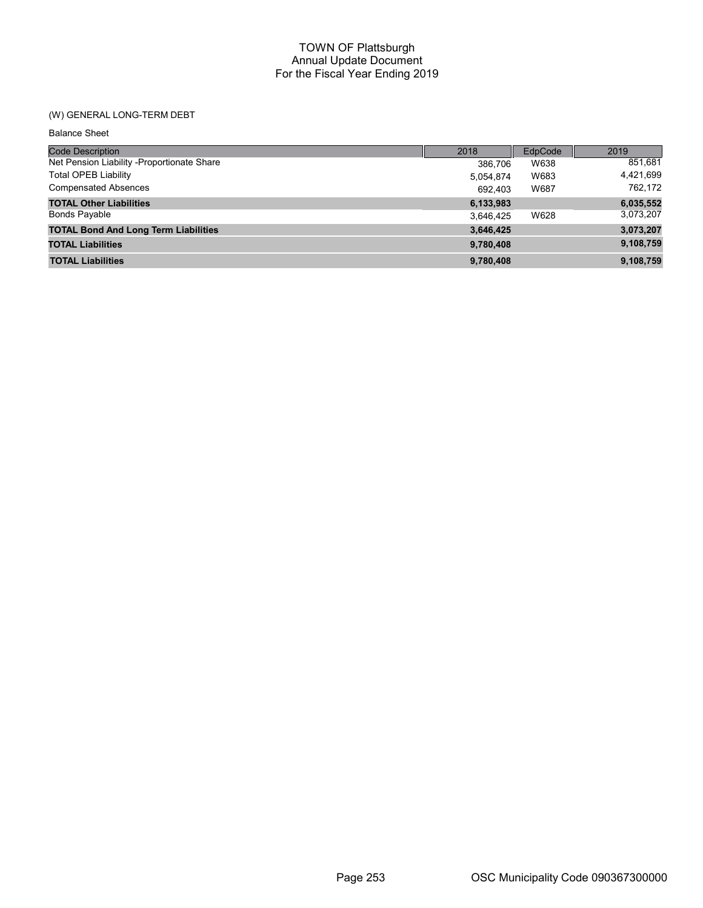## TOWN OF Plattsburgh Annual Update Document For the Fiscal Year Ending 2019

## (W) GENERAL LONG-TERM DEBT

Balance Sheet

| <b>Code Description</b>                     | 2018      | EdpCode | 2019      |
|---------------------------------------------|-----------|---------|-----------|
| Net Pension Liability - Proportionate Share | 386.706   | W638    | 851,681   |
| Total OPEB Liability                        | 5,054,874 | W683    | 4,421,699 |
| <b>Compensated Absences</b>                 | 692,403   | W687    | 762.172   |
| <b>TOTAL Other Liabilities</b>              | 6,133,983 |         | 6,035,552 |
| <b>Bonds Payable</b>                        | 3,646,425 | W628    | 3,073,207 |
| <b>TOTAL Bond And Long Term Liabilities</b> | 3,646,425 |         | 3,073,207 |
| <b>TOTAL Liabilities</b>                    | 9,780,408 |         | 9,108,759 |
| <b>TOTAL Liabilities</b>                    | 9,780,408 |         | 9,108,759 |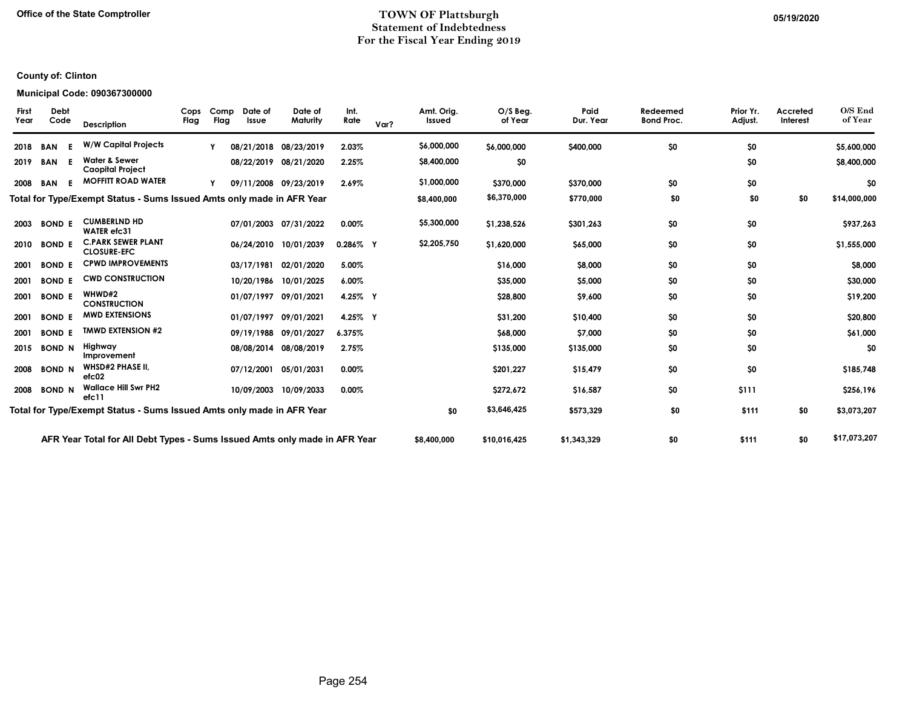### Office of the State Comptroller **TOWN OF Plattsburgh** TOWN OF Plattsburgh 05/19/2020 Statement of Indebtedness For the Fiscal Year Ending 2019

## County of: Clinton

### Municipal Code: 090367300000

| <b>First</b><br>Year | <b>Debt</b><br>Code | <b>Description</b>                                                         | Cops<br>Flag | Comp<br>Flag | Date of<br>Issue | Date of<br>Maturity   | Int.<br>Rate | Var? | Amt. Orig.<br>Issued | $O/S$ Beg.<br>of Year | Paid<br>Dur. Year | Redeemed<br><b>Bond Proc.</b> | Prior Yr.<br>Adjust. | Accreted<br>Interest | O/S End<br>of Year |
|----------------------|---------------------|----------------------------------------------------------------------------|--------------|--------------|------------------|-----------------------|--------------|------|----------------------|-----------------------|-------------------|-------------------------------|----------------------|----------------------|--------------------|
| 2018                 | <b>BAN</b>          | <b>W/W Capital Projects</b>                                                |              |              |                  | 08/21/2018 08/23/2019 | 2.03%        |      | \$6,000,000          | \$6,000,000           | \$400,000         | \$0                           | \$0                  |                      | \$5,600,000        |
| 2019                 | <b>BAN</b>          | <b>Water &amp; Sewer</b><br><b>Caopital Project</b>                        |              |              |                  | 08/22/2019 08/21/2020 | 2.25%        |      | \$8,400,000          | \$0                   |                   |                               | \$0                  |                      | \$8,400,000        |
| 2008                 | F.<br>BAN           | <b>MOFFITT ROAD WATER</b>                                                  |              |              |                  | 09/11/2008 09/23/2019 | 2.69%        |      | \$1,000,000          | \$370,000             | \$370,000         | \$0                           | \$0                  |                      | \$0                |
|                      |                     | Total for Type/Exempt Status - Sums Issued Amts only made in AFR Year      |              |              |                  |                       |              |      | \$8,400,000          | \$6,370,000           | \$770,000         | \$0                           | \$0                  | \$0                  | \$14,000,000       |
| 2003                 | <b>BOND E</b>       | <b>CUMBERLND HD</b><br><b>WATER</b> efc31                                  |              |              |                  | 07/01/2003 07/31/2022 | $0.00\%$     |      | \$5,300,000          | \$1,238,526           | \$301,263         | \$0                           | \$0                  |                      | \$937,263          |
| 2010                 | <b>BOND E</b>       | <b>C.PARK SEWER PLANT</b><br><b>CLOSURE-EFC</b>                            |              |              |                  | 06/24/2010 10/01/2039 | $0.286\%$ Y  |      | \$2,205,750          | \$1,620,000           | \$65,000          | \$0                           | \$0                  |                      | \$1,555,000        |
| 2001                 | <b>BOND E</b>       | <b>CPWD IMPROVEMENTS</b>                                                   |              |              |                  | 03/17/1981 02/01/2020 | 5.00%        |      |                      | \$16,000              | \$8,000           | \$0                           | \$0                  |                      | \$8,000            |
| 2001                 | <b>BOND E</b>       | <b>CWD CONSTRUCTION</b>                                                    |              |              |                  | 10/20/1986 10/01/2025 | 6.00%        |      |                      | \$35,000              | \$5,000           | \$0                           | \$0                  |                      | \$30,000           |
| 2001                 | <b>BOND E</b>       | WHWD#2<br><b>CONSTRUCTION</b>                                              |              |              |                  | 01/07/1997 09/01/2021 | 4.25% Y      |      |                      | \$28,800              | \$9,600           | \$0                           | \$0                  |                      | \$19,200           |
| 2001                 | <b>BOND E</b>       | <b>MWD EXTENSIONS</b>                                                      |              |              |                  | 01/07/1997 09/01/2021 | 4.25% Y      |      |                      | \$31,200              | \$10,400          | \$0                           | \$0                  |                      | \$20,800           |
| 2001                 | <b>BOND E</b>       | <b>TMWD EXTENSION #2</b>                                                   |              |              |                  | 09/19/1988 09/01/2027 | 6.375%       |      |                      | \$68,000              | \$7,000           | \$0                           | \$0                  |                      | \$61,000           |
| 2015                 | <b>BOND N</b>       | Highway<br>Improvement                                                     |              |              |                  | 08/08/2014 08/08/2019 | 2.75%        |      |                      | \$135,000             | \$135,000         | \$0                           | \$0                  |                      | \$0                |
| 2008                 | <b>BOND N</b>       | <b>WHSD#2 PHASE II,</b><br>efc02                                           |              |              |                  | 07/12/2001 05/01/2031 | $0.00\%$     |      |                      | \$201,227             | \$15,479          | \$0                           | \$0                  |                      | \$185,748          |
| 2008                 | <b>BOND N</b>       | <b>Wallace Hill Swr PH2</b><br>efc11                                       |              |              |                  | 10/09/2003 10/09/2033 | 0.00%        |      |                      | \$272,672             | \$16,587          | \$0                           | \$111                |                      | \$256,196          |
|                      |                     | Total for Type/Exempt Status - Sums Issued Amts only made in AFR Year      |              |              |                  |                       |              |      | \$0                  | \$3,646,425           | \$573,329         | \$0                           | \$111                | \$0                  | \$3,073,207        |
|                      |                     | AFR Year Total for All Debt Types - Sums Issued Amts only made in AFR Year |              |              |                  |                       |              |      | \$8,400,000          | \$10,016,425          | \$1,343,329       | \$0                           | \$111                | \$0                  | \$17,073,207       |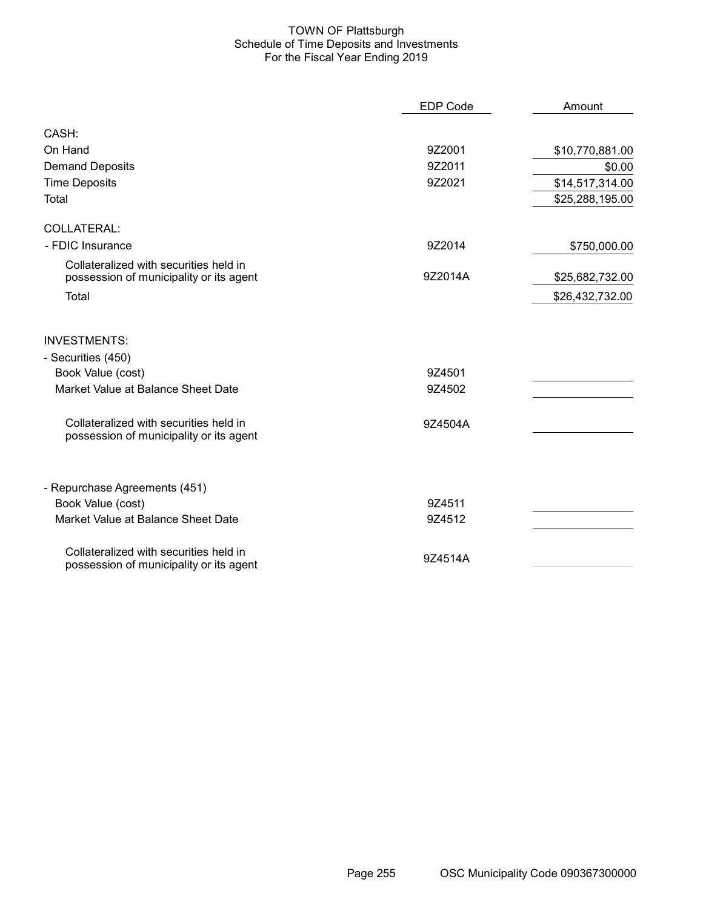### TOWN OF Plattsburgh Schedule of Time Deposits and Investments For the Fiscal Year Ending 2019

|                                                                                   | <b>EDP Code</b> | Amount          |
|-----------------------------------------------------------------------------------|-----------------|-----------------|
| CASH:                                                                             |                 |                 |
| On Hand                                                                           | 9Z2001          | \$10,770,881.00 |
| <b>Demand Deposits</b>                                                            | 9Z2011          | \$0.00          |
| <b>Time Deposits</b>                                                              | 9Z2021          | \$14,517,314.00 |
| Total                                                                             |                 | \$25,288,195.00 |
| COLLATERAL:                                                                       |                 |                 |
| - FDIC Insurance                                                                  | 9Z2014          | \$750,000.00    |
| Collateralized with securities held in<br>possession of municipality or its agent | 9Z2014A         | \$25,682,732.00 |
| Total                                                                             |                 | \$26,432,732.00 |
| <b>INVESTMENTS:</b><br>- Securities (450)                                         |                 |                 |
| Book Value (cost)                                                                 | 9Z4501          |                 |
| Market Value at Balance Sheet Date                                                | 9Z4502          |                 |
| Collateralized with securities held in<br>possession of municipality or its agent | 9Z4504A         |                 |
| - Repurchase Agreements (451)                                                     |                 |                 |
| Book Value (cost)                                                                 | 9Z4511          |                 |
| Market Value at Balance Sheet Date                                                | 9Z4512          |                 |
| Collateralized with securities held in<br>possession of municipality or its agent | 9Z4514A         |                 |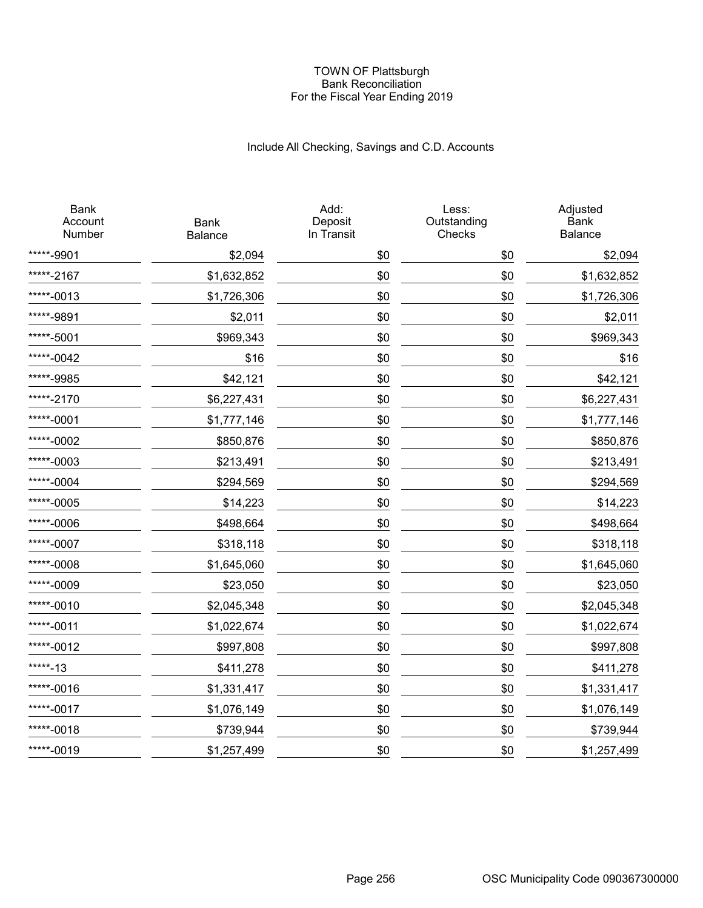### TOWN OF Plattsburgh Bank Reconciliation For the Fiscal Year Ending 2019

# Include All Checking, Savings and C.D. Accounts

| <b>Bank</b><br>Account<br>Number | <b>Bank</b><br>Balance | Add:<br>Deposit<br>In Transit | Less:<br>Outstanding<br>Checks | Adjusted<br><b>Bank</b><br>Balance |
|----------------------------------|------------------------|-------------------------------|--------------------------------|------------------------------------|
| *****-9901                       | \$2,094                | \$0                           | \$0                            | \$2,094                            |
| *****-2167                       | \$1,632,852            | \$0                           | \$0                            | \$1,632,852                        |
| *****-0013                       | \$1,726,306            | \$0                           | \$0                            | \$1,726,306                        |
| *****-9891                       | \$2,011                | \$0                           | \$0                            | \$2,011                            |
| *****-5001                       | \$969,343              | \$0                           | \$0                            | \$969,343                          |
| *****-0042                       | \$16                   | \$0                           | \$0                            | \$16                               |
| *****-9985                       | \$42,121               | \$0                           | \$0                            | \$42,121                           |
| *****-2170                       | \$6,227,431            | \$0                           | \$0                            | \$6,227,431                        |
| *****-0001                       | \$1,777,146            | \$0                           | \$0                            | \$1,777,146                        |
| *****-0002                       | \$850,876              | \$0                           | \$0                            | \$850,876                          |
| *****-0003                       | \$213,491              | \$0                           | \$0                            | \$213,491                          |
| *****-0004                       | \$294,569              | \$0                           | \$0                            | \$294,569                          |
| *****-0005                       | \$14,223               | \$0                           | \$0                            | \$14,223                           |
| *****-0006                       | \$498,664              | \$0                           | \$0                            | \$498,664                          |
| *****-0007                       | \$318,118              | \$0                           | \$0                            | \$318,118                          |
| *****-0008                       | \$1,645,060            | \$0                           | \$0                            | \$1,645,060                        |
| *****-0009                       | \$23,050               | \$0                           | \$0                            | \$23,050                           |
| *****-0010                       | \$2,045,348            | \$0                           | \$0                            | \$2,045,348                        |
| *****-0011                       | \$1,022,674            | \$0                           | \$0                            | \$1,022,674                        |
| *****-0012                       | \$997,808              | \$0                           | \$0                            | \$997,808                          |
| *****-13                         | \$411,278              | \$0                           | \$0                            | \$411,278                          |
| *****-0016                       | \$1,331,417            | \$0                           | \$0                            | \$1,331,417                        |
| *****-0017                       | \$1,076,149            | \$0                           | \$0                            | \$1,076,149                        |
| *****-0018                       | \$739,944              | \$0                           | \$0                            | \$739,944                          |
| *****-0019                       | \$1,257,499            | \$0                           | \$0                            | \$1,257,499                        |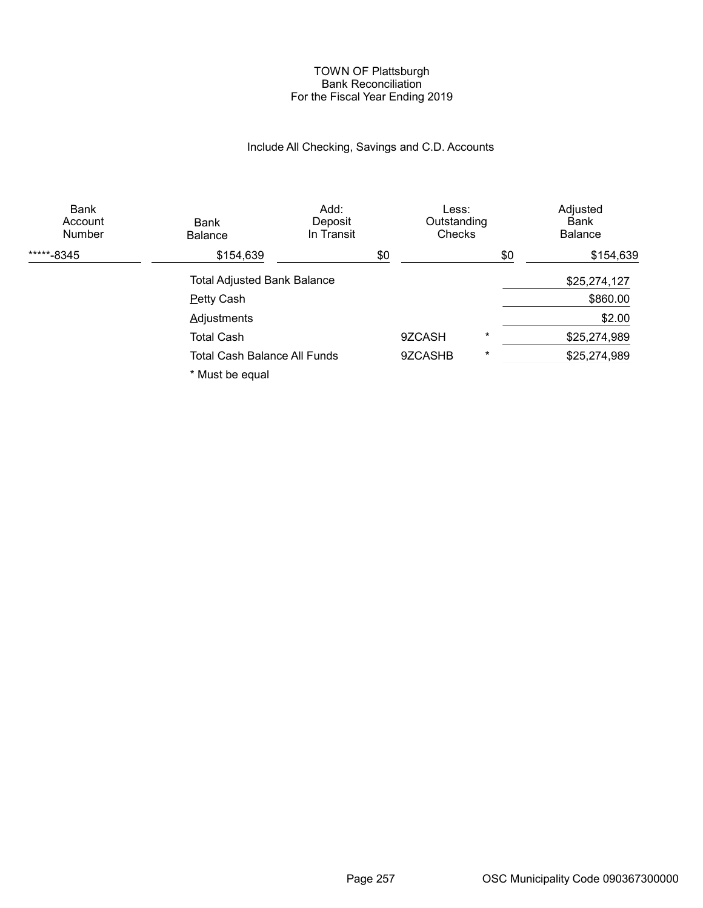### TOWN OF Plattsburgh Bank Reconciliation For the Fiscal Year Ending 2019

# Include All Checking, Savings and C.D. Accounts

| Bank<br>Account<br>Number | <b>Bank</b><br><b>Balance</b>      | Add:<br>Deposit<br>In Transit | Less:<br>Outstanding<br><b>Checks</b> |          | Adjusted<br>Bank<br><b>Balance</b> |
|---------------------------|------------------------------------|-------------------------------|---------------------------------------|----------|------------------------------------|
| *****-8345                | \$154,639                          |                               | \$0                                   | \$0      | \$154,639                          |
|                           | <b>Total Adjusted Bank Balance</b> |                               |                                       |          | \$25,274,127                       |
|                           | <b>Petty Cash</b>                  |                               |                                       |          | \$860.00                           |
|                           | <b>Adjustments</b>                 |                               |                                       |          | \$2.00                             |
|                           | <b>Total Cash</b>                  |                               | 9ZCASH                                | $^\star$ | \$25,274,989                       |
|                           | Total Cash Balance All Funds       |                               | 9ZCASHB                               | $^\star$ | \$25,274,989                       |
|                           | * Must be equal                    |                               |                                       |          |                                    |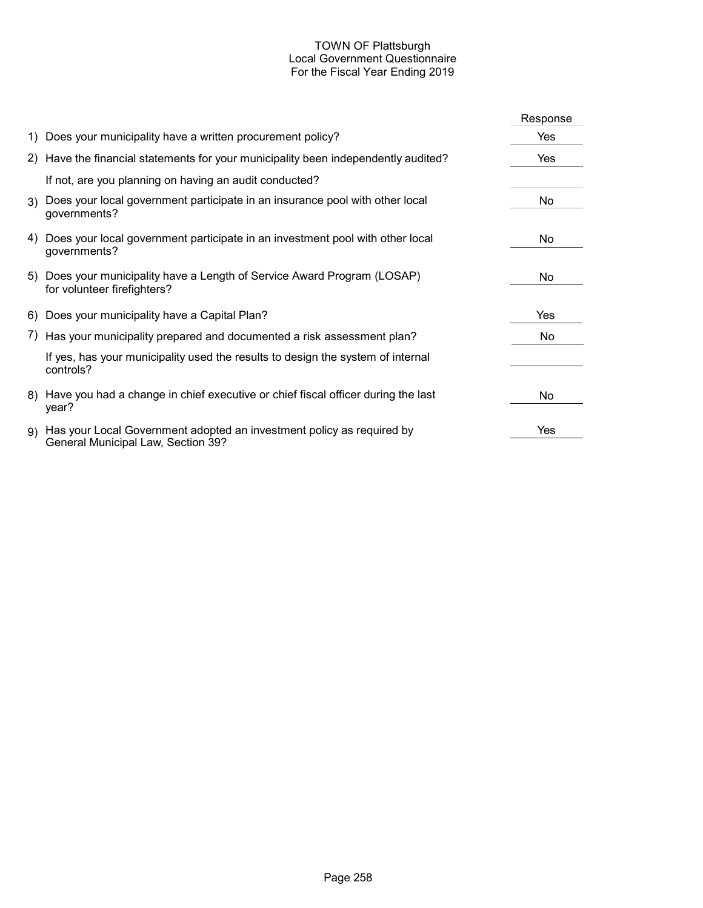## TOWN OF Plattsburgh Local Government Questionnaire For the Fiscal Year Ending 2019

|                                                                                                                | Response |
|----------------------------------------------------------------------------------------------------------------|----------|
| 1) Does your municipality have a written procurement policy?                                                   | Yes      |
| 2) Have the financial statements for your municipality been independently audited?                             | Yes      |
| If not, are you planning on having an audit conducted?                                                         |          |
| 3) Does your local government participate in an insurance pool with other local<br>governments?                | No.      |
| 4) Does your local government participate in an investment pool with other local<br>governments?               | No.      |
| 5) Does your municipality have a Length of Service Award Program (LOSAP)<br>for volunteer firefighters?        | No       |
| 6) Does your municipality have a Capital Plan?                                                                 | Yes      |
| 7) Has your municipality prepared and documented a risk assessment plan?                                       | No.      |
| If yes, has your municipality used the results to design the system of internal<br>controls?                   |          |
| 8) Have you had a change in chief executive or chief fiscal officer during the last<br>year?                   | No.      |
| 9) Has your Local Government adopted an investment policy as required by<br>General Municipal Law, Section 39? | Yes      |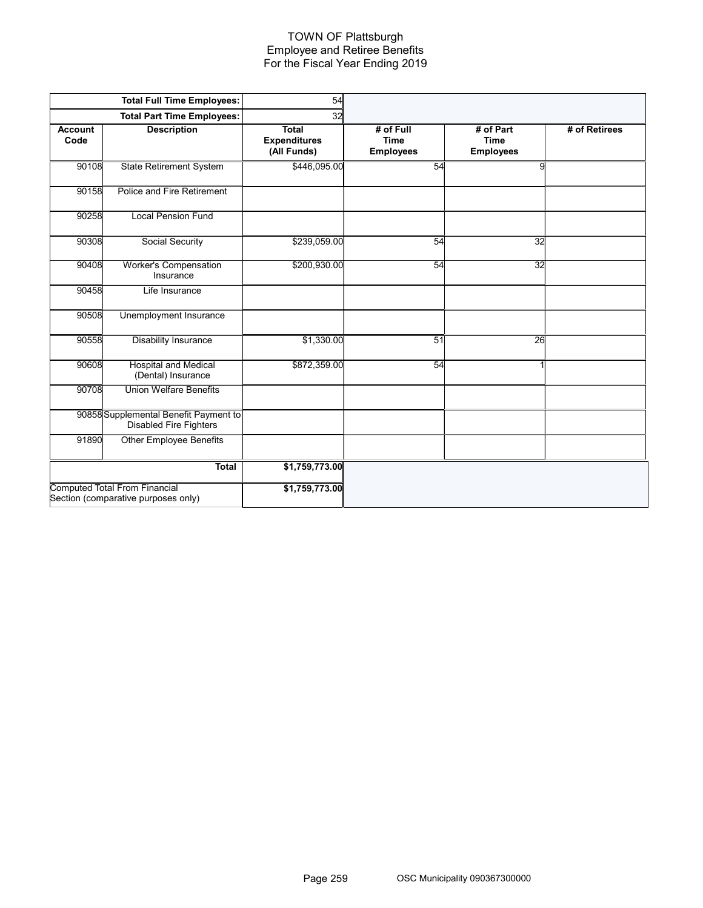### TOWN OF Plattsburgh Employee and Retiree Benefits For the Fiscal Year Ending 2019

|                        | <b>Total Full Time Employees:</b>                                           | 54                                                 |                                              |                                              |               |
|------------------------|-----------------------------------------------------------------------------|----------------------------------------------------|----------------------------------------------|----------------------------------------------|---------------|
|                        | <b>Total Part Time Employees:</b>                                           | 32                                                 |                                              |                                              |               |
| <b>Account</b><br>Code | <b>Description</b>                                                          | <b>Total</b><br><b>Expenditures</b><br>(All Funds) | # of Full<br><b>Time</b><br><b>Employees</b> | # of Part<br><b>Time</b><br><b>Employees</b> | # of Retirees |
| 90108                  | <b>State Retirement System</b>                                              | \$446,095.00                                       | 54                                           | 9                                            |               |
| 90158                  | Police and Fire Retirement                                                  |                                                    |                                              |                                              |               |
| 90258                  | <b>Local Pension Fund</b>                                                   |                                                    |                                              |                                              |               |
| 90308                  | <b>Social Security</b>                                                      | \$239,059.00                                       | 54                                           | 32                                           |               |
| 90408                  | <b>Worker's Compensation</b><br>Insurance                                   | \$200,930.00                                       | 54                                           | 32                                           |               |
| 90458                  | Life Insurance                                                              |                                                    |                                              |                                              |               |
| 90508                  | Unemployment Insurance                                                      |                                                    |                                              |                                              |               |
| 90558                  | <b>Disability Insurance</b>                                                 | \$1,330.00                                         | 51                                           | 26                                           |               |
| 90608                  | <b>Hospital and Medical</b><br>(Dental) Insurance                           | \$872,359.00                                       | 54                                           |                                              |               |
| 90708                  | <b>Union Welfare Benefits</b>                                               |                                                    |                                              |                                              |               |
|                        | 90858 Supplemental Benefit Payment to<br><b>Disabled Fire Fighters</b>      |                                                    |                                              |                                              |               |
| 91890                  | <b>Other Employee Benefits</b>                                              |                                                    |                                              |                                              |               |
|                        | <b>Total</b>                                                                | \$1,759,773.00                                     |                                              |                                              |               |
|                        | <b>Computed Total From Financial</b><br>Section (comparative purposes only) | \$1,759,773.00                                     |                                              |                                              |               |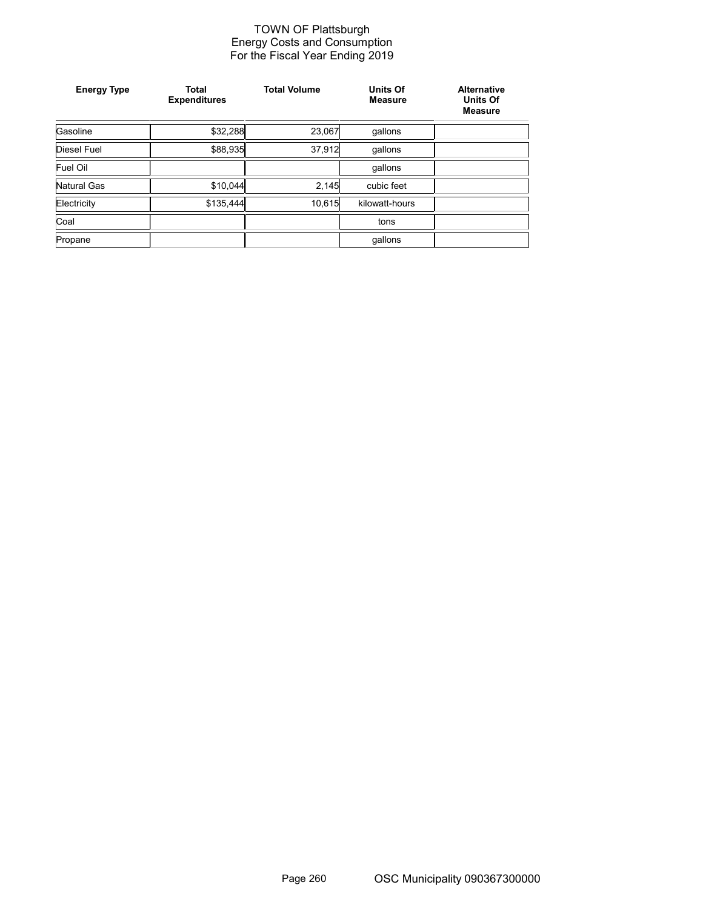### TOWN OF Plattsburgh Energy Costs and Consumption For the Fiscal Year Ending 2019

| <b>Energy Type</b> | <b>Total</b><br><b>Expenditures</b> | <b>Total Volume</b> | <b>Units Of</b><br><b>Measure</b> | <b>Alternative</b><br><b>Units Of</b><br><b>Measure</b> |
|--------------------|-------------------------------------|---------------------|-----------------------------------|---------------------------------------------------------|
| Gasoline           | \$32,288                            | 23,067              | gallons                           |                                                         |
| Diesel Fuel        | \$88,935                            | 37,912              | qallons                           |                                                         |
| Fuel Oil           |                                     |                     | qallons                           |                                                         |
| Natural Gas        | \$10.044                            | 2,145               | cubic feet                        |                                                         |
| Electricity        | \$135,444                           | 10,615              | kilowatt-hours                    |                                                         |
| Coal               |                                     |                     | tons                              |                                                         |
| Propane            |                                     |                     | gallons                           |                                                         |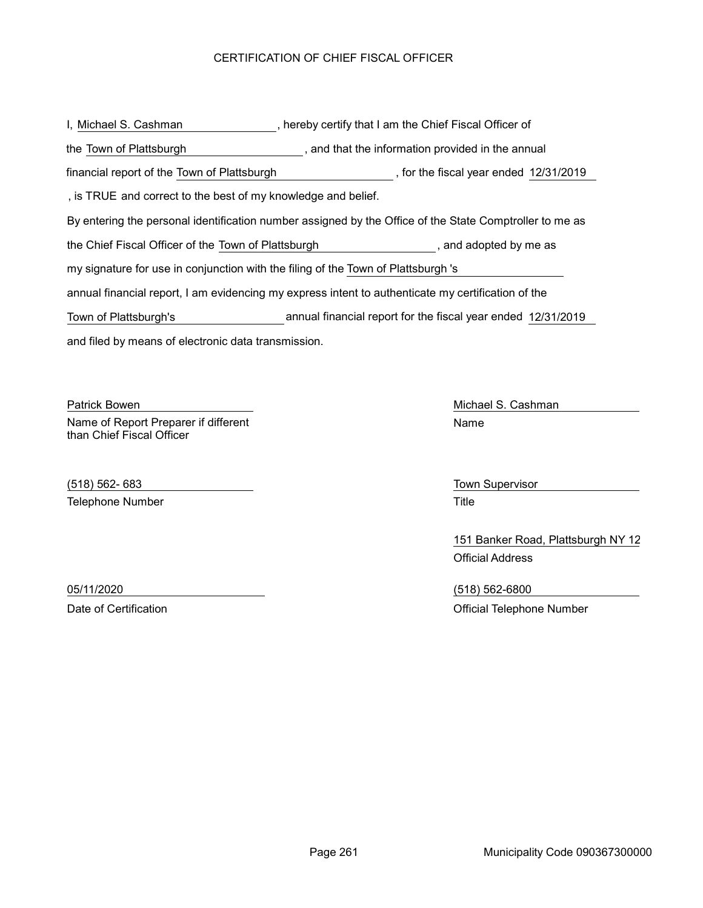## CERTIFICATION OF CHIEF FISCAL OFFICER

and filed by means of electronic data transmission. I, Michael S. Cashman The Chief Fiscal Officer of By entering the personal identification number assigned by the Office of the State Comptroller to me as the Town of Plattsburgh **the information provided in the annual** the Chief Fiscal Officer of the Town of Plattsburgh , and adopted by me as annual financial report, I am evidencing my express intent to authenticate my certification of the my signature for use in conjunction with the filing of the Town of Plattsburgh 's , is TRUE and correct to the best of my knowledge and belief. financial report of the Town of Plattsburgh (in the fiscal year ended 12/31/2019) Town of Plattsburgh's annual financial report for the fiscal year ended 12/31/2019

Patrick Bowen **Michael S. Cashman** Name of Report Preparer if different than Chief Fiscal Officer

(518) 562- 683 Town Supervisor Telephone Number **Title** 

Name

151 Banker Road, Plattsburgh NY 12 Official Address

05/11/2020 (518) 562-6800 Date of Certification **Date of Certification** Official Telephone Number